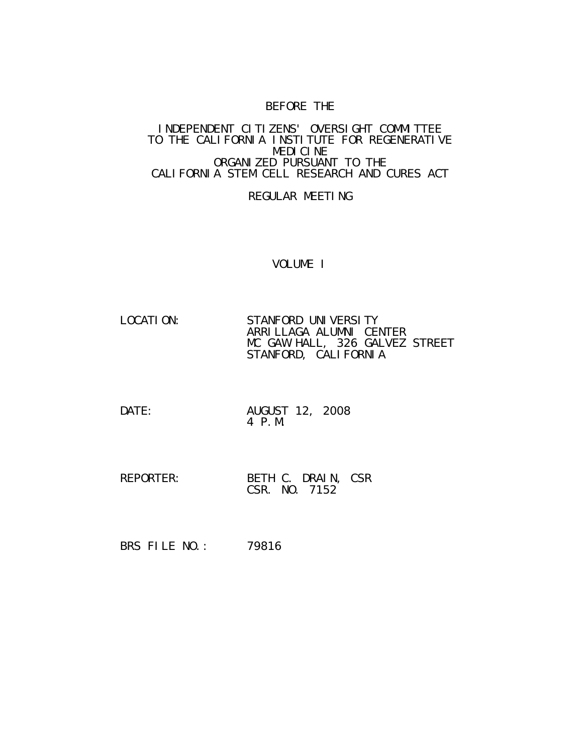# BEFORE THE

#### INDEPENDENT CITIZENS' OVERSIGHT COMMITTEE TO THE CALIFORNIA INSTITUTE FOR REGENERATIVE MEDICINE ORGANIZED PURSUANT TO THE CALIFORNIA STEM CELL RESEARCH AND CURES ACT

#### REGULAR MEETING

#### VOLUME I

- LOCATION: STANFORD UNIVERSITY ARRILLAGA ALUMNI CENTER MC GAW HALL, 326 GALVEZ STREET STANFORD, CALIFORNIA
- DATE: AUGUST 12, 2008 4 P.M.
- REPORTER: BETH C. DRAIN, CSR CSR. NO. 7152
- BRS FILE NO.: 79816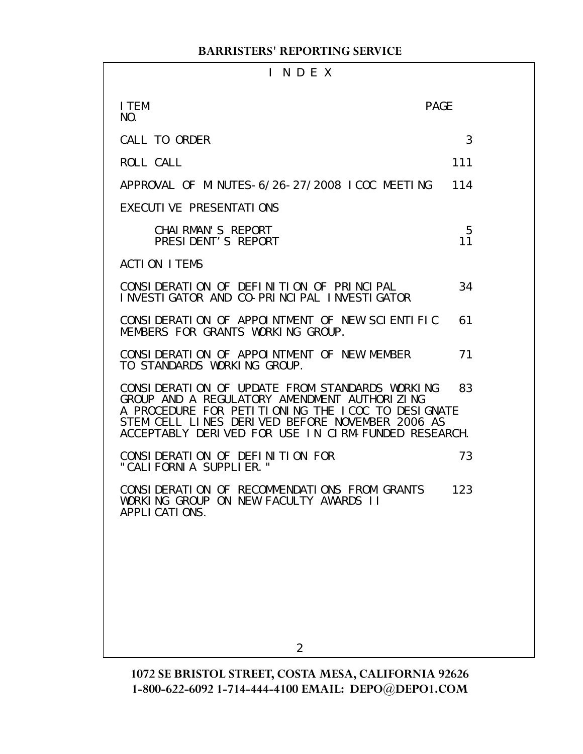# I N D E X

| I TEM<br>NO.                                                                                                                                                                                                                                                  | <b>PAGE</b> |
|---------------------------------------------------------------------------------------------------------------------------------------------------------------------------------------------------------------------------------------------------------------|-------------|
| CALL TO ORDER                                                                                                                                                                                                                                                 | 3           |
| ROLL CALL                                                                                                                                                                                                                                                     | 111         |
| APPROVAL OF MINUTES-6/26-27/2008 ICOC MEETING                                                                                                                                                                                                                 | 114         |
| EXECUTIVE PRESENTATIONS                                                                                                                                                                                                                                       |             |
| CHAI RMAN'S REPORT<br>PRESIDENT'S REPORT                                                                                                                                                                                                                      | 5<br>11     |
| <b>ACTION ITEMS</b>                                                                                                                                                                                                                                           |             |
| CONSIDERATION OF DEFINITION OF PRINCIPAL<br>INVESTIGATOR AND CO-PRINCIPAL INVESTIGATOR                                                                                                                                                                        | 34          |
| CONSIDERATION OF APPOINTMENT OF NEW SCIENTIFIC<br>MEMBERS FOR GRANTS WORKING GROUP.                                                                                                                                                                           | 61          |
| CONSIDERATION OF APPOINTMENT OF NEW MEMBER<br>TO STANDARDS WORKING GROUP.                                                                                                                                                                                     | 71          |
| CONSIDERATION OF UPDATE FROM STANDARDS WORKING<br>GROUP AND A REGULATORY AMENDMENT AUTHORIZING<br>A PROCEDURE FOR PETITIONING THE ICOC TO DESIGNATE<br>STEM CELL LINES DERIVED BEFORE NOVEMBER 2006 AS<br>ACCEPTABLY DERIVED FOR USE IN CIRM-FUNDED RESEARCH. | 83          |
| CONSIDERATION OF DEFINITION FOR<br>"CALIFORNIA SUPPLIER."                                                                                                                                                                                                     | 73          |
| CONSIDERATION OF RECOMMENDATIONS FROM GRANTS<br>WORKING GROUP ON NEW FACULTY AWARDS II<br>APPLI CATIONS.                                                                                                                                                      | 123         |
|                                                                                                                                                                                                                                                               |             |
|                                                                                                                                                                                                                                                               |             |
|                                                                                                                                                                                                                                                               |             |
| 2                                                                                                                                                                                                                                                             |             |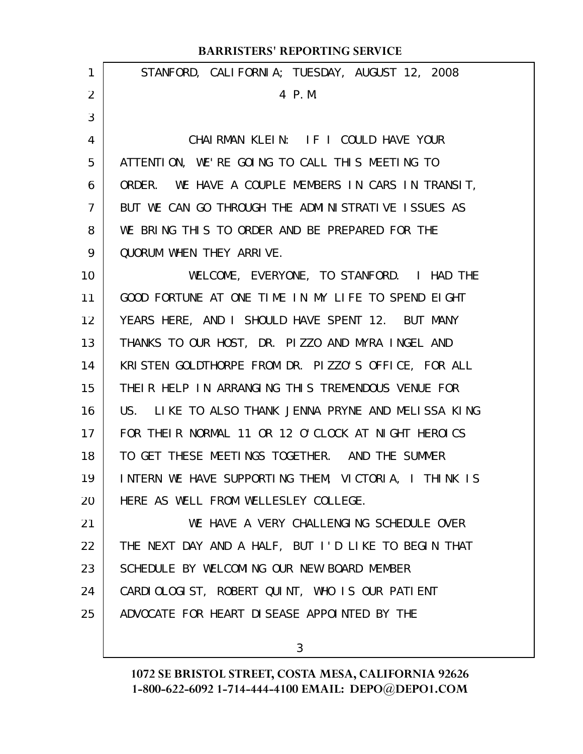| 1              | STANFORD, CALIFORNIA; TUESDAY, AUGUST 12, 2008       |
|----------------|------------------------------------------------------|
| 2              | 4 P.M.                                               |
| 3              |                                                      |
| 4              | CHAIRMAN KLEIN: IF I COULD HAVE YOUR                 |
| 5              | ATTENTION, WE'RE GOING TO CALL THIS MEETING TO       |
| 6              | ORDER. WE HAVE A COUPLE MEMBERS IN CARS IN TRANSIT,  |
| $\overline{7}$ | BUT WE CAN GO THROUGH THE ADMINISTRATIVE ISSUES AS   |
| 8              | WE BRING THIS TO ORDER AND BE PREPARED FOR THE       |
| 9              | QUORUM WHEN THEY ARRIVE.                             |
| 10             | WELCOME, EVERYONE, TO STANFORD. I HAD THE            |
| 11             | GOOD FORTUNE AT ONE TIME IN MY LIFE TO SPEND EIGHT   |
| 12             | YEARS HERE, AND I SHOULD HAVE SPENT 12. BUT MANY     |
| 13             | THANKS TO OUR HOST, DR. PIZZO AND MYRA INGEL AND     |
| 14             | KRISTEN GOLDTHORPE FROM DR. PIZZO'S OFFICE, FOR ALL  |
| 15             | THEIR HELP IN ARRANGING THIS TREMENDOUS VENUE FOR    |
| 16             | US. LIKE TO ALSO THANK JENNA PRYNE AND MELISSA KING  |
| 17             | FOR THEIR NORMAL 11 OR 12 O'CLOCK AT NIGHT HEROICS   |
| 18             | TO GET THESE MEETINGS TOGETHER. AND THE SUMMER       |
| 19             | INTERN WE HAVE SUPPORTING THEM, VICTORIA, I THINK IS |
| 20             | HERE AS WELL FROM WELLESLEY COLLEGE.                 |
| 21             | WE HAVE A VERY CHALLENGING SCHEDULE OVER             |
| 22             | THE NEXT DAY AND A HALF, BUT I'D LIKE TO BEGIN THAT  |
| 23             | SCHEDULE BY WELCOMING OUR NEW BOARD MEMBER           |
| 24             | CARDIOLOGIST, ROBERT QUINT, WHO IS OUR PATIENT       |
| 25             | ADVOCATE FOR HEART DISEASE APPOINTED BY THE          |
|                |                                                      |

3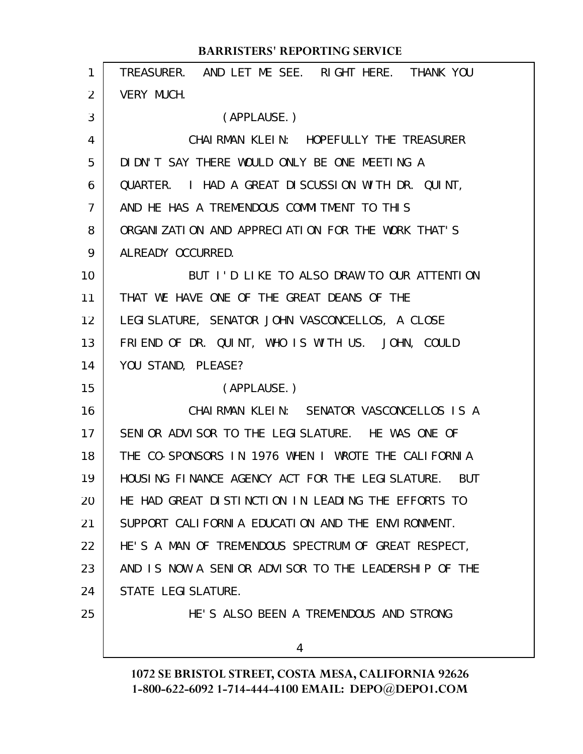| 1  | TREASURER. AND LET ME SEE. RIGHT HERE. THANK YOU     |
|----|------------------------------------------------------|
| 2  | VERY MUCH.                                           |
| 3  | (APPLAUSE.)                                          |
| 4  | CHAI RMAN KLEIN: HOPEFULLY THE TREASURER             |
| 5  | DIDN'T SAY THERE WOULD ONLY BE ONE MEETING A         |
| 6  | QUARTER. I HAD A GREAT DISCUSSION WITH DR. QUINT,    |
| 7  | AND HE HAS A TREMENDOUS COMMITMENT TO THIS           |
| 8  | ORGANIZATION AND APPRECIATION FOR THE WORK THAT'S    |
| 9  | ALREADY OCCURRED.                                    |
| 10 | BUT I'D LIKE TO ALSO DRAW TO OUR ATTENTION           |
| 11 | THAT WE HAVE ONE OF THE GREAT DEANS OF THE           |
| 12 | LEGI SLATURE, SENATOR JOHN VASCONCELLOS, A CLOSE     |
| 13 | FRIEND OF DR. QUINT, WHO IS WITH US. JOHN, COULD     |
| 14 | YOU STAND, PLEASE?                                   |
| 15 | (APPLAUSE.)                                          |
| 16 | CHAIRMAN KLEIN: SENATOR VASCONCELLOS IS A            |
| 17 | SENIOR ADVISOR TO THE LEGISLATURE. HE WAS ONE OF     |
| 18 | THE CO-SPONSORS IN 1976 WHEN I WROTE THE CALIFORNIA  |
| 19 | HOUSING FINANCE AGENCY ACT FOR THE LEGISLATURE. BUT  |
| 20 | HE HAD GREAT DISTINCTION IN LEADING THE EFFORTS TO   |
| 21 | SUPPORT CALIFORNIA EDUCATION AND THE ENVIRONMENT.    |
| 22 | HE'S A MAN OF TREMENDOUS SPECTRUM OF GREAT RESPECT,  |
| 23 | AND IS NOW A SENIOR ADVISOR TO THE LEADERSHIP OF THE |
| 24 | STATE LEGI SLATURE.                                  |
| 25 | HE'S ALSO BEEN A TREMENDOUS AND STRONG               |
|    | 4                                                    |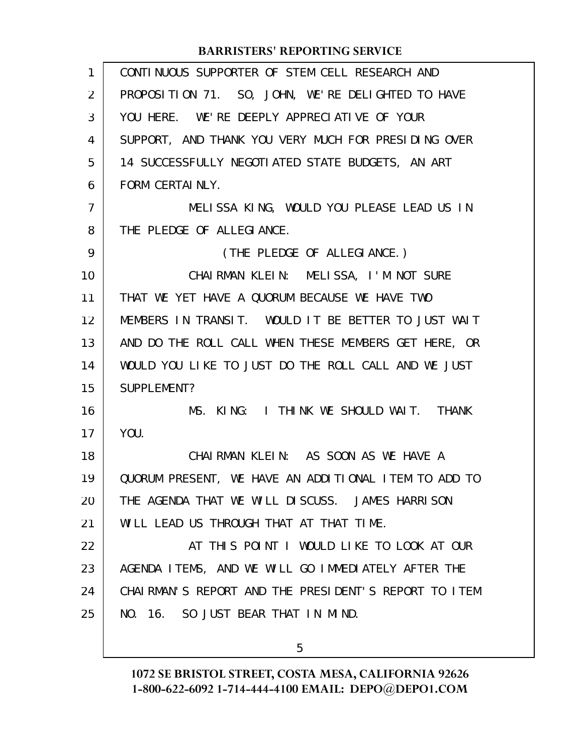| $\mathbf{1}$ | CONTINUOUS SUPPORTER OF STEM CELL RESEARCH AND        |
|--------------|-------------------------------------------------------|
| 2            | PROPOSITION 71. SO, JOHN, WE'RE DELIGHTED TO HAVE     |
| 3            | YOU HERE. WE'RE DEEPLY APPRECIATIVE OF YOUR           |
| 4            | SUPPORT, AND THANK YOU VERY MUCH FOR PRESIDING OVER   |
| 5            | 14 SUCCESSFULLY NEGOTI ATED STATE BUDGETS, AN ART     |
| 6            | FORM CERTAINLY.                                       |
| 7            | MELISSA KING, WOULD YOU PLEASE LEAD US IN             |
| 8            | THE PLEDGE OF ALLEGIANCE.                             |
| 9            | (THE PLEDGE OF ALLEGIANCE.)                           |
| 10           | CHAIRMAN KLEIN: MELISSA, I'M NOT SURE                 |
| 11           | THAT WE YET HAVE A QUORUM BECAUSE WE HAVE TWO         |
| 12           | MEMBERS IN TRANSIT. WOULD IT BE BETTER TO JUST WAIT   |
| 13           | AND DO THE ROLL CALL WHEN THESE MEMBERS GET HERE, OR  |
| 14           | WOULD YOU LIKE TO JUST DO THE ROLL CALL AND WE JUST   |
| 15           | SUPPLEMENT?                                           |
| 16           | MS. KING: I THINK WE SHOULD WAIT. THANK               |
| 17           | YOU.                                                  |
| 18           | CHAIRMAN KLEIN: AS SOON AS WE HAVE A                  |
| 19           | QUORUM PRESENT, WE HAVE AN ADDITIONAL ITEM TO ADD TO  |
| 20           | THE AGENDA THAT WE WILL DISCUSS. JAMES HARRISON       |
| 21           | WILL LEAD US THROUGH THAT AT THAT TIME.               |
| 22           | AT THIS POINT I WOULD LIKE TO LOOK AT OUR             |
| 23           | AGENDA ITEMS, AND WE WILL GO IMMEDIATELY AFTER THE    |
| 24           | CHAI RMAN'S REPORT AND THE PRESIDENT'S REPORT TO ITEM |
| 25           | NO. 16. SO JUST BEAR THAT IN MIND.                    |
|              |                                                       |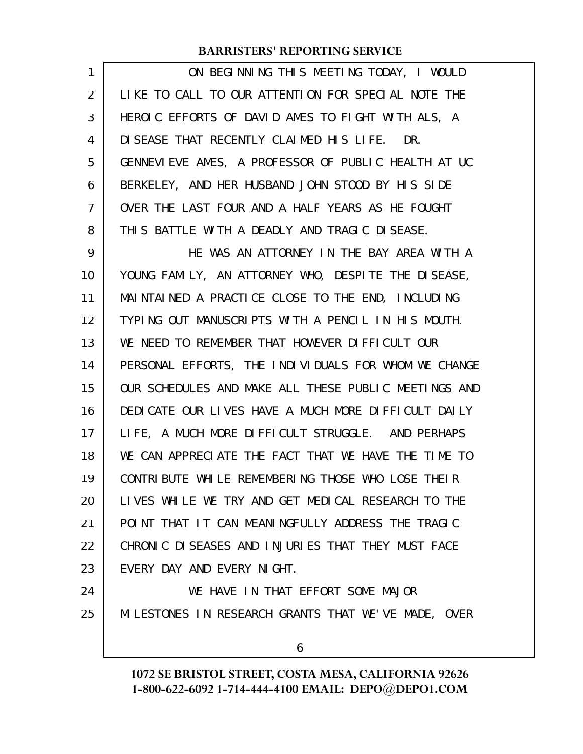| 1              | ON BEGINNING THIS MEETING TODAY, I WOULD             |
|----------------|------------------------------------------------------|
| $\overline{2}$ | LIKE TO CALL TO OUR ATTENTION FOR SPECIAL NOTE THE   |
| 3              | HEROIC EFFORTS OF DAVID AMES TO FIGHT WITH ALS, A    |
| 4              | DI SEASE THAT RECENTLY CLAIMED HIS LIFE. DR.         |
| 5              | GENNEVIEVE AMES, A PROFESSOR OF PUBLIC HEALTH AT UC  |
| 6              | BERKELEY, AND HER HUSBAND JOHN STOOD BY HIS SIDE     |
| 7              | OVER THE LAST FOUR AND A HALF YEARS AS HE FOUGHT     |
| 8              | THIS BATTLE WITH A DEADLY AND TRAGIC DISEASE.        |
| 9              | HE WAS AN ATTORNEY IN THE BAY AREA WITH A            |
| 10             | YOUNG FAMILY, AN ATTORNEY WHO, DESPITE THE DISEASE,  |
| 11             | MAINTAINED A PRACTICE CLOSE TO THE END, INCLUDING    |
| 12             | TYPING OUT MANUSCRIPTS WITH A PENCIL IN HIS MOUTH.   |
| 13             | WE NEED TO REMEMBER THAT HOWEVER DIFFICULT OUR       |
| 14             | PERSONAL EFFORTS, THE INDIVIDUALS FOR WHOM WE CHANGE |
| 15             | OUR SCHEDULES AND MAKE ALL THESE PUBLIC MEETINGS AND |
| 16             | DEDICATE OUR LIVES HAVE A MUCH MORE DIFFICULT DAILY  |
| 17             | LIFE, A MUCH MORE DIFFICULT STRUGGLE. AND PERHAPS    |
| 18             | WE CAN APPRECIATE THE FACT THAT WE HAVE THE TIME TO  |
| 19             | CONTRIBUTE WHILE REMEMBERING THOSE WHO LOSE THEIR    |
| 20             | LIVES WHILE WE TRY AND GET MEDICAL RESEARCH TO THE   |
| 21             | POINT THAT IT CAN MEANINGFULLY ADDRESS THE TRAGIC    |
| 22             | CHRONIC DISEASES AND INJURIES THAT THEY MUST FACE    |
| 23             | EVERY DAY AND EVERY NIGHT.                           |
| 24             | WE HAVE IN THAT EFFORT SOME MAJOR                    |
| 25             | MILESTONES IN RESEARCH GRANTS THAT WE'VE MADE, OVER  |
|                | 6                                                    |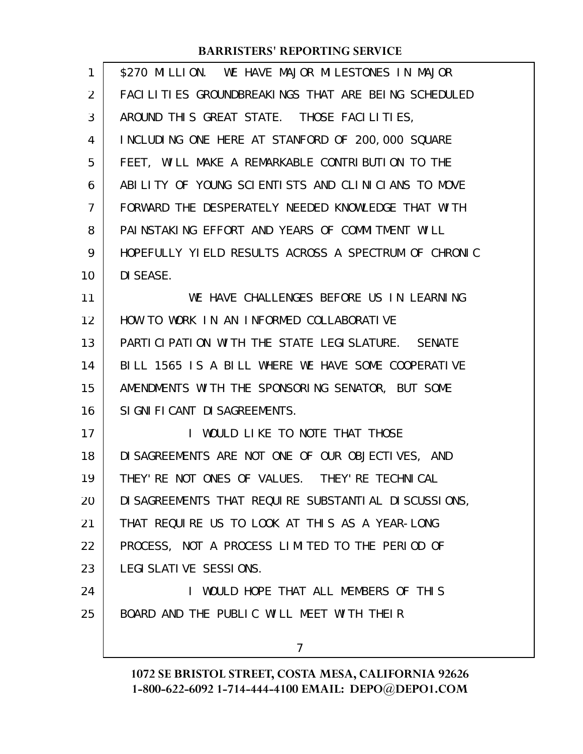| 1              | \$270 MILLION. WE HAVE MAJOR MILESTONES IN MAJOR      |
|----------------|-------------------------------------------------------|
| 2              | FACILITIES GROUNDBREAKINGS THAT ARE BEING SCHEDULED   |
| 3              | AROUND THIS GREAT STATE. THOSE FACILITIES,            |
| 4              | INCLUDING ONE HERE AT STANFORD OF 200,000 SQUARE      |
| 5              | FEET, WILL MAKE A REMARKABLE CONTRIBUTION TO THE      |
| 6              | ABILITY OF YOUNG SCIENTISTS AND CLINICIANS TO MOVE    |
| $\overline{7}$ | FORWARD THE DESPERATELY NEEDED KNOWLEDGE THAT WITH    |
| 8              | PAINSTAKING EFFORT AND YEARS OF COMMITMENT WILL       |
| 9              | HOPEFULLY YIELD RESULTS ACROSS A SPECTRUM OF CHRONIC  |
| 10             | DI SEASE.                                             |
| 11             | WE HAVE CHALLENGES BEFORE US IN LEARNING              |
| 12             | HOW TO WORK IN AN INFORMED COLLABORATIVE              |
| 13             | PARTICIPATION WITH THE STATE LEGISLATURE. SENATE      |
| 14             | BILL 1565 IS A BILL WHERE WE HAVE SOME COOPERATIVE    |
| 15             | AMENDMENTS WITH THE SPONSORING SENATOR, BUT SOME      |
| 16             | SI GNI FI CANT DI SAGREEMENTS.                        |
| 17             | WOULD LIKE TO NOTE THAT THOSE<br>L                    |
| 18             | DI SAGREEMENTS ARE NOT ONE OF OUR OBJECTIVES, AND     |
| 19             | THEY' RE NOT ONES OF VALUES. THEY' RE TECHNICAL       |
| 20             | DI SAGREEMENTS THAT REQUIRE SUBSTANTIAL DI SCUSSIONS, |
| 21             | THAT REQUIRE US TO LOOK AT THIS AS A YEAR-LONG        |
| 22             | PROCESS, NOT A PROCESS LIMITED TO THE PERIOD OF       |
| 23             | LEGI SLATI VE SESSI ONS.                              |
| 24             | I WOULD HOPE THAT ALL MEMBERS OF THIS                 |
| 25             | BOARD AND THE PUBLIC WILL MEET WITH THEIR             |
|                | $\overline{7}$                                        |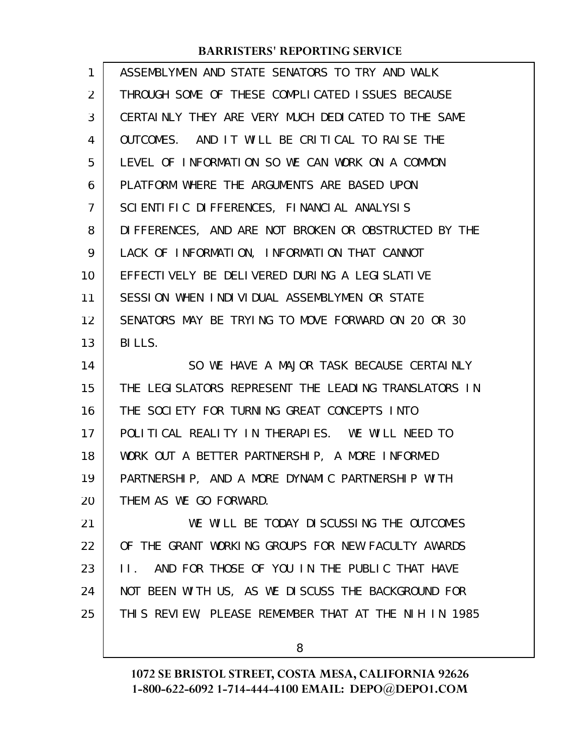| 1              | ASSEMBLYMEN AND STATE SENATORS TO TRY AND WALK                 |
|----------------|----------------------------------------------------------------|
| $\overline{2}$ | THROUGH SOME OF THESE COMPLICATED ISSUES BECAUSE               |
| 3              | CERTAINLY THEY ARE VERY MUCH DEDICATED TO THE SAME             |
| 4              | OUTCOMES. AND IT WILL BE CRITICAL TO RAISE THE                 |
| 5              | LEVEL OF INFORMATION SO WE CAN WORK ON A COMMON                |
| 6              | PLATFORM WHERE THE ARGUMENTS ARE BASED UPON                    |
| 7              | SCIENTIFIC DIFFERENCES, FINANCIAL ANALYSIS                     |
| 8              | DIFFERENCES, AND ARE NOT BROKEN OR OBSTRUCTED BY THE           |
| 9              | LACK OF INFORMATION, INFORMATION THAT CANNOT                   |
| 10             | EFFECTIVELY BE DELIVERED DURING A LEGISLATIVE                  |
| 11             | SESSION WHEN INDIVIDUAL ASSEMBLYMEN OR STATE                   |
| 12             | SENATORS MAY BE TRYING TO MOVE FORWARD ON 20 OR 30             |
| 13             | BILLS.                                                         |
|                |                                                                |
| 14             | SO WE HAVE A MAJOR TASK BECAUSE CERTAINLY                      |
| 15             | THE LEGISLATORS REPRESENT THE LEADING TRANSLATORS IN           |
| 16             | THE SOCIETY FOR TURNING GREAT CONCEPTS INTO                    |
| 17             | POLITICAL REALITY IN THERAPIES. WE WILL NEED TO                |
| 18             | WORK OUT A BETTER PARTNERSHIP, A MORE INFORMED                 |
| 19             | PARTNERSHIP, AND A MORE DYNAMIC PARTNERSHIP WITH               |
| 20             | THEM AS WE GO FORWARD.                                         |
| 21             | WE WILL BE TODAY DISCUSSING THE OUTCOMES                       |
| 22             | OF THE GRANT WORKING GROUPS FOR NEW FACULTY AWARDS             |
| 23             | AND FOR THOSE OF YOU IN THE PUBLIC THAT HAVE<br>$\mathsf{H}$ . |
| 24             | NOT BEEN WITH US, AS WE DISCUSS THE BACKGROUND FOR             |
| 25             | THIS REVIEW, PLEASE REMEMBER THAT AT THE NIH IN 1985           |

8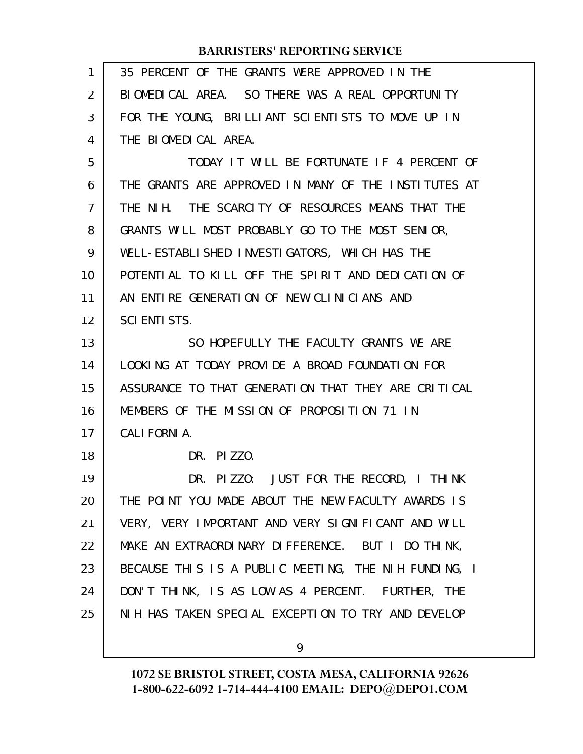| 1  | 35 PERCENT OF THE GRANTS WERE APPROVED IN THE        |
|----|------------------------------------------------------|
| 2  | BIOMEDICAL AREA. SO THERE WAS A REAL OPPORTUNITY     |
| 3  | FOR THE YOUNG, BRILLIANT SCIENTISTS TO MOVE UP IN    |
| 4  | THE BIOMEDICAL AREA.                                 |
| 5  | TODAY IT WILL BE FORTUNATE IF 4 PERCENT OF           |
| 6  | THE GRANTS ARE APPROVED IN MANY OF THE INSTITUTES AT |
| 7  | THE NIH. THE SCARCITY OF RESOURCES MEANS THAT THE    |
| 8  | GRANTS WILL MOST PROBABLY GO TO THE MOST SENIOR,     |
| 9  | WELL-ESTABLISHED INVESTIGATORS, WHICH HAS THE        |
| 10 | POTENTIAL TO KILL OFF THE SPIRIT AND DEDICATION OF   |
| 11 | AN ENTIRE GENERATION OF NEW CLINICIANS AND           |
| 12 | <b>SCI ENTI STS.</b>                                 |
| 13 | SO HOPEFULLY THE FACULTY GRANTS WE ARE               |
| 14 | LOOKING AT TODAY PROVIDE A BROAD FOUNDATION FOR      |
| 15 | ASSURANCE TO THAT GENERATION THAT THEY ARE CRITICAL  |
| 16 | MEMBERS OF THE MISSION OF PROPOSITION 71 IN          |
| 17 | CALI FORNI A.                                        |
| 18 | $PI$ ZZO.<br>DR.                                     |
| 19 | PIZZO: JUST FOR THE RECORD, I THINK<br>DR.           |
| 20 | THE POINT YOU MADE ABOUT THE NEW FACULTY AWARDS IS   |
| 21 | VERY, VERY IMPORTANT AND VERY SIGNIFICANT AND WILL   |
| 22 | MAKE AN EXTRAORDINARY DIFFERENCE. BUT I DO THINK,    |
| 23 | BECAUSE THIS IS A PUBLIC MEETING, THE NIH FUNDING, I |
| 24 | DON'T THINK, IS AS LOW AS 4 PERCENT. FURTHER, THE    |
| 25 | NIH HAS TAKEN SPECIAL EXCEPTION TO TRY AND DEVELOP   |
|    |                                                      |

9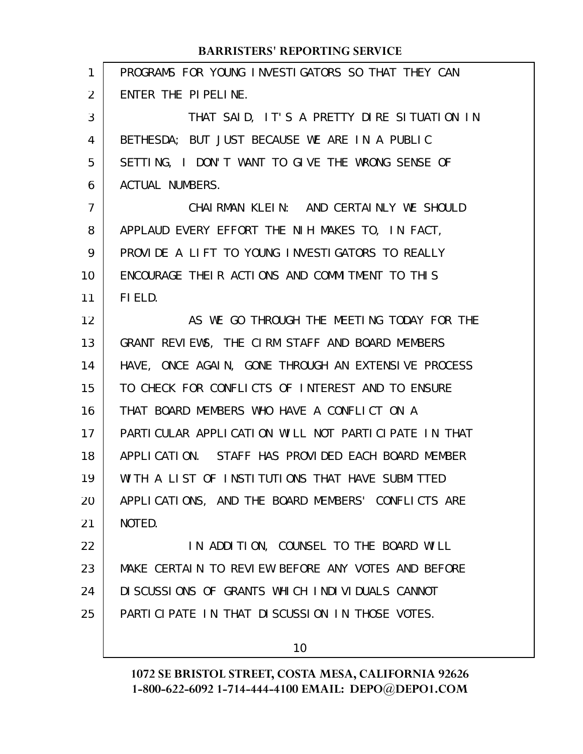| $\mathbf{1}$   | PROGRAMS FOR YOUNG INVESTIGATORS SO THAT THEY CAN   |
|----------------|-----------------------------------------------------|
| 2              | ENTER THE PIPELINE.                                 |
| 3              | THAT SAID, IT'S A PRETTY DIRE SITUATION IN          |
| 4              | BETHESDA; BUT JUST BECAUSE WE ARE IN A PUBLIC       |
| 5              | SETTING, I DON'T WANT TO GIVE THE WRONG SENSE OF    |
| 6              | <b>ACTUAL NUMBERS.</b>                              |
| $\overline{7}$ | CHAIRMAN KLEIN: AND CERTAINLY WE SHOULD             |
| 8              | APPLAUD EVERY EFFORT THE NIH MAKES TO, IN FACT,     |
| 9              | PROVIDE A LIFT TO YOUNG INVESTIGATORS TO REALLY     |
| 10             | ENCOURAGE THEIR ACTIONS AND COMMITMENT TO THIS      |
| 11             | FIELD.                                              |
| 12             | AS WE GO THROUGH THE MEETING TODAY FOR THE          |
| 13             | GRANT REVIEWS, THE CIRM STAFF AND BOARD MEMBERS     |
| 14             | HAVE, ONCE AGAIN, GONE THROUGH AN EXTENSIVE PROCESS |
| 15             | TO CHECK FOR CONFLICTS OF INTEREST AND TO ENSURE    |
| 16             | THAT BOARD MEMBERS WHO HAVE A CONFLICT ON A         |
| 17             | PARTICULAR APPLICATION WILL NOT PARTICIPATE IN THAT |
| 18             | APPLICATION. STAFF HAS PROVIDED EACH BOARD MEMBER   |
| 19             | WITH A LIST OF INSTITUTIONS THAT HAVE SUBMITTED     |
| 20             | APPLICATIONS, AND THE BOARD MEMBERS' CONFLICTS ARE  |
| 21             | NOTED.                                              |
| 22             | IN ADDITION, COUNSEL TO THE BOARD WILL              |
| 23             | MAKE CERTAIN TO REVIEW BEFORE ANY VOTES AND BEFORE  |
| 24             | DI SCUSSIONS OF GRANTS WHICH INDIVIDUALS CANNOT     |
| 25             | PARTICIPATE IN THAT DISCUSSION IN THOSE VOTES.      |
|                |                                                     |

10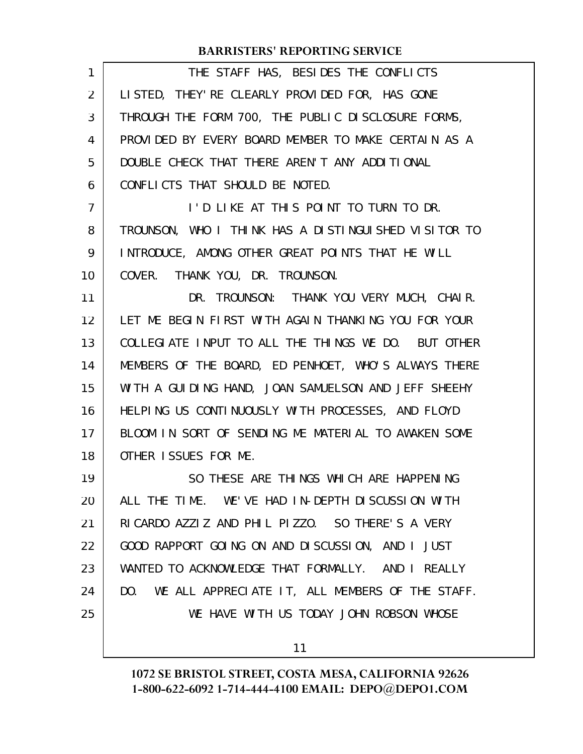| 1  | THE STAFF HAS, BESIDES THE CONFLICTS                 |
|----|------------------------------------------------------|
| 2  | LISTED, THEY' RE CLEARLY PROVIDED FOR, HAS GONE      |
| 3  | THROUGH THE FORM 700, THE PUBLIC DISCLOSURE FORMS,   |
| 4  | PROVIDED BY EVERY BOARD MEMBER TO MAKE CERTAIN AS A  |
| 5  | DOUBLE CHECK THAT THERE AREN'T ANY ADDITIONAL        |
| 6  | CONFLICTS THAT SHOULD BE NOTED.                      |
| 7  | I'D LIKE AT THIS POINT TO TURN TO DR.                |
| 8  | TROUNSON, WHO I THINK HAS A DISTINGUISHED VISITOR TO |
| 9  | INTRODUCE, AMONG OTHER GREAT POINTS THAT HE WILL     |
| 10 | COVER. THANK YOU, DR. TROUNSON.                      |
| 11 | DR. TROUNSON: THANK YOU VERY MUCH, CHAIR.            |
| 12 | LET ME BEGIN FIRST WITH AGAIN THANKING YOU FOR YOUR  |
| 13 | COLLEGIATE INPUT TO ALL THE THINGS WE DO. BUT OTHER  |
| 14 | MEMBERS OF THE BOARD, ED PENHOET, WHO'S ALWAYS THERE |
| 15 | WITH A GUIDING HAND, JOAN SAMUELSON AND JEFF SHEEHY  |
| 16 | HELPING US CONTINUOUSLY WITH PROCESSES, AND FLOYD    |
| 17 | BLOOM IN SORT OF SENDING ME MATERIAL TO AWAKEN SOME  |
| 18 | OTHER ISSUES FOR ME.                                 |
| 19 | SO THESE ARE THINGS WHICH ARE HAPPENING              |
| 20 | ALL THE TIME. WE'VE HAD IN-DEPTH DISCUSSION WITH     |
| 21 | RICARDO AZZIZ AND PHIL PIZZO. SO THERE'S A VERY      |
| 22 | GOOD RAPPORT GOING ON AND DISCUSSION, AND I JUST     |
| 23 | WANTED TO ACKNOWLEDGE THAT FORMALLY. AND I REALLY    |
| 24 | DO. WE ALL APPRECIATE IT, ALL MEMBERS OF THE STAFF.  |
| 25 | WE HAVE WITH US TODAY JOHN ROBSON WHOSE              |
|    | 11                                                   |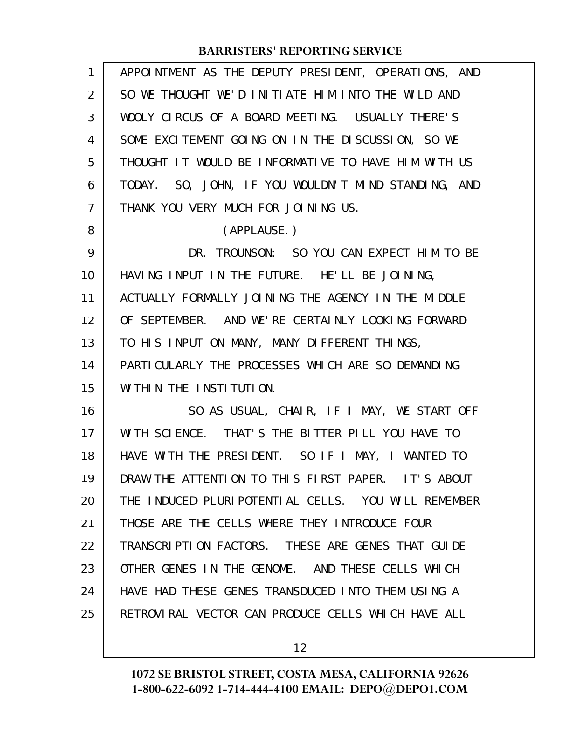| $\mathbf{1}$   | APPOINTMENT AS THE DEPUTY PRESIDENT, OPERATIONS, AND |
|----------------|------------------------------------------------------|
| 2              | SO WE THOUGHT WE'D INITIATE HIM INTO THE WILD AND    |
| 3              | WOOLY CIRCUS OF A BOARD MEETING. USUALLY THERE'S     |
| 4              | SOME EXCITEMENT GOING ON IN THE DISCUSSION, SO WE    |
| 5              | THOUGHT IT WOULD BE INFORMATIVE TO HAVE HIM WITH US  |
| 6              | TODAY. SO, JOHN, IF YOU WOULDN'T MIND STANDING, AND  |
| $\overline{7}$ | THANK YOU VERY MUCH FOR JOINING US.                  |
| 8              | (APPLAUSE.)                                          |
| 9              | DR. TROUNSON: SO YOU CAN EXPECT HIM TO BE            |
| 10             | HAVING INPUT IN THE FUTURE. HE'LL BE JOINING,        |
| 11             | ACTUALLY FORMALLY JOINING THE AGENCY IN THE MIDDLE   |
| 12             | OF SEPTEMBER. AND WE'RE CERTAINLY LOOKING FORWARD    |
| 13             | TO HIS INPUT ON MANY, MANY DIFFERENT THINGS,         |
| 14             | PARTI CULARLY THE PROCESSES WHICH ARE SO DEMANDING   |
| 15             | WITHIN THE INSTITUTION.                              |
| 16             | SO AS USUAL, CHAIR, IF I MAY, WE START OFF           |
| 17             | WITH SCIENCE. THAT'S THE BITTER PILL YOU HAVE TO     |
| 18             | HAVE WITH THE PRESIDENT. SO IF I MAY, I WANTED TO    |
| 19             | DRAW THE ATTENTION TO THIS FIRST PAPER. IT'S ABOUT   |
| 20             | THE INDUCED PLURIPOTENTIAL CELLS. YOU WILL REMEMBER  |
| 21             | THOSE ARE THE CELLS WHERE THEY INTRODUCE FOUR        |
| 22             | TRANSCRIPTION FACTORS. THESE ARE GENES THAT GUIDE    |
| 23             | OTHER GENES IN THE GENOME. AND THESE CELLS WHICH     |
| 24             | HAVE HAD THESE GENES TRANSDUCED INTO THEM USING A    |
| 25             | RETROVIRAL VECTOR CAN PRODUCE CELLS WHICH HAVE ALL   |
|                |                                                      |

12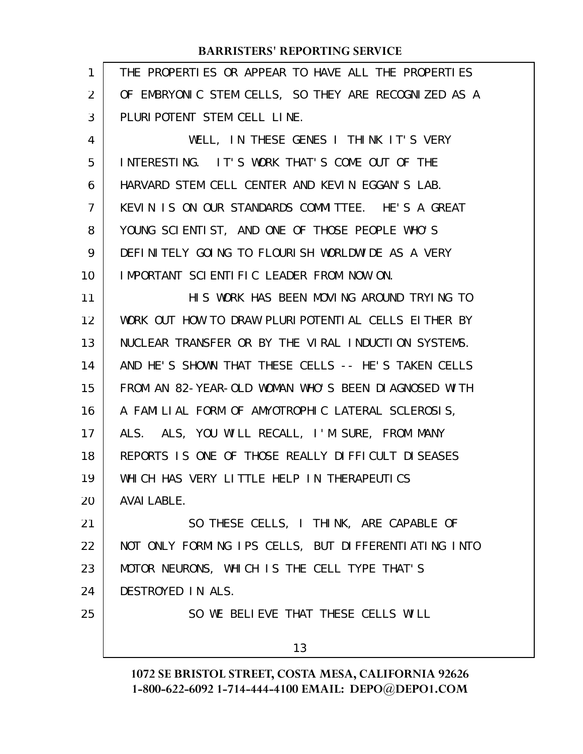| $\mathbf{1}$ | THE PROPERTIES OR APPEAR TO HAVE ALL THE PROPERTIES  |
|--------------|------------------------------------------------------|
| 2            | OF EMBRYONIC STEM CELLS, SO THEY ARE RECOGNIZED AS A |
| 3            | PLURI POTENT STEM CELL LINE.                         |
| 4            | WELL, IN THESE GENES I THINK IT'S VERY               |
| 5            | INTERESTING. IT'S WORK THAT'S COME OUT OF THE        |
| 6            | HARVARD STEM CELL CENTER AND KEVIN EGGAN'S LAB.      |
| 7            | KEVIN IS ON OUR STANDARDS COMMITTEE. HE'S A GREAT    |
| 8            | YOUNG SCIENTIST, AND ONE OF THOSE PEOPLE WHO'S       |
| 9            | DEFINITELY GOING TO FLOURISH WORLDWIDE AS A VERY     |
| 10           | IMPORTANT SCIENTIFIC LEADER FROM NOW ON.             |
| 11           | HIS WORK HAS BEEN MOVING AROUND TRYING TO            |
| 12           | WORK OUT HOW TO DRAW PLURIPOTENTIAL CELLS EITHER BY  |
| 13           | NUCLEAR TRANSFER OR BY THE VIRAL INDUCTION SYSTEMS.  |
| 14           | AND HE'S SHOWN THAT THESE CELLS -- HE'S TAKEN CELLS  |
| 15           | FROM AN 82-YEAR-OLD WOMAN WHO'S BEEN DIAGNOSED WITH  |
| 16           | A FAMILIAL FORM OF AMYOTROPHIC LATERAL SCLEROSIS,    |
| 17           | ALS. ALS, YOU WILL RECALL, I'M SURE, FROM MANY       |
| 18           | REPORTS IS ONE OF THOSE REALLY DIFFICULT DISEASES    |
| 19           | WHICH HAS VERY LITTLE HELP IN THERAPEUTICS           |
| 20           | <b>AVAI LABLE.</b>                                   |
| 21           | SO THESE CELLS, I THINK, ARE CAPABLE OF              |
| 22           | NOT ONLY FORMING IPS CELLS, BUT DIFFERENTIATING INTO |
| 23           | MOTOR NEURONS, WHICH IS THE CELL TYPE THAT'S         |
| 24           | DESTROYED IN ALS.                                    |
| 25           | SO WE BELIEVE THAT THESE CELLS WILL                  |
|              | 13                                                   |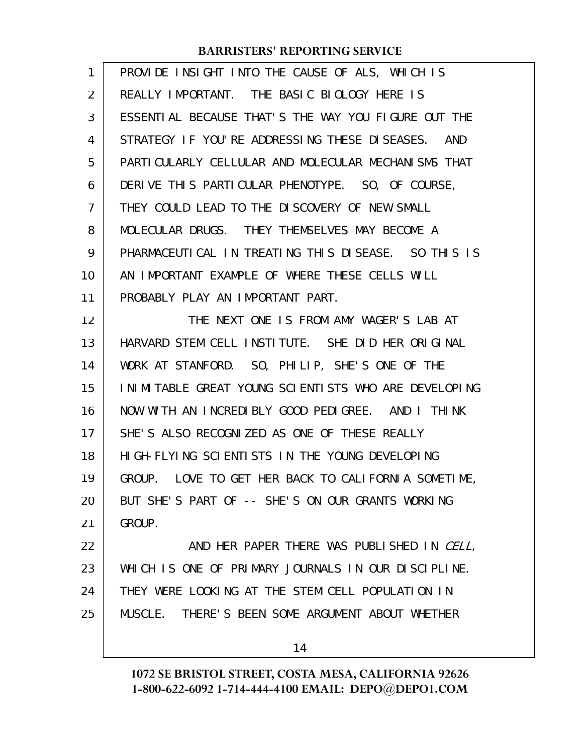| $\mathbf{1}$ | PROVIDE INSIGHT INTO THE CAUSE OF ALS, WHICH IS       |
|--------------|-------------------------------------------------------|
| 2            | REALLY IMPORTANT. THE BASIC BIOLOGY HERE IS           |
| 3            | ESSENTIAL BECAUSE THAT'S THE WAY YOU FIGURE OUT THE   |
| 4            | STRATEGY IF YOU'RE ADDRESSING THESE DISEASES. AND     |
| 5            | PARTI CULARLY CELLULAR AND MOLECULAR MECHANI SMS THAT |
| 6            | DERIVE THIS PARTICULAR PHENOTYPE. SO, OF COURSE,      |
| 7            | THEY COULD LEAD TO THE DISCOVERY OF NEW SMALL         |
| 8            | MOLECULAR DRUGS. THEY THEMSELVES MAY BECOME A         |
| 9            | PHARMACEUTICAL IN TREATING THIS DISEASE. SO THIS IS   |
| 10           | AN IMPORTANT EXAMPLE OF WHERE THESE CELLS WILL        |
| 11           | PROBABLY PLAY AN IMPORTANT PART.                      |
| 12           | THE NEXT ONE IS FROM AMY WAGER'S LAB AT               |
| 13           | HARVARD STEM CELL INSTITUTE. SHE DID HER ORIGINAL     |
| 14           | WORK AT STANFORD. SO, PHILIP, SHE'S ONE OF THE        |
| 15           | INIMITABLE GREAT YOUNG SCIENTISTS WHO ARE DEVELOPING  |
| 16           | NOW WITH AN INCREDIBLY GOOD PEDIGREE. AND I THINK     |
| 17           | SHE'S ALSO RECOGNIZED AS ONE OF THESE REALLY          |
| 18           | HIGH-FLYING SCIENTISTS IN THE YOUNG DEVELOPING        |
| 19           | GROUP. LOVE TO GET HER BACK TO CALIFORNIA SOMETIME,   |
| 20           | BUT SHE'S PART OF -- SHE'S ON OUR GRANTS WORKING      |
| 21           | GROUP.                                                |
| 22           | AND HER PAPER THERE WAS PUBLISHED IN CELL,            |
| 23           | WHICH IS ONE OF PRIMARY JOURNALS IN OUR DISCIPLINE.   |
| 24           | THEY WERE LOOKING AT THE STEM CELL POPULATION IN      |
| 25           | MUSCLE. THERE'S BEEN SOME ARGUMENT ABOUT WHETHER      |
|              |                                                       |

14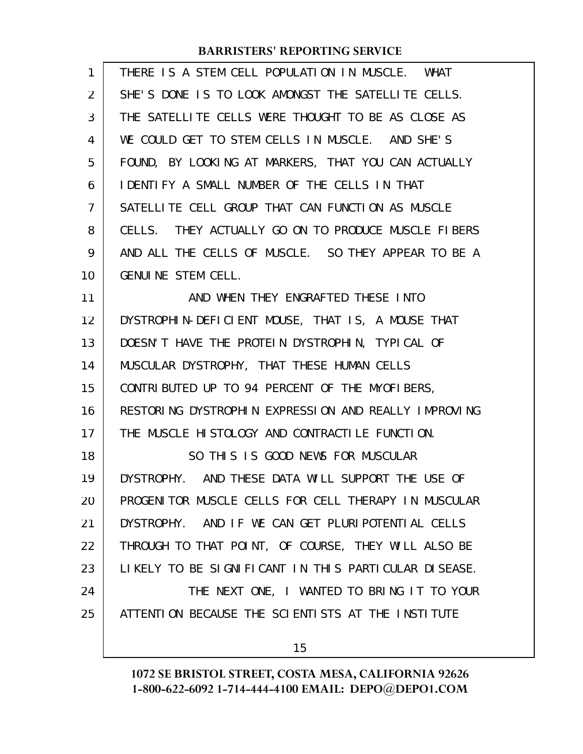| 1  | THERE IS A STEM CELL POPULATION IN MUSCLE. WHAT      |
|----|------------------------------------------------------|
| 2  | SHE'S DONE IS TO LOOK AMONGST THE SATELLITE CELLS.   |
| 3  | THE SATELLITE CELLS WERE THOUGHT TO BE AS CLOSE AS   |
| 4  | WE COULD GET TO STEM CELLS IN MUSCLE. AND SHE'S      |
| 5  | FOUND, BY LOOKING AT MARKERS, THAT YOU CAN ACTUALLY  |
| 6  | I DENTIFY A SMALL NUMBER OF THE CELLS IN THAT        |
| 7  | SATELLITE CELL GROUP THAT CAN FUNCTION AS MUSCLE     |
| 8  | CELLS. THEY ACTUALLY GO ON TO PRODUCE MUSCLE FIBERS  |
| 9  | AND ALL THE CELLS OF MUSCLE. SO THEY APPEAR TO BE A  |
| 10 | <b>GENUINE STEM CELL.</b>                            |
| 11 | AND WHEN THEY ENGRAFTED THESE INTO                   |
| 12 | DYSTROPHIN-DEFICIENT MOUSE, THAT IS, A MOUSE THAT    |
| 13 | DOESN'T HAVE THE PROTEIN DYSTROPHIN, TYPICAL OF      |
| 14 | MUSCULAR DYSTROPHY, THAT THESE HUMAN CELLS           |
| 15 | CONTRIBUTED UP TO 94 PERCENT OF THE MYOFIBERS,       |
| 16 | RESTORING DYSTROPHIN EXPRESSION AND REALLY IMPROVING |
| 17 | THE MUSCLE HISTOLOGY AND CONTRACTILE FUNCTION.       |
| 18 | SO THIS IS GOOD NEWS FOR MUSCULAR                    |
| 19 | DYSTROPHY. AND THESE DATA WILL SUPPORT THE USE OF    |
| 20 | PROGENITOR MUSCLE CELLS FOR CELL THERAPY IN MUSCULAR |
| 21 | DYSTROPHY. AND IF WE CAN GET PLURIPOTENTIAL CELLS    |
| 22 | THROUGH TO THAT POINT, OF COURSE, THEY WILL ALSO BE  |
| 23 | LIKELY TO BE SIGNIFICANT IN THIS PARTICULAR DISEASE. |
| 24 | THE NEXT ONE, I WANTED TO BRING IT TO YOUR           |
| 25 | ATTENTION BECAUSE THE SCIENTISTS AT THE INSTITUTE    |
|    | 15                                                   |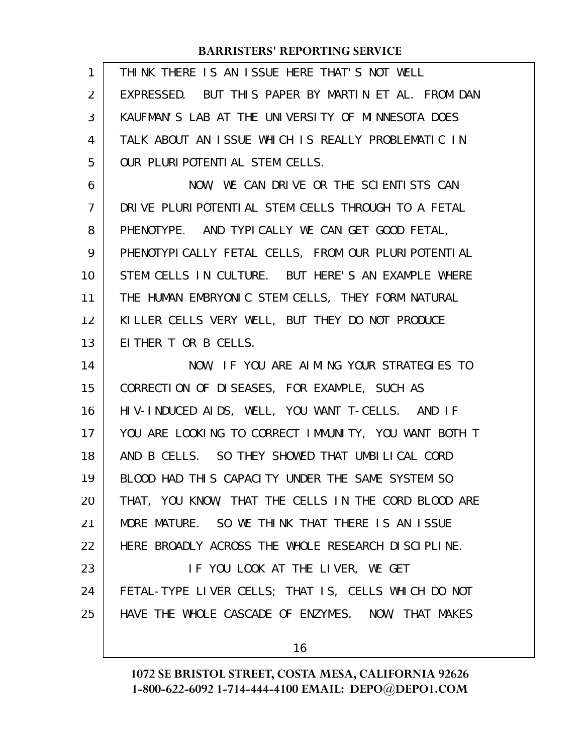| THINK THERE IS AN ISSUE HERE THAT'S NOT WELL           |
|--------------------------------------------------------|
| EXPRESSED. BUT THIS PAPER BY MARTIN ET AL. FROM DAN    |
| KAUFMAN'S LAB AT THE UNIVERSITY OF MINNESOTA DOES      |
| TALK ABOUT AN ISSUE WHICH IS REALLY PROBLEMATIC IN     |
| OUR PLURIPOTENTIAL STEM CELLS.                         |
| NOW, WE CAN DRIVE OR THE SCIENTISTS CAN                |
| DRIVE PLURI POTENTIAL STEM CELLS THROUGH TO A FETAL    |
| PHENOTYPE. AND TYPICALLY WE CAN GET GOOD FETAL,        |
| PHENOTYPI CALLY FETAL CELLS, FROM OUR PLURI POTENTI AL |
| STEM CELLS IN CULTURE. BUT HERE'S AN EXAMPLE WHERE     |
| THE HUMAN EMBRYONIC STEM CELLS, THEY FORM NATURAL      |
| KILLER CELLS VERY WELL, BUT THEY DO NOT PRODUCE        |
| EITHER T OR B CELLS.                                   |
| NOW, IF YOU ARE AIMING YOUR STRATEGIES TO              |
| CORRECTION OF DISEASES, FOR EXAMPLE, SUCH AS           |
| HIV-INDUCED AIDS, WELL, YOU WANT T-CELLS. AND IF       |
| YOU ARE LOOKING TO CORRECT IMMUNITY, YOU WANT BOTH T   |
| AND B CELLS. SO THEY SHOWED THAT UMBILICAL CORD        |
| BLOOD HAD THIS CAPACITY UNDER THE SAME SYSTEM SO       |
| THAT, YOU KNOW, THAT THE CELLS IN THE CORD BLOOD ARE   |
| MORE MATURE. SO WE THINK THAT THERE IS AN ISSUE        |
| HERE BROADLY ACROSS THE WHOLE RESEARCH DISCIPLINE.     |
| IF YOU LOOK AT THE LIVER, WE GET                       |
| FETAL-TYPE LIVER CELLS; THAT IS, CELLS WHICH DO NOT    |
| HAVE THE WHOLE CASCADE OF ENZYMES. NOW, THAT MAKES     |
| 16                                                     |
|                                                        |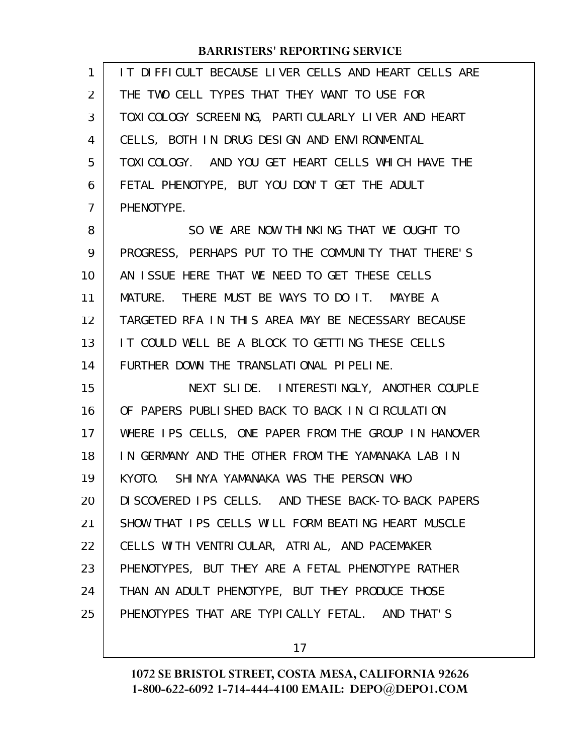| $\mathbf{1}$ | IT DIFFICULT BECAUSE LIVER CELLS AND HEART CELLS ARE |
|--------------|------------------------------------------------------|
| 2            | THE TWO CELL TYPES THAT THEY WANT TO USE FOR         |
| 3            | TOXI COLOGY SCREENING, PARTI CULARLY LIVER AND HEART |
| 4            | CELLS, BOTH IN DRUG DESIGN AND ENVIRONMENTAL         |
| 5            | TOXICOLOGY. AND YOU GET HEART CELLS WHICH HAVE THE   |
| 6            | FETAL PHENOTYPE, BUT YOU DON'T GET THE ADULT         |
| 7            | PHENOTYPE.                                           |
| 8            | SO WE ARE NOW THINKING THAT WE OUGHT TO              |
| 9            | PROGRESS, PERHAPS PUT TO THE COMMUNITY THAT THERE'S  |
| 10           | AN ISSUE HERE THAT WE NEED TO GET THESE CELLS        |
| 11           | MATURE. THERE MUST BE WAYS TO DO IT. MAYBE A         |
| 12           | TARGETED RFA IN THIS AREA MAY BE NECESSARY BECAUSE   |
| 13           | IT COULD WELL BE A BLOCK TO GETTING THESE CELLS      |
| 14           | FURTHER DOWN THE TRANSLATIONAL PIPELINE.             |
| 15           | NEXT SLIDE. INTERESTINGLY, ANOTHER COUPLE            |
| 16           | OF PAPERS PUBLISHED BACK TO BACK IN CIRCULATION      |
| 17           | WHERE IPS CELLS, ONE PAPER FROM THE GROUP IN HANOVER |
| 18           | IN GERMANY AND THE OTHER FROM THE YAMANAKA LAB IN    |
| 19           | KYOTO. SHINYA YAMANAKA WAS THE PERSON WHO            |
| 20           | DI SCOVERED IPS CELLS. AND THESE BACK-TO-BACK PAPERS |
| 21           | SHOW THAT IPS CELLS WILL FORM BEATING HEART MUSCLE   |
| 22           | CELLS WITH VENTRICULAR, ATRIAL, AND PACEMAKER        |
| 23           | PHENOTYPES, BUT THEY ARE A FETAL PHENOTYPE RATHER    |
| 24           | THAN AN ADULT PHENOTYPE, BUT THEY PRODUCE THOSE      |
| 25           | PHENOTYPES THAT ARE TYPICALLY FETAL. AND THAT'S      |
|              |                                                      |

17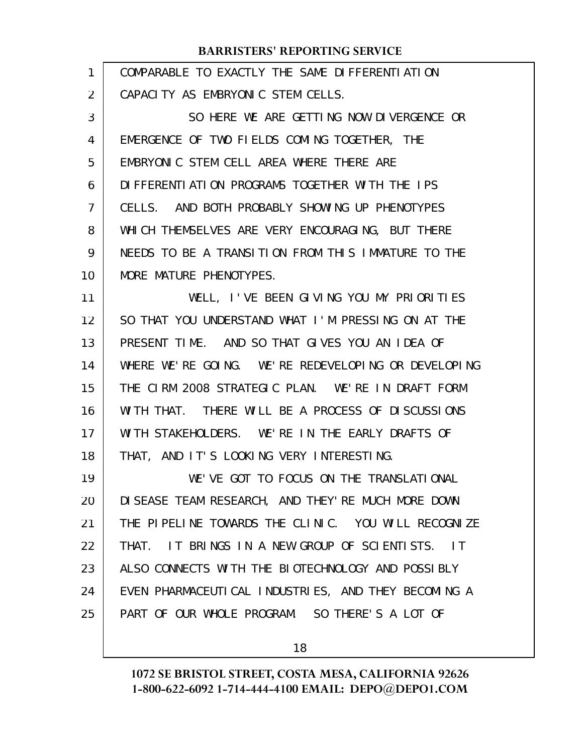| 1  | COMPARABLE TO EXACTLY THE SAME DIFFERENTIATION                     |
|----|--------------------------------------------------------------------|
| 2  | CAPACITY AS EMBRYONIC STEM CELLS.                                  |
| 3  | SO HERE WE ARE GETTING NOW DIVERGENCE OR                           |
| 4  | EMERGENCE OF TWO FIELDS COMING TOGETHER, THE                       |
| 5  | EMBRYONIC STEM CELL AREA WHERE THERE ARE                           |
| 6  | DIFFERENTIATION PROGRAMS TOGETHER WITH THE IPS                     |
| 7  | CELLS. AND BOTH PROBABLY SHOWING UP PHENOTYPES                     |
| 8  | WHICH THEMSELVES ARE VERY ENCOURAGING, BUT THERE                   |
| 9  | NEEDS TO BE A TRANSITION FROM THIS IMMATURE TO THE                 |
| 10 | MORE MATURE PHENOTYPES.                                            |
| 11 | WELL, I'VE BEEN GIVING YOU MY PRIORITIES                           |
| 12 | SO THAT YOU UNDERSTAND WHAT I'M PRESSING ON AT THE                 |
| 13 | PRESENT TIME. AND SO THAT GIVES YOU AN IDEA OF                     |
| 14 | WHERE WE'RE GOING. WE'RE REDEVELOPING OR DEVELOPING                |
| 15 | THE CIRM 2008 STRATEGIC PLAN. WE'RE IN DRAFT FORM                  |
| 16 | WITH THAT. THERE WILL BE A PROCESS OF DISCUSSIONS                  |
| 17 | WITH STAKEHOLDERS. WE'RE IN THE EARLY DRAFTS OF                    |
| 18 | THAT, AND IT'S LOOKING VERY INTERESTING.                           |
| 19 | WE'VE GOT TO FOCUS ON THE TRANSLATIONAL                            |
| 20 | DI SEASE TEAM RESEARCH, AND THEY'RE MUCH MORE DOWN                 |
| 21 | THE PIPELINE TOWARDS THE CLINIC. YOU WILL RECOGNIZE                |
| 22 | IT BRINGS IN A NEW GROUP OF SCIENTISTS.<br>THAT.<br>$\overline{1}$ |
| 23 | ALSO CONNECTS WITH THE BIOTECHNOLOGY AND POSSIBLY                  |
| 24 | EVEN PHARMACEUTICAL INDUSTRIES, AND THEY BECOMING A                |
| 25 | PART OF OUR WHOLE PROGRAM. SO THERE'S A LOT OF                     |
|    |                                                                    |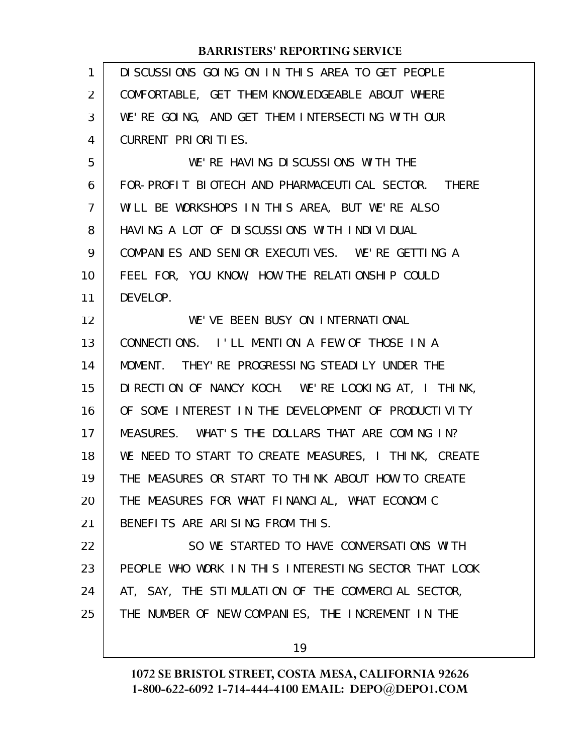| $\mathbf{1}$      | DISCUSSIONS GOING ON IN THIS AREA TO GET PEOPLE      |
|-------------------|------------------------------------------------------|
| $\overline{2}$    | COMFORTABLE, GET THEM KNOWLEDGEABLE ABOUT WHERE      |
| 3                 | WE'RE GOING, AND GET THEM INTERSECTING WITH OUR      |
| 4                 | CURRENT PRIORITIES.                                  |
| 5                 | WE'RE HAVING DISCUSSIONS WITH THE                    |
| 6                 | FOR-PROFIT BIOTECH AND PHARMACEUTICAL SECTOR. THERE  |
| $\overline{7}$    | WILL BE WORKSHOPS IN THIS AREA, BUT WE'RE ALSO       |
| 8                 | HAVING A LOT OF DISCUSSIONS WITH INDIVIDUAL          |
| 9                 | COMPANIES AND SENIOR EXECUTIVES. WE'RE GETTING A     |
| 10                | FEEL FOR, YOU KNOW, HOW THE RELATIONSHIP COULD       |
| 11                | DEVELOP.                                             |
| $12 \overline{ }$ | WE'VE BEEN BUSY ON INTERNATIONAL                     |
| 13                | CONNECTIONS. I'LL MENTION A FEW OF THOSE IN A        |
| 14                | MOMENT. THEY' RE PROGRESSING STEADILY UNDER THE      |
| 15                | DIRECTION OF NANCY KOCH. WE'RE LOOKING AT, I THINK,  |
| 16                | OF SOME INTEREST IN THE DEVELOPMENT OF PRODUCTIVITY  |
| 17                | MEASURES. WHAT'S THE DOLLARS THAT ARE COMING IN?     |
| 18                | WE NEED TO START TO CREATE MEASURES, I THINK, CREATE |
| 19                | THE MEASURES OR START TO THINK ABOUT HOW TO CREATE   |
| 20                | THE MEASURES FOR WHAT FINANCIAL, WHAT ECONOMIC       |
| 21                | BENEFITS ARE ARISING FROM THIS.                      |
| 22                | SO WE STARTED TO HAVE CONVERSATIONS WITH             |
| 23                | PEOPLE WHO WORK IN THIS INTERESTING SECTOR THAT LOOK |
| 24                | AT, SAY, THE STIMULATION OF THE COMMERCIAL SECTOR,   |
| 25                | THE NUMBER OF NEW COMPANIES, THE INCREMENT IN THE    |
|                   |                                                      |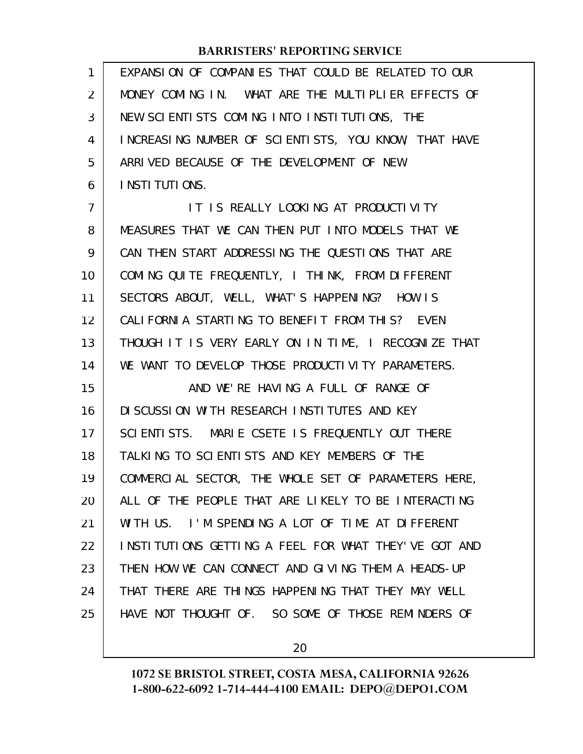| $\mathbf{1}$   | EXPANSION OF COMPANIES THAT COULD BE RELATED TO OUR  |
|----------------|------------------------------------------------------|
| 2              | MONEY COMING IN. WHAT ARE THE MULTIPLIER EFFECTS OF  |
| 3              | NEW SCIENTISTS COMING INTO INSTITUTIONS, THE         |
| 4              | INCREASING NUMBER OF SCIENTISTS, YOU KNOW, THAT HAVE |
| 5              | ARRIVED BECAUSE OF THE DEVELOPMENT OF NEW            |
| 6              | I NSTI TUTI ONS.                                     |
| $\overline{7}$ | IT IS REALLY LOOKING AT PRODUCTIVITY                 |
| 8              | MEASURES THAT WE CAN THEN PUT INTO MODELS THAT WE    |
| 9              | CAN THEN START ADDRESSING THE QUESTIONS THAT ARE     |
| 10             | COMING QUITE FREQUENTLY, I THINK, FROM DIFFERENT     |
| 11             | SECTORS ABOUT, WELL, WHAT'S HAPPENING? HOW IS        |
| 12             | CALIFORNIA STARTING TO BENEFIT FROM THIS? EVEN       |
| 13             | THOUGH IT IS VERY EARLY ON IN TIME, I RECOGNIZE THAT |
| 14             | WE WANT TO DEVELOP THOSE PRODUCTIVITY PARAMETERS.    |
| 15             | AND WE'RE HAVING A FULL OF RANGE OF                  |
| 16             | DI SCUSSION WITH RESEARCH INSTITUTES AND KEY         |
| 17             | SCIENTISTS. MARIE CSETE IS FREQUENTLY OUT THERE      |
| 18             | TALKING TO SCIENTISTS AND KEY MEMBERS OF THE         |
| 19             | COMMERCIAL SECTOR, THE WHOLE SET OF PARAMETERS HERE, |
| 20             | ALL OF THE PEOPLE THAT ARE LIKELY TO BE INTERACTING  |
| 21             | WITH US. I'M SPENDING A LOT OF TIME AT DIFFERENT     |
| 22             | INSTITUTIONS GETTING A FEEL FOR WHAT THEY'VE GOT AND |
| 23             | THEN HOW WE CAN CONNECT AND GIVING THEM A HEADS-UP   |
| 24             | THAT THERE ARE THINGS HAPPENING THAT THEY MAY WELL   |
| 25             | HAVE NOT THOUGHT OF. SO SOME OF THOSE REMINDERS OF   |

20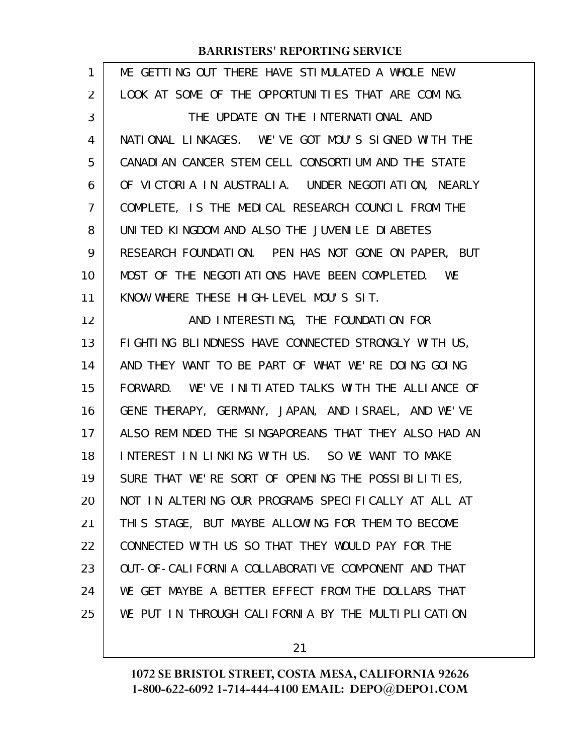| 1  | ME GETTING OUT THERE HAVE STIMULATED A WHOLE NEW     |
|----|------------------------------------------------------|
| 2  | LOOK AT SOME OF THE OPPORTUNITIES THAT ARE COMING.   |
| 3  | THE UPDATE ON THE INTERNATIONAL AND                  |
| 4  | NATIONAL LINKAGES. WE'VE GOT MOU'S SIGNED WITH THE   |
| 5  | CANADIAN CANCER STEM CELL CONSORTIUM AND THE STATE   |
| 6  | OF VICTORIA IN AUSTRALIA. UNDER NEGOTIATION, NEARLY  |
| 7  | COMPLETE, IS THE MEDICAL RESEARCH COUNCIL FROM THE   |
| 8  | UNITED KINGDOM AND ALSO THE JUVENILE DIABETES        |
| 9  | RESEARCH FOUNDATION. PEN HAS NOT GONE ON PAPER, BUT  |
| 10 | MOST OF THE NEGOTI ATIONS HAVE BEEN COMPLETED. WE    |
| 11 | KNOW WHERE THESE HIGH-LEVEL MOU'S SIT.               |
| 12 | AND INTERESTING, THE FOUNDATION FOR                  |
| 13 | FIGHTING BLINDNESS HAVE CONNECTED STRONGLY WITH US,  |
| 14 | AND THEY WANT TO BE PART OF WHAT WE'RE DOING GOING   |
| 15 | FORWARD. WE'VE INITIATED TALKS WITH THE ALLIANCE OF  |
| 16 | GENE THERAPY, GERMANY, JAPAN, AND ISRAEL, AND WE'VE  |
| 17 | ALSO REMINDED THE SINGAPOREANS THAT THEY ALSO HAD AN |
| 18 | INTEREST IN LINKING WITH US. SO WE WANT TO MAKE      |
| 19 | SURE THAT WE'RE SORT OF OPENING THE POSSIBILITIES,   |
| 20 | NOT IN ALTERING OUR PROGRAMS SPECIFICALLY AT ALL AT  |
| 21 | THIS STAGE, BUT MAYBE ALLOWING FOR THEM TO BECOME    |
| 22 | CONNECTED WITH US SO THAT THEY WOULD PAY FOR THE     |
| 23 | OUT-OF-CALL FORNLA COLLABORATIVE COMPONENT AND THAT  |
| 24 | WE GET MAYBE A BETTER EFFECT FROM THE DOLLARS THAT   |
| 25 | WE PUT IN THROUGH CALIFORNIA BY THE MULTIPLICATION   |

21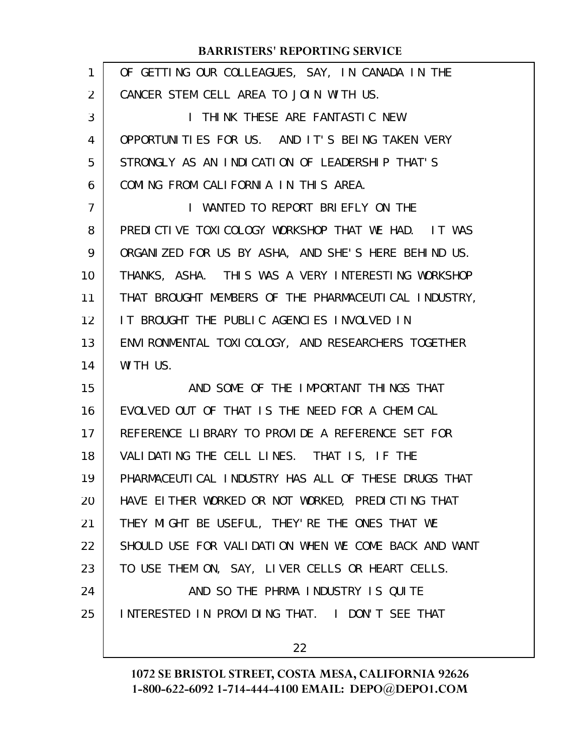| 1              | OF GETTING OUR COLLEAGUES, SAY, IN CANADA IN THE     |
|----------------|------------------------------------------------------|
| 2              | CANCER STEM CELL AREA TO JOIN WITH US.               |
| 3              | I THINK THESE ARE FANTASTIC NEW                      |
| 4              | OPPORTUNITIES FOR US. AND IT'S BEING TAKEN VERY      |
| 5              | STRONGLY AS AN INDICATION OF LEADERSHIP THAT'S       |
| 6              | COMING FROM CALIFORNIA IN THIS AREA.                 |
| $\overline{7}$ | I WANTED TO REPORT BRIEFLY ON THE                    |
| 8              | PREDICTIVE TOXICOLOGY WORKSHOP THAT WE HAD. IT WAS   |
| 9              | ORGANIZED FOR US BY ASHA, AND SHE'S HERE BEHIND US.  |
| 10             | THANKS, ASHA. THIS WAS A VERY INTERESTING WORKSHOP   |
| 11             | THAT BROUGHT MEMBERS OF THE PHARMACEUTICAL INDUSTRY, |
| 12             | IT BROUGHT THE PUBLIC AGENCIES INVOLVED IN           |
| 13             | ENVIRONMENTAL TOXICOLOGY, AND RESEARCHERS TOGETHER   |
| 14             | WITH US.                                             |
| 15             | AND SOME OF THE IMPORTANT THINGS THAT                |
| 16             | EVOLVED OUT OF THAT IS THE NEED FOR A CHEMICAL       |
| 17             | REFERENCE LIBRARY TO PROVIDE A REFERENCE SET FOR     |
| 18             | VALIDATING THE CELL LINES. THAT IS, IF THE           |
| 19             | PHARMACEUTICAL INDUSTRY HAS ALL OF THESE DRUGS THAT  |
| 20             | HAVE EITHER WORKED OR NOT WORKED, PREDICTING THAT    |
| 21             | THEY MIGHT BE USEFUL, THEY' RE THE ONES THAT WE      |
| 22             | SHOULD USE FOR VALIDATION WHEN WE COME BACK AND WANT |
| 23             | TO USE THEM ON, SAY, LIVER CELLS OR HEART CELLS.     |
| 24             | AND SO THE PHRMA INDUSTRY IS QUITE                   |
| 25             | INTERESTED IN PROVIDING THAT. I DON'T SEE THAT       |
|                |                                                      |

22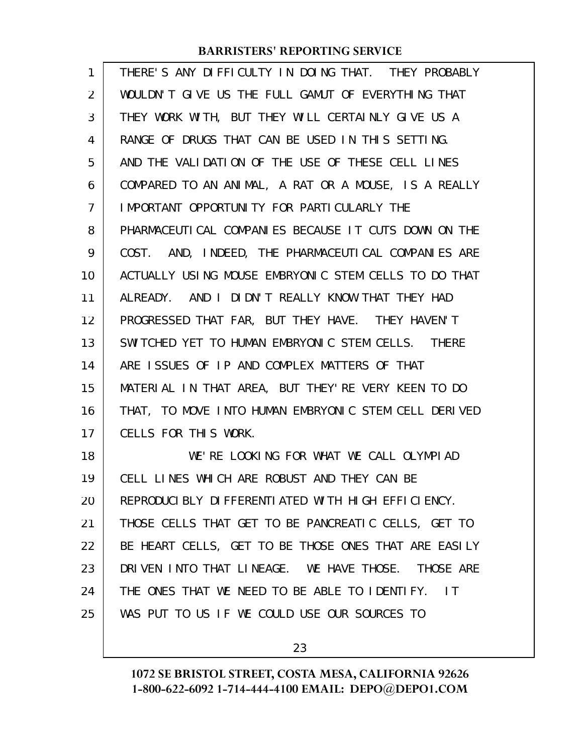| 1  | THERE'S ANY DIFFICULTY IN DOING THAT. THEY PROBABLY             |
|----|-----------------------------------------------------------------|
| 2  | WOULDN'T GIVE US THE FULL GAMUT OF EVERYTHING THAT              |
| 3  | THEY WORK WITH, BUT THEY WILL CERTAINLY GIVE US A               |
| 4  | RANGE OF DRUGS THAT CAN BE USED IN THIS SETTING.                |
| 5  | AND THE VALIDATION OF THE USE OF THESE CELL LINES               |
| 6  | COMPARED TO AN ANIMAL, A RAT OR A MOUSE, IS A REALLY            |
| 7  | IMPORTANT OPPORTUNITY FOR PARTICULARLY THE                      |
| 8  | PHARMACEUTICAL COMPANIES BECAUSE IT CUTS DOWN ON THE            |
| 9  | COST. AND, INDEED, THE PHARMACEUTICAL COMPANIES ARE             |
| 10 | ACTUALLY USING MOUSE EMBRYONIC STEM CELLS TO DO THAT            |
| 11 | ALREADY. AND I DIDN'T REALLY KNOW THAT THEY HAD                 |
| 12 | PROGRESSED THAT FAR, BUT THEY HAVE. THEY HAVEN'T                |
| 13 | SWITCHED YET TO HUMAN EMBRYONIC STEM CELLS. THERE               |
| 14 | ARE ISSUES OF IP AND COMPLEX MATTERS OF THAT                    |
| 15 | MATERIAL IN THAT AREA, BUT THEY'RE VERY KEEN TO DO              |
| 16 | THAT, TO MOVE INTO HUMAN EMBRYONIC STEM CELL DERIVED            |
| 17 | CELLS FOR THIS WORK.                                            |
| 18 | WE'RE LOOKING FOR WHAT WE CALL OLYMPIAD                         |
| 19 | CELL LINES WHICH ARE ROBUST AND THEY CAN BE                     |
| 20 | REPRODUCIBLY DIFFERENTIATED WITH HIGH EFFICIENCY.               |
| 21 | THOSE CELLS THAT GET TO BE PANCREATIC CELLS, GET TO             |
| 22 | BE HEART CELLS, GET TO BE THOSE ONES THAT ARE EASILY            |
| 23 | DRIVEN INTO THAT LINEAGE. WE HAVE THOSE. THOSE ARE              |
| 24 | THE ONES THAT WE NEED TO BE ABLE TO IDENTIFY.<br>$\overline{1}$ |
| 25 | WAS PUT TO US IF WE COULD USE OUR SOURCES TO                    |
|    |                                                                 |

23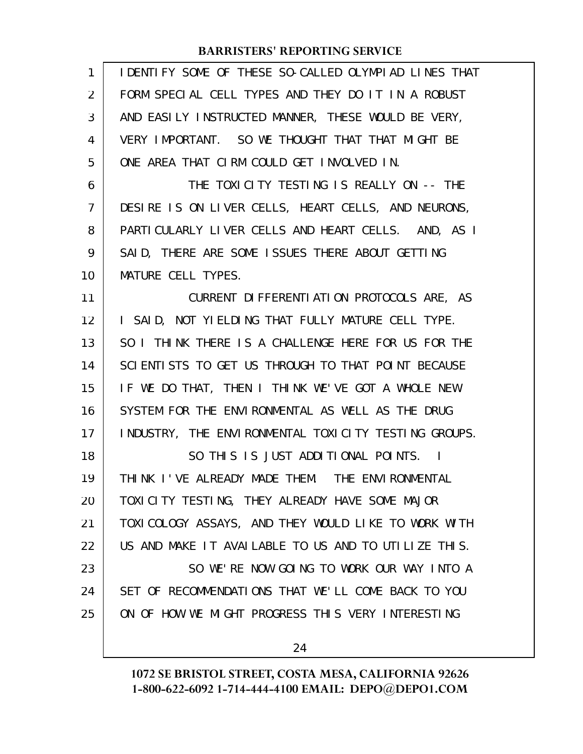| 1              | IDENTIFY SOME OF THESE SO-CALLED OLYMPIAD LINES THAT |
|----------------|------------------------------------------------------|
| $\overline{2}$ | FORM SPECIAL CELL TYPES AND THEY DO IT IN A ROBUST   |
| 3              | AND EASILY INSTRUCTED MANNER, THESE WOULD BE VERY,   |
| 4              | VERY IMPORTANT. SO WE THOUGHT THAT THAT MIGHT BE     |
| 5              | ONE AREA THAT CIRM COULD GET INVOLVED IN.            |
| 6              | THE TOXICITY TESTING IS REALLY ON -- THE             |
| $\overline{7}$ | DESIRE IS ON LIVER CELLS, HEART CELLS, AND NEURONS,  |
| 8              | PARTICULARLY LIVER CELLS AND HEART CELLS. AND, AS I  |
| 9              | SAID, THERE ARE SOME ISSUES THERE ABOUT GETTING      |
| 10             | MATURE CELL TYPES.                                   |
| 11             | CURRENT DIFFERENTIATION PROTOCOLS ARE, AS            |
| 12             | I SAID, NOT YIELDING THAT FULLY MATURE CELL TYPE.    |
| 13             | SO I THINK THERE IS A CHALLENGE HERE FOR US FOR THE  |
| 14             | SCIENTISTS TO GET US THROUGH TO THAT POINT BECAUSE   |
| 15             | IF WE DO THAT, THEN I THINK WE'VE GOT A WHOLE NEW    |
| 16             | SYSTEM FOR THE ENVIRONMENTAL AS WELL AS THE DRUG     |
| 17             | INDUSTRY, THE ENVIRONMENTAL TOXICITY TESTING GROUPS. |
| 18             | SO THIS IS JUST ADDITIONAL POINTS. I                 |
| 19             | THINK I'VE ALREADY MADE THEM. THE ENVIRONMENTAL      |
| 20             | TOXICITY TESTING, THEY ALREADY HAVE SOME MAJOR       |
| 21             | TOXI COLOGY ASSAYS, AND THEY WOULD LIKE TO WORK WITH |
| 22             | US AND MAKE IT AVAILABLE TO US AND TO UTILIZE THIS.  |
| 23             | SO WE'RE NOW GOING TO WORK OUR WAY INTO A            |
| 24             | SET OF RECOMMENDATIONS THAT WE'LL COME BACK TO YOU   |
| 25             | ON OF HOW WE MIGHT PROGRESS THIS VERY INTERESTING    |
|                |                                                      |
|                | 24                                                   |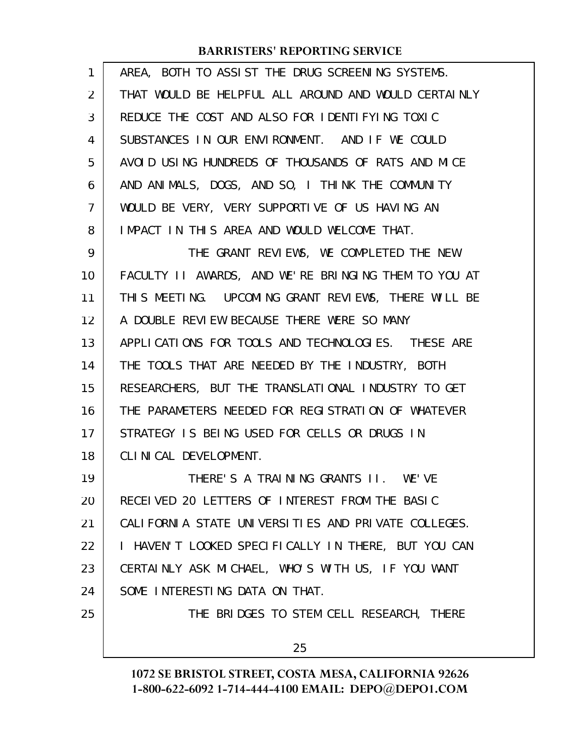| 1              | AREA, BOTH TO ASSIST THE DRUG SCREENING SYSTEMS.     |
|----------------|------------------------------------------------------|
| $\overline{2}$ | THAT WOULD BE HELPFUL ALL AROUND AND WOULD CERTAINLY |
| 3              | REDUCE THE COST AND ALSO FOR IDENTIFYING TOXIC       |
| 4              | SUBSTANCES IN OUR ENVIRONMENT. AND IF WE COULD       |
| 5              | AVOID USING HUNDREDS OF THOUSANDS OF RATS AND MICE   |
| 6              | AND ANIMALS, DOGS, AND SO, I THINK THE COMMUNITY     |
| $\overline{7}$ | WOULD BE VERY, VERY SUPPORTIVE OF US HAVING AN       |
| 8              | IMPACT IN THIS AREA AND WOULD WELCOME THAT.          |
| 9              | THE GRANT REVIEWS, WE COMPLETED THE NEW              |
| 10             | FACULTY II AWARDS, AND WE'RE BRINGING THEM TO YOU AT |
| 11             | THIS MEETING. UPCOMING GRANT REVIEWS, THERE WILL BE  |
| 12             | A DOUBLE REVIEW BECAUSE THERE WERE SO MANY           |
| 13             | APPLICATIONS FOR TOOLS AND TECHNOLOGIES. THESE ARE   |
| 14             | THE TOOLS THAT ARE NEEDED BY THE INDUSTRY, BOTH      |
| 15             | RESEARCHERS, BUT THE TRANSLATIONAL INDUSTRY TO GET   |
| 16             | THE PARAMETERS NEEDED FOR REGISTRATION OF WHATEVER   |
| 17             | STRATEGY IS BEING USED FOR CELLS OR DRUGS IN         |
| 18             | CLINICAL DEVELOPMENT.                                |
| 19             | THERE'S A TRAINING GRANTS II. WE'VE                  |
| 20             | RECEIVED 20 LETTERS OF INTEREST FROM THE BASIC       |
| 21             | CALIFORNIA STATE UNIVERSITIES AND PRIVATE COLLEGES.  |
| 22             | I HAVEN'T LOOKED SPECIFICALLY IN THERE, BUT YOU CAN  |
| 23             | CERTAINLY ASK MICHAEL, WHO'S WITH US, IF YOU WANT    |
| 24             | SOME INTERESTING DATA ON THAT.                       |
| 25             | THE BRIDGES TO STEM CELL RESEARCH, THERE             |
|                | 25                                                   |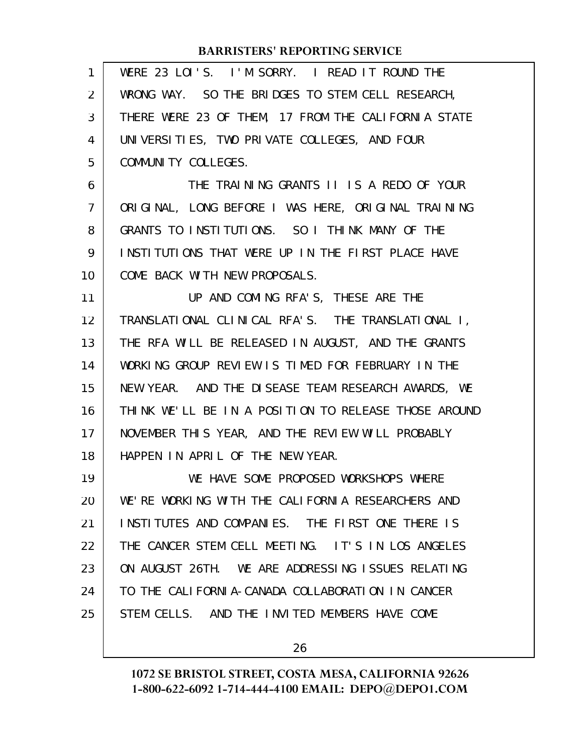| 1              | WERE 23 LOI'S. I'M SORRY. I READ IT ROUND THE        |
|----------------|------------------------------------------------------|
| $\overline{2}$ | WRONG WAY. SO THE BRIDGES TO STEM CELL RESEARCH,     |
| 3              | THERE WERE 23 OF THEM, 17 FROM THE CALIFORNIA STATE  |
| 4              | UNIVERSITIES, TWO PRIVATE COLLEGES, AND FOUR         |
| 5              | COMMUNITY COLLEGES.                                  |
| 6              | THE TRAINING GRANTS II IS A REDO OF YOUR             |
| $\overline{7}$ | ORIGINAL, LONG BEFORE I WAS HERE, ORIGINAL TRAINING  |
| 8              | GRANTS TO INSTITUTIONS. SO I THINK MANY OF THE       |
| 9              | INSTITUTIONS THAT WERE UP IN THE FIRST PLACE HAVE    |
| 10             | COME BACK WITH NEW PROPOSALS.                        |
| 11             | UP AND COMING RFA'S, THESE ARE THE                   |
| 12             | TRANSLATIONAL CLINICAL RFA'S. THE TRANSLATIONAL I,   |
| 13             | THE RFA WILL BE RELEASED IN AUGUST, AND THE GRANTS   |
| 14             | WORKING GROUP REVIEW IS TIMED FOR FEBRUARY IN THE    |
| 15             | NEW YEAR. AND THE DISEASE TEAM RESEARCH AWARDS, WE   |
| 16             | THINK WE'LL BE IN A POSITION TO RELEASE THOSE AROUND |
| 17             | NOVEMBER THIS YEAR, AND THE REVIEW WILL PROBABLY     |
| 18             | HAPPEN IN APRIL OF THE NEW YEAR.                     |
| 19             | WE HAVE SOME PROPOSED WORKSHOPS WHERE                |
| 20             | WE'RE WORKING WITH THE CALIFORNIA RESEARCHERS AND    |
| 21             | INSTITUTES AND COMPANIES. THE FIRST ONE THERE IS     |
| 22             | THE CANCER STEM CELL MEETING. IT'S IN LOS ANGELES    |
| 23             | ON AUGUST 26TH. WE ARE ADDRESSING ISSUES RELATING    |
| 24             | TO THE CALIFORNIA-CANADA COLLABORATION IN CANCER     |
| 25             | STEM CELLS. AND THE INVITED MEMBERS HAVE COME        |
|                |                                                      |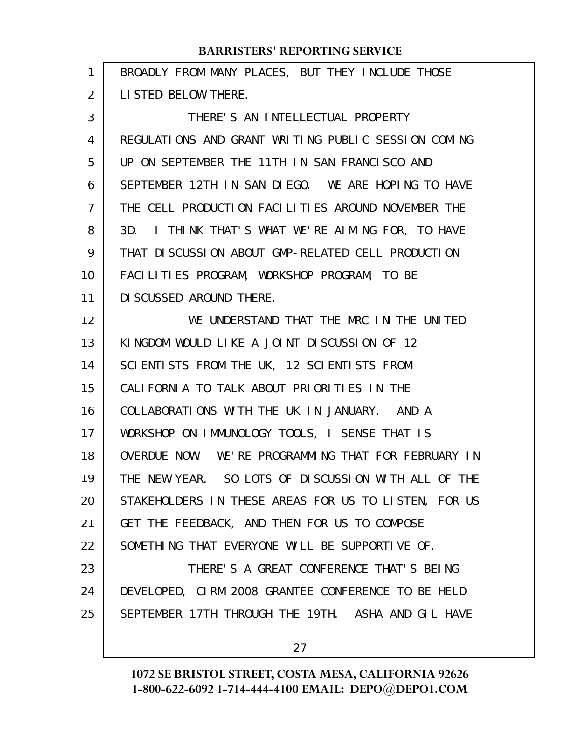| 1  | BROADLY FROM MANY PLACES, BUT THEY INCLUDE THOSE     |
|----|------------------------------------------------------|
| 2  | LISTED BELOW THERE.                                  |
| 3  | THERE'S AN INTELLECTUAL PROPERTY                     |
| 4  | REGULATIONS AND GRANT WRITING PUBLIC SESSION COMING  |
| 5  | UP ON SEPTEMBER THE 11TH IN SAN FRANCISCO AND        |
| 6  | SEPTEMBER 12TH IN SAN DIEGO. WE ARE HOPING TO HAVE   |
| 7  | THE CELL PRODUCTION FACILITIES AROUND NOVEMBER THE   |
| 8  | I THINK THAT'S WHAT WE'RE AIMING FOR, TO HAVE<br>3D. |
| 9  | THAT DISCUSSION ABOUT GMP-RELATED CELL PRODUCTION    |
| 10 | FACILITIES PROGRAM, WORKSHOP PROGRAM, TO BE          |
| 11 | DI SCUSSED AROUND THERE.                             |
| 12 | WE UNDERSTAND THAT THE MRC IN THE UNITED             |
| 13 | KINGDOM WOULD LIKE A JOINT DISCUSSION OF 12          |
| 14 | SCIENTISTS FROM THE UK, 12 SCIENTISTS FROM           |
| 15 | CALIFORNIA TO TALK ABOUT PRIORITIES IN THE           |
| 16 | COLLABORATIONS WITH THE UK IN JANUARY. AND A         |
| 17 | WORKSHOP ON IMMUNOLOGY TOOLS, I SENSE THAT IS        |
| 18 | OVERDUE NOW. WE'RE PROGRAMMING THAT FOR FEBRUARY IN  |
| 19 | THE NEW YEAR. SO LOTS OF DISCUSSION WITH ALL OF THE  |
| 20 | STAKEHOLDERS IN THESE AREAS FOR US TO LISTEN, FOR US |
| 21 | GET THE FEEDBACK, AND THEN FOR US TO COMPOSE         |
| 22 | SOMETHING THAT EVERYONE WILL BE SUPPORTIVE OF.       |
| 23 | THERE'S A GREAT CONFERENCE THAT'S BEING              |
| 24 | DEVELOPED, CIRM 2008 GRANTEE CONFERENCE TO BE HELD   |
| 25 | SEPTEMBER 17TH THROUGH THE 19TH. ASHA AND GIL HAVE   |
|    |                                                      |

27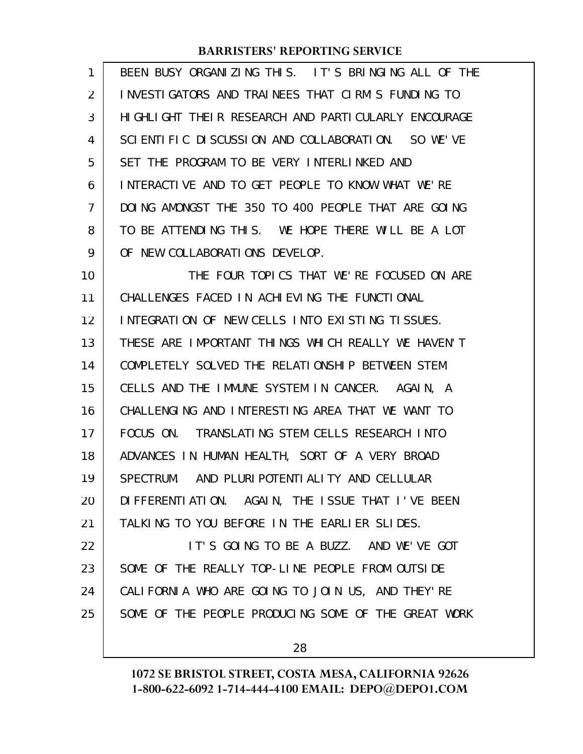| 1  | BEEN BUSY ORGANIZING THIS. IT'S BRINGING ALL OF THE |
|----|-----------------------------------------------------|
| 2  | INVESTIGATORS AND TRAINEES THAT CIRM'S FUNDING TO   |
| 3  | HIGHLIGHT THEIR RESEARCH AND PARTICULARLY ENCOURAGE |
| 4  | SCIENTIFIC DISCUSSION AND COLLABORATION. SO WE'VE   |
| 5  | SET THE PROGRAM TO BE VERY INTERLINKED AND          |
| 6  | INTERACTIVE AND TO GET PEOPLE TO KNOW WHAT WE'RE    |
| 7  | DOING AMONGST THE 350 TO 400 PEOPLE THAT ARE GOING  |
| 8  | TO BE ATTENDING THIS. WE HOPE THERE WILL BE A LOT   |
| 9  | OF NEW COLLABORATIONS DEVELOP.                      |
| 10 | THE FOUR TOPICS THAT WE'RE FOCUSED ON ARE           |
| 11 | CHALLENGES FACED IN ACHIEVING THE FUNCTIONAL        |
| 12 | INTEGRATION OF NEW CELLS INTO EXISTING TISSUES.     |
| 13 | THESE ARE IMPORTANT THINGS WHICH REALLY WE HAVEN'T  |
| 14 | COMPLETELY SOLVED THE RELATIONSHIP BETWEEN STEM     |
| 15 | CELLS AND THE IMMUNE SYSTEM IN CANCER. AGAIN, A     |
| 16 | CHALLENGING AND INTERESTING AREA THAT WE WANT TO    |
| 17 | FOCUS ON. TRANSLATING STEM CELLS RESEARCH INTO      |
| 18 | ADVANCES IN HUMAN HEALTH, SORT OF A VERY BROAD      |
| 19 | SPECTRUM. AND PLURI POTENTI ALI TY AND CELLULAR     |
| 20 | DIFFERENTIATION. AGAIN, THE ISSUE THAT I'VE BEEN    |
| 21 | TALKING TO YOU BEFORE IN THE EARLIER SLIDES.        |
| 22 | IT'S GOING TO BE A BUZZ. AND WE'VE GOT              |
| 23 | SOME OF THE REALLY TOP-LINE PEOPLE FROM OUTSIDE     |
| 24 | CALIFORNIA WHO ARE GOING TO JOIN US, AND THEY'RE    |
| 25 | SOME OF THE PEOPLE PRODUCING SOME OF THE GREAT WORK |
|    |                                                     |

28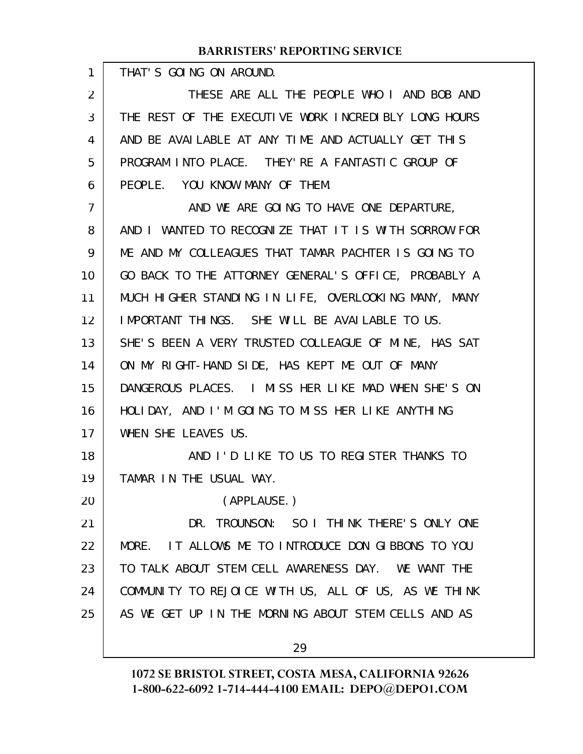THAT'S GOING ON AROUND.

1

THESE ARE ALL THE PEOPLE WHO I AND BOB AND THE REST OF THE EXECUTIVE WORK INCREDIBLY LONG HOURS AND BE AVAILABLE AT ANY TIME AND ACTUALLY GET THIS PROGRAM INTO PLACE. THEY'RE A FANTASTIC GROUP OF PEOPLE. YOU KNOW MANY OF THEM. 2 3 4 5 6

AND WE ARE GOING TO HAVE ONE DEPARTURE, AND I WANTED TO RECOGNIZE THAT IT IS WITH SORROW FOR ME AND MY COLLEAGUES THAT TAMAR PACHTER IS GOING TO GO BACK TO THE ATTORNEY GENERAL'S OFFICE, PROBABLY A MUCH HIGHER STANDING IN LIFE, OVERLOOKING MANY, MANY IMPORTANT THINGS. SHE WILL BE AVAILABLE TO US. SHE'S BEEN A VERY TRUSTED COLLEAGUE OF MINE, HAS SAT ON MY RIGHT-HAND SIDE, HAS KEPT ME OUT OF MANY DANGEROUS PLACES. I MISS HER LIKE MAD WHEN SHE'S ON HOLIDAY, AND I'M GOING TO MISS HER LIKE ANYTHING WHEN SHE LEAVES US. AND I'D LIKE TO US TO REGISTER THANKS TO TAMAR IN THE USUAL WAY. (APPLAUSE.) DR. TROUNSON: SO I THINK THERE'S ONLY ONE MORE. IT ALLOWS ME TO INTRODUCE DON GIBBONS TO YOU 7 8 9 10 11 12 13 14 15 16 17 18 19 20 21 22

TO TALK ABOUT STEM CELL AWARENESS DAY. WE WANT THE COMMUNITY TO REJOICE WITH US, ALL OF US, AS WE THINK AS WE GET UP IN THE MORNING ABOUT STEM CELLS AND AS 23 24 25

29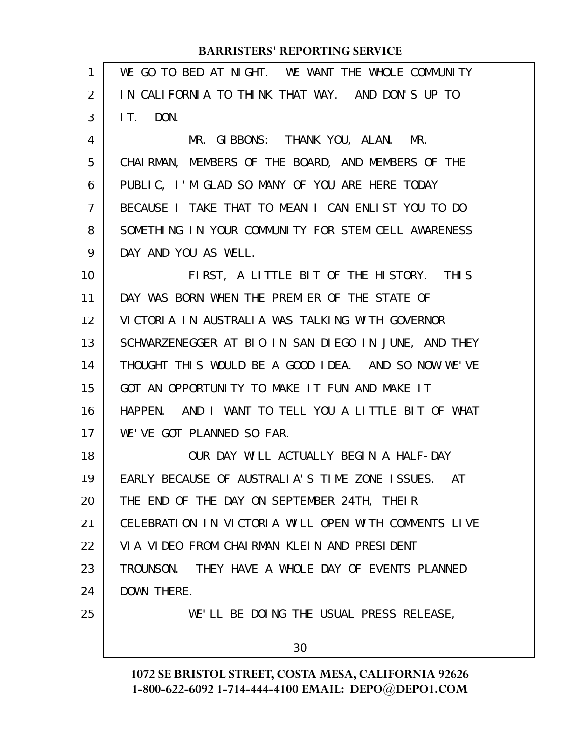| $\mathbf{1}$ | WE GO TO BED AT NIGHT. WE WANT THE WHOLE COMMUNITY   |
|--------------|------------------------------------------------------|
| 2            | IN CALIFORNIA TO THINK THAT WAY. AND DON'S UP TO     |
| 3            | IT. DON.                                             |
| 4            | MR. GIBBONS: THANK YOU, ALAN. MR.                    |
| 5            | CHAIRMAN, MEMBERS OF THE BOARD, AND MEMBERS OF THE   |
| 6            | PUBLIC, I'M GLAD SO MANY OF YOU ARE HERE TODAY       |
| 7            | BECAUSE I TAKE THAT TO MEAN I CAN ENLIST YOU TO DO   |
| 8            | SOMETHING IN YOUR COMMUNITY FOR STEM CELL AWARENESS  |
| 9            | DAY AND YOU AS WELL.                                 |
| 10           | FIRST, A LITTLE BIT OF THE HISTORY. THIS             |
| 11           | DAY WAS BORN WHEN THE PREMIER OF THE STATE OF        |
| 12           | VICTORIA IN AUSTRALIA WAS TALKING WITH GOVERNOR      |
| 13           | SCHWARZENEGGER AT BIO IN SAN DIEGO IN JUNE, AND THEY |
| 14           | THOUGHT THIS WOULD BE A GOOD IDEA. AND SO NOW WE'VE  |
| 15           | GOT AN OPPORTUNITY TO MAKE IT FUN AND MAKE IT        |
| 16           | HAPPEN. AND I WANT TO TELL YOU A LITTLE BIT OF WHAT  |
| 17           | WE'VE GOT PLANNED SO FAR.                            |
| 18           | OUR DAY WILL ACTUALLY BEGIN A HALF-DAY               |
| 19           | EARLY BECAUSE OF AUSTRALIA'S TIME ZONE ISSUES. AT    |
| 20           | THE END OF THE DAY ON SEPTEMBER 24TH, THEIR          |
| 21           | CELEBRATION IN VICTORIA WILL OPEN WITH COMMENTS LIVE |
| 22           | VIA VIDEO FROM CHAIRMAN KLEIN AND PRESIDENT          |
| 23           | TROUNSON. THEY HAVE A WHOLE DAY OF EVENTS PLANNED    |
| 24           | DOWN THERE.                                          |
| 25           | WE'LL BE DOING THE USUAL PRESS RELEASE,              |
|              | 30                                                   |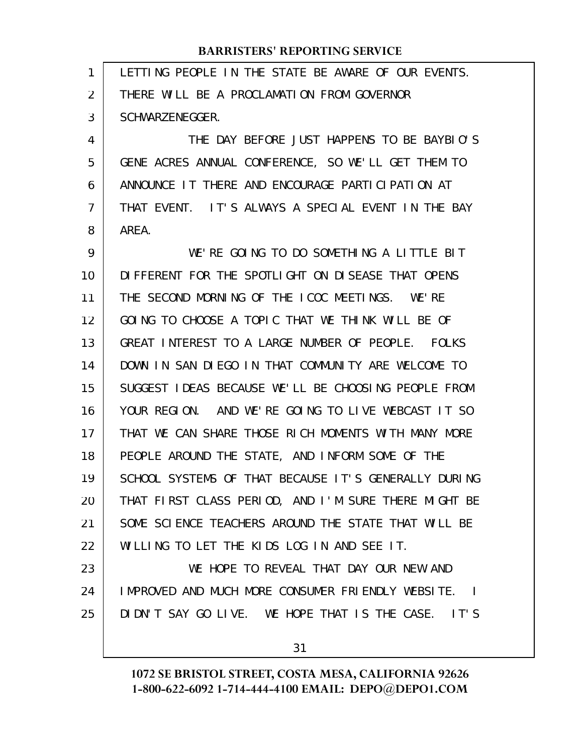| 1  | LETTING PEOPLE IN THE STATE BE AWARE OF OUR EVENTS.  |
|----|------------------------------------------------------|
| 2  | THERE WILL BE A PROCLAMATION FROM GOVERNOR           |
| 3  | SCHWARZENEGGER.                                      |
| 4  | THE DAY BEFORE JUST HAPPENS TO BE BAYBLO'S           |
| 5  | GENE ACRES ANNUAL CONFERENCE, SO WE'LL GET THEM TO   |
| 6  | ANNOUNCE IT THERE AND ENCOURAGE PARTICIPATION AT     |
| 7  | THAT EVENT. IT'S ALWAYS A SPECIAL EVENT IN THE BAY   |
| 8  | AREA.                                                |
| 9  | WE'RE GOING TO DO SOMETHING A LITTLE BIT             |
| 10 | DIFFERENT FOR THE SPOTLIGHT ON DISEASE THAT OPENS    |
| 11 | THE SECOND MORNING OF THE ICOC MEETINGS. WE'RE       |
| 12 | GOING TO CHOOSE A TOPIC THAT WE THINK WILL BE OF     |
| 13 | GREAT INTEREST TO A LARGE NUMBER OF PEOPLE. FOLKS    |
| 14 | DOWN IN SAN DIEGO IN THAT COMMUNITY ARE WELCOME TO   |
| 15 | SUGGEST IDEAS BECAUSE WE'LL BE CHOOSING PEOPLE FROM  |
| 16 | YOUR REGION. AND WE'RE GOING TO LIVE WEBCAST IT SO   |
| 17 | THAT WE CAN SHARE THOSE RICH MOMENTS WITH MANY MORE  |
| 18 | PEOPLE AROUND THE STATE, AND INFORM SOME OF THE      |
| 19 | SCHOOL SYSTEMS OF THAT BECAUSE IT'S GENERALLY DURING |
| 20 | THAT FIRST CLASS PERIOD, AND I'M SURE THERE MIGHT BE |
| 21 | SOME SCIENCE TEACHERS AROUND THE STATE THAT WILL BE  |
| 22 | WILLING TO LET THE KIDS LOG IN AND SEE IT.           |
| 23 | WE HOPE TO REVEAL THAT DAY OUR NEW AND               |
| 24 | IMPROVED AND MUCH MORE CONSUMER FRIENDLY WEBSITE. I  |
| 25 | DIDN'T SAY GO LIVE. WE HOPE THAT IS THE CASE. IT'S   |
|    | 31                                                   |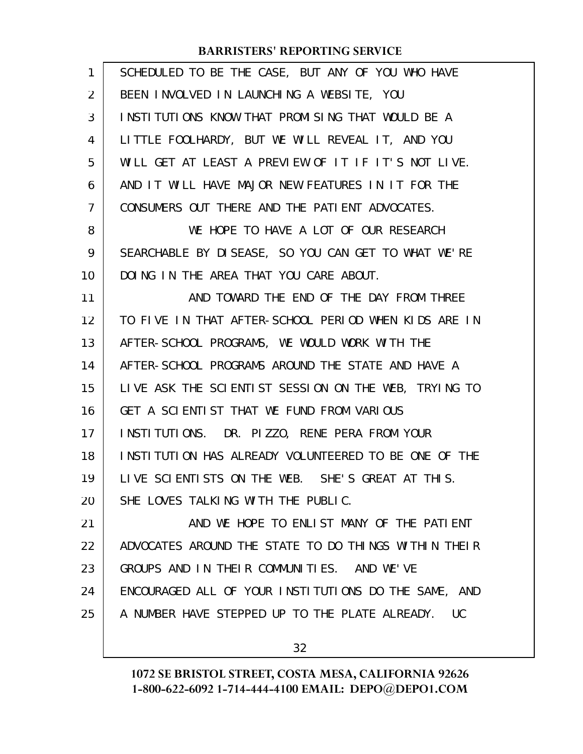| $\mathbf{1}$ | SCHEDULED TO BE THE CASE, BUT ANY OF YOU WHO HAVE    |
|--------------|------------------------------------------------------|
| 2            | BEEN INVOLVED IN LAUNCHING A WEBSITE, YOU            |
| 3            | INSTITUTIONS KNOW THAT PROMISING THAT WOULD BE A     |
| 4            | LITTLE FOOLHARDY, BUT WE WILL REVEAL IT, AND YOU     |
| 5            | WILL GET AT LEAST A PREVIEW OF IT IF IT'S NOT LIVE.  |
| 6            | AND IT WILL HAVE MAJOR NEW FEATURES IN IT FOR THE    |
| 7            | CONSUMERS OUT THERE AND THE PATIENT ADVOCATES.       |
| 8            | WE HOPE TO HAVE A LOT OF OUR RESEARCH                |
| 9            | SEARCHABLE BY DISEASE, SO YOU CAN GET TO WHAT WE'RE  |
| 10           | DOING IN THE AREA THAT YOU CARE ABOUT.               |
| 11           | AND TOWARD THE END OF THE DAY FROM THREE             |
| 12           | TO FIVE IN THAT AFTER-SCHOOL PERIOD WHEN KIDS ARE IN |
| 13           | AFTER-SCHOOL PROGRAMS, WE WOULD WORK WITH THE        |
| 14           | AFTER-SCHOOL PROGRAMS AROUND THE STATE AND HAVE A    |
| 15           | LIVE ASK THE SCIENTIST SESSION ON THE WEB, TRYING TO |
| 16           | GET A SCIENTIST THAT WE FUND FROM VARIOUS            |
| 17           | INSTITUTIONS. DR. PIZZO, RENE PERA FROM YOUR         |
| 18           | INSTITUTION HAS ALREADY VOLUNTEERED TO BE ONE OF THE |
| 19           | LIVE SCIENTISTS ON THE WEB. SHE'S GREAT AT THIS.     |
| 20           | SHE LOVES TALKING WITH THE PUBLIC.                   |
| 21           | AND WE HOPE TO ENLIST MANY OF THE PATIENT            |
| 22           | ADVOCATES AROUND THE STATE TO DO THINGS WITHIN THEIR |
| 23           | GROUPS AND IN THEIR COMMUNITIES. AND WE'VE           |
| 24           | ENCOURAGED ALL OF YOUR INSTITUTIONS DO THE SAME, AND |
| 25           | A NUMBER HAVE STEPPED UP TO THE PLATE ALREADY. UC    |
|              |                                                      |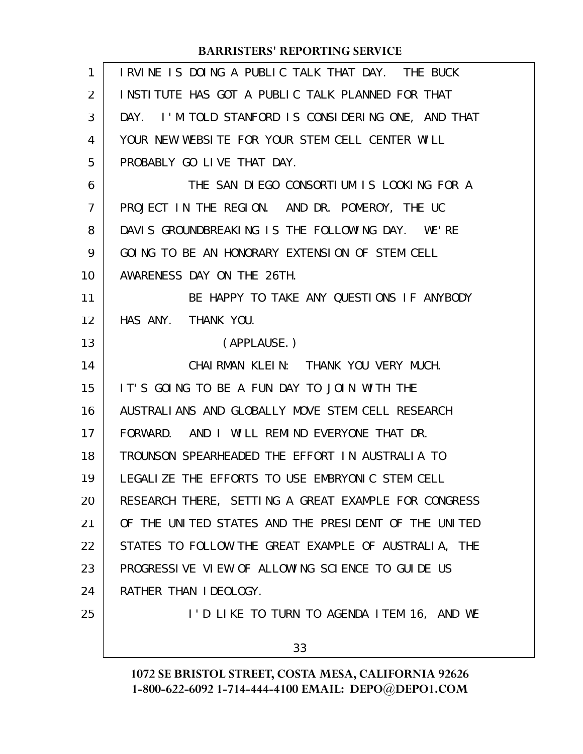| 1              | IRVINE IS DOING A PUBLIC TALK THAT DAY. THE BUCK     |
|----------------|------------------------------------------------------|
| 2              | INSTITUTE HAS GOT A PUBLIC TALK PLANNED FOR THAT     |
| 3              | DAY. I'M TOLD STANFORD IS CONSIDERING ONE, AND THAT  |
| 4              | YOUR NEW WEBSITE FOR YOUR STEM CELL CENTER WILL      |
| 5              | PROBABLY GO LIVE THAT DAY.                           |
| 6              | THE SAN DIEGO CONSORTIUM IS LOOKING FOR A            |
| $\overline{7}$ | PROJECT IN THE REGION. AND DR. POMEROY, THE UC       |
| 8              | DAVIS GROUNDBREAKING IS THE FOLLOWING DAY. WE'RE     |
| 9              | GOING TO BE AN HONORARY EXTENSION OF STEM CELL       |
| 10             | AWARENESS DAY ON THE 26TH.                           |
| 11             | BE HAPPY TO TAKE ANY QUESTIONS IF ANYBODY            |
| 12             | HAS ANY. THANK YOU.                                  |
| 13             | (APPLAUSE.)                                          |
| 14             | CHAIRMAN KLEIN: THANK YOU VERY MUCH.                 |
| 15             | IT'S GOING TO BE A FUN DAY TO JOIN WITH THE          |
| 16             | AUSTRALIANS AND GLOBALLY MOVE STEM CELL RESEARCH     |
| 17             | FORWARD. AND I WILL REMIND EVERYONE THAT DR.         |
| 18             | TROUNSON SPEARHEADED THE EFFORT IN AUSTRALIA TO      |
| 19             | LEGALIZE THE EFFORTS TO USE EMBRYONIC STEM CELL      |
| 20             | RESEARCH THERE, SETTING A GREAT EXAMPLE FOR CONGRESS |
| 21             | OF THE UNITED STATES AND THE PRESIDENT OF THE UNITED |
| 22             | STATES TO FOLLOW THE GREAT EXAMPLE OF AUSTRALIA, THE |
| 23             | PROGRESSIVE VIEW OF ALLOWING SCIENCE TO GUIDE US     |
| 24             | RATHER THAN IDEOLOGY.                                |
| 25             | I'D LIKE TO TURN TO AGENDA ITEM 16, AND WE           |
|                | 33                                                   |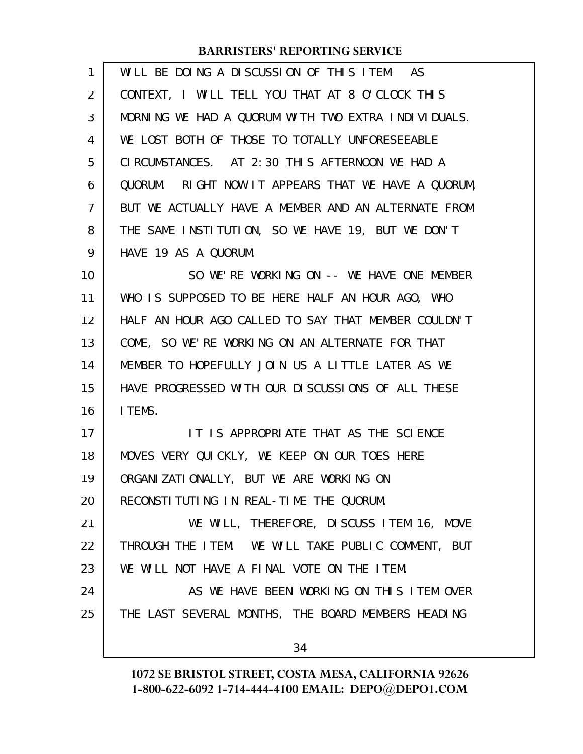| $\mathbf{1}$ | WILL BE DOING A DISCUSSION OF THIS ITEM. AS         |
|--------------|-----------------------------------------------------|
| 2            | CONTEXT, I WILL TELL YOU THAT AT 8 O'CLOCK THIS     |
| 3            | MORNING WE HAD A QUORUM WITH TWO EXTRA INDIVIDUALS. |
| 4            | WE LOST BOTH OF THOSE TO TOTALLY UNFORESEEABLE      |
| 5            | CIRCUMSTANCES. AT 2:30 THIS AFTERNOON WE HAD A      |
| 6            | QUORUM. RIGHT NOW IT APPEARS THAT WE HAVE A QUORUM, |
| 7            | BUT WE ACTUALLY HAVE A MEMBER AND AN ALTERNATE FROM |
| 8            | THE SAME INSTITUTION, SO WE HAVE 19, BUT WE DON'T   |
| 9            | HAVE 19 AS A QUORUM.                                |
| 10           | SO WE'RE WORKING ON -- WE HAVE ONE MEMBER           |
| 11           | WHO IS SUPPOSED TO BE HERE HALF AN HOUR AGO, WHO    |
| 12           | HALF AN HOUR AGO CALLED TO SAY THAT MEMBER COULDN'T |
| 13           | COME, SO WE'RE WORKING ON AN ALTERNATE FOR THAT     |
| 14           | MEMBER TO HOPEFULLY JOIN US A LITTLE LATER AS WE    |
| 15           | HAVE PROGRESSED WITH OUR DISCUSSIONS OF ALL THESE   |
| 16           | I TEMS.                                             |
| 17           | IT IS APPROPRIATE THAT AS THE SCIENCE               |
| 18           | MOVES VERY QUICKLY, WE KEEP ON OUR TOES HERE        |
| 19           | ORGANIZATIONALLY, BUT WE ARE WORKING ON             |
| 20           | RECONSTITUTING IN REAL-TIME THE QUORUM.             |
| 21           | WE WILL, THEREFORE, DISCUSS ITEM 16, MOVE           |
| 22           | THROUGH THE ITEM. WE WILL TAKE PUBLIC COMMENT, BUT  |
| 23           | WE WILL NOT HAVE A FINAL VOTE ON THE ITEM.          |
| 24           | AS WE HAVE BEEN WORKING ON THIS ITEM OVER           |
| 25           | THE LAST SEVERAL MONTHS, THE BOARD MEMBERS HEADING  |
|              | 34                                                  |
|              |                                                     |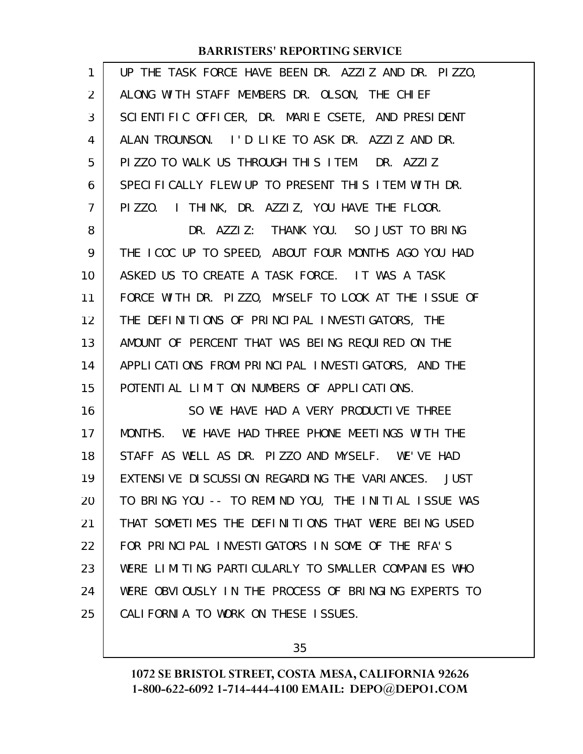| 1              | UP THE TASK FORCE HAVE BEEN DR. AZZIZ AND DR. PIZZO, |
|----------------|------------------------------------------------------|
| $\overline{2}$ | ALONG WITH STAFF MEMBERS DR. OLSON, THE CHIEF        |
| 3              | SCIENTIFIC OFFICER, DR. MARIE CSETE, AND PRESIDENT   |
| 4              | ALAN TROUNSON. I'D LIKE TO ASK DR. AZZIZ AND DR.     |
| 5              | PIZZO TO WALK US THROUGH THIS ITEM. DR. AZZIZ        |
| 6              | SPECIFICALLY FLEW UP TO PRESENT THIS ITEM WITH DR.   |
| 7              | PIZZO. I THINK, DR. AZZIZ, YOU HAVE THE FLOOR.       |
| 8              | DR. AZZIZ: THANK YOU. SO JUST TO BRING               |
| 9              | THE ICOC UP TO SPEED, ABOUT FOUR MONTHS AGO YOU HAD  |
| 10             | ASKED US TO CREATE A TASK FORCE. IT WAS A TASK       |
| 11             | FORCE WITH DR. PIZZO, MYSELF TO LOOK AT THE ISSUE OF |
| 12             | THE DEFINITIONS OF PRINCIPAL INVESTIGATORS, THE      |
| 13             | AMOUNT OF PERCENT THAT WAS BEING REQUIRED ON THE     |
| 14             | APPLICATIONS FROM PRINCIPAL INVESTIGATORS, AND THE   |
| 15             | POTENTIAL LIMIT ON NUMBERS OF APPLICATIONS.          |
| 16             | SO WE HAVE HAD A VERY PRODUCTIVE THREE               |
| 17             | MONTHS. WE HAVE HAD THREE PHONE MEETINGS WITH THE    |
| 18             | STAFF AS WELL AS DR. PIZZO AND MYSELF. WE'VE HAD     |
| 19             | EXTENSIVE DI SCUSSION REGARDING THE VARIANCES. JUST  |
| 20             | TO BRING YOU -- TO REMIND YOU, THE INITIAL ISSUE WAS |
| 21             | THAT SOMETIMES THE DEFINITIONS THAT WERE BEING USED  |
| 22             | FOR PRINCIPAL INVESTIGATORS IN SOME OF THE RFA'S     |
| 23             | WERE LIMITING PARTICULARLY TO SMALLER COMPANIES WHO  |
| 24             | WERE OBVIOUSLY IN THE PROCESS OF BRINGING EXPERTS TO |
| 25             | CALIFORNIA TO WORK ON THESE ISSUES.                  |

35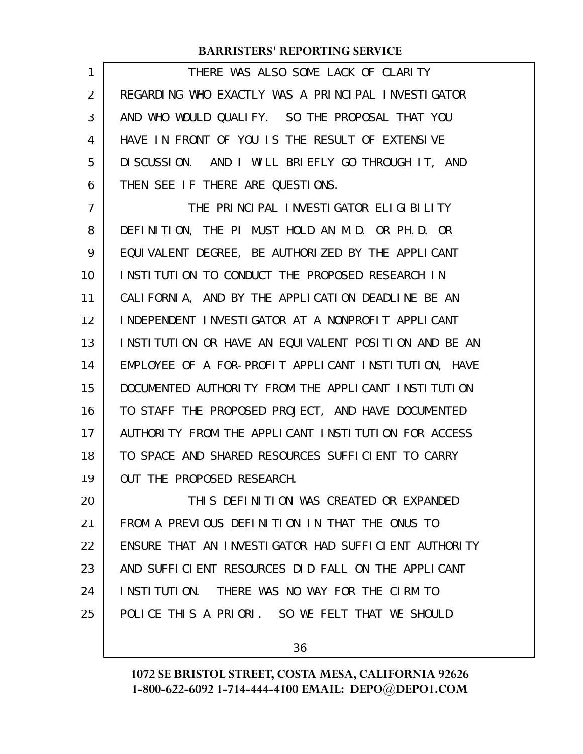THERE WAS ALSO SOME LACK OF CLARITY REGARDING WHO EXACTLY WAS A PRINCIPAL INVESTIGATOR AND WHO WOULD QUALIFY. SO THE PROPOSAL THAT YOU HAVE IN FRONT OF YOU IS THE RESULT OF EXTENSIVE DISCUSSION. AND I WILL BRIEFLY GO THROUGH IT, AND THEN SEE IF THERE ARE QUESTIONS. 1 2 3 4 5 6

THE PRINCIPAL INVESTIGATOR ELIGIBILITY DEFINITION, THE PI MUST HOLD AN M.D. OR PH.D. OR EQUIVALENT DEGREE, BE AUTHORIZED BY THE APPLICANT INSTITUTION TO CONDUCT THE PROPOSED RESEARCH IN CALIFORNIA, AND BY THE APPLICATION DEADLINE BE AN INDEPENDENT INVESTIGATOR AT A NONPROFIT APPLICANT INSTITUTION OR HAVE AN EQUIVALENT POSITION AND BE AN EMPLOYEE OF A FOR-PROFIT APPLICANT INSTITUTION, HAVE DOCUMENTED AUTHORITY FROM THE APPLICANT INSTITUTION TO STAFF THE PROPOSED PROJECT, AND HAVE DOCUMENTED AUTHORITY FROM THE APPLICANT INSTITUTION FOR ACCESS TO SPACE AND SHARED RESOURCES SUFFICIENT TO CARRY OUT THE PROPOSED RESEARCH. 7 8 9 10 11 12 13 14 15 16 17 18 19

THIS DEFINITION WAS CREATED OR EXPANDED FROM A PREVIOUS DEFINITION IN THAT THE ONUS TO ENSURE THAT AN INVESTIGATOR HAD SUFFICIENT AUTHORITY AND SUFFICIENT RESOURCES DID FALL ON THE APPLICANT INSTITUTION. THERE WAS NO WAY FOR THE CIRM TO POLICE THIS A PRIORI. SO WE FELT THAT WE SHOULD 20 21 22 23 24 25

36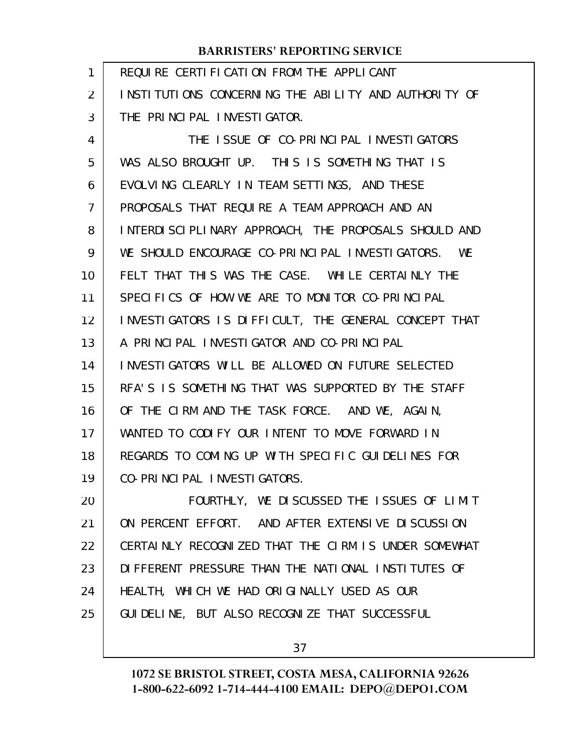| 1  | REQUIRE CERTIFICATION FROM THE APPLICANT              |
|----|-------------------------------------------------------|
| 2  | INSTITUTIONS CONCERNING THE ABILITY AND AUTHORITY OF  |
| 3  | THE PRINCIPAL INVESTIGATOR.                           |
| 4  | THE ISSUE OF CO-PRINCIPAL INVESTIGATORS               |
| 5  | WAS ALSO BROUGHT UP. THIS IS SOMETHING THAT IS        |
| 6  | EVOLVING CLEARLY IN TEAM SETTINGS, AND THESE          |
| 7  | PROPOSALS THAT REQUIRE A TEAM APPROACH AND AN         |
| 8  | INTERDISCIPLINARY APPROACH, THE PROPOSALS SHOULD AND  |
| 9  | WE SHOULD ENCOURAGE CO-PRINCIPAL INVESTIGATORS.<br>WE |
| 10 | FELT THAT THIS WAS THE CASE. WHILE CERTAINLY THE      |
| 11 | SPECIFICS OF HOW WE ARE TO MONITOR CO-PRINCIPAL       |
| 12 | INVESTIGATORS IS DIFFICULT, THE GENERAL CONCEPT THAT  |
| 13 | A PRINCIPAL INVESTIGATOR AND CO-PRINCIPAL             |
| 14 | INVESTIGATORS WILL BE ALLOWED ON FUTURE SELECTED      |
| 15 | RFA'S IS SOMETHING THAT WAS SUPPORTED BY THE STAFF    |
| 16 | OF THE CIRM AND THE TASK FORCE. AND WE, AGAIN,        |
| 17 | WANTED TO CODIFY OUR INTENT TO MOVE FORWARD IN        |
| 18 | REGARDS TO COMING UP WITH SPECIFIC GUIDELINES FOR     |
| 19 | CO-PRINCIPAL INVESTIGATORS.                           |
| 20 | FOURTHLY, WE DISCUSSED THE ISSUES OF LIMIT            |
| 21 | ON PERCENT EFFORT. AND AFTER EXTENSIVE DISCUSSION     |
| 22 | CERTAINLY RECOGNIZED THAT THE CIRM IS UNDER SOMEWHAT  |
| 23 | DIFFERENT PRESSURE THAN THE NATIONAL INSTITUTES OF    |
| 24 | HEALTH, WHICH WE HAD ORIGINALLY USED AS OUR           |
| 25 | GUI DELINE, BUT ALSO RECOGNIZE THAT SUCCESSFUL        |
|    |                                                       |

37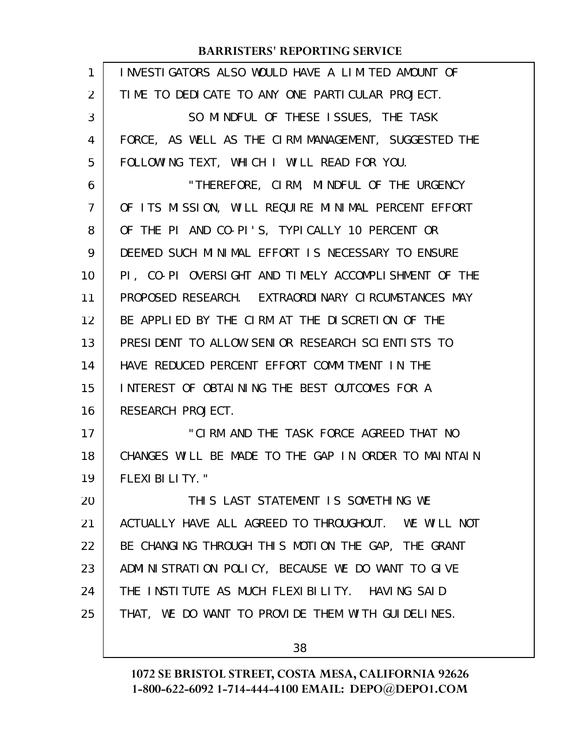| 1  | INVESTIGATORS ALSO WOULD HAVE A LIMITED AMOUNT OF    |
|----|------------------------------------------------------|
| 2  | TIME TO DEDICATE TO ANY ONE PARTICULAR PROJECT.      |
| 3  | SO MINDFUL OF THESE ISSUES, THE TASK                 |
| 4  | FORCE, AS WELL AS THE CIRM MANAGEMENT, SUGGESTED THE |
| 5  | FOLLOWING TEXT, WHICH I WILL READ FOR YOU.           |
| 6  | "THEREFORE, CIRM, MINDFUL OF THE URGENCY             |
| 7  | OF ITS MISSION, WILL REQUIRE MINIMAL PERCENT EFFORT  |
| 8  | OF THE PI AND CO-PI'S, TYPICALLY 10 PERCENT OR       |
| 9  | DEEMED SUCH MINIMAL EFFORT IS NECESSARY TO ENSURE    |
| 10 | PI, CO-PI OVERSIGHT AND TIMELY ACCOMPLISHMENT OF THE |
| 11 | PROPOSED RESEARCH. EXTRAORDINARY CIRCUMSTANCES MAY   |
| 12 | BE APPLIED BY THE CIRM AT THE DISCRETION OF THE      |
| 13 | PRESIDENT TO ALLOW SENIOR RESEARCH SCIENTISTS TO     |
| 14 | HAVE REDUCED PERCENT EFFORT COMMITMENT IN THE        |
| 15 | INTEREST OF OBTAINING THE BEST OUTCOMES FOR A        |
| 16 | RESEARCH PROJECT.                                    |
| 17 | "CIRM AND THE TASK FORCE AGREED THAT NO              |
| 18 | CHANGES WILL BE MADE TO THE GAP IN ORDER TO MAINTAIN |
| 19 | FLEXI BILITY."                                       |
| 20 | THIS LAST STATEMENT IS SOMETHING WE                  |
| 21 | ACTUALLY HAVE ALL AGREED TO THROUGHOUT. WE WILL NOT  |
| 22 | BE CHANGING THROUGH THIS MOTION THE GAP, THE GRANT   |
| 23 | ADMINISTRATION POLICY, BECAUSE WE DO WANT TO GIVE    |
| 24 | THE INSTITUTE AS MUCH FLEXIBILITY. HAVING SAID       |
| 25 | THAT, WE DO WANT TO PROVIDE THEM WITH GUIDELINES.    |
|    |                                                      |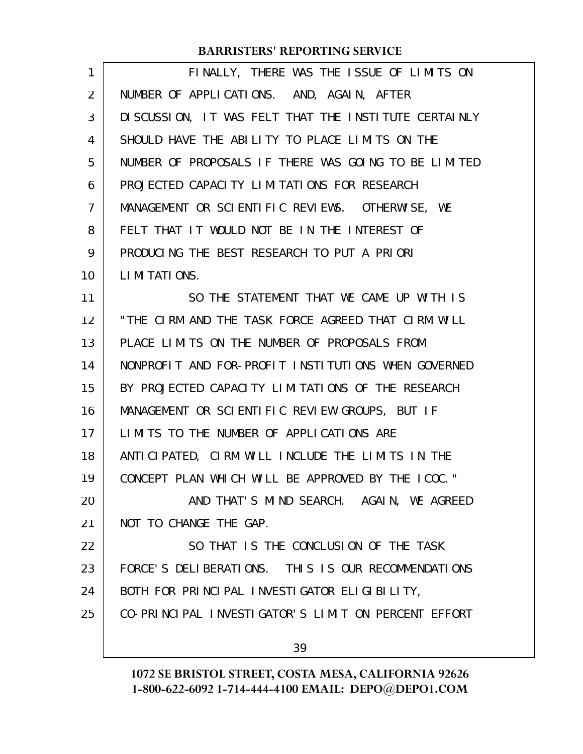| $\mathbf{1}$   | FINALLY, THERE WAS THE ISSUE OF LIMITS ON             |
|----------------|-------------------------------------------------------|
| $\overline{2}$ | NUMBER OF APPLICATIONS. AND, AGAIN, AFTER             |
| 3              | DI SCUSSION, IT WAS FELT THAT THE INSTITUTE CERTAINLY |
| 4              | SHOULD HAVE THE ABILITY TO PLACE LIMITS ON THE        |
| 5              | NUMBER OF PROPOSALS IF THERE WAS GOING TO BE LIMITED  |
| 6              | PROJECTED CAPACITY LIMITATIONS FOR RESEARCH           |
| $\overline{7}$ | MANAGEMENT OR SCIENTIFIC REVIEWS. OTHERWISE, WE       |
| 8              | FELT THAT IT WOULD NOT BE IN THE INTEREST OF          |
| 9              | PRODUCING THE BEST RESEARCH TO PUT A PRIORI           |
| 10             | LIMITATIONS.                                          |
| 11             | SO THE STATEMENT THAT WE CAME UP WITH IS              |
| 12             | "THE CIRM AND THE TASK FORCE AGREED THAT CIRM WILL    |
| 13             | PLACE LIMITS ON THE NUMBER OF PROPOSALS FROM          |
| 14             | NONPROFIT AND FOR-PROFIT INSTITUTIONS WHEN GOVERNED   |
| 15             | BY PROJECTED CAPACITY LIMITATIONS OF THE RESEARCH     |
| 16             | MANAGEMENT OR SCIENTIFIC REVIEW GROUPS, BUT IF        |
| 17             | LIMITS TO THE NUMBER OF APPLICATIONS ARE              |
| 18             | ANTICIPATED, CIRM WILL INCLUDE THE LIMITS IN THE      |
| 19             | CONCEPT PLAN WHICH WILL BE APPROVED BY THE ICOC."     |
| 20             | AND THAT'S MIND SEARCH. AGAIN, WE AGREED              |
| 21             | NOT TO CHANGE THE GAP.                                |
| 22             | SO THAT IS THE CONCLUSION OF THE TASK                 |
| 23             | FORCE'S DELIBERATIONS. THIS IS OUR RECOMMENDATIONS    |
| 24             | BOTH FOR PRINCIPAL INVESTIGATOR ELIGIBILITY,          |
| 25             | CO-PRINCIPAL INVESTIGATOR'S LIMIT ON PERCENT EFFORT   |
|                | 39                                                    |
|                |                                                       |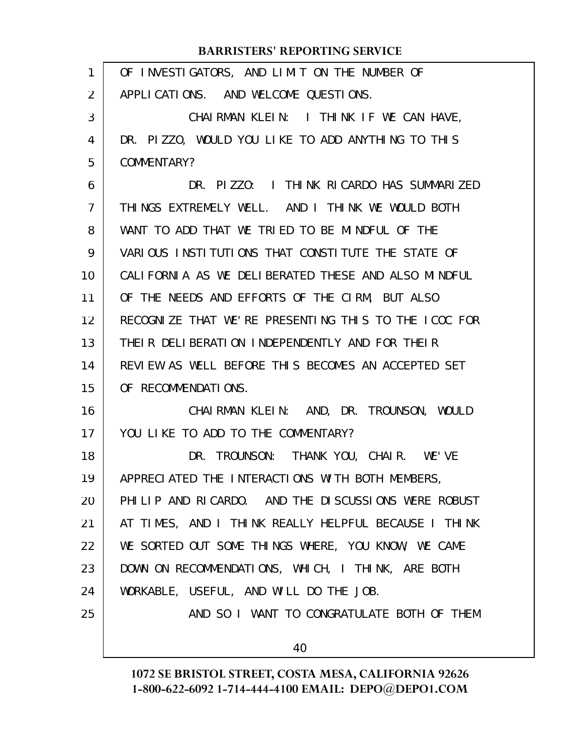| 1              | OF INVESTIGATORS, AND LIMIT ON THE NUMBER OF         |
|----------------|------------------------------------------------------|
| 2              | APPLICATIONS. AND WELCOME QUESTIONS.                 |
| 3              | CHAIRMAN KLEIN: I THINK IF WE CAN HAVE,              |
| 4              | DR. PIZZO, WOULD YOU LIKE TO ADD ANYTHING TO THIS    |
| 5              | COMMENTARY?                                          |
| 6              | DR. PIZZO: I THINK RICARDO HAS SUMMARIZED            |
| $\overline{7}$ | THINGS EXTREMELY WELL. AND I THINK WE WOULD BOTH     |
| 8              | WANT TO ADD THAT WE TRIED TO BE MINDFUL OF THE       |
| 9              | VARIOUS INSTITUTIONS THAT CONSTITUTE THE STATE OF    |
| 10             | CALIFORNIA AS WE DELIBERATED THESE AND ALSO MINDFUL  |
| 11             | OF THE NEEDS AND EFFORTS OF THE CIRM, BUT ALSO       |
| 12             | RECOGNIZE THAT WE'RE PRESENTING THIS TO THE LCOC FOR |
| 13             | THEIR DELIBERATION INDEPENDENTLY AND FOR THEIR       |
| 14             | REVIEW AS WELL BEFORE THIS BECOMES AN ACCEPTED SET   |
| 15             | OF RECOMMENDATIONS.                                  |
| 16             | CHAIRMAN KLEIN: AND, DR. TROUNSON, WOULD             |
| 17             | YOU LIKE TO ADD TO THE COMMENTARY?                   |
| 18             | DR. TROUNSON: THANK YOU, CHAIR. WE'VE                |
| 19             | APPRECIATED THE INTERACTIONS WITH BOTH MEMBERS,      |
| 20             | PHILIP AND RICARDO. AND THE DISCUSSIONS WERE ROBUST  |
| 21             | AT TIMES, AND I THINK REALLY HELPFUL BECAUSE I THINK |
| 22             | WE SORTED OUT SOME THINGS WHERE, YOU KNOW, WE CAME   |
| 23             | DOWN ON RECOMMENDATIONS, WHICH, I THINK, ARE BOTH    |
| 24             | WORKABLE, USEFUL, AND WILL DO THE JOB.               |
| 25             | AND SO I WANT TO CONGRATULATE BOTH OF THEM           |
|                | 40                                                   |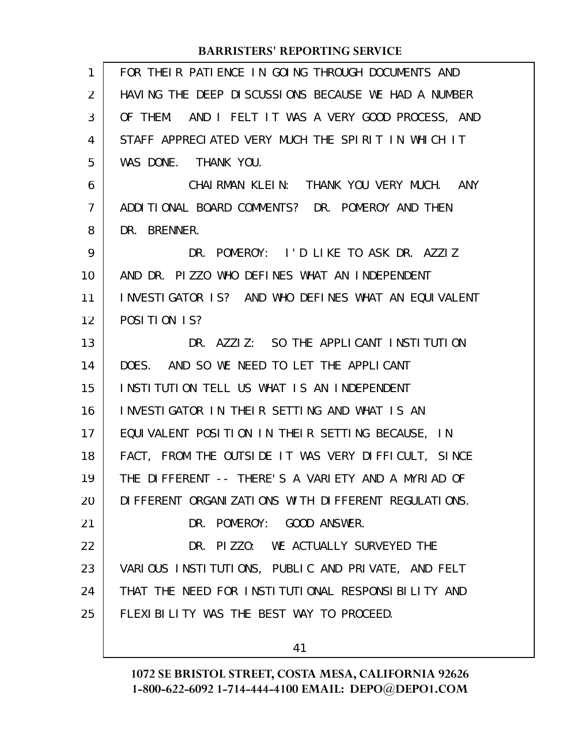| 1              | FOR THEIR PATIENCE IN GOING THROUGH DOCUMENTS AND      |
|----------------|--------------------------------------------------------|
| 2              | HAVING THE DEEP DISCUSSIONS BECAUSE WE HAD A NUMBER    |
| 3              | OF THEM. AND I FELT IT WAS A VERY GOOD PROCESS, AND    |
| 4              | STAFF APPRECIATED VERY MUCH THE SPIRIT IN WHICH IT     |
| 5              | WAS DONE. THANK YOU.                                   |
| 6              | CHAIRMAN KLEIN: THANK YOU VERY MUCH. ANY               |
| $\overline{7}$ | ADDITIONAL BOARD COMMENTS? DR. POMEROY AND THEN        |
| 8              | DR. BRENNER.                                           |
| 9              | DR. POMEROY: I'D LIKE TO ASK DR. AZZIZ                 |
| 10             | AND DR. PIZZO WHO DEFINES WHAT AN INDEPENDENT          |
| 11             | INVESTIGATOR IS? AND WHO DEFINES WHAT AN EQUIVALENT    |
| 12             | POSITION 1S?                                           |
| 13             | DR. AZZIZ: SO THE APPLICANT INSTITUTION                |
| 14             | DOES. AND SO WE NEED TO LET THE APPLICANT              |
| 15             | INSTITUTION TELL US WHAT IS AN INDEPENDENT             |
| 16             | INVESTIGATOR IN THEIR SETTING AND WHAT IS AN           |
| 17             | EQUIVALENT POSITION IN THEIR SETTING BECAUSE, IN       |
| 18             | FACT, FROM THE OUTSIDE IT WAS VERY DIFFICULT, SINCE    |
| 19             | THE DIFFERENT -- THERE'S A VARIETY AND A MYRIAD OF     |
| 20             | DI FFERENT ORGANI ZATIONS WITH DI FFERENT REGULATIONS. |
| 21             | DR. POMEROY: GOOD ANSWER.                              |
| 22             | DR. PIZZO: WE ACTUALLY SURVEYED THE                    |
| 23             | VARIOUS INSTITUTIONS, PUBLIC AND PRIVATE, AND FELT     |
| 24             | THAT THE NEED FOR INSTITUTIONAL RESPONSIBILITY AND     |
| 25             | FLEXIBILITY WAS THE BEST WAY TO PROCEED.               |
|                |                                                        |

41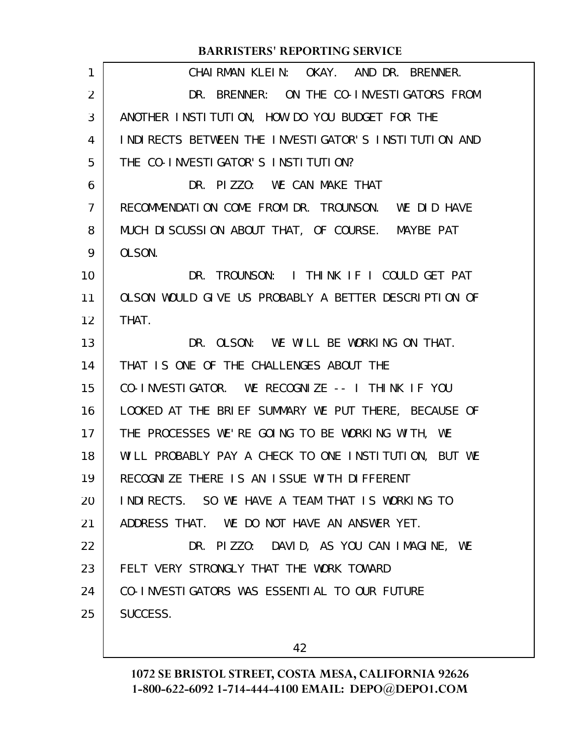| 1              | CHAIRMAN KLEIN: OKAY. AND DR. BRENNER.               |
|----------------|------------------------------------------------------|
| $\overline{2}$ | DR. BRENNER: ON THE CO-INVESTIGATORS FROM            |
| 3              | ANOTHER INSTITUTION, HOW DO YOU BUDGET FOR THE       |
| 4              | INDIRECTS BETWEEN THE INVESTIGATOR'S INSTITUTION AND |
| 5              | THE CO-INVESTIGATOR'S INSTITUTION?                   |
| 6              | DR. PIZZO: WE CAN MAKE THAT                          |
| 7              | RECOMMENDATION COME FROM DR. TROUNSON. WE DID HAVE   |
| 8              | MUCH DISCUSSION ABOUT THAT, OF COURSE. MAYBE PAT     |
| 9              | OLSON.                                               |
| 10             | DR. TROUNSON: I THINK IF I COULD GET PAT             |
| 11             | OLSON WOULD GIVE US PROBABLY A BETTER DESCRIPTION OF |
| 12             | THAT.                                                |
| 13             | DR. OLSON: WE WILL BE WORKING ON THAT.               |
| 14             | THAT IS ONE OF THE CHALLENGES ABOUT THE              |
| 15             | CO-INVESTIGATOR. WE RECOGNIZE -- I THINK IF YOU      |
| 16             | LOOKED AT THE BRIEF SUMMARY WE PUT THERE, BECAUSE OF |
| 17             | THE PROCESSES WE'RE GOING TO BE WORKING WITH, WE     |
| 18             | WILL PROBABLY PAY A CHECK TO ONE INSTITUTION, BUT WE |
| 19             | RECOGNIZE THERE IS AN ISSUE WITH DIFFERENT           |
| 20             | INDIRECTS. SO WE HAVE A TEAM THAT IS WORKING TO      |
| 21             | ADDRESS THAT. WE DO NOT HAVE AN ANSWER YET.          |
| 22             | DR. PIZZO: DAVID, AS YOU CAN IMAGINE, WE             |
| 23             | FELT VERY STRONGLY THAT THE WORK TOWARD              |
| 24             | CO-INVESTIGATORS WAS ESSENTIAL TO OUR FUTURE         |
| 25             | SUCCESS.                                             |
|                |                                                      |

42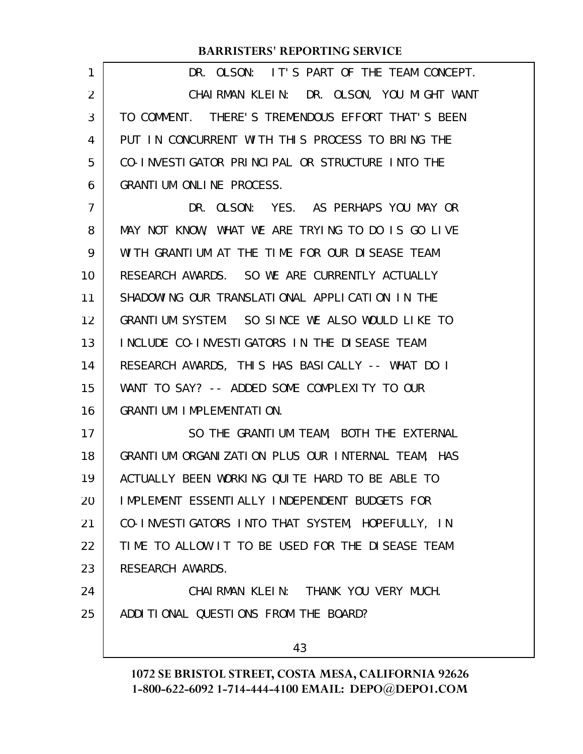| 1              | DR. OLSON: IT'S PART OF THE TEAM CONCEPT.         |
|----------------|---------------------------------------------------|
| $\overline{2}$ | CHAIRMAN KLEIN: DR. OLSON, YOU MIGHT WANT         |
| 3              | TO COMMENT. THERE'S TREMENDOUS EFFORT THAT'S BEEN |
| 4              | PUT IN CONCURRENT WITH THIS PROCESS TO BRING THE  |
| 5              | CO-INVESTIGATOR PRINCIPAL OR STRUCTURE INTO THE   |
| 6              | GRANTIUM ONLINE PROCESS.                          |
| $\overline{7}$ | DR. OLSON: YES. AS PERHAPS YOU MAY OR             |
| 8              | MAY NOT KNOW, WHAT WE ARE TRYING TO DO IS GO LIVE |
| 9              | WITH GRANTIUM AT THE TIME FOR OUR DISEASE TEAM    |
| 10             | RESEARCH AWARDS. SO WE ARE CURRENTLY ACTUALLY     |
| 11             | SHADOWING OUR TRANSLATIONAL APPLICATION IN THE    |
| 12             | GRANTIUM SYSTEM. SO SINCE WE ALSO WOULD LIKE TO   |
| 13             | INCLUDE CO-INVESTIGATORS IN THE DISEASE TEAM      |
| 14             | RESEARCH AWARDS, THIS HAS BASICALLY -- WHAT DO I  |
| 15             | WANT TO SAY? -- ADDED SOME COMPLEXITY TO OUR      |
| 16             | GRANTIUM IMPLEMENTATION.                          |
| 17             | SO THE GRANTIUM TEAM, BOTH THE EXTERNAL           |
| 18             | GRANTIUM ORGANIZATION PLUS OUR INTERNAL TEAM, HAS |
| 19             | ACTUALLY BEEN WORKING QUITE HARD TO BE ABLE TO    |
| 20             | IMPLEMENT ESSENTIALLY INDEPENDENT BUDGETS FOR     |
| 21             | CO-INVESTIGATORS INTO THAT SYSTEM, HOPEFULLY, IN  |
| 22             | TIME TO ALLOW IT TO BE USED FOR THE DISEASE TEAM  |
| 23             | RESEARCH AWARDS.                                  |
| 24             | CHAIRMAN KLEIN: THANK YOU VERY MUCH.              |
| 25             | ADDITIONAL QUESTIONS FROM THE BOARD?              |
|                |                                                   |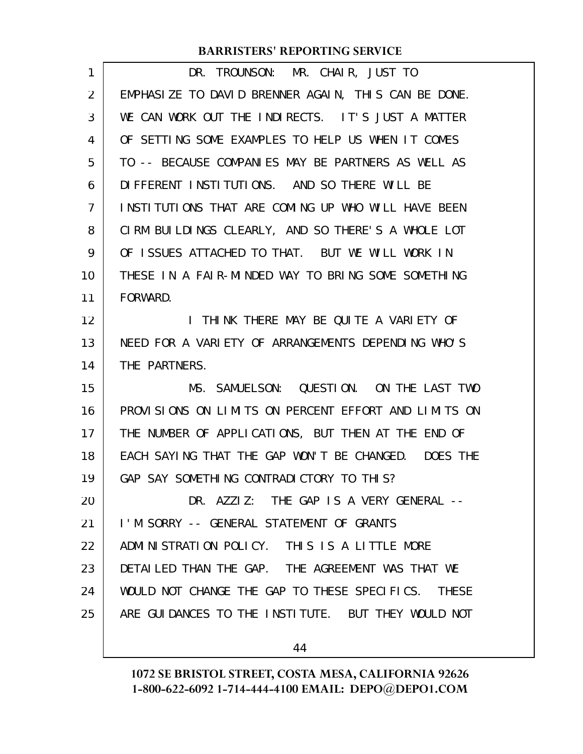| 1              | DR. TROUNSON: MR. CHAIR, JUST TO                             |
|----------------|--------------------------------------------------------------|
| 2              | EMPHASIZE TO DAVID BRENNER AGAIN, THIS CAN BE DONE.          |
| 3              | WE CAN WORK OUT THE INDIRECTS. IT'S JUST A MATTER            |
| 4              | OF SETTING SOME EXAMPLES TO HELP US WHEN IT COMES            |
| 5              | TO -- BECAUSE COMPANIES MAY BE PARTNERS AS WELL AS           |
| 6              | DIFFERENT INSTITUTIONS. AND SO THERE WILL BE                 |
| 7              | INSTITUTIONS THAT ARE COMING UP WHO WILL HAVE BEEN           |
| 8              | CIRM BUILDINGS CLEARLY, AND SO THERE'S A WHOLE LOT           |
| 9              | OF ISSUES ATTACHED TO THAT. BUT WE WILL WORK IN              |
| 10             | THESE IN A FAIR-MINDED WAY TO BRING SOME SOMETHING           |
| 11             | FORWARD.                                                     |
| 12             | I THINK THERE MAY BE QUITE A VARIETY OF                      |
| 13             | NEED FOR A VARIETY OF ARRANGEMENTS DEPENDING WHO'S           |
| 14             | THE PARTNERS.                                                |
| 15             | MS. SAMUELSON: QUESTION. ON THE LAST TWO                     |
|                |                                                              |
| 16             | PROVISIONS ON LIMITS ON PERCENT EFFORT AND LIMITS ON         |
| 17             | THE NUMBER OF APPLICATIONS, BUT THEN AT THE END OF           |
| 18             | EACH SAYING THAT THE GAP WON'T BE CHANGED. DOES THE          |
|                | GAP SAY SOMETHING CONTRADICTORY TO THIS?                     |
|                | DR. AZZIZ: THE GAP IS A VERY GENERAL --                      |
| 19<br>20<br>21 | I'M SORRY -- GENERAL STATEMENT OF GRANTS                     |
| 22             | ADMINISTRATION POLICY. THIS IS A LITTLE MORE                 |
| 23             | DETAILED THAN THE GAP. THE AGREEMENT WAS THAT WE             |
| 24             | WOULD NOT CHANGE THE GAP TO THESE SPECIFICS.<br><b>THESE</b> |
| 25             | ARE GUIDANCES TO THE INSTITUTE. BUT THEY WOULD NOT           |

44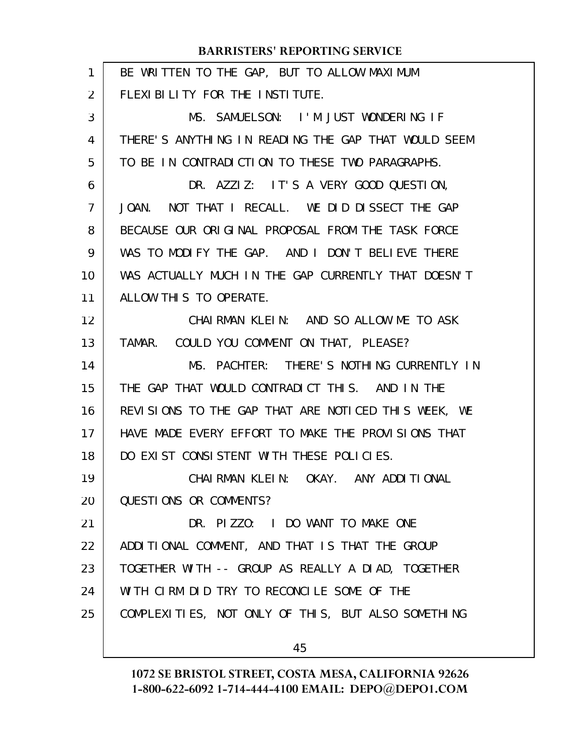| 1              | BE WRITTEN TO THE GAP, BUT TO ALLOW MAXIMUM         |
|----------------|-----------------------------------------------------|
| 2              | FLEXIBILITY FOR THE INSTITUTE.                      |
| 3              | MS. SAMUELSON: I'M JUST WONDERING IF                |
| 4              | THERE'S ANYTHING IN READING THE GAP THAT WOULD SEEM |
| 5              | TO BE IN CONTRADICTION TO THESE TWO PARAGRAPHS.     |
| 6              | DR. AZZIZ: IT'S A VERY GOOD QUESTION,               |
| $\overline{7}$ | NOT THAT I RECALL. WE DID DISSECT THE GAP<br>JOAN.  |
| 8              | BECAUSE OUR ORIGINAL PROPOSAL FROM THE TASK FORCE   |
| 9              | WAS TO MODIFY THE GAP. AND I DON'T BELIEVE THERE    |
| 10             | WAS ACTUALLY MUCH IN THE GAP CURRENTLY THAT DOESN'T |
| 11             | ALLOW THIS TO OPERATE.                              |
| 12             | CHAIRMAN KLEIN: AND SO ALLOW ME TO ASK              |
| 13             | TAMAR. COULD YOU COMMENT ON THAT, PLEASE?           |
| 14             | MS. PACHTER: THERE'S NOTHING CURRENTLY IN           |
| 15             | THE GAP THAT WOULD CONTRADICT THIS. AND IN THE      |
| 16             | REVISIONS TO THE GAP THAT ARE NOTICED THIS WEEK, WE |
| 17             | HAVE MADE EVERY EFFORT TO MAKE THE PROVISIONS THAT  |
| 18             | DO EXIST CONSISTENT WITH THESE POLICIES.            |
| 19             | CHAIRMAN KLEIN: OKAY. ANY ADDITIONAL                |
| 20             | QUESTIONS OR COMMENTS?                              |
| 21             | DR. PIZZO: I DO WANT TO MAKE ONE                    |
| 22             | ADDITIONAL COMMENT, AND THAT IS THAT THE GROUP      |
| 23             | TOGETHER WITH -- GROUP AS REALLY A DIAD, TOGETHER   |
| 24             | WITH CIRM DID TRY TO RECONCILE SOME OF THE          |
| 25             | COMPLEXITIES, NOT ONLY OF THIS, BUT ALSO SOMETHING  |
|                | 45                                                  |
|                |                                                     |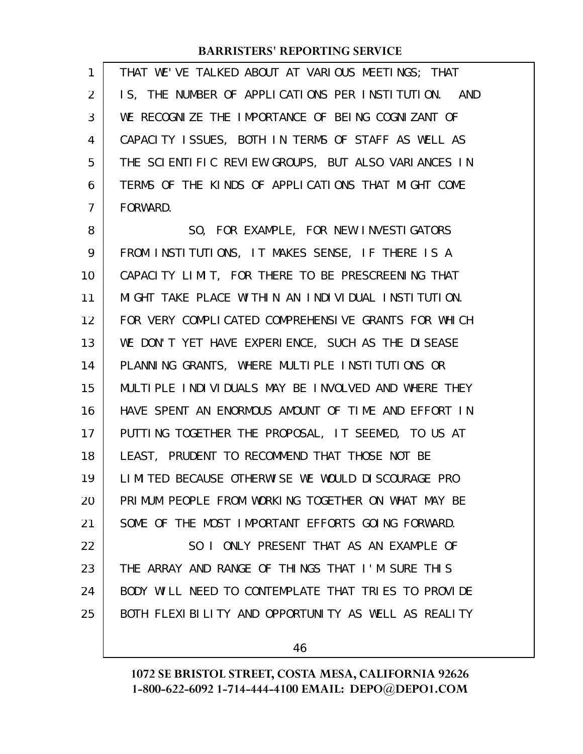THAT WE'VE TALKED ABOUT AT VARIOUS MEETINGS; THAT IS, THE NUMBER OF APPLICATIONS PER INSTITUTION. AND WE RECOGNIZE THE IMPORTANCE OF BEING COGNIZANT OF CAPACITY ISSUES, BOTH IN TERMS OF STAFF AS WELL AS THE SCIENTIFIC REVIEW GROUPS, BUT ALSO VARIANCES IN TERMS OF THE KINDS OF APPLICATIONS THAT MIGHT COME FORWARD. 1 2 3 4 5 6 7

SO, FOR EXAMPLE, FOR NEW INVESTIGATORS FROM INSTITUTIONS, IT MAKES SENSE, IF THERE IS A CAPACITY LIMIT, FOR THERE TO BE PRESCREENING THAT MIGHT TAKE PLACE WITHIN AN INDIVIDUAL INSTITUTION. FOR VERY COMPLICATED COMPREHENSIVE GRANTS FOR WHICH WE DON'T YET HAVE EXPERIENCE, SUCH AS THE DISEASE PLANNING GRANTS, WHERE MULTIPLE INSTITUTIONS OR MULTIPLE INDIVIDUALS MAY BE INVOLVED AND WHERE THEY HAVE SPENT AN ENORMOUS AMOUNT OF TIME AND EFFORT IN PUTTING TOGETHER THE PROPOSAL, IT SEEMED, TO US AT LEAST, PRUDENT TO RECOMMEND THAT THOSE NOT BE LIMITED BECAUSE OTHERWISE WE WOULD DISCOURAGE PRO PRIMUM PEOPLE FROM WORKING TOGETHER ON WHAT MAY BE SOME OF THE MOST IMPORTANT EFFORTS GOING FORWARD. SO I ONLY PRESENT THAT AS AN EXAMPLE OF THE ARRAY AND RANGE OF THINGS THAT I'M SURE THIS BODY WILL NEED TO CONTEMPLATE THAT TRIES TO PROVIDE 8 9 10 11 12 13 14 15 16 17 18 19 20 21 22 23 24

46

BOTH FLEXIBILITY AND OPPORTUNITY AS WELL AS REALITY

25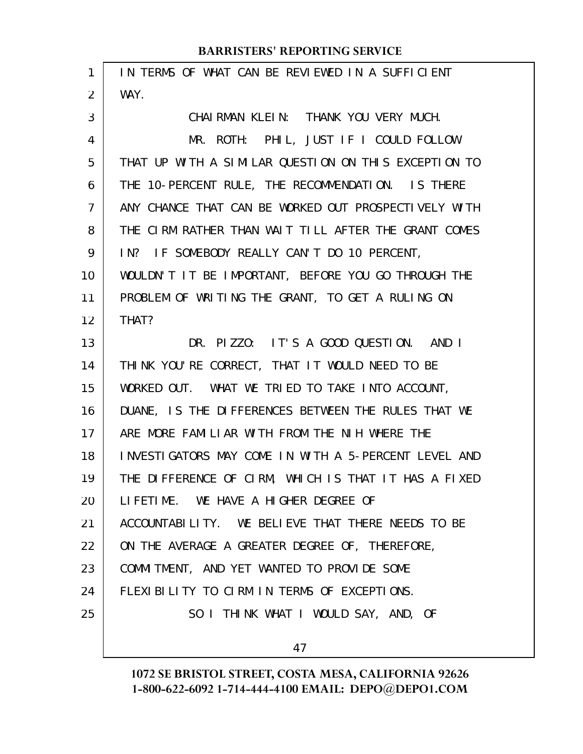| $\mathbf{1}$   | IN TERMS OF WHAT CAN BE REVIEWED IN A SUFFICIENT     |
|----------------|------------------------------------------------------|
| 2              | WAY.                                                 |
| 3              | CHAIRMAN KLEIN: THANK YOU VERY MUCH.                 |
| 4              | MR. ROTH: PHIL, JUST IF I COULD FOLLOW               |
| 5              | THAT UP WITH A SIMILAR QUESTION ON THIS EXCEPTION TO |
| 6              | THE 10-PERCENT RULE, THE RECOMMENDATION. IS THERE    |
| $\overline{7}$ | ANY CHANCE THAT CAN BE WORKED OUT PROSPECTIVELY WITH |
| 8              | THE CIRM RATHER THAN WAIT TILL AFTER THE GRANT COMES |
| 9              | IN? IF SOMEBODY REALLY CAN'T DO 10 PERCENT,          |
| 10             | WOULDN'T IT BE IMPORTANT, BEFORE YOU GO THROUGH THE  |
| 11             | PROBLEM OF WRITING THE GRANT, TO GET A RULING ON     |
| 12             | THAT?                                                |
| 13             | DR. PIZZO: IT'S A GOOD QUESTION. AND I               |
| 14             | THINK YOU'RE CORRECT, THAT IT WOULD NEED TO BE       |
| 15             | WORKED OUT. WHAT WE TRIED TO TAKE INTO ACCOUNT,      |
| 16             | DUANE, IS THE DIFFERENCES BETWEEN THE RULES THAT WE  |
| 17             | ARE MORE FAMILIAR WITH FROM THE NIH WHERE THE        |
| 18             | INVESTIGATORS MAY COME IN WITH A 5-PERCENT LEVEL AND |
| 19             | THE DIFFERENCE OF CIRM, WHICH IS THAT IT HAS A FIXED |
| 20             | LIFETIME. WE HAVE A HIGHER DEGREE OF                 |
| 21             | ACCOUNTABILITY. WE BELIEVE THAT THERE NEEDS TO BE    |
| 22             | ON THE AVERAGE A GREATER DEGREE OF, THEREFORE,       |
| 23             | COMMITMENT, AND YET WANTED TO PROVIDE SOME           |
| 24             | FLEXIBILITY TO CIRM IN TERMS OF EXCEPTIONS.          |
| 25             | SO I THINK WHAT I WOULD SAY, AND, OF                 |
|                | 47                                                   |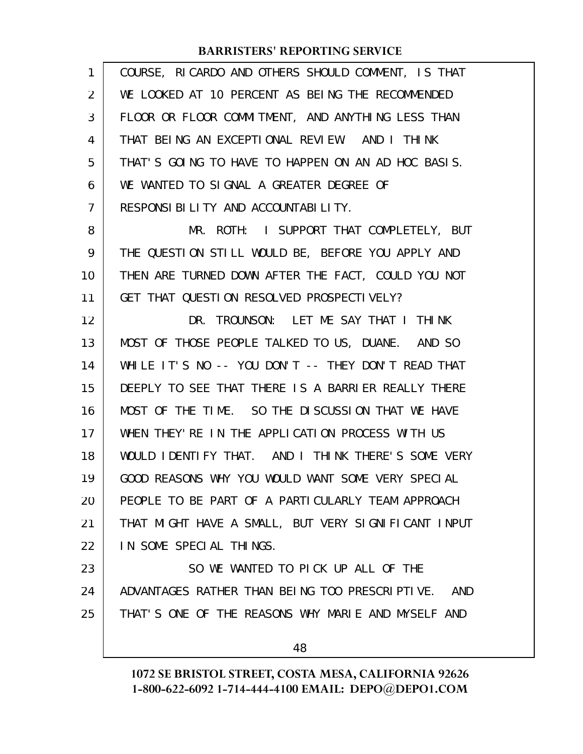| 1              | COURSE, RICARDO AND OTHERS SHOULD COMMENT, IS THAT  |
|----------------|-----------------------------------------------------|
| 2              | WE LOOKED AT 10 PERCENT AS BEING THE RECOMMENDED    |
| 3              | FLOOR OR FLOOR COMMITMENT, AND ANYTHING LESS THAN   |
| 4              | THAT BEING AN EXCEPTIONAL REVIEW. AND I THINK       |
| 5              | THAT'S GOING TO HAVE TO HAPPEN ON AN AD HOC BASIS.  |
| 6              | WE WANTED TO SIGNAL A GREATER DEGREE OF             |
| $\overline{7}$ | RESPONSIBILITY AND ACCOUNTABILITY.                  |
| 8              | MR. ROTH: I SUPPORT THAT COMPLETELY, BUT            |
| 9              | THE QUESTION STILL WOULD BE, BEFORE YOU APPLY AND   |
| 10             | THEN ARE TURNED DOWN AFTER THE FACT, COULD YOU NOT  |
| 11             | GET THAT QUESTION RESOLVED PROSPECTIVELY?           |
| 12             | DR. TROUNSON: LET ME SAY THAT I THINK               |
| 13             | MOST OF THOSE PEOPLE TALKED TO US, DUANE. AND SO    |
| 14             | WHILE IT'S NO -- YOU DON'T -- THEY DON'T READ THAT  |
| 15             | DEEPLY TO SEE THAT THERE IS A BARRIER REALLY THERE  |
| 16             | MOST OF THE TIME. SO THE DISCUSSION THAT WE HAVE    |
| 17             | WHEN THEY' RE IN THE APPLICATION PROCESS WITH US    |
| 18             | WOULD IDENTIFY THAT. AND I THINK THERE'S SOME VERY  |
| 19             | GOOD REASONS WHY YOU WOULD WANT SOME VERY SPECIAL   |
| 20             | PEOPLE TO BE PART OF A PARTICULARLY TEAM APPROACH   |
| 21             | THAT MIGHT HAVE A SMALL, BUT VERY SIGNIFICANT INPUT |
| 22             | IN SOME SPECIAL THINGS.                             |
| 23             | SO WE WANTED TO PICK UP ALL OF THE                  |
| 24             | ADVANTAGES RATHER THAN BEING TOO PRESCRIPTIVE. AND  |
| 25             | THAT'S ONE OF THE REASONS WHY MARIE AND MYSELF AND  |
|                | 48                                                  |
|                |                                                     |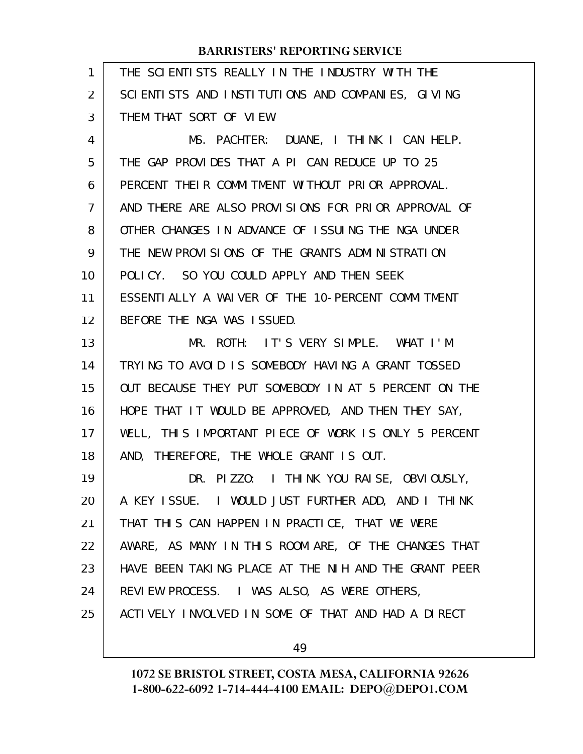| 1  | THE SCIENTISTS REALLY IN THE INDUSTRY WITH THE       |
|----|------------------------------------------------------|
| 2  | SCIENTISTS AND INSTITUTIONS AND COMPANIES, GIVING    |
| 3  | THEM THAT SORT OF VIEW.                              |
| 4  | MS. PACHTER: DUANE, I THINK I CAN HELP.              |
| 5  | THE GAP PROVIDES THAT A PI CAN REDUCE UP TO 25       |
| 6  | PERCENT THEIR COMMITMENT WITHOUT PRIOR APPROVAL.     |
| 7  | AND THERE ARE ALSO PROVISIONS FOR PRIOR APPROVAL OF  |
| 8  | OTHER CHANGES IN ADVANCE OF ISSUING THE NGA UNDER    |
| 9  | THE NEW PROVISIONS OF THE GRANTS ADMINISTRATION      |
| 10 | POLICY. SO YOU COULD APPLY AND THEN SEEK             |
| 11 | ESSENTIALLY A WAIVER OF THE 10-PERCENT COMMITMENT    |
| 12 | BEFORE THE NGA WAS ISSUED.                           |
| 13 | MR. ROTH: IT'S VERY SIMPLE. WHAT I'M                 |
| 14 | TRYING TO AVOID IS SOMEBODY HAVING A GRANT TOSSED    |
| 15 | OUT BECAUSE THEY PUT SOMEBODY IN AT 5 PERCENT ON THE |
| 16 | HOPE THAT IT WOULD BE APPROVED, AND THEN THEY SAY,   |
| 17 | WELL, THIS IMPORTANT PIECE OF WORK IS ONLY 5 PERCENT |
| 18 | AND, THEREFORE, THE WHOLE GRANT IS OUT.              |
| 19 | DR. PIZZO: I THINK YOU RAISE, OBVIOUSLY,             |
| 20 | A KEY ISSUE. I WOULD JUST FURTHER ADD, AND I THINK   |
| 21 | THAT THIS CAN HAPPEN IN PRACTICE, THAT WE WERE       |
| 22 | AWARE, AS MANY IN THIS ROOM ARE, OF THE CHANGES THAT |
| 23 | HAVE BEEN TAKING PLACE AT THE NIH AND THE GRANT PEER |
| 24 | REVIEW PROCESS. I WAS ALSO, AS WERE OTHERS,          |
| 25 | ACTIVELY INVOLVED IN SOME OF THAT AND HAD A DIRECT   |
|    |                                                      |

49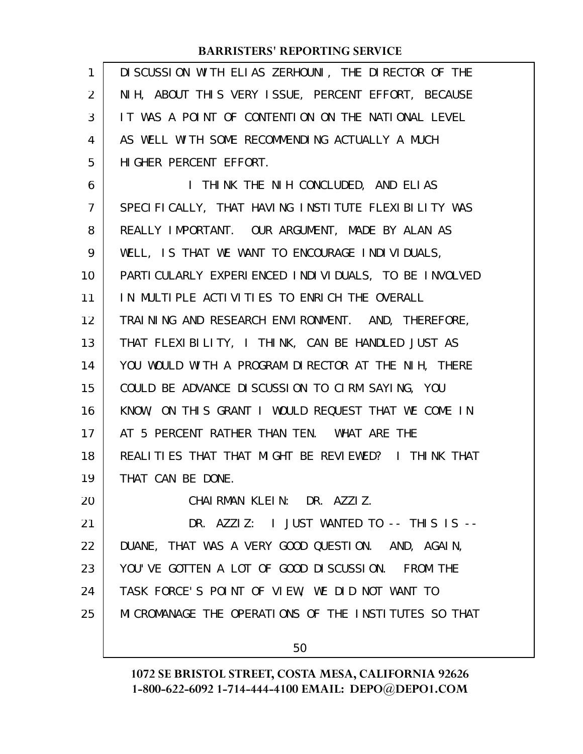| 1              | DI SCUSSION WITH ELIAS ZERHOUNI, THE DIRECTOR OF THE  |
|----------------|-------------------------------------------------------|
| 2              | NIH, ABOUT THIS VERY ISSUE, PERCENT EFFORT, BECAUSE   |
| 3              | IT WAS A POINT OF CONTENTION ON THE NATIONAL LEVEL    |
| 4              | AS WELL WITH SOME RECOMMENDING ACTUALLY A MUCH        |
| 5              | HIGHER PERCENT EFFORT.                                |
| 6              | I THINK THE NIH CONCLUDED, AND ELIAS                  |
| $\overline{7}$ | SPECIFICALLY, THAT HAVING INSTITUTE FLEXIBILITY WAS   |
| 8              | REALLY IMPORTANT. OUR ARGUMENT, MADE BY ALAN AS       |
| 9              | WELL, IS THAT WE WANT TO ENCOURAGE INDIVIDUALS,       |
| 10             | PARTI CULARLY EXPERIENCED INDIVIDUALS, TO BE INVOLVED |
| 11             | IN MULTIPLE ACTIVITIES TO ENRICH THE OVERALL          |
| 12             | TRAINING AND RESEARCH ENVIRONMENT. AND, THEREFORE,    |
| 13             | THAT FLEXIBILITY, I THINK, CAN BE HANDLED JUST AS     |
| 14             | YOU WOULD WITH A PROGRAM DIRECTOR AT THE NIH, THERE   |
| 15             | COULD BE ADVANCE DISCUSSION TO CIRM SAYING, YOU       |
| 16             | KNOW, ON THIS GRANT I WOULD REQUEST THAT WE COME IN   |
| 17             | AT 5 PERCENT RATHER THAN TEN. WHAT ARE THE            |
| 18             | REALITIES THAT THAT MIGHT BE REVIEWED? I THINK THAT   |
| 19             | THAT CAN BE DONE.                                     |
| 20             | CHAIRMAN KLEIN: DR. AZZIZ.                            |
| 21             | DR. AZZIZ: I JUST WANTED TO -- THIS IS --             |
| 22             | DUANE, THAT WAS A VERY GOOD QUESTION. AND, AGAIN,     |
| 23             | YOU'VE GOTTEN A LOT OF GOOD DISCUSSION. FROM THE      |
| 24             | TASK FORCE'S POINT OF VIEW, WE DID NOT WANT TO        |
| 25             | MI CROMANAGE THE OPERATIONS OF THE INSTITUTES SO THAT |
|                | 50                                                    |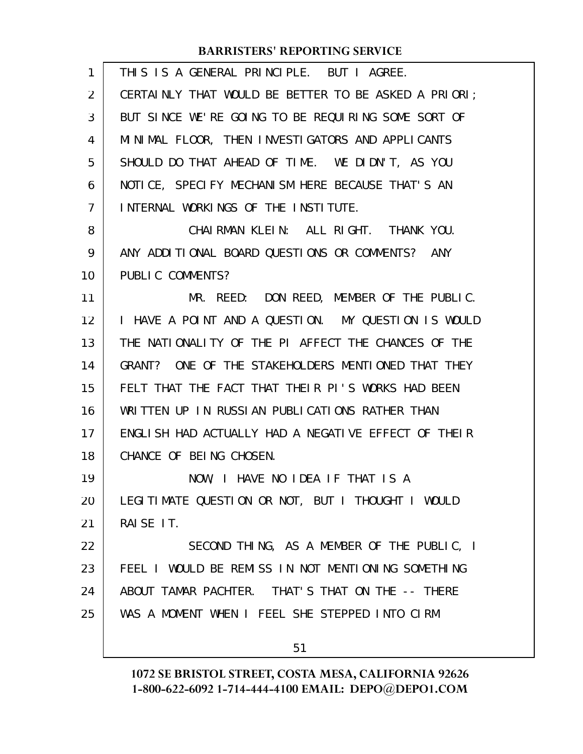| $\mathbf{1}$   | THIS IS A GENERAL PRINCIPLE. BUT I AGREE.            |
|----------------|------------------------------------------------------|
| 2              | CERTAINLY THAT WOULD BE BETTER TO BE ASKED A PRIORI; |
| 3              | BUT SINCE WE'RE GOING TO BE REQUIRING SOME SORT OF   |
| 4              | MINIMAL FLOOR, THEN INVESTIGATORS AND APPLICANTS     |
| 5              | SHOULD DO THAT AHEAD OF TIME. WE DIDN'T, AS YOU      |
| 6              | NOTICE, SPECIFY MECHANISM HERE BECAUSE THAT'S AN     |
| $\overline{7}$ | INTERNAL WORKINGS OF THE INSTITUTE.                  |
| 8              | CHAIRMAN KLEIN: ALL RIGHT. THANK YOU.                |
| 9              | ANY ADDITIONAL BOARD QUESTIONS OR COMMENTS? ANY      |
| 10             | PUBLIC COMMENTS?                                     |
| 11             | MR. REED: DON REED, MEMBER OF THE PUBLIC.            |
| 12             | I HAVE A POINT AND A QUESTION. MY QUESTION IS WOULD  |
| 13             | THE NATIONALITY OF THE PI AFFECT THE CHANCES OF THE  |
| 14             | GRANT? ONE OF THE STAKEHOLDERS MENTIONED THAT THEY   |
| 15             | FELT THAT THE FACT THAT THEIR PI'S WORKS HAD BEEN    |
| 16             | WRITTEN UP IN RUSSIAN PUBLICATIONS RATHER THAN       |
| 17             | ENGLISH HAD ACTUALLY HAD A NEGATIVE EFFECT OF THEIR  |
| 18             | CHANCE OF BEING CHOSEN.                              |
| 19             | NOW, I HAVE NO IDEA IF THAT IS A                     |
| 20             | LEGITIMATE QUESTION OR NOT, BUT I THOUGHT I WOULD    |
| 21             | RAISE IT.                                            |
| 22             | SECOND THING, AS A MEMBER OF THE PUBLIC, I           |
| 23             | FEEL I WOULD BE REMISS IN NOT MENTIONING SOMETHING   |
| 24             | ABOUT TAMAR PACHTER. THAT'S THAT ON THE -- THERE     |
| 25             | WAS A MOMENT WHEN I FEEL SHE STEPPED INTO CIRM       |
|                |                                                      |

51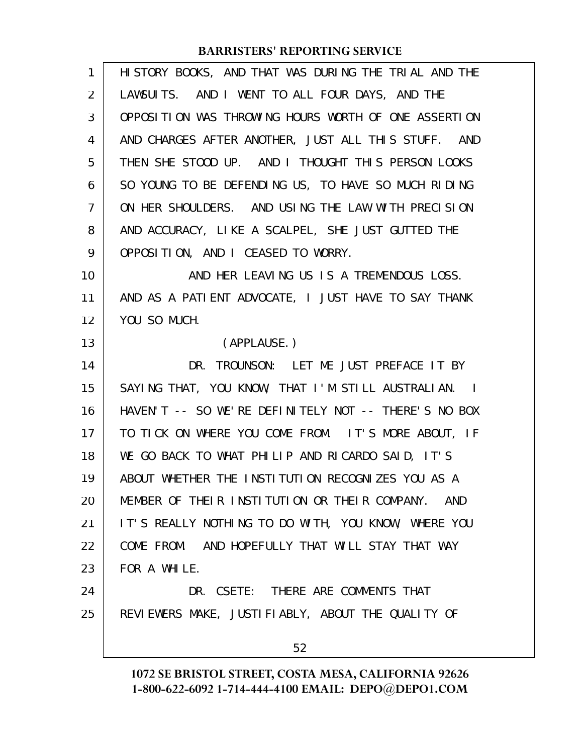| 1              | HISTORY BOOKS, AND THAT WAS DURING THE TRIAL AND THE |
|----------------|------------------------------------------------------|
| $\overline{2}$ | LAWSUITS. AND I WENT TO ALL FOUR DAYS, AND THE       |
| 3              | OPPOSITION WAS THROWING HOURS WORTH OF ONE ASSERTION |
| 4              | AND CHARGES AFTER ANOTHER, JUST ALL THIS STUFF. AND  |
| 5              | THEN SHE STOOD UP. AND I THOUGHT THIS PERSON LOOKS   |
| 6              | SO YOUNG TO BE DEFENDING US, TO HAVE SO MUCH RIDING  |
| 7              | ON HER SHOULDERS. AND USING THE LAW WITH PRECISION   |
| 8              | AND ACCURACY, LIKE A SCALPEL, SHE JUST GUTTED THE    |
| 9              | OPPOSITION, AND I CEASED TO WORRY.                   |
| 10             | AND HER LEAVING US IS A TREMENDOUS LOSS.             |
| 11             | AND AS A PATIENT ADVOCATE, I JUST HAVE TO SAY THANK  |
| 12             | YOU SO MUCH.                                         |
| 13             | (APPLAUSE.)                                          |
| 14             | DR. TROUNSON: LET ME JUST PREFACE IT BY              |
| 15             | SAYING THAT, YOU KNOW, THAT I'M STILL AUSTRALIAN. I  |
| 16             | HAVEN'T -- SO WE'RE DEFINITELY NOT -- THERE'S NO BOX |
| 17             | TO TICK ON WHERE YOU COME FROM. IT'S MORE ABOUT, IF  |
| 18             | WE GO BACK TO WHAT PHILIP AND RICARDO SAID, IT'S     |
| 19             | ABOUT WHETHER THE INSTITUTION RECOGNIZES YOU AS A    |
| 20             | MEMBER OF THEIR INSTITUTION OR THEIR COMPANY. AND    |
| 21             | IT'S REALLY NOTHING TO DO WITH, YOU KNOW, WHERE YOU  |
| 22             | COME FROM. AND HOPEFULLY THAT WILL STAY THAT WAY     |
| 23             | FOR A WHILE.                                         |
| 24             | DR. CSETE: THERE ARE COMMENTS THAT                   |
| 25             | REVIEWERS MAKE, JUSTIFIABLY, ABOUT THE QUALITY OF    |
|                | 52                                                   |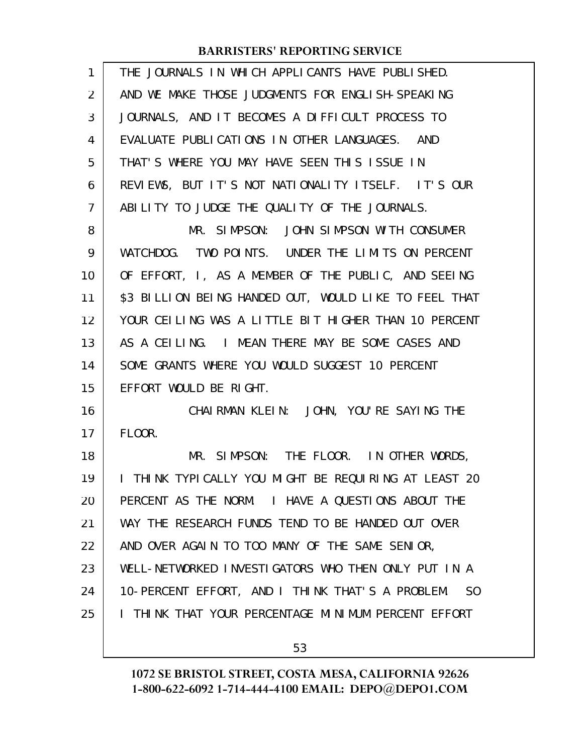| $\mathbf{1}$ | THE JOURNALS IN WHICH APPLICANTS HAVE PUBLISHED.                   |
|--------------|--------------------------------------------------------------------|
| 2            | AND WE MAKE THOSE JUDGMENTS FOR ENGLISH-SPEAKING                   |
| 3            | JOURNALS, AND IT BECOMES A DIFFICULT PROCESS TO                    |
| 4            | EVALUATE PUBLICATIONS IN OTHER LANGUAGES. AND                      |
| 5            | THAT'S WHERE YOU MAY HAVE SEEN THIS ISSUE IN                       |
| 6            | REVIEWS, BUT IT'S NOT NATIONALITY ITSELF. IT'S OUR                 |
| 7            | ABILITY TO JUDGE THE QUALITY OF THE JOURNALS.                      |
| 8            | MR. SIMPSON: JOHN SIMPSON WITH CONSUMER                            |
| 9            | WATCHDOG. TWO POINTS. UNDER THE LIMITS ON PERCENT                  |
| 10           | OF EFFORT, I, AS A MEMBER OF THE PUBLIC, AND SEEING                |
| 11           | \$3 BILLION BEING HANDED OUT, WOULD LIKE TO FEEL THAT              |
| 12           | YOUR CEILING WAS A LITTLE BIT HIGHER THAN 10 PERCENT               |
| 13           | AS A CEILING. I MEAN THERE MAY BE SOME CASES AND                   |
| 14           | SOME GRANTS WHERE YOU WOULD SUGGEST 10 PERCENT                     |
| 15           | EFFORT WOULD BE RIGHT.                                             |
| 16           | CHAIRMAN KLEIN: JOHN, YOU'RE SAYING THE                            |
| 17           | FLOOR.                                                             |
| 18           | MR. SIMPSON: THE FLOOR. IN OTHER WORDS,                            |
| 19           | I THINK TYPICALLY YOU MIGHT BE REQUIRING AT LEAST 20               |
| 20           | PERCENT AS THE NORM. I HAVE A QUESTIONS ABOUT THE                  |
| 21           | WAY THE RESEARCH FUNDS TEND TO BE HANDED OUT OVER                  |
| 22           | AND OVER AGAIN TO TOO MANY OF THE SAME SENIOR,                     |
| 23           | WELL-NETWORKED INVESTIGATORS WHO THEN ONLY PUT IN A                |
| 24           | 10-PERCENT EFFORT, AND I THINK THAT'S A PROBLEM.<br>S <sub>0</sub> |
| 25           | I THINK THAT YOUR PERCENTAGE MINIMUM PERCENT EFFORT                |
|              |                                                                    |
|              | 53                                                                 |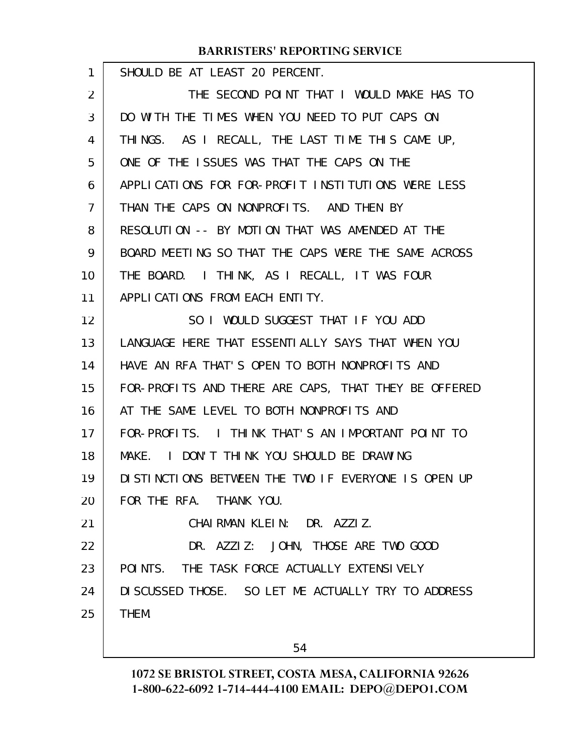| 1  | SHOULD BE AT LEAST 20 PERCENT.                       |
|----|------------------------------------------------------|
| 2  | THE SECOND POINT THAT I WOULD MAKE HAS TO            |
| 3  | DO WITH THE TIMES WHEN YOU NEED TO PUT CAPS ON       |
| 4  | THINGS. AS I RECALL, THE LAST TIME THIS CAME UP,     |
| 5  | ONE OF THE ISSUES WAS THAT THE CAPS ON THE           |
| 6  | APPLICATIONS FOR FOR-PROFIT INSTITUTIONS WERE LESS   |
| 7  | THAN THE CAPS ON NONPROFITS. AND THEN BY             |
| 8  | RESOLUTION -- BY MOTION THAT WAS AMENDED AT THE      |
| 9  | BOARD MEETING SO THAT THE CAPS WERE THE SAME ACROSS  |
| 10 | THE BOARD. I THINK, AS I RECALL, IT WAS FOUR         |
| 11 | APPLICATIONS FROM FACH ENTITY.                       |
| 12 | SO I WOULD SUGGEST THAT IF YOU ADD                   |
| 13 | LANGUAGE HERE THAT ESSENTIALLY SAYS THAT WHEN YOU    |
| 14 | HAVE AN RFA THAT'S OPEN TO BOTH NONPROFITS AND       |
| 15 | FOR-PROFITS AND THERE ARE CAPS, THAT THEY BE OFFERED |
| 16 | AT THE SAME LEVEL TO BOTH NONPROFITS AND             |
| 17 | FOR-PROFITS. I THINK THAT'S AN IMPORTANT POINT TO    |
| 18 | I DON'T THINK YOU SHOULD BE DRAWING<br>MAKE.         |
| 19 | DISTINCTIONS BETWEEN THE TWO IF EVERYONE IS OPEN UP  |
| 20 | FOR THE RFA. THANK YOU.                              |
| 21 | CHAIRMAN KLEIN: DR. AZZIZ.                           |
| 22 | DR. AZZIZ: JOHN, THOSE ARE TWO GOOD                  |
| 23 | POINTS. THE TASK FORCE ACTUALLY EXTENSIVELY          |
| 24 | DI SCUSSED THOSE. SO LET ME ACTUALLY TRY TO ADDRESS  |
| 25 | THEM.                                                |
|    |                                                      |

54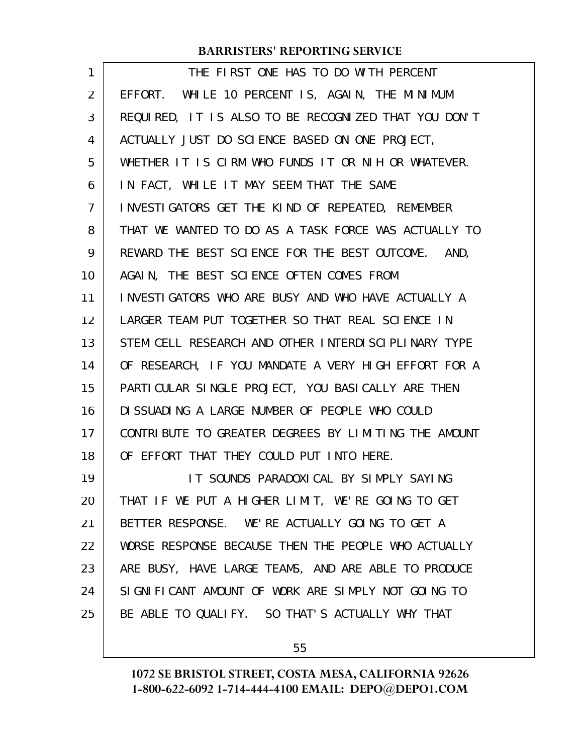| 1  | THE FIRST ONE HAS TO DO WITH PERCENT                 |
|----|------------------------------------------------------|
| 2  | EFFORT. WHILE 10 PERCENT IS, AGAIN, THE MINIMUM      |
| 3  | REQUIRED, IT IS ALSO TO BE RECOGNIZED THAT YOU DON'T |
| 4  | ACTUALLY JUST DO SCIENCE BASED ON ONE PROJECT,       |
| 5  | WHETHER IT IS CIRM WHO FUNDS IT OR NIH OR WHATEVER.  |
| 6  | IN FACT, WHILE IT MAY SEEM THAT THE SAME             |
| 7  | INVESTIGATORS GET THE KIND OF REPEATED, REMEMBER     |
| 8  | THAT WE WANTED TO DO AS A TASK FORCE WAS ACTUALLY TO |
| 9  | REWARD THE BEST SCIENCE FOR THE BEST OUTCOME. AND,   |
| 10 | AGAIN, THE BEST SCIENCE OFTEN COMES FROM             |
| 11 | INVESTIGATORS WHO ARE BUSY AND WHO HAVE ACTUALLY A   |
| 12 | LARGER TEAM PUT TOGETHER SO THAT REAL SCIENCE IN     |
| 13 | STEM CELL RESEARCH AND OTHER INTERDISCIPLINARY TYPE  |
| 14 | OF RESEARCH, IF YOU MANDATE A VERY HIGH EFFORT FOR A |
| 15 | PARTI CULAR SINGLE PROJECT, YOU BASI CALLY ARE THEN  |
| 16 | DI SSUADING A LARGE NUMBER OF PEOPLE WHO COULD       |
| 17 | CONTRIBUTE TO GREATER DEGREES BY LIMITING THE AMOUNT |
| 18 | OF EFFORT THAT THEY COULD PUT INTO HERE.             |
| 19 | IT SOUNDS PARADOXICAL BY SIMPLY SAYING               |
| 20 | THAT IF WE PUT A HIGHER LIMIT, WE'RE GOING TO GET    |
| 21 | BETTER RESPONSE. WE'RE ACTUALLY GOING TO GET A       |
| 22 | WORSE RESPONSE BECAUSE THEN THE PEOPLE WHO ACTUALLY  |
| 23 | ARE BUSY, HAVE LARGE TEAMS, AND ARE ABLE TO PRODUCE  |
| 24 | SIGNIFICANT AMOUNT OF WORK ARE SIMPLY NOT GOING TO   |
| 25 | BE ABLE TO QUALIFY. SO THAT'S ACTUALLY WHY THAT      |

55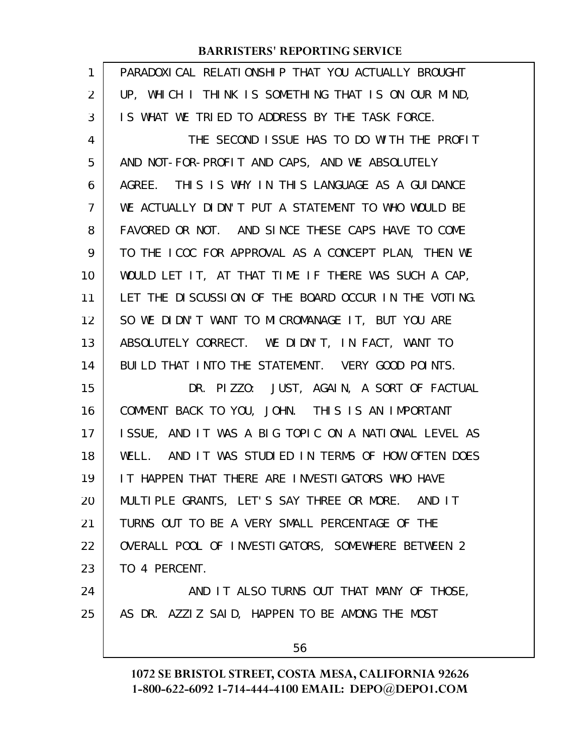| $\mathbf{1}$ | PARADOXI CAL RELATI ONSHI P THAT YOU ACTUALLY BROUGHT |
|--------------|-------------------------------------------------------|
| 2            | UP, WHICH I THINK IS SOMETHING THAT IS ON OUR MIND,   |
| 3            | IS WHAT WE TRIED TO ADDRESS BY THE TASK FORCE.        |
| 4            | THE SECOND ISSUE HAS TO DO WITH THE PROFIT            |
| 5            | AND NOT-FOR-PROFIT AND CAPS, AND WE ABSOLUTELY        |
| 6            | AGREE. THIS IS WHY IN THIS LANGUAGE AS A GUIDANCE     |
| 7            | WE ACTUALLY DIDN'T PUT A STATEMENT TO WHO WOULD BE    |
| 8            | FAVORED OR NOT. AND SINCE THESE CAPS HAVE TO COME     |
| 9            | TO THE ICOC FOR APPROVAL AS A CONCEPT PLAN, THEN WE   |
| 10           | WOULD LET IT, AT THAT TIME IF THERE WAS SUCH A CAP,   |
| 11           | LET THE DISCUSSION OF THE BOARD OCCUR IN THE VOTING.  |
| 12           | SO WE DIDN'T WANT TO MICROMANAGE IT, BUT YOU ARE      |
| 13           | ABSOLUTELY CORRECT. WE DIDN'T, IN FACT, WANT TO       |
| 14           | BUILD THAT INTO THE STATEMENT. VERY GOOD POINTS.      |
| 15           | DR. PIZZO: JUST, AGAIN, A SORT OF FACTUAL             |
| 16           | COMMENT BACK TO YOU, JOHN. THIS IS AN IMPORTANT       |
| 17           | ISSUE, AND IT WAS A BIG TOPIC ON A NATIONAL LEVEL AS  |
| 18           | WELL. AND IT WAS STUDIED IN TERMS OF HOW OFTEN DOES   |
| 19           | IT HAPPEN THAT THERE ARE INVESTIGATORS WHO HAVE       |
| 20           | MULTIPLE GRANTS, LET'S SAY THREE OR MORE. AND IT      |
| 21           | TURNS OUT TO BE A VERY SMALL PERCENTAGE OF THE        |
| 22           | OVERALL POOL OF INVESTIGATORS, SOMEWHERE BETWEEN 2    |
| 23           | TO 4 PERCENT.                                         |
| 24           | AND IT ALSO TURNS OUT THAT MANY OF THOSE,             |
| 25           | AS DR. AZZIZ SAID, HAPPEN TO BE AMONG THE MOST        |
|              | 56                                                    |
|              |                                                       |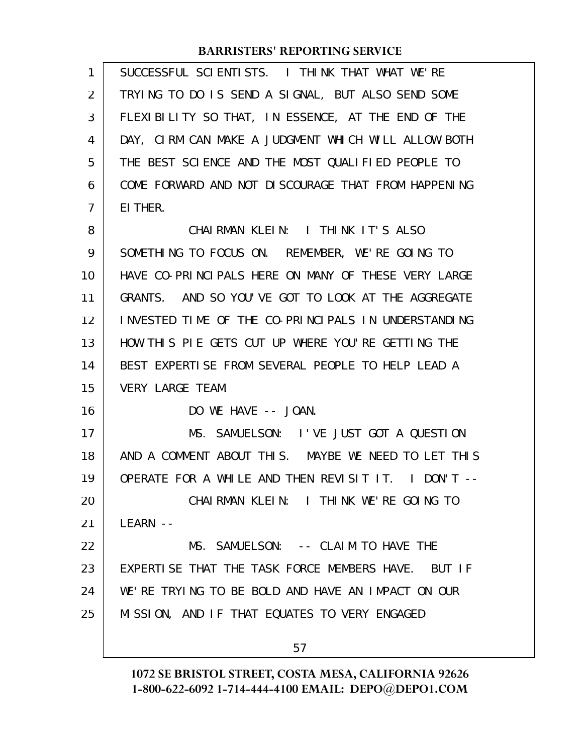| 1              | SUCCESSFUL SCIENTISTS. I THINK THAT WHAT WE'RE      |
|----------------|-----------------------------------------------------|
| 2              | TRYING TO DO IS SEND A SIGNAL, BUT ALSO SEND SOME   |
| 3              | FLEXIBILITY SO THAT, IN ESSENCE, AT THE END OF THE  |
| 4              | DAY, CIRM CAN MAKE A JUDGMENT WHICH WILL ALLOW BOTH |
| 5              | THE BEST SCIENCE AND THE MOST QUALIFIED PEOPLE TO   |
| 6              | COME FORWARD AND NOT DISCOURAGE THAT FROM HAPPENING |
| $\overline{7}$ | EI THER.                                            |
| 8              | CHAIRMAN KLEIN: I THINK IT'S ALSO                   |
| 9              | SOMETHING TO FOCUS ON. REMEMBER, WE'RE GOING TO     |
| 10             | HAVE CO-PRINCIPALS HERE ON MANY OF THESE VERY LARGE |
| 11             | GRANTS. AND SO YOU'VE GOT TO LOOK AT THE AGGREGATE  |
| 12             | INVESTED TIME OF THE CO-PRINCIPALS IN UNDERSTANDING |
| 13             | HOW THIS PIE GETS CUT UP WHERE YOU'RE GETTING THE   |
| 14             | BEST EXPERTISE FROM SEVERAL PEOPLE TO HELP LEAD A   |
| 15             | <b>VERY LARGE TEAM.</b>                             |
| 16             | DO WE HAVE -- JOAN.                                 |
| 17             | MS. SAMUELSON: I'VE JUST GOT A QUESTION             |
| 18             | AND A COMMENT ABOUT THIS. MAYBE WE NEED TO LET THIS |
| 19             | OPERATE FOR A WHILE AND THEN REVISIT IT. I DON'T -- |
| 20             | CHAIRMAN KLEIN: I THINK WE'RE GOING TO              |
| 21             | $LEARN$ --                                          |
| 22             | MS. SAMUELSON: -- CLAIM TO HAVE THE                 |
| 23             | EXPERTISE THAT THE TASK FORCE MEMBERS HAVE. BUT IF  |
| 24             | WE'RE TRYING TO BE BOLD AND HAVE AN IMPACT ON OUR   |
| 25             | MISSION, AND IF THAT EQUATES TO VERY ENGAGED        |
|                | 57                                                  |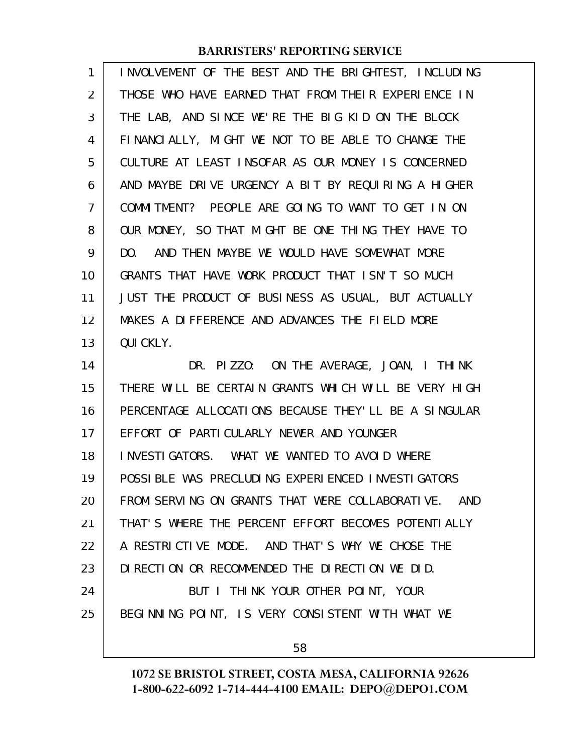| 1              | INVOLVEMENT OF THE BEST AND THE BRIGHTEST, INCLUDING |
|----------------|------------------------------------------------------|
| $\overline{2}$ | THOSE WHO HAVE EARNED THAT FROM THEIR EXPERIENCE IN  |
| 3              | THE LAB, AND SINCE WE'RE THE BIG KID ON THE BLOCK    |
| 4              | FINANCIALLY, MIGHT WE NOT TO BE ABLE TO CHANGE THE   |
| 5              | CULTURE AT LEAST INSOFAR AS OUR MONEY IS CONCERNED   |
| 6              | AND MAYBE DRIVE URGENCY A BIT BY REQUIRING A HIGHER  |
| 7              | COMMITMENT? PEOPLE ARE GOING TO WANT TO GET IN ON    |
| 8              | OUR MONEY, SO THAT MIGHT BE ONE THING THEY HAVE TO   |
| 9              | DO. AND THEN MAYBE WE WOULD HAVE SOMEWHAT MORE       |
| 10             | GRANTS THAT HAVE WORK PRODUCT THAT ISN'T SO MUCH     |
| 11             | JUST THE PRODUCT OF BUSINESS AS USUAL, BUT ACTUALLY  |
| 12             | MAKES A DIFFERENCE AND ADVANCES THE FIELD MORE       |
| 13             | QUI CKLY.                                            |
|                |                                                      |
| 14             | DR. PIZZO: ON THE AVERAGE, JOAN, I THINK             |
| 15             | THERE WILL BE CERTAIN GRANTS WHICH WILL BE VERY HIGH |
| 16             | PERCENTAGE ALLOCATIONS BECAUSE THEY'LL BE A SINGULAR |
| 17             | EFFORT OF PARTICULARLY NEWER AND YOUNGER             |
| 18             | INVESTIGATORS. WHAT WE WANTED TO AVOID WHERE         |
| 19             | POSSIBLE WAS PRECLUDING EXPERIENCED INVESTIGATORS    |
| 20             | FROM SERVING ON GRANTS THAT WERE COLLABORATIVE. AND  |
| 21             | THAT'S WHERE THE PERCENT EFFORT BECOMES POTENTIALLY  |
| 22             | A RESTRICTIVE MODE. AND THAT'S WHY WE CHOSE THE      |
| 23             | DIRECTION OR RECOMMENDED THE DIRECTION WE DID.       |
| 24             | BUT I THINK YOUR OTHER POINT, YOUR                   |
| 25             | BEGINNING POINT, IS VERY CONSISTENT WITH WHAT WE     |

58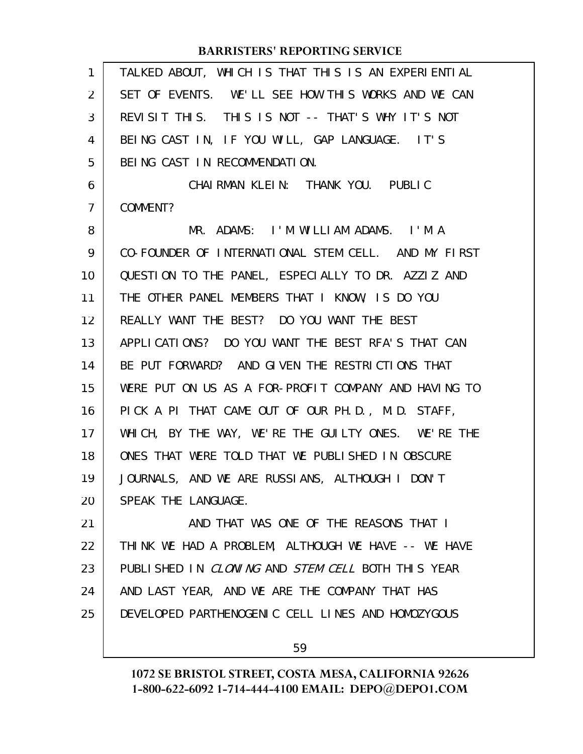| $\mathbf{1}$   | TALKED ABOUT, WHICH IS THAT THIS IS AN EXPERIENTIAL  |
|----------------|------------------------------------------------------|
| 2              | SET OF EVENTS. WE'LL SEE HOW THIS WORKS AND WE CAN   |
| 3              | REVISIT THIS. THIS IS NOT -- THAT'S WHY IT'S NOT     |
| 4              | BEING CAST IN, IF YOU WILL, GAP LANGUAGE. IT'S       |
| 5              | BEING CAST IN RECOMMENDATION.                        |
| 6              | CHAIRMAN KLEIN: THANK YOU. PUBLIC                    |
| $\overline{7}$ | COMMENT?                                             |
| 8              | MR. ADAMS: I'M WILLIAM ADAMS. I'M A                  |
| 9              | CO-FOUNDER OF INTERNATIONAL STEM CELL. AND MY FIRST  |
| 10             | QUESTION TO THE PANEL, ESPECIALLY TO DR. AZZIZ AND   |
| 11             | THE OTHER PANEL MEMBERS THAT I KNOW, IS DO YOU       |
| 12             | REALLY WANT THE BEST? DO YOU WANT THE BEST           |
| 13             | APPLICATIONS? DO YOU WANT THE BEST RFA'S THAT CAN    |
| 14             | BE PUT FORWARD? AND GIVEN THE RESTRICTIONS THAT      |
| 15             | WERE PUT ON US AS A FOR-PROFIT COMPANY AND HAVING TO |
| 16             | PICK A PI THAT CAME OUT OF OUR PH.D., M.D. STAFF,    |
| 17             | WHICH, BY THE WAY, WE'RE THE GUILTY ONES. WE'RE THE  |
| 18             | ONES THAT WERE TOLD THAT WE PUBLISHED IN OBSCURE     |
| 19             | JOURNALS, AND WE ARE RUSSIANS, ALTHOUGH I DON'T      |
| 20             | SPEAK THE LANGUAGE.                                  |
| 21             | AND THAT WAS ONE OF THE REASONS THAT I               |
| 22             | THINK WE HAD A PROBLEM, ALTHOUGH WE HAVE -- WE HAVE  |
| 23             | PUBLISHED IN CLONING AND STEM CELL BOTH THIS YEAR    |
| 24             | AND LAST YEAR, AND WE ARE THE COMPANY THAT HAS       |
| 25             | DEVELOPED PARTHENOGENIC CELL LINES AND HOMOZYGOUS    |
|                |                                                      |

59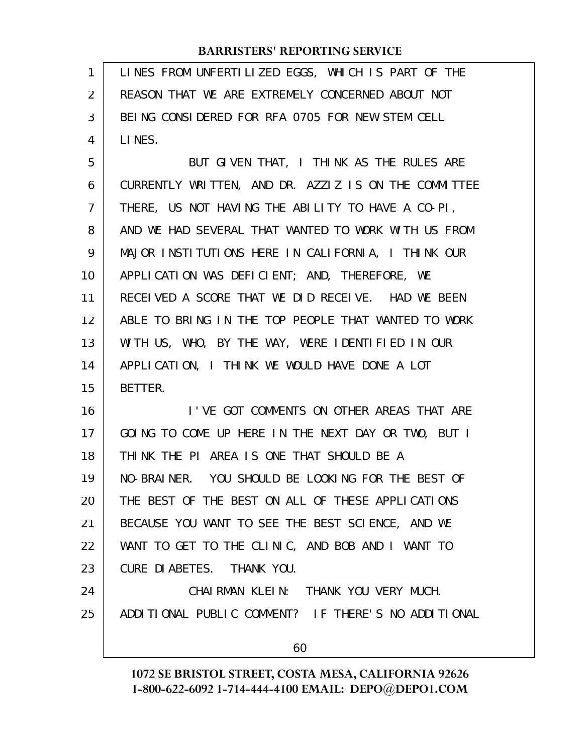LINES FROM UNFERTILIZED EGGS, WHICH IS PART OF THE REASON THAT WE ARE EXTREMELY CONCERNED ABOUT NOT BEING CONSIDERED FOR RFA 0705 FOR NEW STEM CELL LINES. 1 2 3 4

BUT GIVEN THAT, I THINK AS THE RULES ARE CURRENTLY WRITTEN, AND DR. AZZIZ IS ON THE COMMITTEE THERE, US NOT HAVING THE ABILITY TO HAVE A CO-PI, AND WE HAD SEVERAL THAT WANTED TO WORK WITH US FROM MAJOR INSTITUTIONS HERE IN CALIFORNIA, I THINK OUR APPLICATION WAS DEFICIENT; AND, THEREFORE, WE RECEIVED A SCORE THAT WE DID RECEIVE. HAD WE BEEN ABLE TO BRING IN THE TOP PEOPLE THAT WANTED TO WORK WITH US, WHO, BY THE WAY, WERE IDENTIFIED IN OUR APPLICATION, I THINK WE WOULD HAVE DONE A LOT BETTER. 5 6 7 8 9 10 11 12 13 14 15

I'VE GOT COMMENTS ON OTHER AREAS THAT ARE GOING TO COME UP HERE IN THE NEXT DAY OR TWO, BUT I THINK THE PI AREA IS ONE THAT SHOULD BE A NO-BRAINER. YOU SHOULD BE LOOKING FOR THE BEST OF THE BEST OF THE BEST ON ALL OF THESE APPLICATIONS BECAUSE YOU WANT TO SEE THE BEST SCIENCE, AND WE WANT TO GET TO THE CLINIC, AND BOB AND I WANT TO CURE DIABETES. THANK YOU. 16 17 18 19 20 21 22 23

CHAIRMAN KLEIN: THANK YOU VERY MUCH. ADDITIONAL PUBLIC COMMENT? IF THERE'S NO ADDITIONAL 24 25

60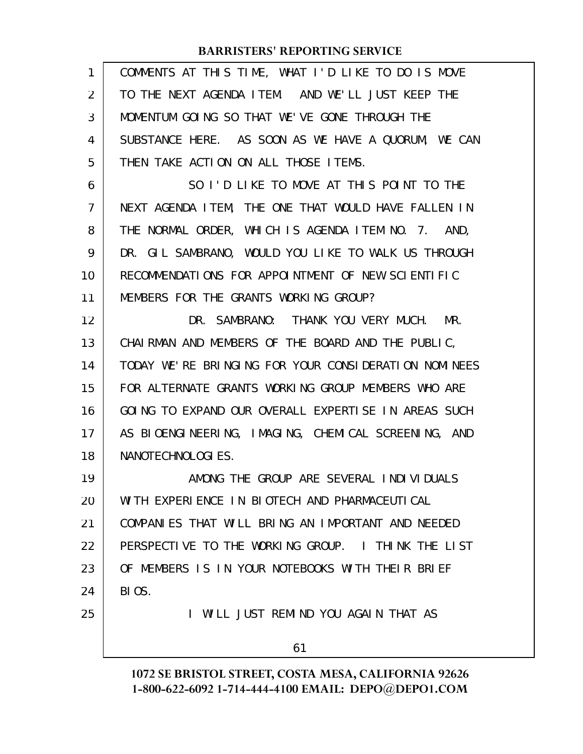| COMMENTS AT THIS TIME, WHAT I'D LIKE TO DO IS MOVE   |
|------------------------------------------------------|
| TO THE NEXT AGENDA ITEM. AND WE'LL JUST KEEP THE     |
| MOMENTUM GOING SO THAT WE'VE GONE THROUGH THE        |
| SUBSTANCE HERE. AS SOON AS WE HAVE A QUORUM, WE CAN  |
| THEN TAKE ACTION ON ALL THOSE ITEMS.                 |
| SO I'D LIKE TO MOVE AT THIS POINT TO THE             |
| NEXT AGENDA ITEM, THE ONE THAT WOULD HAVE FALLEN IN  |
| THE NORMAL ORDER, WHICH IS AGENDA ITEM NO. 7. AND,   |
| DR. GIL SAMBRANO, WOULD YOU LIKE TO WALK US THROUGH  |
| RECOMMENDATIONS FOR APPOINTMENT OF NEW SCIENTIFIC    |
| MEMBERS FOR THE GRANTS WORKING GROUP?                |
| DR. SAMBRANO: THANK YOU VERY MUCH. MR.               |
| CHAIRMAN AND MEMBERS OF THE BOARD AND THE PUBLIC,    |
| TODAY WE'RE BRINGING FOR YOUR CONSIDERATION NOMINEES |
| FOR ALTERNATE GRANTS WORKING GROUP MEMBERS WHO ARE   |
| GOING TO EXPAND OUR OVERALL EXPERTISE IN AREAS SUCH  |
| AS BIOENGINEERING, IMAGING, CHEMICAL SCREENING, AND  |
| NANOTECHNOLOGIES.                                    |
| AMONG THE GROUP ARE SEVERAL INDIVIDUALS              |
| WITH EXPERIENCE IN BIOTECH AND PHARMACEUTICAL        |
| COMPANIES THAT WILL BRING AN IMPORTANT AND NEEDED    |
| PERSPECTIVE TO THE WORKING GROUP. I THINK THE LIST   |
| OF MEMBERS IS IN YOUR NOTEBOOKS WITH THEIR BRIEF     |
| BIOS.                                                |
| I WILL JUST REMIND YOU AGAIN THAT AS                 |
| 61                                                   |
|                                                      |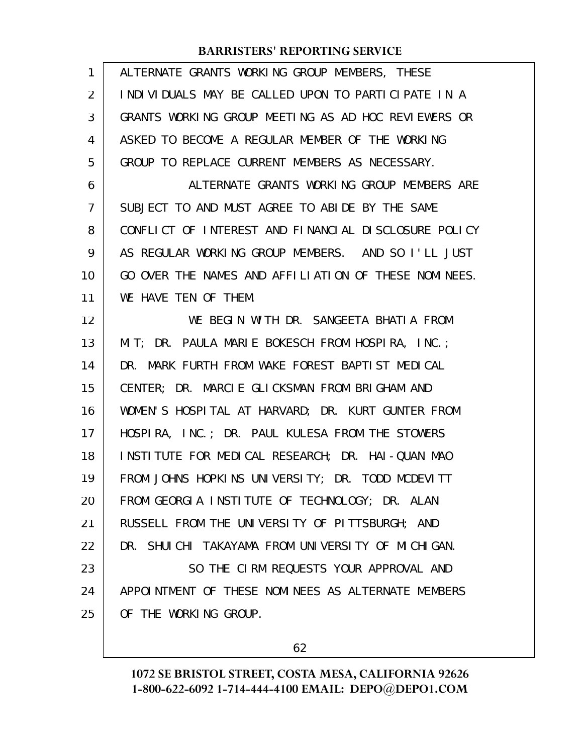| 1              | ALTERNATE GRANTS WORKING GROUP MEMBERS, THESE        |
|----------------|------------------------------------------------------|
| $\overline{2}$ | INDIVIDUALS MAY BE CALLED UPON TO PARTICIPATE IN A   |
| 3              | GRANTS WORKING GROUP MEETING AS AD HOC REVIEWERS OR  |
| 4              | ASKED TO BECOME A REGULAR MEMBER OF THE WORKING      |
| 5              | GROUP TO REPLACE CURRENT MEMBERS AS NECESSARY.       |
| 6              | ALTERNATE GRANTS WORKING GROUP MEMBERS ARE           |
| $\overline{7}$ | SUBJECT TO AND MUST AGREE TO ABIDE BY THE SAME       |
| 8              | CONFLICT OF INTEREST AND FINANCIAL DISCLOSURE POLICY |
| 9              | AS REGULAR WORKING GROUP MEMBERS. AND SO I'LL JUST   |
| 10             | GO OVER THE NAMES AND AFFILIATION OF THESE NOMINEES. |
| 11             | WE HAVE TEN OF THEM.                                 |
| 12             | WE BEGIN WITH DR. SANGEETA BHATIA FROM               |
| 13             | MIT; DR. PAULA MARIE BOKESCH FROM HOSPIRA, INC.;     |
| 14             | DR. MARK FURTH FROM WAKE FOREST BAPTIST MEDICAL      |
| 15             | CENTER; DR. MARCIE GLICKSMAN FROM BRIGHAM AND        |
| 16             | WOMEN'S HOSPITAL AT HARVARD; DR. KURT GUNTER FROM    |
| 17             | HOSPIRA, INC.; DR. PAUL KULESA FROM THE STOWERS      |
| 18             | INSTITUTE FOR MEDICAL RESEARCH; DR. HAI-QUAN MAO     |
| 19             | FROM JOHNS HOPKINS UNIVERSITY; DR. TODD MCDEVITT     |
| 20             | FROM GEORGIA INSTITUTE OF TECHNOLOGY; DR. ALAN       |
| 21             | RUSSELL FROM THE UNIVERSITY OF PITTSBURGH; AND       |
| 22             | DR. SHUICHI TAKAYAMA FROM UNIVERSITY OF MICHIGAN.    |
| 23             | SO THE CIRM REQUESTS YOUR APPROVAL AND               |
| 24             | APPOINTMENT OF THESE NOMINEES AS ALTERNATE MEMBERS   |
| 25             | OF THE WORKING GROUP.                                |
|                |                                                      |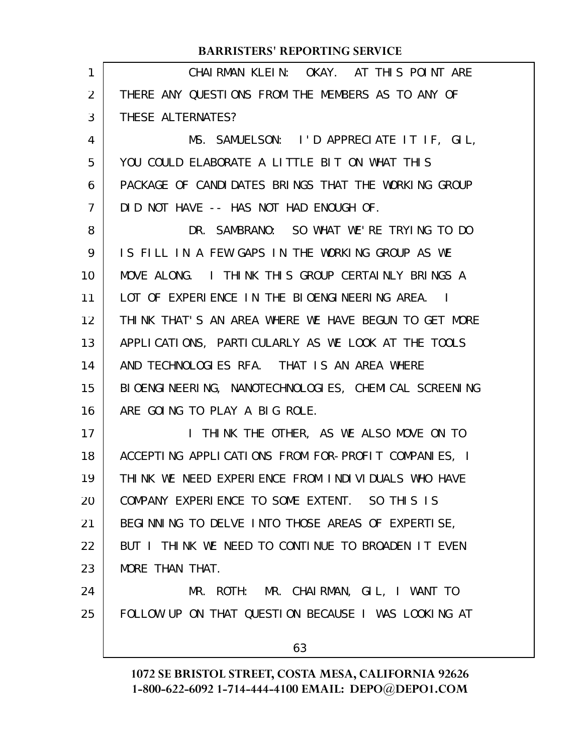| 1  | CHAIRMAN KLEIN: OKAY. AT THIS POINT ARE              |
|----|------------------------------------------------------|
| 2  | THERE ANY QUESTIONS FROM THE MEMBERS AS TO ANY OF    |
| 3  | THESE ALTERNATES?                                    |
| 4  | MS. SAMUELSON: I'D APPRECIATE IT IF, GIL,            |
| 5  | YOU COULD ELABORATE A LITTLE BIT ON WHAT THIS        |
| 6  | PACKAGE OF CANDIDATES BRINGS THAT THE WORKING GROUP  |
| 7  | DID NOT HAVE -- HAS NOT HAD ENOUGH OF.               |
| 8  | DR. SAMBRANO: SO WHAT WE'RE TRYING TO DO             |
| 9  | IS FILL IN A FEW GAPS IN THE WORKING GROUP AS WE     |
| 10 | MOVE ALONG. I THINK THIS GROUP CERTAINLY BRINGS A    |
| 11 | LOT OF EXPERIENCE IN THE BIOENGINEERING AREA. I      |
| 12 | THINK THAT'S AN AREA WHERE WE HAVE BEGUN TO GET MORE |
| 13 | APPLICATIONS, PARTICULARLY AS WE LOOK AT THE TOOLS   |
| 14 | AND TECHNOLOGIES RFA. THAT IS AN AREA WHERE          |
| 15 | BIOENGINEERING, NANOTECHNOLOGIES, CHEMICAL SCREENING |
| 16 | ARE GOING TO PLAY A BIG ROLE.                        |
| 17 | I THINK THE OTHER, AS WE ALSO MOVE ON TO             |
| 18 | ACCEPTING APPLICATIONS FROM FOR-PROFIT COMPANIES, I  |
| 19 | THINK WE NEED EXPERIENCE FROM INDIVIDUALS WHO HAVE   |
| 20 | COMPANY EXPERIENCE TO SOME EXTENT. SO THIS IS        |
| 21 | BEGINNING TO DELVE INTO THOSE AREAS OF EXPERTISE,    |
| 22 | BUT I THINK WE NEED TO CONTINUE TO BROADEN IT EVEN   |
| 23 | MORE THAN THAT.                                      |
| 24 | MR. ROTH: MR. CHAIRMAN, GIL, I WANT TO               |
| 25 | FOLLOW UP ON THAT QUESTION BECAUSE I WAS LOOKING AT  |
|    | 63                                                   |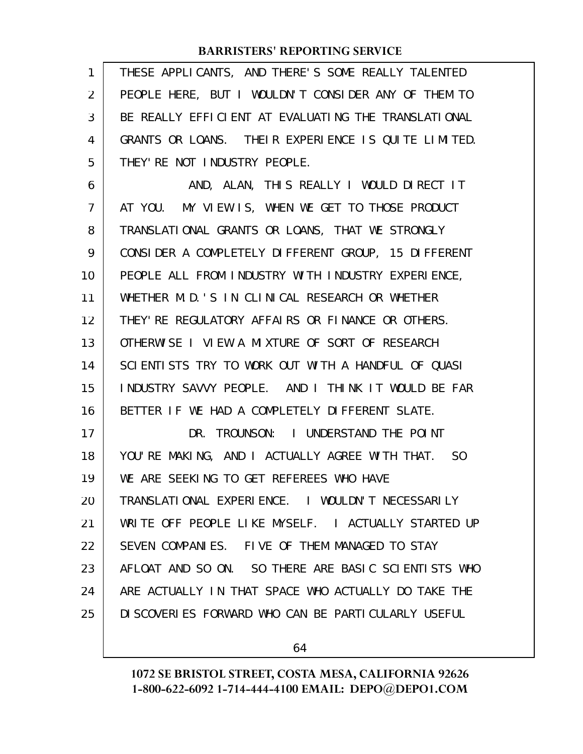| 1  | THESE APPLICANTS, AND THERE'S SOME REALLY TALENTED  |
|----|-----------------------------------------------------|
| 2  | PEOPLE HERE, BUT I WOULDN'T CONSIDER ANY OF THEM TO |
| 3  | BE REALLY EFFICIENT AT EVALUATING THE TRANSLATIONAL |
| 4  | GRANTS OR LOANS. THEIR EXPERIENCE IS QUITE LIMITED. |
| 5  | THEY' RE NOT INDUSTRY PEOPLE.                       |
| 6  | AND, ALAN, THIS REALLY I WOULD DIRECT IT            |
| 7  | AT YOU. MY VIEW IS, WHEN WE GET TO THOSE PRODUCT    |
| 8  | TRANSLATIONAL GRANTS OR LOANS, THAT WE STRONGLY     |
| 9  | CONSIDER A COMPLETELY DIFFERENT GROUP, 15 DIFFERENT |
| 10 | PEOPLE ALL FROM INDUSTRY WITH INDUSTRY EXPERIENCE,  |
| 11 | WHETHER M.D. 'S IN CLINICAL RESEARCH OR WHETHER     |
| 12 | THEY' RE REGULATORY AFFAIRS OR FINANCE OR OTHERS.   |
| 13 | OTHERWISE I VIEW A MIXTURE OF SORT OF RESEARCH      |
| 14 | SCIENTISTS TRY TO WORK OUT WITH A HANDFUL OF QUASI  |
| 15 | INDUSTRY SAVVY PEOPLE. AND I THINK IT WOULD BE FAR  |
| 16 | BETTER IF WE HAD A COMPLETELY DIFFERENT SLATE.      |
| 17 | DR. TROUNSON: I UNDERSTAND THE POINT                |
| 18 | YOU'RE MAKING, AND I ACTUALLY AGREE WITH THAT. SO   |
| 19 | WE ARE SEEKING TO GET REFEREES WHO HAVE             |
| 20 | TRANSLATIONAL EXPERIENCE. I WOULDN'T NECESSARILY    |
| 21 | WRITE OFF PEOPLE LIKE MYSELF. I ACTUALLY STARTED UP |
| 22 | SEVEN COMPANIES. FIVE OF THEM MANAGED TO STAY       |
| 23 | AFLOAT AND SO ON. SO THERE ARE BASIC SCIENTISTS WHO |
| 24 | ARE ACTUALLY IN THAT SPACE WHO ACTUALLY DO TAKE THE |
| 25 | DI SCOVERIES FORWARD WHO CAN BE PARTICULARLY USEFUL |
|    |                                                     |

64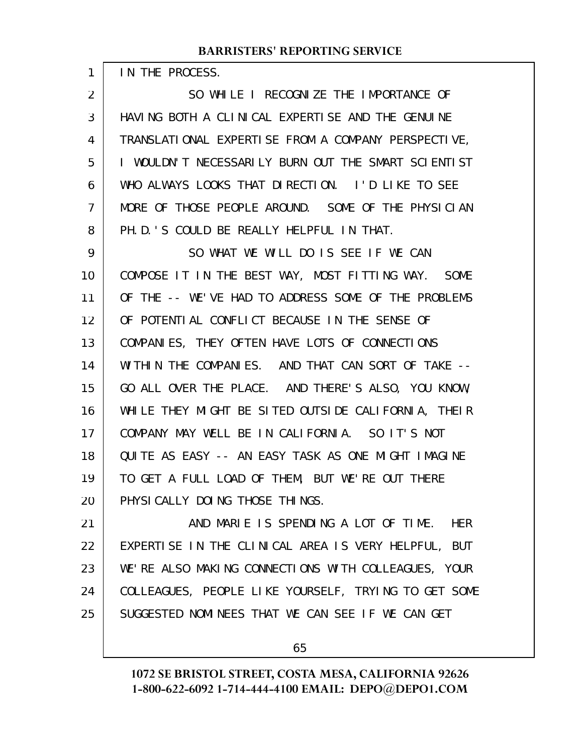IN THE PROCESS.

1

SO WHILE I RECOGNIZE THE IMPORTANCE OF HAVING BOTH A CLINICAL EXPERTISE AND THE GENUINE TRANSLATIONAL EXPERTISE FROM A COMPANY PERSPECTIVE, I WOULDN'T NECESSARILY BURN OUT THE SMART SCIENTIST WHO ALWAYS LOOKS THAT DIRECTION. I'D LIKE TO SEE MORE OF THOSE PEOPLE AROUND. SOME OF THE PHYSICIAN PH.D.'S COULD BE REALLY HELPFUL IN THAT. 2 3 4 5 6 7 8

SO WHAT WE WILL DO IS SEE IF WE CAN COMPOSE IT IN THE BEST WAY, MOST FITTING WAY. SOME OF THE -- WE'VE HAD TO ADDRESS SOME OF THE PROBLEMS OF POTENTIAL CONFLICT BECAUSE IN THE SENSE OF COMPANIES, THEY OFTEN HAVE LOTS OF CONNECTIONS WITHIN THE COMPANIES. AND THAT CAN SORT OF TAKE --GO ALL OVER THE PLACE. AND THERE'S ALSO, YOU KNOW, WHILE THEY MIGHT BE SITED OUTSIDE CALIFORNIA, THEIR COMPANY MAY WELL BE IN CALIFORNIA. SO IT'S NOT QUITE AS EASY -- AN EASY TASK AS ONE MIGHT IMAGINE TO GET A FULL LOAD OF THEM, BUT WE'RE OUT THERE PHYSICALLY DOING THOSE THINGS. 9 10 11 12 13 14 15 16 17 18 19 20

AND MARIE IS SPENDING A LOT OF TIME. HER EXPERTISE IN THE CLINICAL AREA IS VERY HELPFUL, BUT WE'RE ALSO MAKING CONNECTIONS WITH COLLEAGUES, YOUR COLLEAGUES, PEOPLE LIKE YOURSELF, TRYING TO GET SOME SUGGESTED NOMINEES THAT WE CAN SEE IF WE CAN GET 21 22 23 24 25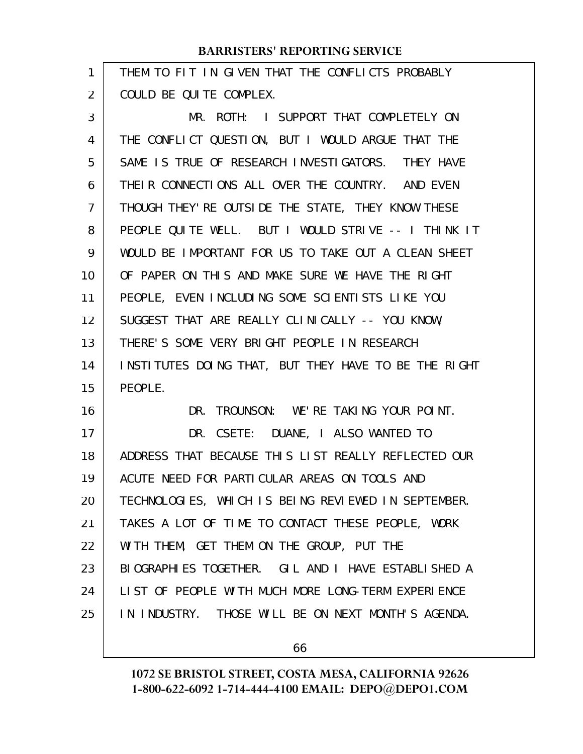| 1  | THEM TO FIT IN GIVEN THAT THE CONFLICTS PROBABLY     |
|----|------------------------------------------------------|
| 2  | COULD BE QUITE COMPLEX.                              |
| 3  | MR. ROTH: I SUPPORT THAT COMPLETELY ON               |
| 4  | THE CONFLICT QUESTION, BUT I WOULD ARGUE THAT THE    |
| 5  | SAME IS TRUE OF RESEARCH INVESTIGATORS. THEY HAVE    |
| 6  | THEIR CONNECTIONS ALL OVER THE COUNTRY. AND EVEN     |
| 7  | THOUGH THEY' RE OUTSIDE THE STATE, THEY KNOW THESE   |
| 8  | PEOPLE QUITE WELL. BUT I WOULD STRIVE -- I THINK IT  |
| 9  | WOULD BE IMPORTANT FOR US TO TAKE OUT A CLEAN SHEET  |
| 10 | OF PAPER ON THIS AND MAKE SURE WE HAVE THE RIGHT     |
| 11 | PEOPLE, EVEN INCLUDING SOME SCIENTISTS LIKE YOU      |
| 12 | SUGGEST THAT ARE REALLY CLINICALLY -- YOU KNOW,      |
| 13 | THERE'S SOME VERY BRIGHT PEOPLE IN RESEARCH          |
| 14 | INSTITUTES DOING THAT, BUT THEY HAVE TO BE THE RIGHT |
| 15 | PEOPLE.                                              |
| 16 | DR. TROUNSON: WE'RE TAKING YOUR POINT.               |
| 17 | DR. CSETE: DUANE, I ALSO WANTED TO                   |
| 18 | ADDRESS THAT BECAUSE THIS LIST REALLY REFLECTED OUR  |
| 19 | ACUTE NEED FOR PARTICULAR AREAS ON TOOLS AND         |
| 20 | TECHNOLOGIES, WHICH IS BEING REVIEWED IN SEPTEMBER.  |
| 21 | TAKES A LOT OF TIME TO CONTACT THESE PEOPLE, WORK    |
| 22 | WITH THEM, GET THEM ON THE GROUP, PUT THE            |
| 23 | BIOGRAPHIES TOGETHER. GIL AND I HAVE ESTABLISHED A   |
| 24 | LIST OF PEOPLE WITH MUCH MORE LONG-TERM EXPERIENCE   |
| 25 | IN INDUSTRY. THOSE WILL BE ON NEXT MONTH'S AGENDA.   |
|    |                                                      |

66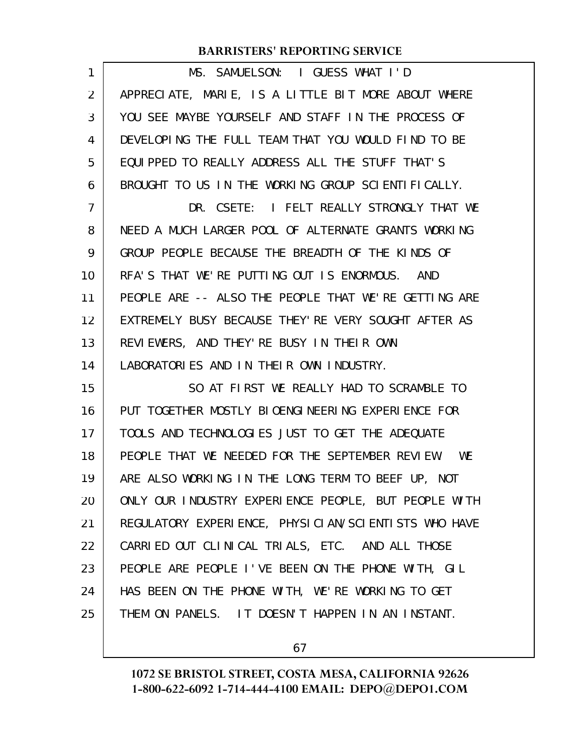| APPRECIATE, MARIE, IS A LITTLE BIT MORE ABOUT WHERE<br>$\overline{2}$<br>YOU SEE MAYBE YOURSELF AND STAFF IN THE PROCESS OF<br>3<br>DEVELOPING THE FULL TEAM THAT YOU WOULD FIND TO BE<br>4<br>EQUIPPED TO REALLY ADDRESS ALL THE STUFF THAT'S<br>5<br>BROUGHT TO US IN THE WORKING GROUP SCIENTIFICALLY.<br>6<br>DR. CSETE: I FELT REALLY STRONGLY THAT WE<br>7<br>NEED A MUCH LARGER POOL OF ALTERNATE GRANTS WORKING<br>8<br>GROUP PEOPLE BECAUSE THE BREADTH OF THE KINDS OF<br>9<br>RFA'S THAT WE'RE PUTTING OUT IS ENORMOUS. AND<br>10<br>PEOPLE ARE -- ALSO THE PEOPLE THAT WE'RE GETTING ARE<br>11<br>EXTREMELY BUSY BECAUSE THEY' RE VERY SOUGHT AFTER AS<br>12 |  |
|--------------------------------------------------------------------------------------------------------------------------------------------------------------------------------------------------------------------------------------------------------------------------------------------------------------------------------------------------------------------------------------------------------------------------------------------------------------------------------------------------------------------------------------------------------------------------------------------------------------------------------------------------------------------------|--|
|                                                                                                                                                                                                                                                                                                                                                                                                                                                                                                                                                                                                                                                                          |  |
|                                                                                                                                                                                                                                                                                                                                                                                                                                                                                                                                                                                                                                                                          |  |
|                                                                                                                                                                                                                                                                                                                                                                                                                                                                                                                                                                                                                                                                          |  |
|                                                                                                                                                                                                                                                                                                                                                                                                                                                                                                                                                                                                                                                                          |  |
|                                                                                                                                                                                                                                                                                                                                                                                                                                                                                                                                                                                                                                                                          |  |
|                                                                                                                                                                                                                                                                                                                                                                                                                                                                                                                                                                                                                                                                          |  |
|                                                                                                                                                                                                                                                                                                                                                                                                                                                                                                                                                                                                                                                                          |  |
|                                                                                                                                                                                                                                                                                                                                                                                                                                                                                                                                                                                                                                                                          |  |
|                                                                                                                                                                                                                                                                                                                                                                                                                                                                                                                                                                                                                                                                          |  |
|                                                                                                                                                                                                                                                                                                                                                                                                                                                                                                                                                                                                                                                                          |  |
|                                                                                                                                                                                                                                                                                                                                                                                                                                                                                                                                                                                                                                                                          |  |
| REVIEWERS, AND THEY'RE BUSY IN THEIR OWN<br>13                                                                                                                                                                                                                                                                                                                                                                                                                                                                                                                                                                                                                           |  |
| LABORATORIES AND IN THEIR OWN INDUSTRY.<br>14                                                                                                                                                                                                                                                                                                                                                                                                                                                                                                                                                                                                                            |  |
| 15<br>SO AT FIRST WE REALLY HAD TO SCRAMBLE TO                                                                                                                                                                                                                                                                                                                                                                                                                                                                                                                                                                                                                           |  |
| PUT TOGETHER MOSTLY BIOENGINEERING EXPERIENCE FOR<br>16                                                                                                                                                                                                                                                                                                                                                                                                                                                                                                                                                                                                                  |  |
| TOOLS AND TECHNOLOGIES JUST TO GET THE ADEQUATE<br>17                                                                                                                                                                                                                                                                                                                                                                                                                                                                                                                                                                                                                    |  |
| PEOPLE THAT WE NEEDED FOR THE SEPTEMBER REVIEW. WE<br>18                                                                                                                                                                                                                                                                                                                                                                                                                                                                                                                                                                                                                 |  |
| ARE ALSO WORKING IN THE LONG TERM TO BEEF UP, NOT<br>19                                                                                                                                                                                                                                                                                                                                                                                                                                                                                                                                                                                                                  |  |
| ONLY OUR INDUSTRY EXPERIENCE PEOPLE, BUT PEOPLE WITH<br>20                                                                                                                                                                                                                                                                                                                                                                                                                                                                                                                                                                                                               |  |
| REGULATORY EXPERIENCE, PHYSICIAN/SCIENTISTS WHO HAVE<br>21                                                                                                                                                                                                                                                                                                                                                                                                                                                                                                                                                                                                               |  |
| CARRIED OUT CLINICAL TRIALS, ETC. AND ALL THOSE<br>22                                                                                                                                                                                                                                                                                                                                                                                                                                                                                                                                                                                                                    |  |
| PEOPLE ARE PEOPLE I'VE BEEN ON THE PHONE WITH, GIL<br>23                                                                                                                                                                                                                                                                                                                                                                                                                                                                                                                                                                                                                 |  |
| HAS BEEN ON THE PHONE WITH, WE'RE WORKING TO GET<br>24                                                                                                                                                                                                                                                                                                                                                                                                                                                                                                                                                                                                                   |  |
|                                                                                                                                                                                                                                                                                                                                                                                                                                                                                                                                                                                                                                                                          |  |

67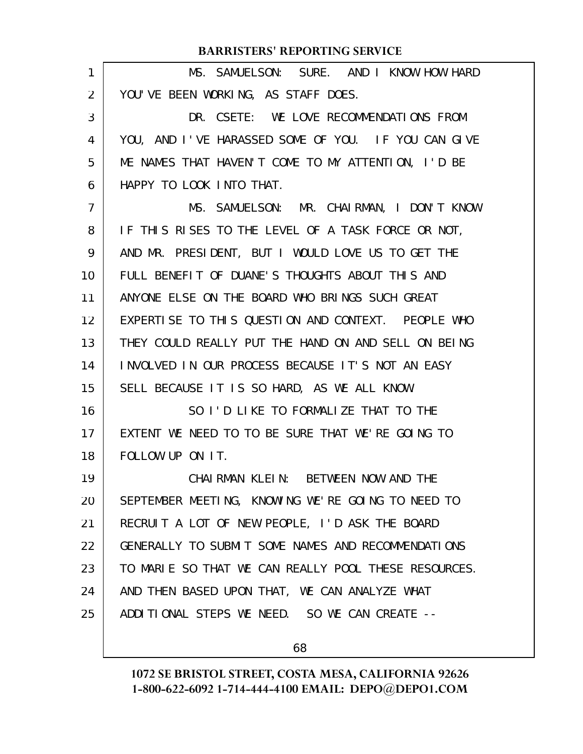| 1  | MS. SAMUELSON: SURE. AND I KNOW HOW HARD             |
|----|------------------------------------------------------|
| 2  | YOU'VE BEEN WORKING, AS STAFF DOES.                  |
| 3  | DR. CSETE: WE LOVE RECOMMENDATIONS FROM              |
| 4  | YOU, AND I'VE HARASSED SOME OF YOU. IF YOU CAN GIVE  |
| 5  | ME NAMES THAT HAVEN'T COME TO MY ATTENTION, I'D BE   |
| 6  | HAPPY TO LOOK INTO THAT.                             |
| 7  | MS. SAMUELSON: MR. CHAIRMAN, I DON'T KNOW            |
| 8  | IF THIS RISES TO THE LEVEL OF A TASK FORCE OR NOT,   |
| 9  | AND MR. PRESIDENT, BUT I WOULD LOVE US TO GET THE    |
| 10 | FULL BENEFIT OF DUANE'S THOUGHTS ABOUT THIS AND      |
| 11 | ANYONE ELSE ON THE BOARD WHO BRINGS SUCH GREAT       |
| 12 | EXPERTISE TO THIS QUESTION AND CONTEXT. PEOPLE WHO   |
| 13 | THEY COULD REALLY PUT THE HAND ON AND SELL ON BEING  |
| 14 | INVOLVED IN OUR PROCESS BECAUSE IT'S NOT AN EASY     |
| 15 | SELL BECAUSE IT IS SO HARD, AS WE ALL KNOW.          |
| 16 | SO I'D LIKE TO FORMALIZE THAT TO THE                 |
| 17 | EXTENT WE NEED TO TO BE SURE THAT WE'RE GOING TO     |
| 18 | FOLLOW UP ON IT.                                     |
| 19 | CHAI RMAN KLEIN: BETWEEN NOW AND THE                 |
| 20 | SEPTEMBER MEETING, KNOWING WE'RE GOING TO NEED TO    |
| 21 | RECRUIT A LOT OF NEW PEOPLE, I'D ASK THE BOARD       |
| 22 | GENERALLY TO SUBMIT SOME NAMES AND RECOMMENDATIONS   |
| 23 | TO MARIE SO THAT WE CAN REALLY POOL THESE RESOURCES. |
| 24 | AND THEN BASED UPON THAT, WE CAN ANALYZE WHAT        |
| 25 | ADDITIONAL STEPS WE NEED. SO WE CAN CREATE --        |
|    |                                                      |

68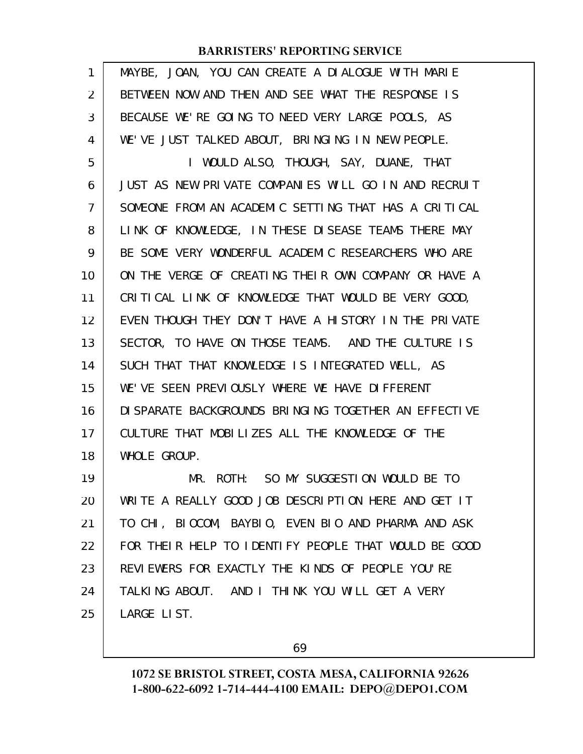| 1  | MAYBE, JOAN, YOU CAN CREATE A DIALOGUE WITH MARIE     |
|----|-------------------------------------------------------|
| 2  | BETWEEN NOW AND THEN AND SEE WHAT THE RESPONSE IS     |
| 3  | BECAUSE WE'RE GOING TO NEED VERY LARGE POOLS, AS      |
| 4  | WE'VE JUST TALKED ABOUT, BRINGING IN NEW PEOPLE.      |
| 5  | I WOULD ALSO, THOUGH, SAY, DUANE, THAT                |
| 6  | JUST AS NEW PRIVATE COMPANIES WILL GO IN AND RECRUIT  |
| 7  | SOMEONE FROM AN ACADEMIC SETTING THAT HAS A CRITICAL  |
| 8  | LINK OF KNOWLEDGE, IN THESE DISEASE TEAMS THERE MAY   |
| 9  | BE SOME VERY WONDERFUL ACADEMIC RESEARCHERS WHO ARE   |
| 10 | ON THE VERGE OF CREATING THEIR OWN COMPANY OR HAVE A  |
| 11 | CRITICAL LINK OF KNOWLEDGE THAT WOULD BE VERY GOOD,   |
| 12 | EVEN THOUGH THEY DON'T HAVE A HISTORY IN THE PRIVATE  |
| 13 | SECTOR, TO HAVE ON THOSE TEAMS. AND THE CULTURE IS    |
| 14 | SUCH THAT THAT KNOWLEDGE IS INTEGRATED WELL, AS       |
| 15 | WE'VE SEEN PREVIOUSLY WHERE WE HAVE DIFFERENT         |
| 16 | DI SPARATE BACKGROUNDS BRINGING TOGETHER AN EFFECTIVE |
| 17 | CULTURE THAT MOBILIZES ALL THE KNOWLEDGE OF THE       |
| 18 | WHOLE GROUP.                                          |
| 19 | MR. ROTH: SO MY SUGGESTION WOULD BE TO                |
| 20 | WRITE A REALLY GOOD JOB DESCRIPTION HERE AND GET IT   |
| 21 | TO CHI, BIOCOM, BAYBIO, EVEN BIO AND PHARMA AND ASK   |
| 22 | FOR THEIR HELP TO IDENTIFY PEOPLE THAT WOULD BE GOOD  |
| 23 | REVIEWERS FOR EXACTLY THE KINDS OF PEOPLE YOU'RE      |
| 24 | TALKING ABOUT. AND I THINK YOU WILL GET A VERY        |
| 25 | LARGE LIST.                                           |
|    |                                                       |

69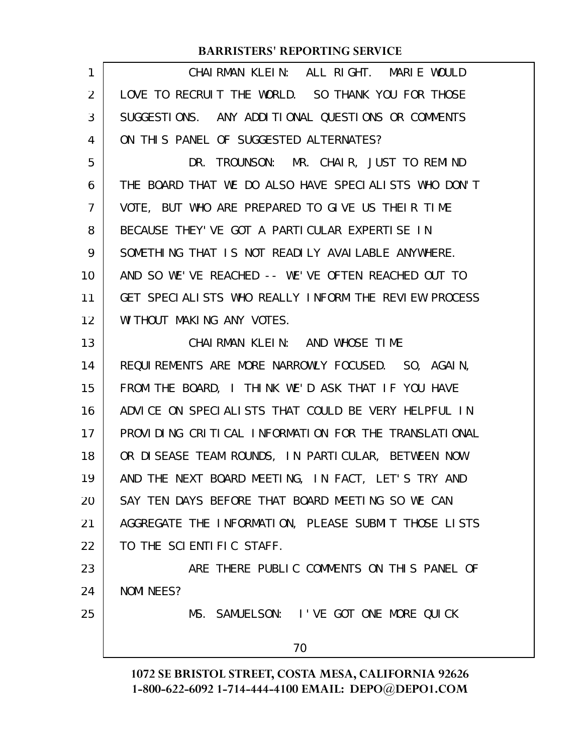| 1  | CHAIRMAN KLEIN: ALL RIGHT. MARIE WOULD               |
|----|------------------------------------------------------|
| 2  | LOVE TO RECRUIT THE WORLD. SO THANK YOU FOR THOSE    |
| 3  | SUGGESTIONS. ANY ADDITIONAL QUESTIONS OR COMMENTS    |
| 4  | ON THIS PANEL OF SUGGESTED ALTERNATES?               |
| 5  | DR. TROUNSON: MR. CHAIR, JUST TO REMIND              |
| 6  | THE BOARD THAT WE DO ALSO HAVE SPECIALISTS WHO DON'T |
| 7  | VOTE, BUT WHO ARE PREPARED TO GIVE US THEIR TIME     |
| 8  | BECAUSE THEY' VE GOT A PARTICULAR EXPERTISE IN       |
| 9  | SOMETHING THAT IS NOT READILY AVAILABLE ANYWHERE.    |
| 10 | AND SO WE'VE REACHED -- WE'VE OFTEN REACHED OUT TO   |
| 11 | GET SPECIALISTS WHO REALLY INFORM THE REVIEW PROCESS |
| 12 | WITHOUT MAKING ANY VOTES.                            |
| 13 | CHAIRMAN KLEIN: AND WHOSE TIME                       |
| 14 | REQUIREMENTS ARE MORE NARROWLY FOCUSED. SO, AGAIN,   |
| 15 | FROM THE BOARD, I THINK WE'D ASK THAT IF YOU HAVE    |
| 16 | ADVICE ON SPECIALISTS THAT COULD BE VERY HELPFUL IN  |
| 17 | PROVIDING CRITICAL INFORMATION FOR THE TRANSLATIONAL |
| 18 | OR DISEASE TEAM ROUNDS, IN PARTICULAR, BETWEEN NOW   |
| 19 | AND THE NEXT BOARD MEETING, IN FACT, LET'S TRY AND   |
| 20 | SAY TEN DAYS BEFORE THAT BOARD MEETING SO WE CAN     |
| 21 | AGGREGATE THE INFORMATION, PLEASE SUBMIT THOSE LISTS |
| 22 | TO THE SCIENTIFIC STAFF.                             |
| 23 | ARE THERE PUBLIC COMMENTS ON THIS PANEL OF           |
| 24 | NOMI NEES?                                           |
| 25 | MS. SAMUELSON: I'VE GOT ONE MORE QUICK               |
|    | 70                                                   |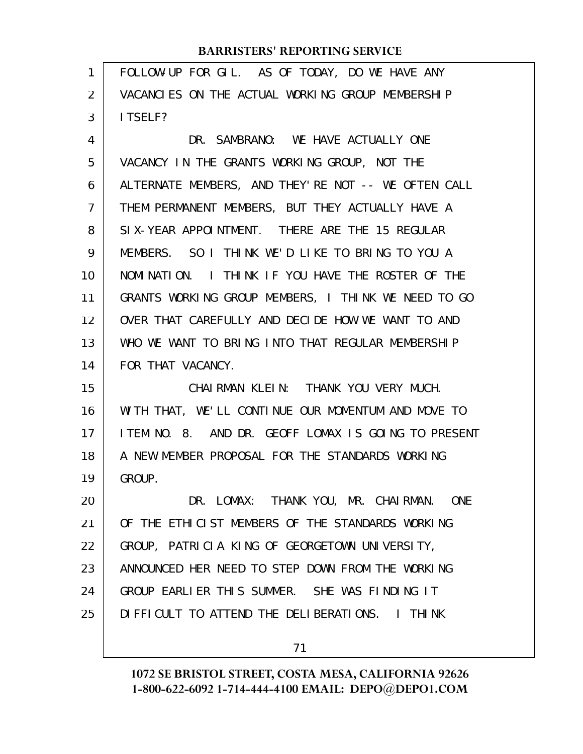| 1              | FOLLOW-UP FOR GIL. AS OF TODAY, DO WE HAVE ANY      |
|----------------|-----------------------------------------------------|
| 2              | VACANCLES ON THE ACTUAL WORKING GROUP MEMBERSHIP    |
| 3              | I TSELF?                                            |
| 4              | DR. SAMBRANO: WE HAVE ACTUALLY ONE                  |
| 5              | VACANCY IN THE GRANTS WORKING GROUP, NOT THE        |
| 6              | ALTERNATE MEMBERS, AND THEY'RE NOT -- WE OFTEN CALL |
| $\overline{7}$ | THEM PERMANENT MEMBERS, BUT THEY ACTUALLY HAVE A    |
| 8              | SIX-YEAR APPOINTMENT. THERE ARE THE 15 REGULAR      |
| 9              | MEMBERS. SO I THINK WE'D LIKE TO BRING TO YOU A     |
| 10             | NOMINATION. I THINK IF YOU HAVE THE ROSTER OF THE   |
| 11             | GRANTS WORKING GROUP MEMBERS, I THINK WE NEED TO GO |
| 12             | OVER THAT CAREFULLY AND DECIDE HOW WE WANT TO AND   |
| 13             | WHO WE WANT TO BRING INTO THAT REGULAR MEMBERSHIP   |
| 14             | FOR THAT VACANCY.                                   |
| 15             | CHAIRMAN KLEIN: THANK YOU VERY MUCH.                |
| 16             | WITH THAT, WE'LL CONTINUE OUR MOMENTUM AND MOVE TO  |
| 17             | ITEM NO. 8. AND DR. GEOFF LOMAX IS GOING TO PRESENT |
| 18             | A NEW MEMBER PROPOSAL FOR THE STANDARDS WORKING     |
| 19             | GROUP.                                              |
| 20             | DR. LOMAX: THANK YOU, MR. CHAIRMAN.<br><b>ONE</b>   |
| 21             | OF THE ETHICLST MEMBERS OF THE STANDARDS WORKING    |
| 22             |                                                     |
|                | GROUP, PATRICIA KING OF GEORGETOWN UNIVERSITY,      |
| 23             | ANNOUNCED HER NEED TO STEP DOWN FROM THE WORKING    |
| 24             | GROUP EARLIER THIS SUMMER. SHE WAS FINDING IT       |
| 25             | DIFFICULT TO ATTEND THE DELIBERATIONS. I THINK      |

71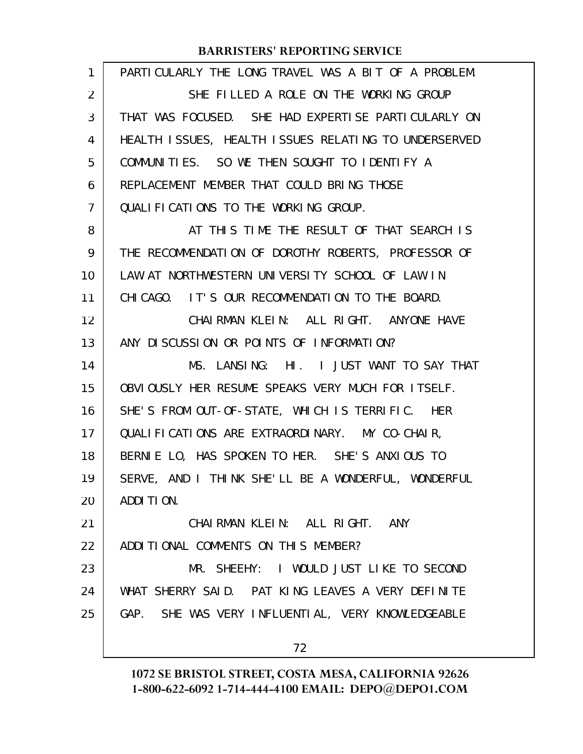| 1  | PARTICULARLY THE LONG TRAVEL WAS A BIT OF A PROBLEM. |
|----|------------------------------------------------------|
| 2  | SHE FILLED A ROLE ON THE WORKING GROUP               |
| 3  | THAT WAS FOCUSED. SHE HAD EXPERTISE PARTICULARLY ON  |
| 4  | HEALTH ISSUES, HEALTH ISSUES RELATING TO UNDERSERVED |
| 5  | COMMUNITIES. SO WE THEN SOUGHT TO IDENTIFY A         |
| 6  | REPLACEMENT MEMBER THAT COULD BRING THOSE            |
| 7  | QUALIFICATIONS TO THE WORKING GROUP.                 |
| 8  | AT THIS TIME THE RESULT OF THAT SEARCH IS            |
| 9  | THE RECOMMENDATION OF DOROTHY ROBERTS, PROFESSOR OF  |
| 10 | LAW AT NORTHWESTERN UNIVERSITY SCHOOL OF LAW IN      |
| 11 | CHICAGO. IT'S OUR RECOMMENDATION TO THE BOARD.       |
| 12 | CHAIRMAN KLEIN: ALL RIGHT. ANYONE HAVE               |
| 13 | ANY DISCUSSION OR POINTS OF INFORMATION?             |
| 14 | MS. LANSING: HI. I JUST WANT TO SAY THAT             |
| 15 | OBVIOUSLY HER RESUME SPEAKS VERY MUCH FOR ITSELF.    |
| 16 | SHE'S FROM OUT-OF-STATE, WHICH IS TERRIFIC. HER      |
| 17 | QUALIFICATIONS ARE EXTRAORDINARY. MY CO-CHAIR,       |
| 18 | BERNIE LO, HAS SPOKEN TO HER. SHE'S ANXIOUS TO       |
| 19 | SERVE, AND I THINK SHE'LL BE A WONDERFUL, WONDERFUL  |
| 20 | ADDITION.                                            |
| 21 | CHAIRMAN KLEIN: ALL RIGHT. ANY                       |
| 22 | ADDITIONAL COMMENTS ON THIS MEMBER?                  |
| 23 | MR. SHEEHY: I WOULD JUST LIKE TO SECOND              |
| 24 | WHAT SHERRY SAID. PAT KING LEAVES A VERY DEFINITE    |
| 25 | GAP. SHE WAS VERY INFLUENTIAL, VERY KNOWLEDGEABLE    |
|    | 72                                                   |
|    |                                                      |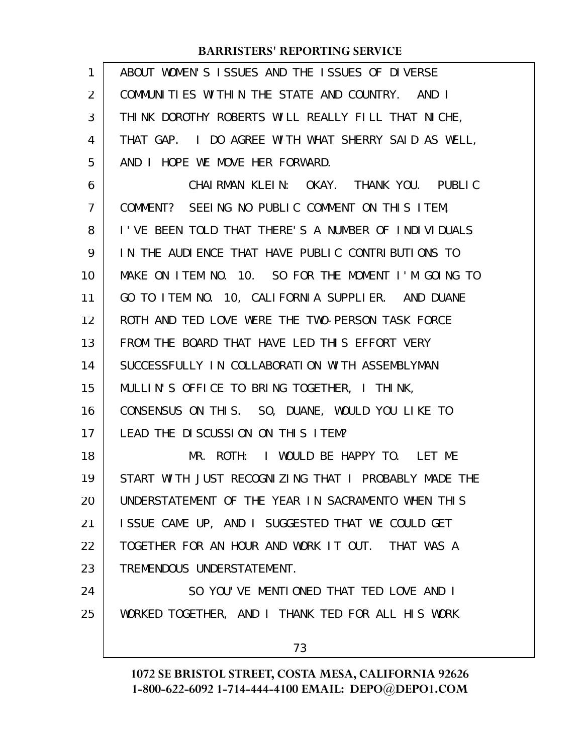| 1              | ABOUT WOMEN'S ISSUES AND THE ISSUES OF DIVERSE       |
|----------------|------------------------------------------------------|
| $\overline{2}$ | COMMUNITIES WITHIN THE STATE AND COUNTRY. AND I      |
| 3              | THINK DOROTHY ROBERTS WILL REALLY FILL THAT NICHE,   |
| 4              | THAT GAP. I DO AGREE WITH WHAT SHERRY SAID AS WELL,  |
| 5              | AND I HOPE WE MOVE HER FORWARD.                      |
| 6              | CHAIRMAN KLEIN: OKAY. THANK YOU. PUBLIC              |
| $\overline{7}$ | COMMENT? SEEING NO PUBLIC COMMENT ON THIS ITEM,      |
| 8              | I'VE BEEN TOLD THAT THERE'S A NUMBER OF INDIVIDUALS  |
| 9              | IN THE AUDIENCE THAT HAVE PUBLIC CONTRIBUTIONS TO    |
| 10             | MAKE ON ITEM NO. 10. SO FOR THE MOMENT I'M GOING TO  |
| 11             | GO TO ITEM NO. 10, CALIFORNIA SUPPLIER. AND DUANE    |
| 12             | ROTH AND TED LOVE WERE THE TWO-PERSON TASK FORCE     |
| 13             | FROM THE BOARD THAT HAVE LED THIS EFFORT VERY        |
| 14             | SUCCESSFULLY IN COLLABORATION WITH ASSEMBLYMAN       |
| 15             | MULLIN'S OFFICE TO BRING TOGETHER, I THINK,          |
| 16             | CONSENSUS ON THIS. SO, DUANE, WOULD YOU LIKE TO      |
| 17             | LEAD THE DISCUSSION ON THIS ITEM?                    |
| 18             | I WOULD BE HAPPY TO. LET ME<br>MR. ROTH:             |
| 19             | START WITH JUST RECOGNIZING THAT I PROBABLY MADE THE |
| 20             | UNDERSTATEMENT OF THE YEAR IN SACRAMENTO WHEN THIS   |
| 21             | ISSUE CAME UP, AND I SUGGESTED THAT WE COULD GET     |
| 22             | TOGETHER FOR AN HOUR AND WORK IT OUT. THAT WAS A     |
| 23             | TREMENDOUS UNDERSTATEMENT.                           |
| 24             | SO YOU'VE MENTIONED THAT TED LOVE AND I              |
| 25             | WORKED TOGETHER, AND I THANK TED FOR ALL HIS WORK    |
|                | 73                                                   |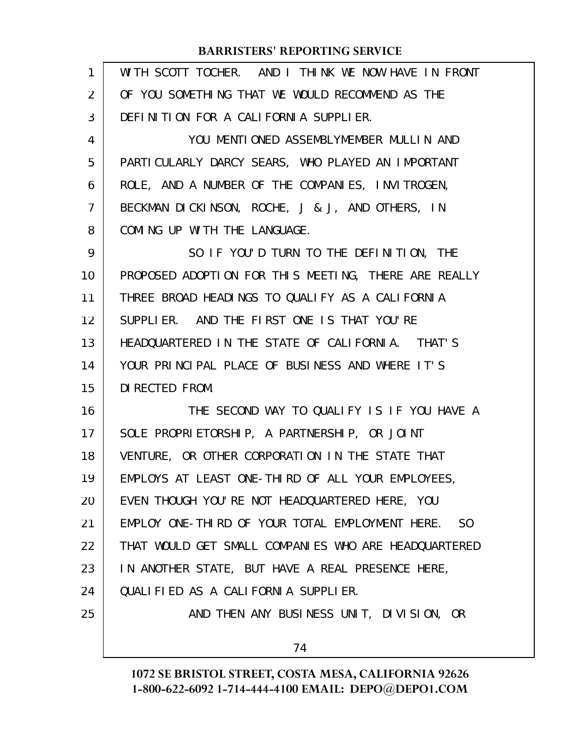| 1              | WITH SCOTT TOCHER. AND I THINK WE NOW HAVE IN FRONT               |
|----------------|-------------------------------------------------------------------|
| $\overline{2}$ | OF YOU SOMETHING THAT WE WOULD RECOMMEND AS THE                   |
| 3              | DEFINITION FOR A CALIFORNIA SUPPLIER.                             |
| 4              | YOU MENTIONED ASSEMBLYMEMBER MULLIN AND                           |
| 5              | PARTICULARLY DARCY SEARS, WHO PLAYED AN IMPORTANT                 |
| 6              | ROLE, AND A NUMBER OF THE COMPANIES, INVITROGEN,                  |
| 7              | BECKMAN DICKINSON, ROCHE, J & J, AND OTHERS, IN                   |
| 8              | COMING UP WITH THE LANGUAGE.                                      |
| 9              | SO IF YOU'D TURN TO THE DEFINITION, THE                           |
| 10             | PROPOSED ADOPTION FOR THIS MEETING, THERE ARE REALLY              |
| 11             | THREE BROAD HEADINGS TO QUALIFY AS A CALIFORNIA                   |
| 12             | SUPPLIER. AND THE FIRST ONE IS THAT YOU'RE                        |
| 13             | HEADQUARTERED IN THE STATE OF CALIFORNIA. THAT'S                  |
| 14             | YOUR PRINCIPAL PLACE OF BUSINESS AND WHERE IT'S                   |
| 15             | DI RECTED FROM.                                                   |
| 16             | THE SECOND WAY TO QUALIFY IS IF YOU HAVE A                        |
| 17             | SOLE PROPRIETORSHIP, A PARTNERSHIP, OR JOINT                      |
| 18             | VENTURE, OR OTHER CORPORATION IN THE STATE THAT                   |
| 19             | EMPLOYS AT LEAST ONE-THIRD OF ALL YOUR EMPLOYEES,                 |
| 20             | EVEN THOUGH YOU'RE NOT HEADQUARTERED HERE, YOU                    |
| 21             | EMPLOY ONE-THIRD OF YOUR TOTAL EMPLOYMENT HERE.<br>S <sub>0</sub> |
| 22             | THAT WOULD GET SMALL COMPANIES WHO ARE HEADQUARTERED              |
| 23             | IN ANOTHER STATE, BUT HAVE A REAL PRESENCE HERE,                  |
| 24             | QUALIFIED AS A CALIFORNIA SUPPLIER.                               |
| 25             | AND THEN ANY BUSINESS UNIT, DIVISION, OR                          |
|                | 74                                                                |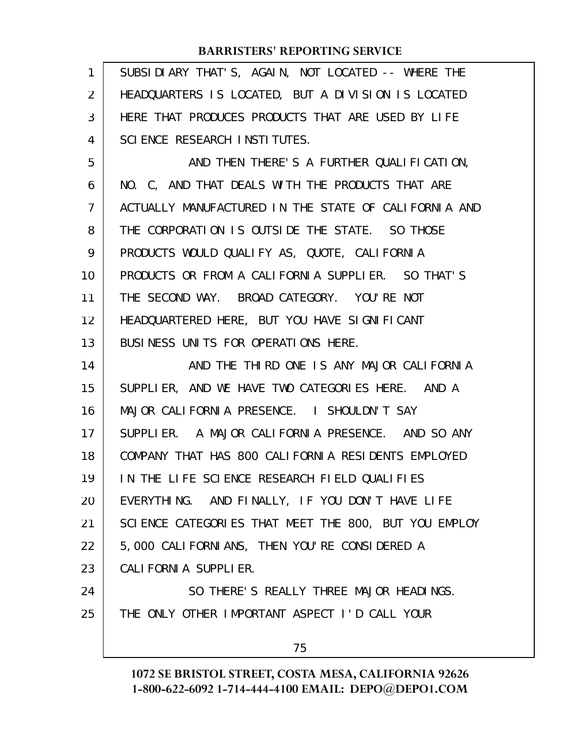| 1  | SUBSIDIARY THAT'S, AGAIN, NOT LOCATED -- WHERE THE   |
|----|------------------------------------------------------|
| 2  | HEADQUARTERS IS LOCATED, BUT A DIVISION IS LOCATED   |
| 3  | HERE THAT PRODUCES PRODUCTS THAT ARE USED BY LIFE    |
| 4  | SCIENCE RESEARCH INSTITUTES.                         |
| 5  | AND THEN THERE'S A FURTHER QUALIFICATION,            |
| 6  | NO. C, AND THAT DEALS WITH THE PRODUCTS THAT ARE     |
| 7  | ACTUALLY MANUFACTURED IN THE STATE OF CALIFORNIA AND |
| 8  | THE CORPORATION IS OUTSIDE THE STATE. SO THOSE       |
| 9  | PRODUCTS WOULD QUALIFY AS, QUOTE, CALIFORNIA         |
| 10 | PRODUCTS OR FROM A CALIFORNIA SUPPLIER. SO THAT'S    |
| 11 | THE SECOND WAY. BROAD CATEGORY. YOU'RE NOT           |
| 12 | HEADQUARTERED HERE, BUT YOU HAVE SIGNIFICANT         |
| 13 | BUSINESS UNITS FOR OPERATIONS HERE.                  |
| 14 | AND THE THIRD ONE IS ANY MAJOR CALIFORNIA            |
| 15 | SUPPLIER, AND WE HAVE TWO CATEGORIES HERE. AND A     |
| 16 | MAJOR CALIFORNIA PRESENCE. I SHOULDN'T SAY           |
| 17 | SUPPLIER. A MAJOR CALIFORNIA PRESENCE. AND SO ANY    |
| 18 | COMPANY THAT HAS 800 CALI FORNIA RESIDENTS EMPLOYED  |
| 19 | IN THE LIFE SCIENCE RESEARCH FIELD QUALIFIES         |
| 20 | EVERYTHING. AND FINALLY, IF YOU DON'T HAVE LIFE      |
| 21 | SCIENCE CATEGORIES THAT MEET THE 800, BUT YOU EMPLOY |
| 22 | 5,000 CALI FORNI ANS, THEN YOU' RE CONSI DERED A     |
| 23 | CALI FORNI A SUPPLI ER.                              |
| 24 | SO THERE'S REALLY THREE MAJOR HEADINGS.              |
| 25 | THE ONLY OTHER IMPORTANT ASPECT I'D CALL YOUR        |
|    | 75                                                   |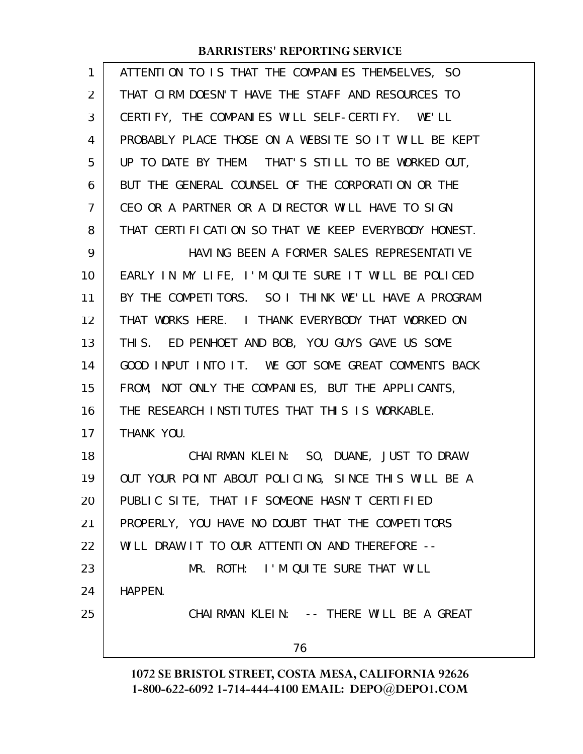| 1              | ATTENTION TO IS THAT THE COMPANIES THEMSELVES, SO    |
|----------------|------------------------------------------------------|
| 2              | THAT CIRM DOESN'T HAVE THE STAFF AND RESOURCES TO    |
| 3              | CERTIFY, THE COMPANIES WILL SELF-CERTIFY. WE'LL      |
| 4              | PROBABLY PLACE THOSE ON A WEBSITE SO IT WILL BE KEPT |
| 5              | UP TO DATE BY THEM. THAT'S STILL TO BE WORKED OUT,   |
| 6              | BUT THE GENERAL COUNSEL OF THE CORPORATION OR THE    |
| $\overline{7}$ | CEO OR A PARTNER OR A DIRECTOR WILL HAVE TO SIGN     |
| 8              | THAT CERTIFICATION SO THAT WE KEEP EVERYBODY HONEST. |
| 9              | HAVING BEEN A FORMER SALES REPRESENTATIVE            |
| 10             | EARLY IN MY LIFE, I'M QUITE SURE IT WILL BE POLICED  |
| 11             | BY THE COMPETITORS. SO I THINK WE'LL HAVE A PROGRAM  |
| 12             | THAT WORKS HERE. I THANK EVERYBODY THAT WORKED ON    |
| 13             | THIS. ED PENHOET AND BOB, YOU GUYS GAVE US SOME      |
| 14             | GOOD INPUT INTO IT. WE GOT SOME GREAT COMMENTS BACK  |
| 15             | FROM, NOT ONLY THE COMPANIES, BUT THE APPLICANTS,    |
| 16             | THE RESEARCH INSTITUTES THAT THIS IS WORKABLE.       |
| 17             | THANK YOU.                                           |
| 18             | CHAIRMAN KLEIN: SO, DUANE, JUST TO DRAW              |
| 19             | OUT YOUR POINT ABOUT POLICING, SINCE THIS WILL BE A  |
| 20             | PUBLIC SITE, THAT IF SOMEONE HASN'T CERTIFIED        |
| 21             | PROPERLY, YOU HAVE NO DOUBT THAT THE COMPETITORS     |
| 22             | WILL DRAW IT TO OUR ATTENTION AND THEREFORE --       |
| 23             | MR. ROTH: I'M QUITE SURE THAT WILL                   |
| 24             | HAPPEN.                                              |
| 25             | CHAIRMAN KLEIN: -- THERE WILL BE A GREAT             |
|                | 76                                                   |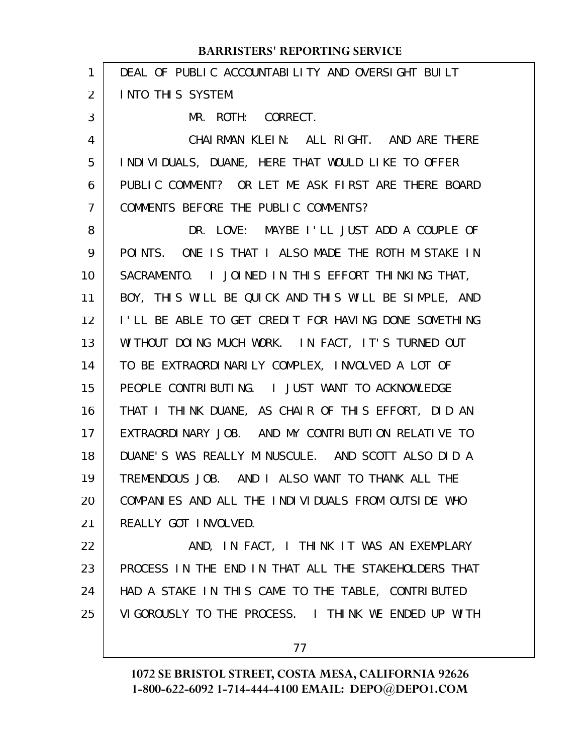| 1  | DEAL OF PUBLIC ACCOUNTABILITY AND OVERSIGHT BUILT    |
|----|------------------------------------------------------|
| 2  | <b>INTO THIS SYSTEM.</b>                             |
| 3  | MR. ROTH: CORRECT.                                   |
| 4  | CHAIRMAN KLEIN: ALL RIGHT. AND ARE THERE             |
| 5  | INDIVIDUALS, DUANE, HERE THAT WOULD LIKE TO OFFER    |
| 6  | PUBLIC COMMENT? OR LET ME ASK FIRST ARE THERE BOARD  |
| 7  | COMMENTS BEFORE THE PUBLIC COMMENTS?                 |
| 8  | DR. LOVE: MAYBE I'LL JUST ADD A COUPLE OF            |
| 9  | POINTS. ONE IS THAT I ALSO MADE THE ROTH MISTAKE IN  |
| 10 | SACRAMENTO. I JOINED IN THIS EFFORT THINKING THAT,   |
| 11 | BOY, THIS WILL BE QUICK AND THIS WILL BE SIMPLE, AND |
| 12 | I'LL BE ABLE TO GET CREDIT FOR HAVING DONE SOMETHING |
| 13 | WITHOUT DOING MUCH WORK. IN FACT, IT'S TURNED OUT    |
| 14 | TO BE EXTRAORDINARILY COMPLEX, INVOLVED A LOT OF     |
| 15 | PEOPLE CONTRIBUTING. I JUST WANT TO ACKNOWLEDGE      |
| 16 | THAT I THINK DUANE, AS CHAIR OF THIS EFFORT, DID AN  |
| 17 | EXTRAORDINARY JOB. AND MY CONTRIBUTION RELATIVE TO   |
| 18 | DUANE'S WAS REALLY MINUSCULE. AND SCOTT ALSO DID A   |
| 19 | TREMENDOUS JOB. AND I ALSO WANT TO THANK ALL THE     |
| 20 | COMPANIES AND ALL THE INDIVIDUALS FROM OUTSIDE WHO   |
| 21 | REALLY GOT INVOLVED.                                 |
| 22 | AND, IN FACT, I THINK IT WAS AN EXEMPLARY            |
| 23 | PROCESS IN THE END IN THAT ALL THE STAKEHOLDERS THAT |
| 24 | HAD A STAKE IN THIS CAME TO THE TABLE, CONTRIBUTED   |
| 25 | VIGOROUSLY TO THE PROCESS. I THINK WE ENDED UP WITH  |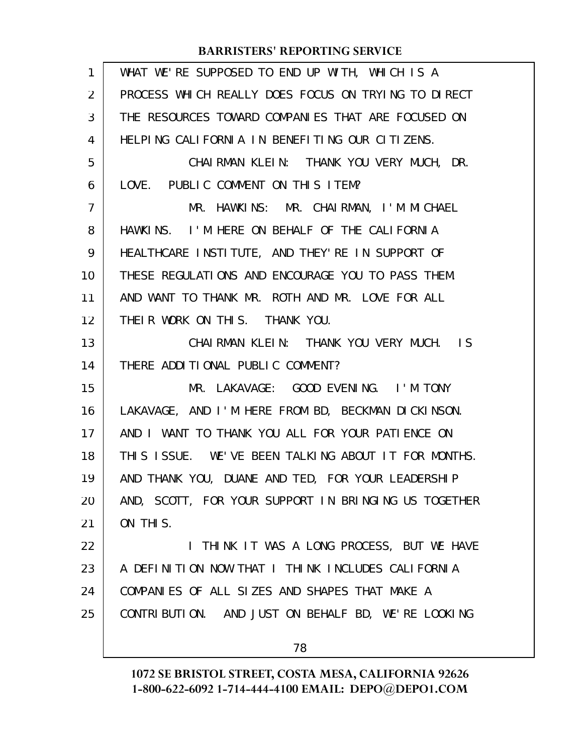| $\mathbf{1}$   | WHAT WE'RE SUPPOSED TO END UP WITH, WHICH IS A       |
|----------------|------------------------------------------------------|
| $\overline{2}$ | PROCESS WHICH REALLY DOES FOCUS ON TRYING TO DIRECT  |
| 3              | THE RESOURCES TOWARD COMPANIES THAT ARE FOCUSED ON   |
| 4              | HELPING CALIFORNIA IN BENEFITING OUR CITIZENS.       |
| 5              | CHAIRMAN KLEIN: THANK YOU VERY MUCH, DR.             |
| 6              | LOVE. PUBLIC COMMENT ON THIS ITEM?                   |
| $\overline{7}$ | MR. HAWKINS: MR. CHAIRMAN, I'M MICHAEL               |
| 8              | HAWKINS. I'M HERE ON BEHALF OF THE CALIFORNIA        |
| 9              | HEALTHCARE INSTITUTE, AND THEY'RE IN SUPPORT OF      |
| 10             | THESE REGULATIONS AND ENCOURAGE YOU TO PASS THEM.    |
| 11             | AND WANT TO THANK MR. ROTH AND MR. LOVE FOR ALL      |
| 12             | THEIR WORK ON THIS. THANK YOU.                       |
| 13             | CHAIRMAN KLEIN: THANK YOU VERY MUCH. IS              |
| 14             | THERE ADDITIONAL PUBLIC COMMENT?                     |
| 15             | MR. LAKAVAGE: GOOD EVENING. I'M TONY                 |
| 16             | LAKAVAGE, AND I'M HERE FROM BD, BECKMAN DICKINSON.   |
| 17             | AND I WANT TO THANK YOU ALL FOR YOUR PATIENCE ON     |
| 18             | THIS ISSUE. WE'VE BEEN TALKING ABOUT IT FOR MONTHS.  |
| 19             | AND THANK YOU, DUANE AND TED, FOR YOUR LEADERSHIP    |
| 20             | AND, SCOTT, FOR YOUR SUPPORT IN BRINGING US TOGETHER |
| 21             | ON THIS.                                             |
| 22             | I THINK IT WAS A LONG PROCESS, BUT WE HAVE           |
| 23             | A DEFINITION NOW THAT I THINK INCLUDES CALIFORNIA    |
| 24             | COMPANIES OF ALL SIZES AND SHAPES THAT MAKE A        |
| 25             | CONTRIBUTION. AND JUST ON BEHALF BD, WE'RE LOOKING   |
|                | 78                                                   |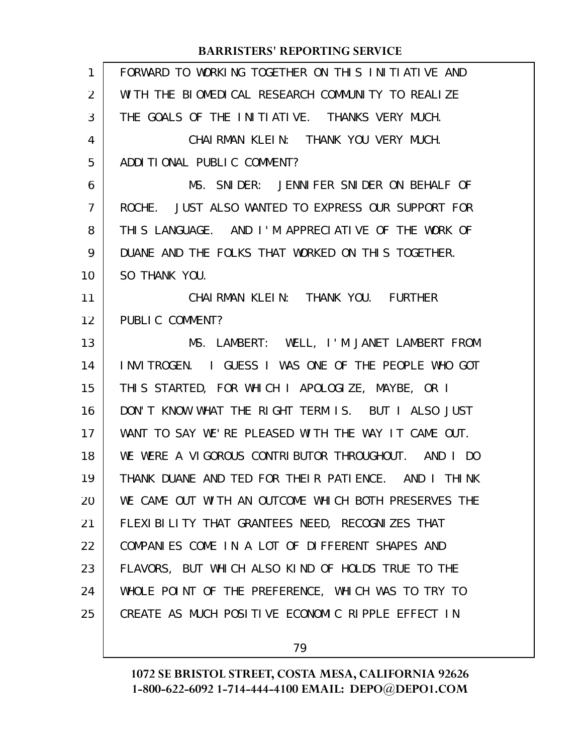| 1              | FORWARD TO WORKING TOGETHER ON THIS INITIATIVE AND   |
|----------------|------------------------------------------------------|
| $\overline{2}$ | WITH THE BIOMEDICAL RESEARCH COMMUNITY TO REALIZE    |
| 3              | THE GOALS OF THE INITIATIVE. THANKS VERY MUCH.       |
| 4              | CHAIRMAN KLEIN: THANK YOU VERY MUCH.                 |
| 5              | ADDITIONAL PUBLIC COMMENT?                           |
| 6              | MS. SNIDER: JENNIFER SNIDER ON BEHALF OF             |
| $\overline{7}$ | ROCHE. JUST ALSO WANTED TO EXPRESS OUR SUPPORT FOR   |
| 8              | THIS LANGUAGE. AND I'M APPRECIATIVE OF THE WORK OF   |
| 9              | DUANE AND THE FOLKS THAT WORKED ON THIS TOGETHER.    |
| 10             | SO THANK YOU.                                        |
| 11             | CHAIRMAN KLEIN: THANK YOU. FURTHER                   |
| 12             | PUBLIC COMMENT?                                      |
| 13             | MS. LAMBERT: WELL, I'M JANET LAMBERT FROM            |
| 14             | INVITROGEN. I GUESS I WAS ONE OF THE PEOPLE WHO GOT  |
| 15             | THIS STARTED, FOR WHICH I APOLOGIZE, MAYBE, OR I     |
| 16             | DON'T KNOW WHAT THE RIGHT TERM IS. BUT I ALSO JUST   |
| 17             | WANT TO SAY WE'RE PLEASED WITH THE WAY IT CAME OUT.  |
| 18             | WE WERE A VIGOROUS CONTRIBUTOR THROUGHOUT. AND I DO  |
| 19             | THANK DUANE AND TED FOR THEIR PATIENCE. AND I THINK  |
| 20             | WE CAME OUT WITH AN OUTCOME WHICH BOTH PRESERVES THE |
| 21             | FLEXI BILITY THAT GRANTEES NEED, RECOGNIZES THAT     |
| 22             | COMPANIES COME IN A LOT OF DIFFERENT SHAPES AND      |
| 23             | FLAVORS, BUT WHICH ALSO KIND OF HOLDS TRUE TO THE    |
| 24             | WHOLE POINT OF THE PREFERENCE, WHICH WAS TO TRY TO   |
| 25             | CREATE AS MUCH POSITIVE ECONOMIC RIPPLE EFFECT IN    |
|                |                                                      |

79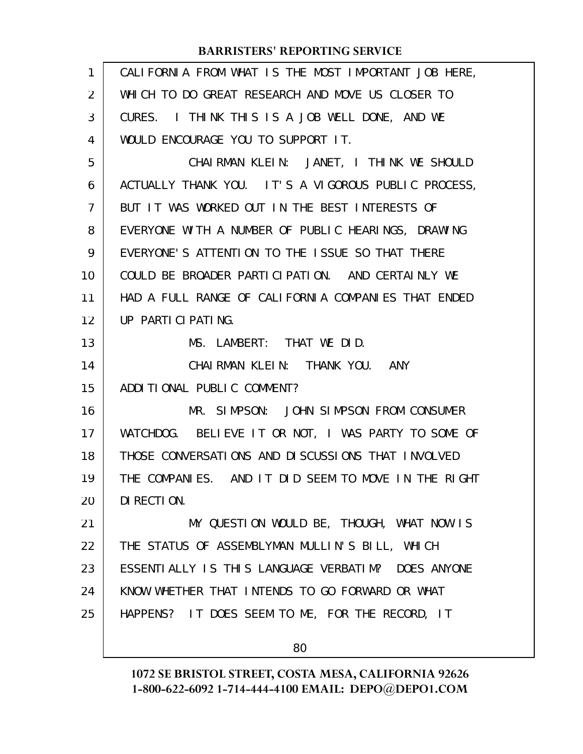| 1              | CALIFORNIA FROM WHAT IS THE MOST IMPORTANT JOB HERE, |
|----------------|------------------------------------------------------|
| $\overline{2}$ | WHICH TO DO GREAT RESEARCH AND MOVE US CLOSER TO     |
| 3              | CURES. I THINK THIS IS A JOB WELL DONE, AND WE       |
| 4              | WOULD ENCOURAGE YOU TO SUPPORT IT.                   |
| 5              | CHAIRMAN KLEIN: JANET, I THINK WE SHOULD             |
| 6              | ACTUALLY THANK YOU. IT'S A VIGOROUS PUBLIC PROCESS,  |
| 7              | BUT IT WAS WORKED OUT IN THE BEST INTERESTS OF       |
| 8              | EVERYONE WITH A NUMBER OF PUBLIC HEARINGS, DRAWING   |
| 9              | EVERYONE'S ATTENTION TO THE ISSUE SO THAT THERE      |
| 10             | COULD BE BROADER PARTICIPATION. AND CERTAINLY WE     |
| 11             | HAD A FULL RANGE OF CALIFORNIA COMPANIES THAT ENDED  |
| 12             | UP PARTICIPATING.                                    |
| 13             | MS. LAMBERT: THAT WE DID.                            |
| 14             | CHAIRMAN KLEIN: THANK YOU. ANY                       |
| 15             | ADDITIONAL PUBLIC COMMENT?                           |
| 16             | MR. SIMPSON: JOHN SIMPSON FROM CONSUMER              |
| 17             | WATCHDOG. BELIEVE IT OR NOT, I WAS PARTY TO SOME OF  |
| 18             | THOSE CONVERSATIONS AND DISCUSSIONS THAT INVOLVED    |
| 19             | THE COMPANIES. AND IT DID SEEM TO MOVE IN THE RIGHT  |
| 20             | DI RECTION.                                          |
| 21             | MY QUESTION WOULD BE, THOUGH, WHAT NOW IS            |
| 22             | THE STATUS OF ASSEMBLYMAN MULLIN'S BILL, WHICH       |
| 23             | ESSENTIALLY IS THIS LANGUAGE VERBATIM? DOES ANYONE   |
| 24             | KNOW WHETHER THAT INTENDS TO GO FORWARD OR WHAT      |
| 25             | HAPPENS? IT DOES SEEM TO ME, FOR THE RECORD, IT      |
|                | 80                                                   |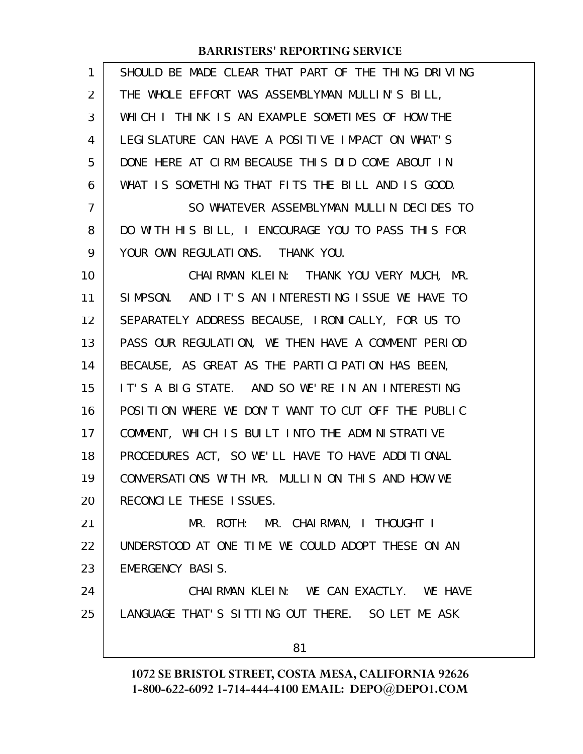| 1  | SHOULD BE MADE CLEAR THAT PART OF THE THING DRIVING |
|----|-----------------------------------------------------|
| 2  | THE WHOLE EFFORT WAS ASSEMBLYMAN MULLIN'S BILL,     |
| 3  | WHICH I THINK IS AN EXAMPLE SOMETIMES OF HOW THE    |
| 4  | LEGI SLATURE CAN HAVE A POSITIVE IMPACT ON WHAT'S   |
| 5  | DONE HERE AT CIRM BECAUSE THIS DID COME ABOUT IN    |
| 6  | WHAT IS SOMETHING THAT FITS THE BILL AND IS GOOD.   |
| 7  | SO WHATEVER ASSEMBLYMAN MULLIN DECIDES TO           |
| 8  | DO WITH HIS BILL, I ENCOURAGE YOU TO PASS THIS FOR  |
| 9  | YOUR OWN REGULATIONS. THANK YOU.                    |
| 10 | CHAIRMAN KLEIN: THANK YOU VERY MUCH, MR.            |
| 11 | SIMPSON. AND IT'S AN INTERESTING ISSUE WE HAVE TO   |
| 12 | SEPARATELY ADDRESS BECAUSE, IRONICALLY, FOR US TO   |
| 13 | PASS OUR REGULATION, WE THEN HAVE A COMMENT PERIOD  |
| 14 | BECAUSE, AS GREAT AS THE PARTICIPATION HAS BEEN,    |
| 15 | IT'S A BIG STATE. AND SO WE'RE IN AN INTERESTING    |
| 16 | POSITION WHERE WE DON'T WANT TO CUT OFF THE PUBLIC  |
| 17 | COMMENT, WHICH IS BUILT INTO THE ADMINISTRATIVE     |
| 18 | PROCEDURES ACT, SO WE'LL HAVE TO HAVE ADDITIONAL    |
| 19 | CONVERSATIONS WITH MR. MULLIN ON THIS AND HOW WE    |
| 20 | RECONCILE THESE ISSUES.                             |
| 21 | MR. ROTH: MR. CHAIRMAN, I THOUGHT I                 |
| 22 | UNDERSTOOD AT ONE TIME WE COULD ADOPT THESE ON AN   |
| 23 | EMERGENCY BASIS.                                    |
| 24 | CHAIRMAN KLEIN: WE CAN EXACTLY. WE HAVE             |
| 25 | LANGUAGE THAT'S SITTING OUT THERE. SO LET ME ASK    |
|    | 81                                                  |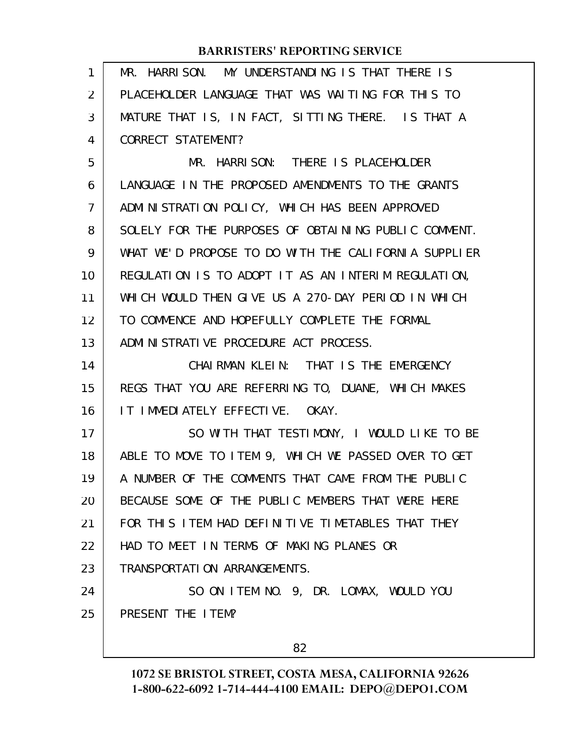| 1  | MR. HARRISON. MY UNDERSTANDING IS THAT THERE IS      |
|----|------------------------------------------------------|
| 2  | PLACEHOLDER LANGUAGE THAT WAS WAITING FOR THIS TO    |
| 3  | MATURE THAT IS, IN FACT, SITTING THERE. IS THAT A    |
| 4  | CORRECT STATEMENT?                                   |
| 5  | MR. HARRISON: THERE IS PLACEHOLDER                   |
| 6  | LANGUAGE IN THE PROPOSED AMENDMENTS TO THE GRANTS    |
| 7  | ADMINISTRATION POLICY, WHICH HAS BEEN APPROVED       |
| 8  | SOLELY FOR THE PURPOSES OF OBTAINING PUBLIC COMMENT. |
| 9  | WHAT WE'D PROPOSE TO DO WITH THE CALIFORNIA SUPPLIER |
| 10 | REGULATION IS TO ADOPT IT AS AN INTERIM REGULATION,  |
| 11 | WHICH WOULD THEN GIVE US A 270-DAY PERIOD IN WHICH   |
| 12 | TO COMMENCE AND HOPEFULLY COMPLETE THE FORMAL        |
| 13 | ADMINISTRATIVE PROCEDURE ACT PROCESS.                |
| 14 | CHAIRMAN KLEIN: THAT IS THE EMERGENCY                |
| 15 | REGS THAT YOU ARE REFERRING TO, DUANE, WHICH MAKES   |
| 16 | IT IMMEDIATELY EFFECTIVE. OKAY.                      |
| 17 | SO WITH THAT TESTIMONY, I WOULD LIKE TO BE           |
| 18 | ABLE TO MOVE TO ITEM 9, WHICH WE PASSED OVER TO GET  |
| 19 | A NUMBER OF THE COMMENTS THAT CAME FROM THE PUBLIC   |
| 20 | BECAUSE SOME OF THE PUBLIC MEMBERS THAT WERE HERE    |
|    |                                                      |
| 21 | FOR THIS ITEM HAD DEFINITIVE TIMETABLES THAT THEY    |
| 22 | HAD TO MEET IN TERMS OF MAKING PLANES OR             |
| 23 | TRANSPORTATION ARRANGEMENTS.                         |
| 24 | SO ON ITEM NO. 9, DR. LOMAX, WOULD YOU               |
| 25 | PRESENT THE ITEM?                                    |

82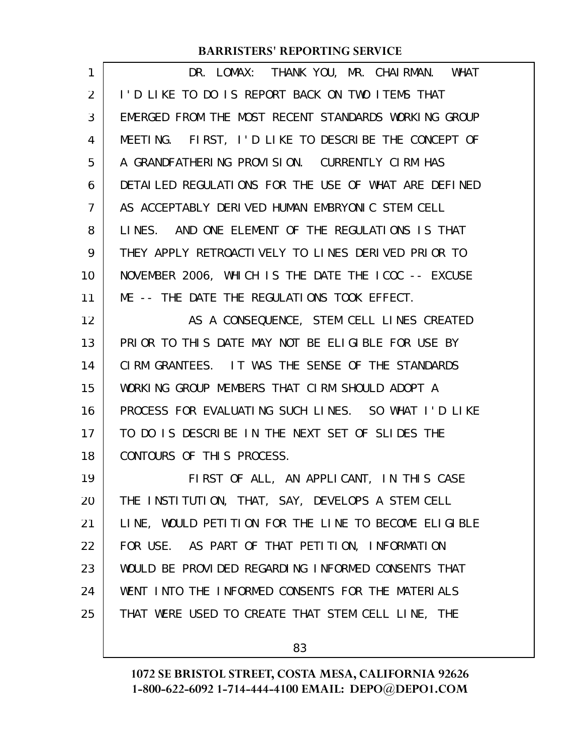| 1  | DR. LOMAX: THANK YOU, MR. CHAIRMAN. WHAT             |
|----|------------------------------------------------------|
| 2  | I'D LIKE TO DO IS REPORT BACK ON TWO ITEMS THAT      |
| 3  | EMERGED FROM THE MOST RECENT STANDARDS WORKING GROUP |
| 4  | MEETING. FIRST, I'D LIKE TO DESCRIBE THE CONCEPT OF  |
| 5  | A GRANDFATHERING PROVISION. CURRENTLY CIRM HAS       |
| 6  | DETAILED REGULATIONS FOR THE USE OF WHAT ARE DEFINED |
| 7  | AS ACCEPTABLY DERIVED HUMAN EMBRYONIC STEM CELL      |
| 8  | LINES. AND ONE ELEMENT OF THE REGULATIONS IS THAT    |
| 9  | THEY APPLY RETROACTIVELY TO LINES DERIVED PRIOR TO   |
| 10 | NOVEMBER 2006, WHICH IS THE DATE THE ICOC -- EXCUSE  |
| 11 | ME -- THE DATE THE REGULATIONS TOOK EFFECT.          |
| 12 | AS A CONSEQUENCE, STEM CELL LINES CREATED            |
| 13 | PRIOR TO THIS DATE MAY NOT BE ELIGIBLE FOR USE BY    |
| 14 | CIRM GRANTEES. IT WAS THE SENSE OF THE STANDARDS     |
| 15 | WORKING GROUP MEMBERS THAT CIRM SHOULD ADOPT A       |
| 16 | PROCESS FOR EVALUATING SUCH LINES. SO WHAT I'D LIKE  |
| 17 | TO DO IS DESCRIBE IN THE NEXT SET OF SLIDES THE      |
| 18 | CONTOURS OF THIS PROCESS.                            |
| 19 | FIRST OF ALL, AN APPLICANT, IN THIS CASE             |
| 20 | THE INSTITUTION, THAT, SAY, DEVELOPS A STEM CELL     |
| 21 | LINE, WOULD PETITION FOR THE LINE TO BECOME ELIGIBLE |
| 22 | FOR USE. AS PART OF THAT PETITION, INFORMATION       |
| 23 | WOULD BE PROVIDED REGARDING INFORMED CONSENTS THAT   |
| 24 | WENT INTO THE INFORMED CONSENTS FOR THE MATERIALS    |
| 25 | THAT WERE USED TO CREATE THAT STEM CELL LINE, THE    |
|    |                                                      |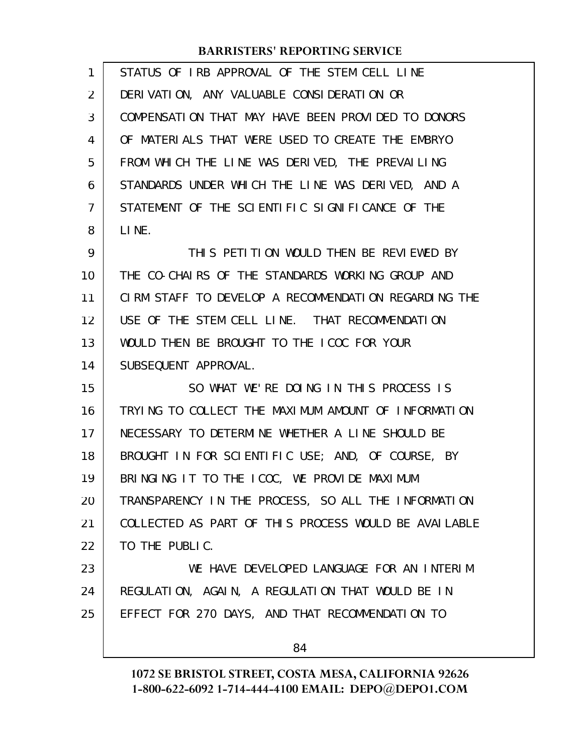| 1              | STATUS OF IRB APPROVAL OF THE STEM CELL LINE         |
|----------------|------------------------------------------------------|
| 2              | DERIVATION, ANY VALUABLE CONSIDERATION OR            |
| 3              | COMPENSATION THAT MAY HAVE BEEN PROVIDED TO DONORS   |
| 4              | OF MATERIALS THAT WERE USED TO CREATE THE EMBRYO     |
| 5              | FROM WHICH THE LINE WAS DERIVED, THE PREVAILING      |
| 6              | STANDARDS UNDER WHICH THE LINE WAS DERIVED, AND A    |
| $\overline{7}$ | STATEMENT OF THE SCIENTIFIC SIGNIFICANCE OF THE      |
| 8              | LINE.                                                |
| 9              | THIS PETITION WOULD THEN BE REVIEWED BY              |
| 10             | THE CO-CHAIRS OF THE STANDARDS WORKING GROUP AND     |
| 11             | CIRM STAFF TO DEVELOP A RECOMMENDATION REGARDING THE |
| 12             | USE OF THE STEM CELL LINE. THAT RECOMMENDATION       |
| 13             | WOULD THEN BE BROUGHT TO THE ICOC FOR YOUR           |
| 14             | SUBSEQUENT APPROVAL.                                 |
| 15             | SO WHAT WE'RE DOING IN THIS PROCESS IS               |
| 16             | TRYING TO COLLECT THE MAXIMUM AMOUNT OF INFORMATION  |
| 17             | NECESSARY TO DETERMINE WHETHER A LINE SHOULD BE      |
| 18             | BROUGHT IN FOR SCIENTIFIC USE; AND, OF COURSE, BY    |
| 19             | BRINGING IT TO THE ICOC, WE PROVIDE MAXIMUM          |
| 20             | TRANSPARENCY IN THE PROCESS, SO ALL THE INFORMATION  |
| 21             | COLLECTED AS PART OF THIS PROCESS WOULD BE AVAILABLE |
| 22             | TO THE PUBLIC.                                       |
| 23             | WE HAVE DEVELOPED LANGUAGE FOR AN INTERIM            |
| 24             | REGULATION, AGAIN, A REGULATION THAT WOULD BE IN     |
| 25             | EFFECT FOR 270 DAYS, AND THAT RECOMMENDATION TO      |
|                | 84                                                   |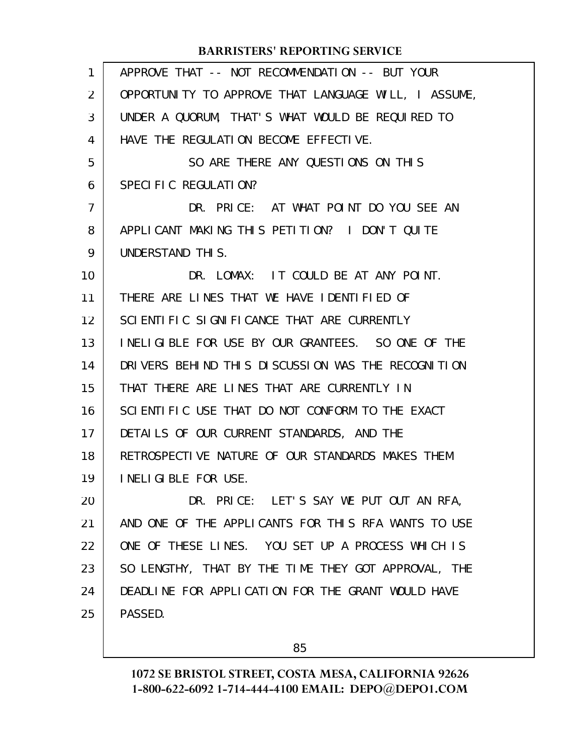| 1  | APPROVE THAT -- NOT RECOMMENDATION -- BUT YOUR       |
|----|------------------------------------------------------|
| 2  | OPPORTUNITY TO APPROVE THAT LANGUAGE WILL, I ASSUME, |
| 3  | UNDER A QUORUM, THAT'S WHAT WOULD BE REQUIRED TO     |
| 4  | HAVE THE REGULATION BECOME EFFECTIVE.                |
| 5  | SO ARE THERE ANY QUESTIONS ON THIS                   |
| 6  | SPECIFIC REGULATION?                                 |
| 7  | DR. PRICE: AT WHAT POINT DO YOU SEE AN               |
| 8  | APPLICANT MAKING THIS PETITION? I DON'T QUITE        |
| 9  | UNDERSTAND THIS.                                     |
| 10 | DR. LOMAX: IT COULD BE AT ANY POINT.                 |
| 11 | THERE ARE LINES THAT WE HAVE IDENTIFIED OF           |
| 12 | SCIENTIFIC SIGNIFICANCE THAT ARE CURRENTLY           |
| 13 | INELIGIBLE FOR USE BY OUR GRANTEES. SO ONE OF THE    |
| 14 | DRIVERS BEHIND THIS DISCUSSION WAS THE RECOGNITION   |
| 15 | THAT THERE ARE LINES THAT ARE CURRENTLY IN           |
| 16 | SCIENTIFIC USE THAT DO NOT CONFORM TO THE EXACT      |
| 17 | DETAILS OF OUR CURRENT STANDARDS, AND THE            |
| 18 | RETROSPECTIVE NATURE OF OUR STANDARDS MAKES THEM     |
| 19 | INELIGIBLE FOR USE.                                  |
| 20 | DR. PRICE: LET'S SAY WE PUT OUT AN RFA,              |
| 21 | AND ONE OF THE APPLICANTS FOR THIS RFA WANTS TO USE  |
| 22 | ONE OF THESE LINES. YOU SET UP A PROCESS WHICH IS    |
| 23 | SO LENGTHY, THAT BY THE TIME THEY GOT APPROVAL, THE  |
| 24 | DEADLINE FOR APPLICATION FOR THE GRANT WOULD HAVE    |
| 25 | PASSED.                                              |
|    |                                                      |

85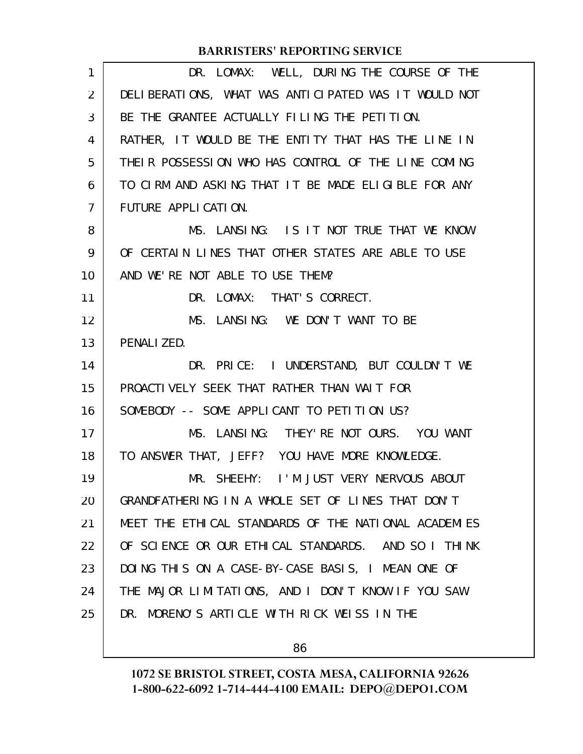| 1  | DR. LOMAX: WELL, DURING THE COURSE OF THE            |
|----|------------------------------------------------------|
| 2  | DELIBERATIONS, WHAT WAS ANTICIPATED WAS IT WOULD NOT |
| 3  | BE THE GRANTEE ACTUALLY FILING THE PETITION.         |
| 4  | RATHER, IT WOULD BE THE ENTITY THAT HAS THE LINE IN  |
| 5  | THEIR POSSESSION WHO HAS CONTROL OF THE LINE COMING  |
| 6  | TO CIRM AND ASKING THAT IT BE MADE ELIGIBLE FOR ANY  |
| 7  | FUTURE APPLICATION.                                  |
| 8  | MS. LANSING: IS IT NOT TRUE THAT WE KNOW             |
| 9  | OF CERTAIN LINES THAT OTHER STATES ARE ABLE TO USE   |
| 10 | AND WE'RE NOT ABLE TO USE THEM?                      |
| 11 | DR. LOMAX: THAT'S CORRECT.                           |
| 12 | MS. LANSING: WE DON'T WANT TO BE                     |
| 13 | PENALIZED.                                           |
| 14 | DR. PRICE: I UNDERSTAND, BUT COULDN'T WE             |
| 15 | PROACTIVELY SEEK THAT RATHER THAN WAIT FOR           |
| 16 | SOMEBODY -- SOME APPLICANT TO PETITION US?           |
| 17 | MS. LANSING: THEY'RE NOT OURS. YOU WANT              |
| 18 | TO ANSWER THAT, JEFF? YOU HAVE MORE KNOWLEDGE.       |
| 19 | MR. SHEEHY: I'M JUST VERY NERVOUS ABOUT              |
| 20 | GRANDFATHERING IN A WHOLE SET OF LINES THAT DON'T    |
| 21 | MEET THE ETHICAL STANDARDS OF THE NATIONAL ACADEMIES |
| 22 | OF SCIENCE OR OUR ETHICAL STANDARDS. AND SO I THINK  |
| 23 | DOING THIS ON A CASE-BY-CASE BASIS, I MEAN ONE OF    |
| 24 | THE MAJOR LIMITATIONS, AND I DON'T KNOW IF YOU SAW   |
| 25 | DR. MORENO'S ARTICLE WITH RICK WEISS IN THE          |
|    |                                                      |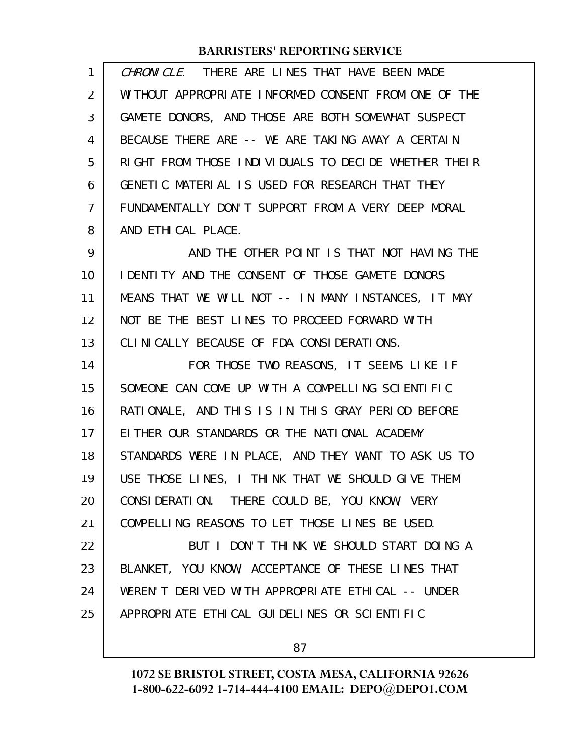| $\mathbf{1}$ | CHRONICLE. THERE ARE LINES THAT HAVE BEEN MADE          |
|--------------|---------------------------------------------------------|
| 2            | WITHOUT APPROPRIATE INFORMED CONSENT FROM ONE OF THE    |
| 3            | GAMETE DONORS, AND THOSE ARE BOTH SOMEWHAT SUSPECT      |
| 4            | BECAUSE THERE ARE -- WE ARE TAKING AWAY A CERTAIN       |
| 5            | RIGHT FROM THOSE INDIVIDUALS TO DECIDE WHETHER THEIR    |
| 6            | GENETIC MATERIAL IS USED FOR RESEARCH THAT THEY         |
| 7            | FUNDAMENTALLY DON'T SUPPORT FROM A VERY DEEP MORAL      |
| 8            | AND ETHICAL PLACE.                                      |
| 9            | AND THE OTHER POINT IS THAT NOT HAVING THE              |
| 10           | <b>I DENTITY AND THE CONSENT OF THOSE GAMETE DONORS</b> |
| 11           | MEANS THAT WE WILL NOT -- IN MANY INSTANCES, IT MAY     |
| 12           | NOT BE THE BEST LINES TO PROCEED FORWARD WITH           |
| 13           | CLINICALLY BECAUSE OF FDA CONSIDERATIONS.               |
| 14           | FOR THOSE TWO REASONS, IT SEEMS LIKE IF                 |
| 15           | SOMEONE CAN COME UP WITH A COMPELLING SCIENTIFIC        |
| 16           | RATIONALE, AND THIS IS IN THIS GRAY PERIOD BEFORE       |
| 17           | EITHER OUR STANDARDS OR THE NATIONAL ACADEMY            |
| 18           | STANDARDS WERE IN PLACE, AND THEY WANT TO ASK US TO     |
|              |                                                         |
| 19           | USE THOSE LINES, I THINK THAT WE SHOULD GIVE THEM       |
| 20           | CONSIDERATION. THERE COULD BE, YOU KNOW, VERY           |
| 21           | COMPELLING REASONS TO LET THOSE LINES BE USED.          |
| 22           | BUT I DON'T THINK WE SHOULD START DOING A               |
| 23           | BLANKET, YOU KNOW, ACCEPTANCE OF THESE LINES THAT       |
| 24           | WEREN'T DERIVED WITH APPROPRIATE ETHICAL -- UNDER       |
| 25           | APPROPRIATE ETHICAL GUIDELINES OR SCIENTIFIC            |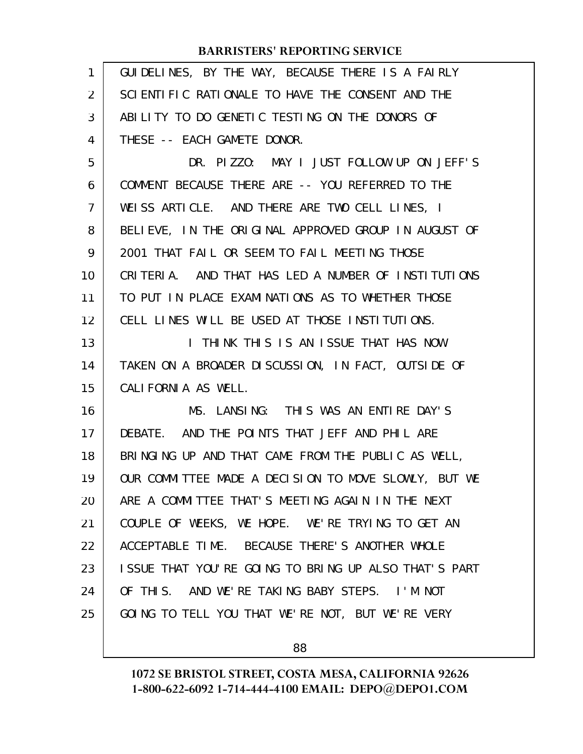| $\mathbf{1}$ | GUIDELINES, BY THE WAY, BECAUSE THERE IS A FAIRLY    |
|--------------|------------------------------------------------------|
| 2            | SCIENTIFIC RATIONALE TO HAVE THE CONSENT AND THE     |
| 3            | ABILITY TO DO GENETIC TESTING ON THE DONORS OF       |
| 4            | THESE -- EACH GAMETE DONOR.                          |
| 5            | DR. PIZZO: MAY I JUST FOLLOW UP ON JEFF'S            |
| 6            | COMMENT BECAUSE THERE ARE -- YOU REFERRED TO THE     |
| 7            | WEISS ARTICLE. AND THERE ARE TWO CELL LINES, I       |
| 8            | BELIEVE, IN THE ORIGINAL APPROVED GROUP IN AUGUST OF |
| 9            | 2001 THAT FAIL OR SEEM TO FAIL MEETING THOSE         |
| 10           | CRITERIA. AND THAT HAS LED A NUMBER OF INSTITUTIONS  |
| 11           | TO PUT IN PLACE EXAMINATIONS AS TO WHETHER THOSE     |
| 12           | CELL LINES WILL BE USED AT THOSE INSTITUTIONS.       |
| 13           | I THINK THIS IS AN ISSUE THAT HAS NOW                |
| 14           | TAKEN ON A BROADER DISCUSSION, IN FACT, OUTSIDE OF   |
| 15           | CALIFORNIA AS WELL.                                  |
| 16           | MS. LANSING: THIS WAS AN ENTIRE DAY'S                |
| 17           | DEBATE. AND THE POINTS THAT JEFF AND PHIL ARE        |
| 18           | BRINGING UP AND THAT CAME FROM THE PUBLIC AS WELL,   |
| 19           | OUR COMMITTEE MADE A DECISION TO MOVE SLOWLY, BUT WE |
| 20           | ARE A COMMITTEE THAT'S MEETING AGAIN IN THE NEXT     |
| 21           | COUPLE OF WEEKS, WE HOPE. WE'RE TRYING TO GET AN     |
| 22           | ACCEPTABLE TIME. BECAUSE THERE'S ANOTHER WHOLE       |
| 23           | ISSUE THAT YOU'RE GOING TO BRING UP ALSO THAT'S PART |
| 24           | OF THIS. AND WE'RE TAKING BABY STEPS. I'M NOT        |
| 25           | GOING TO TELL YOU THAT WE'RE NOT, BUT WE'RE VERY     |
|              |                                                      |

88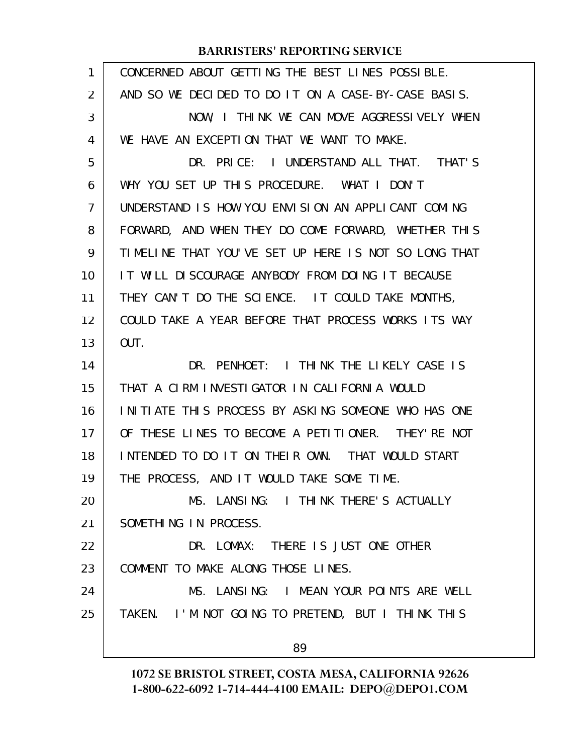| $\mathbf{1}$   | CONCERNED ABOUT GETTING THE BEST LINES POSSIBLE.     |
|----------------|------------------------------------------------------|
| 2              | AND SO WE DECLIDED TO DO IT ON A CASE-BY-CASE BASIS. |
| 3              | NOW, I THINK WE CAN MOVE AGGRESSIVELY WHEN           |
| 4              | WE HAVE AN EXCEPTION THAT WE WANT TO MAKE.           |
| 5              | DR. PRICE: I UNDERSTAND ALL THAT. THAT'S             |
| 6              | WHY YOU SET UP THIS PROCEDURE. WHAT I DON'T          |
| $\overline{7}$ | UNDERSTAND IS HOW YOU ENVISION AN APPLICANT COMING   |
| 8              | FORWARD, AND WHEN THEY DO COME FORWARD, WHETHER THIS |
| 9              | TIMELINE THAT YOU'VE SET UP HERE IS NOT SO LONG THAT |
| 10             | IT WILL DISCOURAGE ANYBODY FROM DOING IT BECAUSE     |
| 11             | THEY CAN'T DO THE SCIENCE. IT COULD TAKE MONTHS,     |
| 12             | COULD TAKE A YEAR BEFORE THAT PROCESS WORKS ITS WAY  |
| 13             | OUT.                                                 |
| 14             | DR. PENHOET: I THINK THE LIKELY CASE IS              |
| 15             | THAT A CIRM INVESTIGATOR IN CALIFORNIA WOULD         |
| 16             | INITIATE THIS PROCESS BY ASKING SOMEONE WHO HAS ONE  |
| 17             | OF THESE LINES TO BECOME A PETITIONER. THEY'RE NOT   |
| 18             | INTENDED TO DO IT ON THEIR OWN. THAT WOULD START     |
| 19             | THE PROCESS, AND IT WOULD TAKE SOME TIME.            |
| 20             | MS. LANSING: I THINK THERE'S ACTUALLY                |
| 21             | SOMETHING IN PROCESS.                                |
| 22             | DR. LOMAX: THERE IS JUST ONE OTHER                   |
| 23             | COMMENT TO MAKE ALONG THOSE LINES.                   |
| 24             | MS. LANSING: I MEAN YOUR POINTS ARE WELL             |
| 25             | TAKEN. I'M NOT GOING TO PRETEND, BUT I THINK THIS    |
|                | 89                                                   |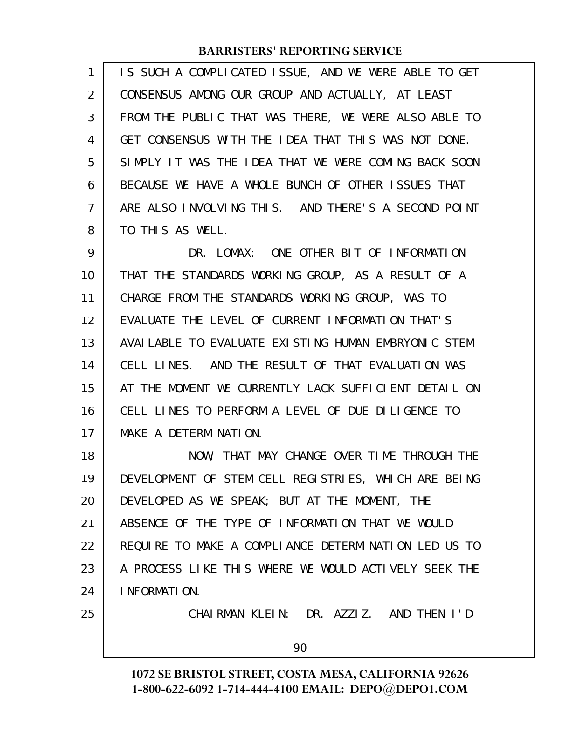| 1              | IS SUCH A COMPLICATED ISSUE, AND WE WERE ABLE TO GET |
|----------------|------------------------------------------------------|
| $\overline{2}$ | CONSENSUS AMONG OUR GROUP AND ACTUALLY, AT LEAST     |
| 3              | FROM THE PUBLIC THAT WAS THERE, WE WERE ALSO ABLE TO |
| 4              | GET CONSENSUS WITH THE IDEA THAT THIS WAS NOT DONE.  |
| 5              | SIMPLY IT WAS THE IDEA THAT WE WERE COMING BACK SOON |
| 6              | BECAUSE WE HAVE A WHOLE BUNCH OF OTHER ISSUES THAT   |
| 7              | ARE ALSO INVOLVING THIS. AND THERE'S A SECOND POINT  |
| 8              | TO THIS AS WELL.                                     |
| 9              | DR. LOMAX: ONE OTHER BIT OF INFORMATION              |
| 10             | THAT THE STANDARDS WORKING GROUP, AS A RESULT OF A   |
| 11             | CHARGE FROM THE STANDARDS WORKING GROUP, WAS TO      |
| 12             | EVALUATE THE LEVEL OF CURRENT INFORMATION THAT'S     |
| 13             | AVAILABLE TO EVALUATE EXISTING HUMAN EMBRYONIC STEM  |
| 14             | CELL LINES. AND THE RESULT OF THAT EVALUATION WAS    |
| 15             | AT THE MOMENT WE CURRENTLY LACK SUFFICIENT DETAIL ON |
| 16             | CELL LINES TO PERFORM A LEVEL OF DUE DILIGENCE TO    |
| 17             | MAKE A DETERMINATION.                                |
| 18             | NOW, THAT MAY CHANGE OVER TIME THROUGH THE           |
| 19             | DEVELOPMENT OF STEM CELL REGISTRIES, WHICH ARE BEING |
| 20             | DEVELOPED AS WE SPEAK; BUT AT THE MOMENT, THE        |
| 21             | ABSENCE OF THE TYPE OF INFORMATION THAT WE WOULD     |
| 22             | REQUIRE TO MAKE A COMPLIANCE DETERMINATION LED US TO |
| 23             | A PROCESS LIKE THIS WHERE WE WOULD ACTIVELY SEEK THE |
| 24             | I NFORMATION.                                        |
| 25             | CHAIRMAN KLEIN: DR. AZZIZ. AND THEN I'D              |
|                | 90                                                   |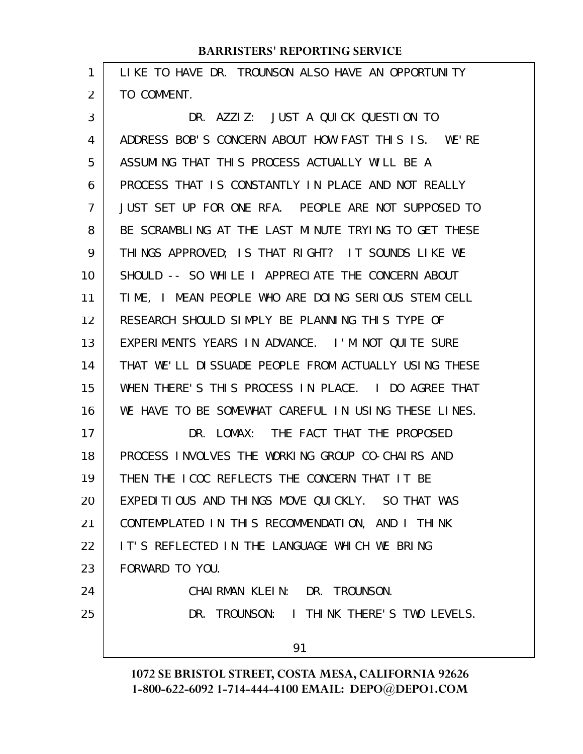| 1              | LIKE TO HAVE DR. TROUNSON ALSO HAVE AN OPPORTUNITY   |
|----------------|------------------------------------------------------|
| $\overline{2}$ | TO COMMENT.                                          |
| 3              | DR. AZZIZ: JUST A QUICK QUESTION TO                  |
| 4              | ADDRESS BOB'S CONCERN ABOUT HOW FAST THIS IS. WE'RE  |
| 5              | ASSUMING THAT THIS PROCESS ACTUALLY WILL BE A        |
| 6              | PROCESS THAT IS CONSTANTLY IN PLACE AND NOT REALLY   |
| $\overline{7}$ | JUST SET UP FOR ONE RFA. PEOPLE ARE NOT SUPPOSED TO  |
| 8              | BE SCRAMBLING AT THE LAST MINUTE TRYING TO GET THESE |
| 9              | THINGS APPROVED; IS THAT RIGHT? IT SOUNDS LIKE WE    |
| 10             | SHOULD -- SO WHILE I APPRECIATE THE CONCERN ABOUT    |
| 11             | TIME, I MEAN PEOPLE WHO ARE DOING SERIOUS STEM CELL  |
| 12             | RESEARCH SHOULD SIMPLY BE PLANNING THIS TYPE OF      |
| 13             | EXPERIMENTS YEARS IN ADVANCE. I'M NOT QUITE SURE     |
| 14             | THAT WE'LL DISSUADE PEOPLE FROM ACTUALLY USING THESE |
| 15             | WHEN THERE'S THIS PROCESS IN PLACE. I DO AGREE THAT  |
| 16             | WE HAVE TO BE SOMEWHAT CAREFUL IN USING THESE LINES. |
| 17             | DR. LOMAX: THE FACT THAT THE PROPOSED                |
| 18             | PROCESS INVOLVES THE WORKING GROUP CO-CHAIRS AND     |
| 19             | THEN THE ICOC REFLECTS THE CONCERN THAT IT BE        |
| 20             | EXPEDITIOUS AND THINGS MOVE QUICKLY. SO THAT WAS     |
| 21             | CONTEMPLATED IN THIS RECOMMENDATION, AND I THINK     |
| 22             | IT'S REFLECTED IN THE LANGUAGE WHICH WE BRING        |
| 23             | FORWARD TO YOU.                                      |
| 24             | CHAIRMAN KLEIN: DR. TROUNSON.                        |
| 25             | DR. TROUNSON: I THINK THERE'S TWO LEVELS.            |
|                | 91                                                   |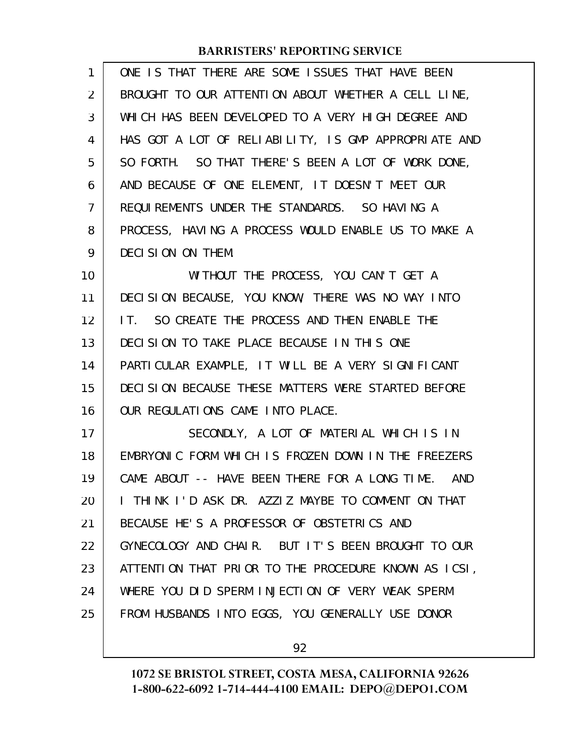| 1  | ONE IS THAT THERE ARE SOME ISSUES THAT HAVE BEEN     |
|----|------------------------------------------------------|
| 2  | BROUGHT TO OUR ATTENTION ABOUT WHETHER A CELL LINE,  |
| 3  | WHICH HAS BEEN DEVELOPED TO A VERY HIGH DEGREE AND   |
| 4  | HAS GOT A LOT OF RELIABILITY, IS GMP APPROPRIATE AND |
| 5  | SO FORTH. SO THAT THERE'S BEEN A LOT OF WORK DONE,   |
| 6  | AND BECAUSE OF ONE ELEMENT, IT DOESN'T MEET OUR      |
| 7  | REQUIREMENTS UNDER THE STANDARDS. SO HAVING A        |
| 8  | PROCESS, HAVING A PROCESS WOULD ENABLE US TO MAKE A  |
| 9  | DECISION ON THEM.                                    |
| 10 | WITHOUT THE PROCESS, YOU CAN'T GET A                 |
| 11 | DECISION BECAUSE, YOU KNOW, THERE WAS NO WAY INTO    |
| 12 | IT. SO CREATE THE PROCESS AND THEN ENABLE THE        |
| 13 | DECISION TO TAKE PLACE BECAUSE IN THIS ONE           |
| 14 | PARTICULAR EXAMPLE, IT WILL BE A VERY SIGNIFICANT    |
| 15 | DECISION BECAUSE THESE MATTERS WERE STARTED BEFORE   |
| 16 | OUR REGULATIONS CAME INTO PLACE.                     |
| 17 | SECONDLY, A LOT OF MATERIAL WHICH IS IN              |
| 18 | EMBRYONIC FORM WHICH IS FROZEN DOWN IN THE FREEZERS  |
| 19 | CAME ABOUT -- HAVE BEEN THERE FOR A LONG TIME. AND   |
| 20 | I THINK I'D ASK DR. AZZIZ MAYBE TO COMMENT ON THAT   |
| 21 | BECAUSE HE'S A PROFESSOR OF OBSTETRICS AND           |
| 22 | GYNECOLOGY AND CHAIR. BUT IT'S BEEN BROUGHT TO OUR   |
| 23 | ATTENTION THAT PRIOR TO THE PROCEDURE KNOWN AS ICSI, |
| 24 | WHERE YOU DID SPERM INJECTION OF VERY WEAK SPERM     |
| 25 | FROM HUSBANDS INTO EGGS, YOU GENERALLY USE DONOR     |
|    |                                                      |

92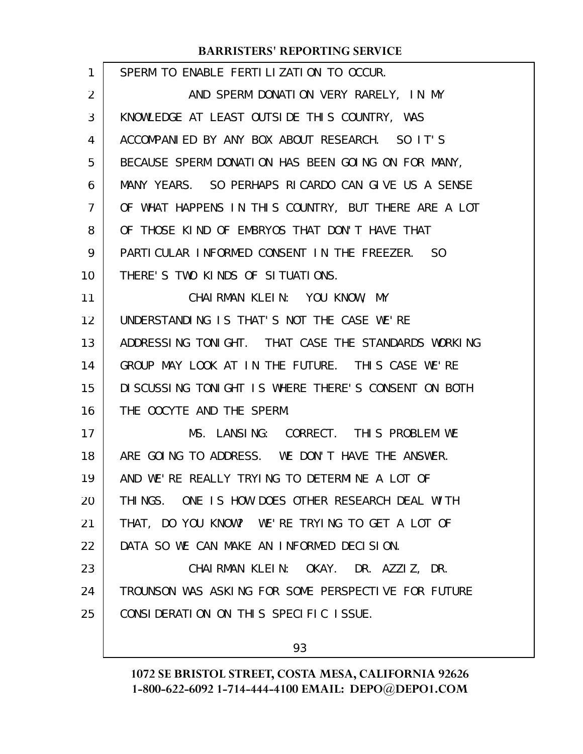| $\mathbf{1}$   | SPERM TO ENABLE FERTILIZATION TO OCCUR.              |
|----------------|------------------------------------------------------|
| $\overline{2}$ | AND SPERM DONATION VERY RARELY, IN MY                |
| 3              | KNOWLEDGE AT LEAST OUTSIDE THIS COUNTRY, WAS         |
| 4              | ACCOMPANIED BY ANY BOX ABOUT RESEARCH. SO IT'S       |
| 5              | BECAUSE SPERM DONATION HAS BEEN GOING ON FOR MANY,   |
| 6              | MANY YEARS. SO PERHAPS RICARDO CAN GIVE US A SENSE   |
| 7              | OF WHAT HAPPENS IN THIS COUNTRY, BUT THERE ARE A LOT |
| 8              | OF THOSE KIND OF EMBRYOS THAT DON'T HAVE THAT        |
| 9              | PARTICULAR INFORMED CONSENT IN THE FREEZER. SO       |
| 10             | THERE'S TWO KINDS OF SITUATIONS.                     |
| 11             | CHAIRMAN KLEIN: YOU KNOW, MY                         |
| 12             | UNDERSTANDING IS THAT'S NOT THE CASE WE'RE           |
| 13             | ADDRESSING TONIGHT. THAT CASE THE STANDARDS WORKING  |
| 14             | GROUP MAY LOOK AT IN THE FUTURE. THIS CASE WE'RE     |
| 15             | DI SCUSSING TONIGHT IS WHERE THERE'S CONSENT ON BOTH |
| 16             | THE OOCYTE AND THE SPERM.                            |
| 17             | MS. LANSING: CORRECT. THIS PROBLEM WE                |
| 18             | ARE GOING TO ADDRESS. WE DON'T HAVE THE ANSWER.      |
| 19             | AND WE'RE REALLY TRYING TO DETERMINE A LOT OF        |
| 20             | THINGS. ONE IS HOW DOES OTHER RESEARCH DEAL WITH     |
| 21             | THAT, DO YOU KNOW? WE'RE TRYING TO GET A LOT OF      |
| 22             | DATA SO WE CAN MAKE AN INFORMED DECISION.            |
| 23             | CHAIRMAN KLEIN: OKAY. DR. AZZIZ, DR.                 |
| 24             | TROUNSON WAS ASKING FOR SOME PERSPECTIVE FOR FUTURE  |
| 25             | CONSIDERATION ON THIS SPECIFIC ISSUE.                |
|                |                                                      |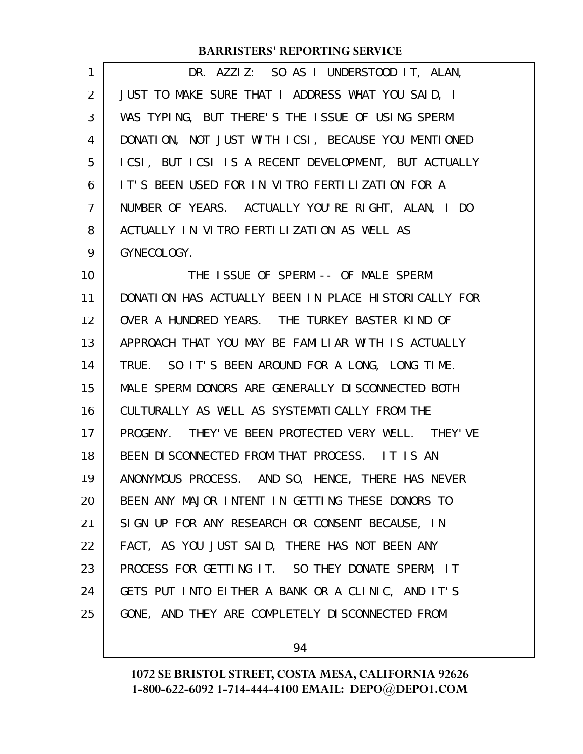| 1  | DR. AZZIZ: SO AS I UNDERSTOOD IT, ALAN,              |
|----|------------------------------------------------------|
| 2  | JUST TO MAKE SURE THAT I ADDRESS WHAT YOU SAID, I    |
| 3  | WAS TYPING, BUT THERE'S THE ISSUE OF USING SPERM     |
| 4  | DONATION, NOT JUST WITH ICSI, BECAUSE YOU MENTIONED  |
| 5  | ICSI, BUT ICSI IS A RECENT DEVELOPMENT, BUT ACTUALLY |
| 6  | IT'S BEEN USED FOR IN VITRO FERTILIZATION FOR A      |
| 7  | NUMBER OF YEARS. ACTUALLY YOU'RE RIGHT, ALAN, I DO   |
| 8  | ACTUALLY IN VITRO FERTILIZATION AS WELL AS           |
| 9  | GYNECOLOGY.                                          |
| 10 | THE ISSUE OF SPERM -- OF MALE SPERM                  |
| 11 | DONATION HAS ACTUALLY BEEN IN PLACE HISTORICALLY FOR |
| 12 | OVER A HUNDRED YEARS. THE TURKEY BASTER KIND OF      |
| 13 | APPROACH THAT YOU MAY BE FAMILIAR WITH IS ACTUALLY   |
| 14 | TRUE. SO IT'S BEEN AROUND FOR A LONG, LONG TIME.     |
| 15 | MALE SPERM DONORS ARE GENERALLY DISCONNECTED BOTH    |
| 16 | CULTURALLY AS WELL AS SYSTEMATICALLY FROM THE        |
| 17 | PROGENY. THEY' VE BEEN PROTECTED VERY WELL. THEY' VE |
| 18 | BEEN DISCONNECTED FROM THAT PROCESS. IT IS AN        |
| 19 | ANONYMOUS PROCESS. AND SO, HENCE, THERE HAS NEVER    |
| 20 | BEEN ANY MAJOR INTENT IN GETTING THESE DONORS TO     |
| 21 | SIGN UP FOR ANY RESEARCH OR CONSENT BECAUSE, IN      |
| 22 | FACT, AS YOU JUST SAID, THERE HAS NOT BEEN ANY       |
| 23 | PROCESS FOR GETTING IT. SO THEY DONATE SPERM, IT     |
| 24 | GETS PUT INTO EITHER A BANK OR A CLINIC, AND IT'S    |
| 25 | GONE, AND THEY ARE COMPLETELY DISCONNECTED FROM      |

94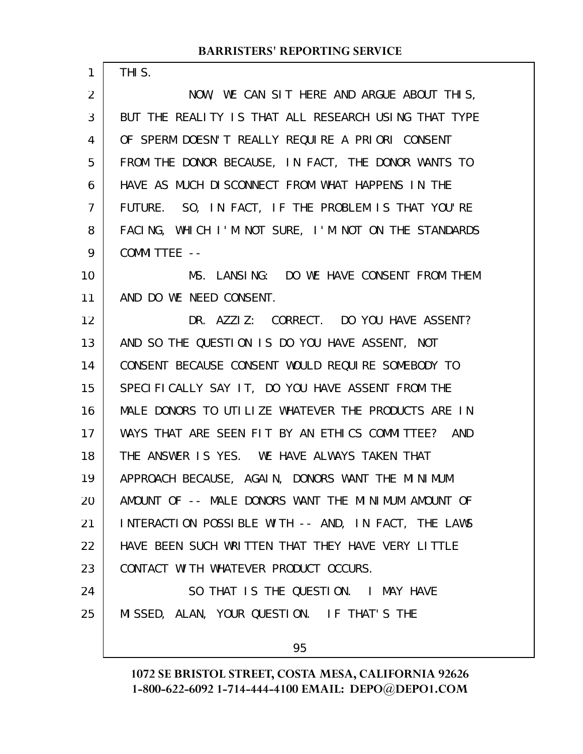THIS.

1

NOW, WE CAN SIT HERE AND ARGUE ABOUT THIS, BUT THE REALITY IS THAT ALL RESEARCH USING THAT TYPE OF SPERM DOESN'T REALLY REQUIRE A PRIORI CONSENT FROM THE DONOR BECAUSE, IN FACT, THE DONOR WANTS TO HAVE AS MUCH DISCONNECT FROM WHAT HAPPENS IN THE FUTURE. SO, IN FACT, IF THE PROBLEM IS THAT YOU'RE FACING, WHICH I'M NOT SURE, I'M NOT ON THE STANDARDS COMMITTEE -- 2 3 4 5 6 7 8 9

MS. LANSING: DO WE HAVE CONSENT FROM THEM AND DO WE NEED CONSENT. 10 11

DR. AZZIZ: CORRECT. DO YOU HAVE ASSENT? AND SO THE QUESTION IS DO YOU HAVE ASSENT, NOT CONSENT BECAUSE CONSENT WOULD REQUIRE SOMEBODY TO SPECIFICALLY SAY IT, DO YOU HAVE ASSENT FROM THE MALE DONORS TO UTILIZE WHATEVER THE PRODUCTS ARE IN WAYS THAT ARE SEEN FIT BY AN ETHICS COMMITTEE? AND THE ANSWER IS YES. WE HAVE ALWAYS TAKEN THAT APPROACH BECAUSE, AGAIN, DONORS WANT THE MINIMUM AMOUNT OF -- MALE DONORS WANT THE MINIMUM AMOUNT OF INTERACTION POSSIBLE WITH -- AND, IN FACT, THE LAWS HAVE BEEN SUCH WRITTEN THAT THEY HAVE VERY LITTLE CONTACT WITH WHATEVER PRODUCT OCCURS. SO THAT IS THE QUESTION. I MAY HAVE MISSED, ALAN, YOUR QUESTION. IF THAT'S THE 12 13 14 15 16 17 18 19 20 21 22 23 24 25

95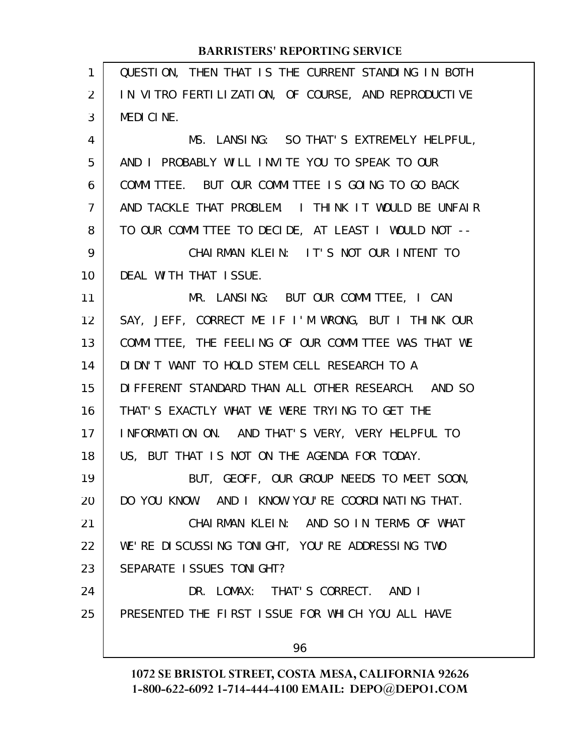| QUESTION, THEN THAT IS THE CURRENT STANDING IN BOTH |
|-----------------------------------------------------|
| IN VITRO FERTILIZATION, OF COURSE, AND REPRODUCTIVE |
| MEDICINE.                                           |
| MS. LANSING: SO THAT'S EXTREMELY HELPFUL,           |
| AND I PROBABLY WILL INVITE YOU TO SPEAK TO OUR      |
| COMMITTEE. BUT OUR COMMITTEE IS GOING TO GO BACK    |
| AND TACKLE THAT PROBLEM. I THINK IT WOULD BE UNFAIR |
| TO OUR COMMITTEE TO DECIDE, AT LEAST I WOULD NOT -- |
| CHAIRMAN KLEIN: IT'S NOT OUR INTENT TO              |
| DEAL WITH THAT ISSUE.                               |
| MR. LANSING: BUT OUR COMMITTEE, I CAN               |
| SAY, JEFF, CORRECT ME IF I'M WRONG, BUT I THINK OUR |
| COMMITTEE, THE FEELING OF OUR COMMITTEE WAS THAT WE |
| DIDN'T WANT TO HOLD STEM CELL RESEARCH TO A         |
| DIFFERENT STANDARD THAN ALL OTHER RESEARCH. AND SO  |
| THAT'S EXACTLY WHAT WE WERE TRYING TO GET THE       |
| INFORMATION ON. AND THAT'S VERY, VERY HELPFUL TO    |
| US, BUT THAT IS NOT ON THE AGENDA FOR TODAY.        |
| BUT, GEOFF, OUR GROUP NEEDS TO MEET SOON,           |
| DO YOU KNOW. AND I KNOW YOU'RE COORDINATING THAT.   |
| CHAIRMAN KLEIN: AND SO IN TERMS OF WHAT             |
| WE'RE DISCUSSING TONIGHT, YOU'RE ADDRESSING TWO     |
| SEPARATE ISSUES TONIGHT?                            |
| DR. LOMAX: THAT'S CORRECT. AND I                    |
| PRESENTED THE FIRST ISSUE FOR WHICH YOU ALL HAVE    |
| 96                                                  |
|                                                     |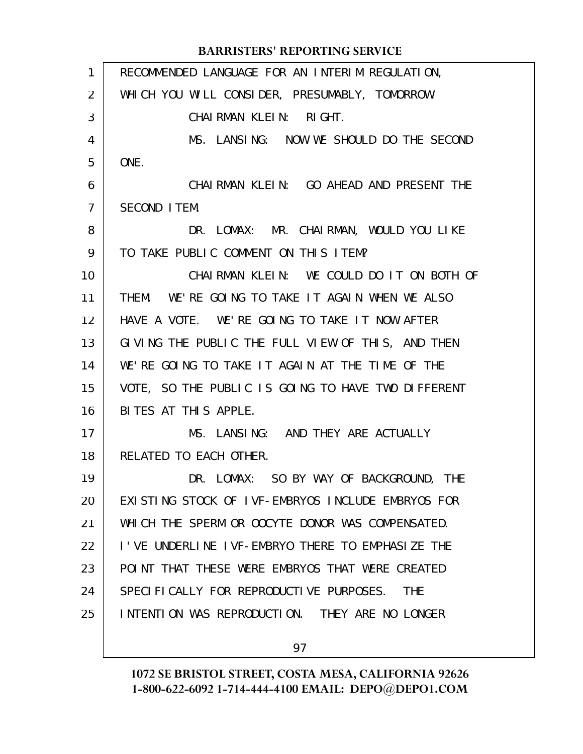|                | <b>BARRISTERS' REPORTING SERVICE</b>                  |
|----------------|-------------------------------------------------------|
| 1              | RECOMMENDED LANGUAGE FOR AN INTERIM REGULATION,       |
| $\overline{2}$ | WHICH YOU WILL CONSIDER, PRESUMABLY, TOMORROW.        |
| 3              | CHAIRMAN KLEIN:<br>RI GHT.                            |
| 4              | MS. LANSING: NOW WE SHOULD DO THE SECOND              |
| 5              | ONE.                                                  |
| 6              | CHAIRMAN KLEIN: GO AHEAD AND PRESENT THE              |
| $\overline{7}$ | SECOND ITEM.                                          |
| 8              | DR. LOMAX: MR. CHAIRMAN, WOULD YOU LIKE               |
| 9              | TO TAKE PUBLIC COMMENT ON THIS ITEM?                  |
| 10             | CHAIRMAN KLEIN: WE COULD DO IT ON BOTH OF             |
| 11             | THEM. WE'RE GOING TO TAKE IT AGAIN WHEN WE ALSO       |
| 12             | HAVE A VOTE. WE'RE GOING TO TAKE IT NOW AFTER         |
| 13             | GIVING THE PUBLIC THE FULL VIEW OF THIS, AND THEN     |
| 14             | WE'RE GOING TO TAKE IT AGAIN AT THE TIME OF THE       |
| 15             | VOTE, SO THE PUBLIC IS GOING TO HAVE TWO DIFFERENT    |
| 16             | BITES AT THIS APPLE.                                  |
| 17             | MS. LANSING: AND THEY ARE ACTUALLY                    |
| 18             | RELATED TO EACH OTHER.                                |
| 19             | DR. LOMAX: SO BY WAY OF BACKGROUND, THE               |
| 20             | EXISTING STOCK OF IVF-EMBRYOS INCLUDE EMBRYOS FOR     |
| 21             | WHICH THE SPERM OR OOCYTE DONOR WAS COMPENSATED.      |
| 22             | I'VE UNDERLINE IVF-EMBRYO THERE TO EMPHASIZE THE      |
| 23             | POINT THAT THESE WERE EMBRYOS THAT WERE CREATED       |
| 24             | SPECIFICALLY FOR REPRODUCTIVE PURPOSES.<br><b>THE</b> |
| 25             | INTENTION WAS REPRODUCTION. THEY ARE NO LONGER        |
|                |                                                       |

97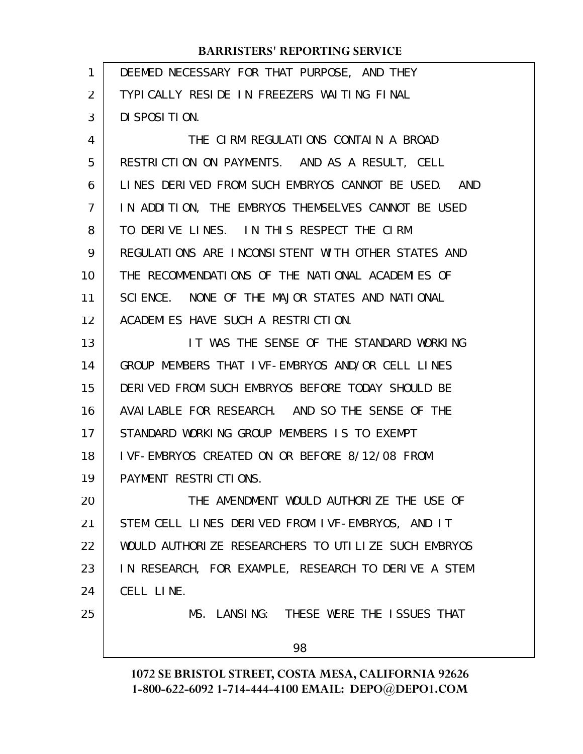| 1              | DEEMED NECESSARY FOR THAT PURPOSE, AND THEY         |
|----------------|-----------------------------------------------------|
| 2              | TYPICALLY RESIDE IN FREEZERS WAITING FINAL          |
| 3              | DI SPOSI TI ON.                                     |
| 4              | THE CIRM REGULATIONS CONTAIN A BROAD                |
| 5              | RESTRICTION ON PAYMENTS. AND AS A RESULT, CELL      |
| 6              | LINES DERIVED FROM SUCH EMBRYOS CANNOT BE USED. AND |
| $\overline{7}$ | IN ADDITION, THE EMBRYOS THEMSELVES CANNOT BE USED  |
| 8              | TO DERIVE LINES. IN THIS RESPECT THE CIRM           |
| 9              | REGULATIONS ARE INCONSISTENT WITH OTHER STATES AND  |
| 10             | THE RECOMMENDATIONS OF THE NATIONAL ACADEMIES OF    |
| 11             | SCIENCE. NONE OF THE MAJOR STATES AND NATIONAL      |
| 12             | ACADEMIES HAVE SUCH A RESTRICTION.                  |
| 13             | IT WAS THE SENSE OF THE STANDARD WORKING            |
| 14             | GROUP MEMBERS THAT IVF-EMBRYOS AND/OR CELL LINES    |
| 15             | DERIVED FROM SUCH EMBRYOS BEFORE TODAY SHOULD BE    |
| 16             | AVAILABLE FOR RESEARCH. AND SO THE SENSE OF THE     |
| 17             | STANDARD WORKING GROUP MEMBERS IS TO EXEMPT         |
| 18             | IVF-EMBRYOS CREATED ON OR BEFORE 8/12/08 FROM       |
| 19             | PAYMENT RESTRICTIONS.                               |
| 20             | THE AMENDMENT WOULD AUTHORIZE THE USE OF            |
| 21             | STEM CELL LINES DERIVED FROM IVF-EMBRYOS, AND IT    |
| 22             | WOULD AUTHORIZE RESEARCHERS TO UTILIZE SUCH EMBRYOS |
| 23             | IN RESEARCH, FOR EXAMPLE, RESEARCH TO DERIVE A STEM |
| 24             | CELL LINE.                                          |
| 25             | MS. LANSING: THESE WERE THE ISSUES THAT             |
|                | 98                                                  |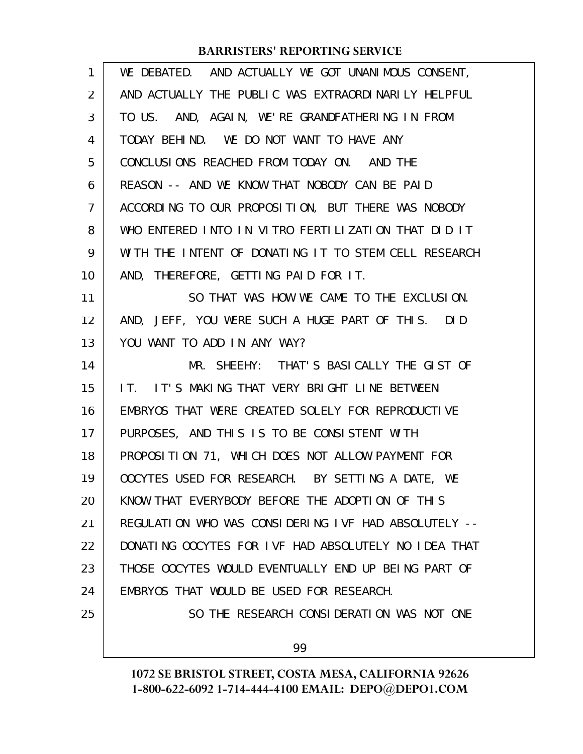| $\mathbf{1}$ | WE DEBATED. AND ACTUALLY WE GOT UNANIMOUS CONSENT,   |
|--------------|------------------------------------------------------|
| 2            | AND ACTUALLY THE PUBLIC WAS EXTRAORDINARILY HELPFUL  |
| 3            | TO US. AND, AGAIN, WE'RE GRANDFATHERING IN FROM      |
| 4            | TODAY BEHIND. WE DO NOT WANT TO HAVE ANY             |
| 5            | CONCLUSIONS REACHED FROM TODAY ON. AND THE           |
| 6            | REASON -- AND WE KNOW THAT NOBODY CAN BE PAID        |
| 7            | ACCORDING TO OUR PROPOSITION, BUT THERE WAS NOBODY   |
| 8            | WHO ENTERED INTO IN VITRO FERTILIZATION THAT DID IT  |
| 9            | WITH THE INTENT OF DONATING IT TO STEM CELL RESEARCH |
| 10           | AND, THEREFORE, GETTING PAID FOR IT.                 |
| 11           | SO THAT WAS HOW WE CAME TO THE EXCLUSION.            |
| 12           | AND, JEFF, YOU WERE SUCH A HUGE PART OF THIS. DID    |
| 13           | YOU WANT TO ADD IN ANY WAY?                          |
| 14           | MR. SHEEHY: THAT'S BASICALLY THE GIST OF             |
| 15           | IT. IT'S MAKING THAT VERY BRIGHT LINE BETWEEN        |
| 16           | EMBRYOS THAT WERE CREATED SOLELY FOR REPRODUCTIVE    |
| 17           | PURPOSES, AND THIS IS TO BE CONSISTENT WITH          |
| 18           | PROPOSITION 71, WHICH DOES NOT ALLOW PAYMENT FOR     |
| 19           | OOCYTES USED FOR RESEARCH. BY SETTING A DATE, WE     |
| 20           | KNOW THAT EVERYBODY BEFORE THE ADOPTION OF THIS      |
| 21           | REGULATION WHO WAS CONSIDERING IVF HAD ABSOLUTELY -- |
| 22           | DONATING OOCYTES FOR IVF HAD ABSOLUTELY NO IDEA THAT |
| 23           | THOSE OOCYTES WOULD EVENTUALLY END UP BEING PART OF  |
| 24           | EMBRYOS THAT WOULD BE USED FOR RESEARCH.             |
| 25           | SO THE RESEARCH CONSIDERATION WAS NOT ONE            |
|              | 99                                                   |
|              |                                                      |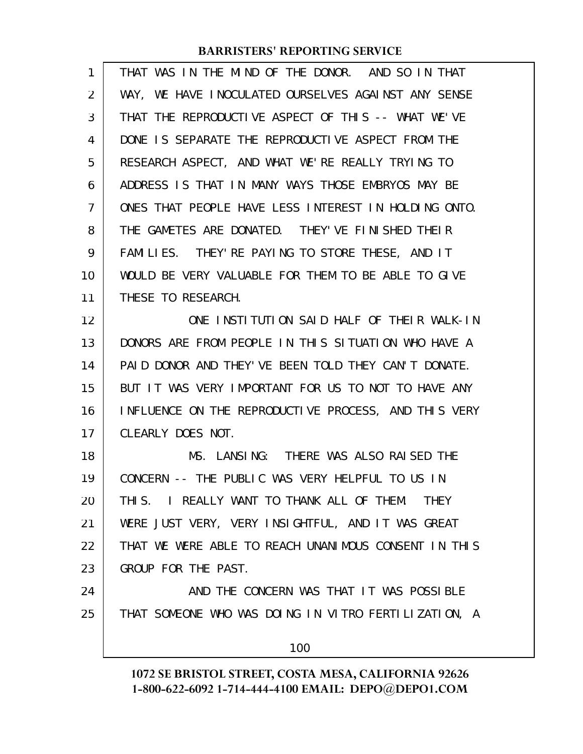| 1  | THAT WAS IN THE MIND OF THE DONOR. AND SO IN THAT        |
|----|----------------------------------------------------------|
| 2  | WAY, WE HAVE INOCULATED OURSELVES AGAINST ANY SENSE      |
| 3  | THAT THE REPRODUCTIVE ASPECT OF THIS -- WHAT WE'VE       |
| 4  | DONE IS SEPARATE THE REPRODUCTIVE ASPECT FROM THE        |
| 5  | RESEARCH ASPECT, AND WHAT WE'RE REALLY TRYING TO         |
| 6  | ADDRESS IS THAT IN MANY WAYS THOSE EMBRYOS MAY BE        |
| 7  | ONES THAT PEOPLE HAVE LESS INTEREST IN HOLDING ONTO.     |
| 8  | THE GAMETES ARE DONATED. THEY'VE FINISHED THEIR          |
| 9  | FAMILIES. THEY'RE PAYING TO STORE THESE, AND IT          |
| 10 | WOULD BE VERY VALUABLE FOR THEM TO BE ABLE TO GIVE       |
| 11 | THESE TO RESEARCH.                                       |
| 12 | ONE INSTITUTION SAID HALF OF THEIR WALK-IN               |
| 13 | DONORS ARE FROM PEOPLE IN THIS SITUATION WHO HAVE A      |
| 14 | PAID DONOR AND THEY' VE BEEN TOLD THEY CAN'T DONATE.     |
| 15 | BUT IT WAS VERY IMPORTANT FOR US TO NOT TO HAVE ANY      |
| 16 | INFLUENCE ON THE REPRODUCTIVE PROCESS, AND THIS VERY     |
| 17 | CLEARLY DOES NOT.                                        |
| 18 | MS. LANSING: THERE WAS ALSO RAISED THE                   |
| 19 | CONCERN -- THE PUBLIC WAS VERY HELPFUL TO US IN          |
| 20 | THIS. I REALLY WANT TO THANK ALL OF THEM.<br><b>THEY</b> |
| 21 | WERE JUST VERY, VERY INSIGHTFUL, AND IT WAS GREAT        |
| 22 | THAT WE WERE ABLE TO REACH UNANIMOUS CONSENT IN THIS     |
| 23 | GROUP FOR THE PAST.                                      |
| 24 | AND THE CONCERN WAS THAT IT WAS POSSIBLE                 |
| 25 | THAT SOMEONE WHO WAS DOING IN VITRO FERTILIZATION, A     |
|    | 100                                                      |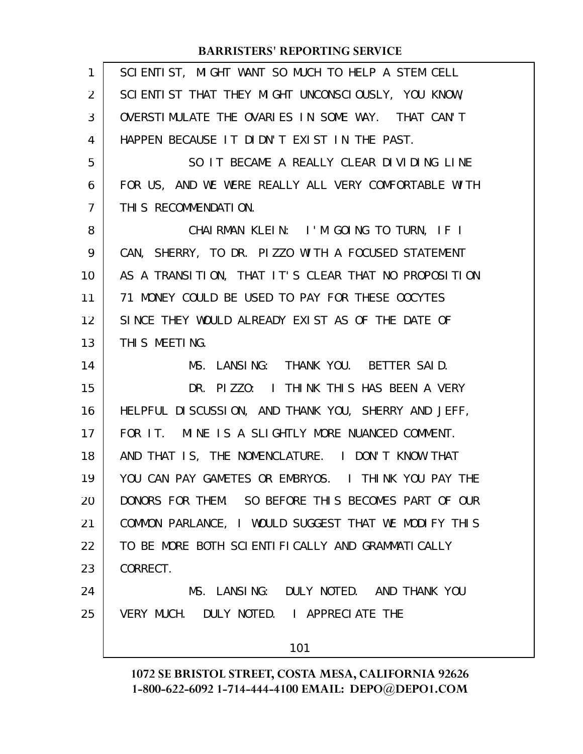| 1              | SCIENTIST, MIGHT WANT SO MUCH TO HELP A STEM CELL    |
|----------------|------------------------------------------------------|
| 2              | SCIENTIST THAT THEY MIGHT UNCONSCIOUSLY, YOU KNOW,   |
| 3              | OVERSTIMULATE THE OVARIES IN SOME WAY. THAT CAN'T    |
| 4              | HAPPEN BECAUSE IT DIDN'T EXIST IN THE PAST.          |
| 5              | SO IT BECAME A REALLY CLEAR DIVIDING LINE            |
| 6              | FOR US, AND WE WERE REALLY ALL VERY COMFORTABLE WITH |
| $\overline{7}$ | THIS RECOMMENDATION.                                 |
| 8              | CHAIRMAN KLEIN: I'M GOING TO TURN, IF I              |
| 9              | CAN, SHERRY, TO DR. PIZZO WITH A FOCUSED STATEMENT   |
| 10             | AS A TRANSITION, THAT IT'S CLEAR THAT NO PROPOSITION |
| 11             | 71 MONEY COULD BE USED TO PAY FOR THESE OOCYTES      |
| 12             | SINCE THEY WOULD ALREADY EXIST AS OF THE DATE OF     |
| 13             | THIS MEETING.                                        |
| 14             | MS. LANSING: THANK YOU. BETTER SAID.                 |
| 15             | DR. PIZZO: I THINK THIS HAS BEEN A VERY              |
| 16             | HELPFUL DISCUSSION, AND THANK YOU, SHERRY AND JEFF,  |
| 17             | FOR IT. MINE IS A SLIGHTLY MORE NUANCED COMMENT.     |
| 18             | AND THAT IS, THE NOMENCLATURE. I DON'T KNOW THAT     |
| 19             | YOU CAN PAY GAMETES OR EMBRYOS. I THINK YOU PAY THE  |
| 20             | DONORS FOR THEM. SO BEFORE THIS BECOMES PART OF OUR  |
| 21             | COMMON PARLANCE, I WOULD SUGGEST THAT WE MODIFY THIS |
| 22             | TO BE MORE BOTH SCIENTIFICALLY AND GRAMMATICALLY     |
| 23             | CORRECT.                                             |
| 24             | MS. LANSING: DULY NOTED. AND THANK YOU               |
| 25             | VERY MUCH. DULY NOTED. I APPRECIATE THE              |
|                | 101                                                  |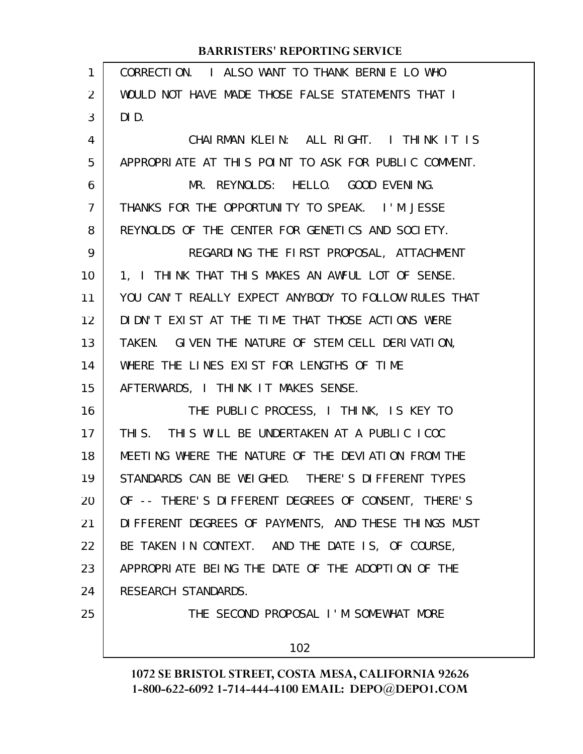| 1              | CORRECTION. I ALSO WANT TO THANK BERNIE LO WHO       |
|----------------|------------------------------------------------------|
| 2              | WOULD NOT HAVE MADE THOSE FALSE STATEMENTS THAT I    |
| 3              | DID.                                                 |
| 4              | CHAIRMAN KLEIN: ALL RIGHT. I THINK IT IS             |
| 5              | APPROPRIATE AT THIS POINT TO ASK FOR PUBLIC COMMENT. |
| 6              | MR. REYNOLDS: HELLO. GOOD EVENING.                   |
| $\overline{7}$ | THANKS FOR THE OPPORTUNITY TO SPEAK. I'M JESSE       |
| 8              | REYNOLDS OF THE CENTER FOR GENETICS AND SOCIETY.     |
| 9              | REGARDING THE FIRST PROPOSAL, ATTACHMENT             |
| 10             | 1, I THINK THAT THIS MAKES AN AWFUL LOT OF SENSE.    |
| 11             | YOU CAN'T REALLY EXPECT ANYBODY TO FOLLOW RULES THAT |
| 12             | DIDN'T EXIST AT THE TIME THAT THOSE ACTIONS WERE     |
| 13             | TAKEN. GIVEN THE NATURE OF STEM CELL DERIVATION,     |
| 14             | WHERE THE LINES EXIST FOR LENGTHS OF TIME            |
| 15             | AFTERWARDS, I THINK IT MAKES SENSE.                  |
| 16             | THE PUBLIC PROCESS, I THINK, IS KEY TO               |
| 17             | THIS. THIS WILL BE UNDERTAKEN AT A PUBLIC ICOC       |
| 18             | MEETING WHERE THE NATURE OF THE DEVIATION FROM THE   |
| 19             | STANDARDS CAN BE WEIGHED. THERE'S DIFFERENT TYPES    |
| 20             | OF -- THERE'S DIFFERENT DEGREES OF CONSENT, THERE'S  |
| 21             | DIFFERENT DEGREES OF PAYMENTS, AND THESE THINGS MUST |
| 22             | BE TAKEN IN CONTEXT. AND THE DATE IS, OF COURSE,     |
| 23             | APPROPRIATE BEING THE DATE OF THE ADOPTION OF THE    |
| 24             | RESEARCH STANDARDS.                                  |
| 25             | THE SECOND PROPOSAL I'M SOMEWHAT MORE                |
|                | 102                                                  |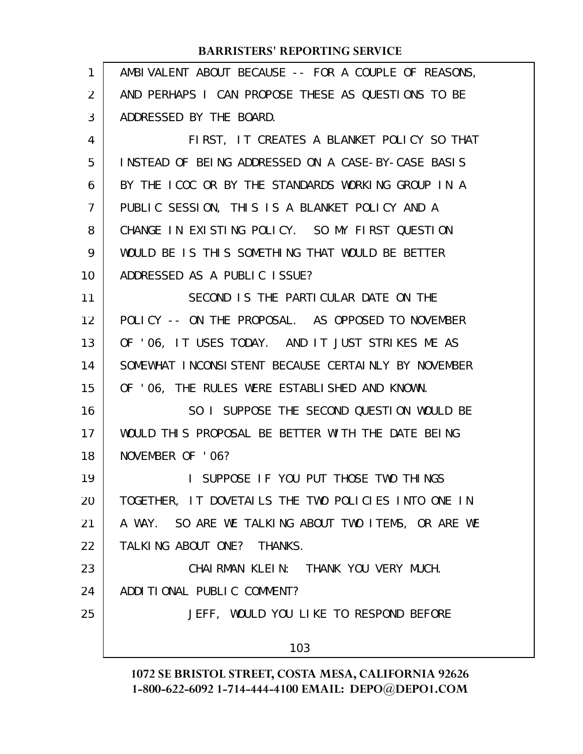| 1              | AMBIVALENT ABOUT BECAUSE -- FOR A COUPLE OF REASONS, |
|----------------|------------------------------------------------------|
| 2              | AND PERHAPS I CAN PROPOSE THESE AS QUESTIONS TO BE   |
| 3              | ADDRESSED BY THE BOARD.                              |
| 4              | FIRST, IT CREATES A BLANKET POLICY SO THAT           |
| 5              | INSTEAD OF BEING ADDRESSED ON A CASE-BY-CASE BASIS   |
| 6              | BY THE ICOC OR BY THE STANDARDS WORKING GROUP IN A   |
| $\overline{7}$ | PUBLIC SESSION, THIS IS A BLANKET POLICY AND A       |
| 8              | CHANGE IN EXISTING POLICY. SO MY FIRST QUESTION      |
| 9              | WOULD BE IS THIS SOMETHING THAT WOULD BE BETTER      |
| 10             | ADDRESSED AS A PUBLIC ISSUE?                         |
| 11             | SECOND IS THE PARTICULAR DATE ON THE                 |
| 12             | POLICY -- ON THE PROPOSAL. AS OPPOSED TO NOVEMBER    |
| 13             | OF '06, IT USES TODAY. AND IT JUST STRIKES ME AS     |
| 14             | SOMEWHAT INCONSISTENT BECAUSE CERTAINLY BY NOVEMBER  |
| 15             | OF 'O6, THE RULES WERE ESTABLISHED AND KNOWN.        |
| 16             | SO I SUPPOSE THE SECOND QUESTION WOULD BE            |
| 17             | WOULD THIS PROPOSAL BE BETTER WITH THE DATE BEING    |
| 18             | NOVEMBER OF '06?                                     |
| 19             | SUPPOSE IF YOU PUT THOSE TWO THINGS                  |
| 20             | TOGETHER, IT DOVETAILS THE TWO POLICIES INTO ONE IN  |
| 21             | A WAY. SO ARE WE TALKING ABOUT TWO ITEMS, OR ARE WE  |
| 22             | TALKING ABOUT ONE? THANKS.                           |
| 23             | CHAIRMAN KLEIN: THANK YOU VERY MUCH.                 |
| 24             | ADDITIONAL PUBLIC COMMENT?                           |
| 25             | JEFF, WOULD YOU LIKE TO RESPOND BEFORE               |
|                | 103                                                  |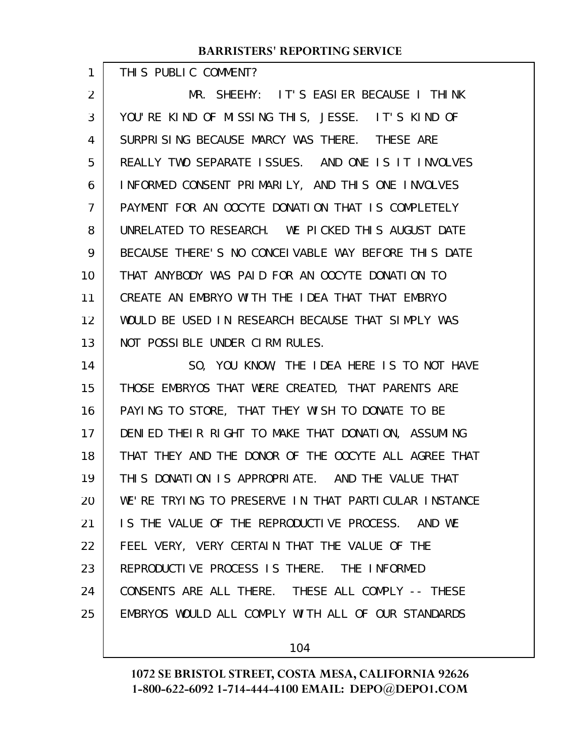THIS PUBLIC COMMENT?

1

MR. SHEEHY: IT'S EASIER BECAUSE I THINK YOU'RE KIND OF MISSING THIS, JESSE. IT'S KIND OF SURPRISING BECAUSE MARCY WAS THERE. THESE ARE REALLY TWO SEPARATE ISSUES. AND ONE IS IT INVOLVES INFORMED CONSENT PRIMARILY, AND THIS ONE INVOLVES PAYMENT FOR AN OOCYTE DONATION THAT IS COMPLETELY UNRELATED TO RESEARCH. WE PICKED THIS AUGUST DATE BECAUSE THERE'S NO CONCEIVABLE WAY BEFORE THIS DATE THAT ANYBODY WAS PAID FOR AN OOCYTE DONATION TO CREATE AN EMBRYO WITH THE IDEA THAT THAT EMBRYO WOULD BE USED IN RESEARCH BECAUSE THAT SIMPLY WAS NOT POSSIBLE UNDER CIRM RULES. 2 3 4 5 6 7 8 9 10 11 12 13

SO, YOU KNOW, THE IDEA HERE IS TO NOT HAVE THOSE EMBRYOS THAT WERE CREATED, THAT PARENTS ARE PAYING TO STORE, THAT THEY WISH TO DONATE TO BE DENIED THEIR RIGHT TO MAKE THAT DONATION, ASSUMING THAT THEY AND THE DONOR OF THE OOCYTE ALL AGREE THAT THIS DONATION IS APPROPRIATE. AND THE VALUE THAT WE'RE TRYING TO PRESERVE IN THAT PARTICULAR INSTANCE IS THE VALUE OF THE REPRODUCTIVE PROCESS. AND WE FEEL VERY, VERY CERTAIN THAT THE VALUE OF THE REPRODUCTIVE PROCESS IS THERE. THE INFORMED CONSENTS ARE ALL THERE. THESE ALL COMPLY -- THESE EMBRYOS WOULD ALL COMPLY WITH ALL OF OUR STANDARDS 14 15 16 17 18 19 20 21 22 23 24 25

104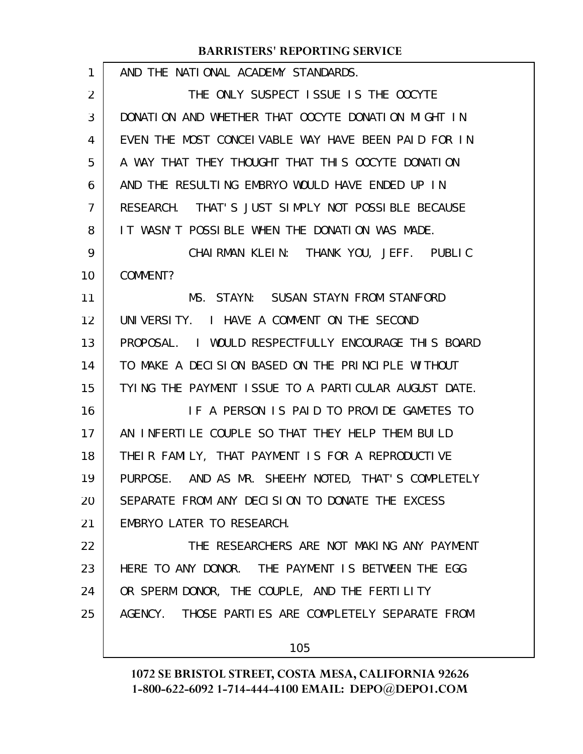| 1  | AND THE NATIONAL ACADEMY STANDARDS.                  |
|----|------------------------------------------------------|
| 2  | THE ONLY SUSPECT ISSUE IS THE OOCYTE                 |
| 3  | DONATION AND WHETHER THAT OOCYTE DONATION MIGHT IN   |
| 4  | EVEN THE MOST CONCEIVABLE WAY HAVE BEEN PAID FOR IN  |
| 5  | A WAY THAT THEY THOUGHT THAT THIS OOCYTE DONATION    |
| 6  | AND THE RESULTING EMBRYO WOULD HAVE ENDED UP IN      |
| 7  | RESEARCH. THAT'S JUST SIMPLY NOT POSSIBLE BECAUSE    |
| 8  | IT WASN'T POSSIBLE WHEN THE DONATION WAS MADE.       |
| 9  | CHAIRMAN KLEIN: THANK YOU, JEFF. PUBLIC              |
| 10 | COMMENT?                                             |
| 11 | MS. STAYN: SUSAN STAYN FROM STANFORD                 |
| 12 | UNIVERSITY. I HAVE A COMMENT ON THE SECOND           |
| 13 | PROPOSAL. I WOULD RESPECTFULLY ENCOURAGE THIS BOARD  |
| 14 | TO MAKE A DECISION BASED ON THE PRINCIPLE WITHOUT    |
| 15 | TYING THE PAYMENT ISSUE TO A PARTICULAR AUGUST DATE. |
| 16 | IF A PERSON IS PAID TO PROVIDE GAMETES TO            |
| 17 | AN INFERTILE COUPLE SO THAT THEY HELP THEM BUILD     |
| 18 | THEIR FAMILY, THAT PAYMENT IS FOR A REPRODUCTIVE     |
| 19 | PURPOSE. AND AS MR. SHEEHY NOTED, THAT'S COMPLETELY  |
| 20 | SEPARATE FROM ANY DECISION TO DONATE THE EXCESS      |
| 21 | EMBRYO LATER TO RESEARCH.                            |
| 22 | THE RESEARCHERS ARE NOT MAKING ANY PAYMENT           |
| 23 | HERE TO ANY DONOR. THE PAYMENT IS BETWEEN THE EGG    |
| 24 | OR SPERM DONOR, THE COUPLE, AND THE FERTILITY        |
| 25 | AGENCY. THOSE PARTIES ARE COMPLETELY SEPARATE FROM   |
|    | 105                                                  |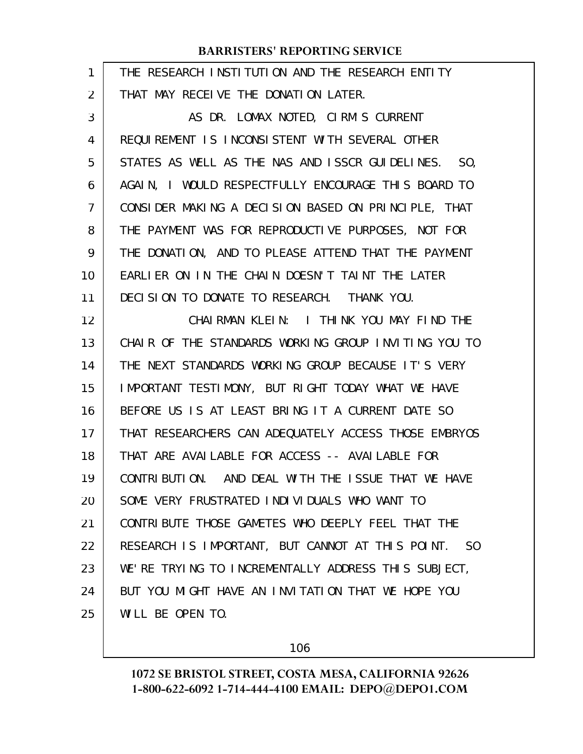| 1  | THE RESEARCH INSTITUTION AND THE RESEARCH ENTITY       |
|----|--------------------------------------------------------|
| 2  | THAT MAY RECEIVE THE DONATION LATER.                   |
| 3  | AS DR. LOMAX NOTED, CIRM'S CURRENT                     |
| 4  | REQUIREMENT IS INCONSISTENT WITH SEVERAL OTHER         |
| 5  | STATES AS WELL AS THE NAS AND ISSCR GUIDELINES.<br>SO, |
| 6  | AGAIN, I WOULD RESPECTFULLY ENCOURAGE THIS BOARD TO    |
| 7  | CONSIDER MAKING A DECISION BASED ON PRINCIPLE, THAT    |
| 8  | THE PAYMENT WAS FOR REPRODUCTIVE PURPOSES, NOT FOR     |
| 9  | THE DONATION, AND TO PLEASE ATTEND THAT THE PAYMENT    |
| 10 | EARLIER ON IN THE CHAIN DOESN'T TAINT THE LATER        |
| 11 | DECISION TO DONATE TO RESEARCH. THANK YOU.             |
| 12 | CHAIRMAN KLEIN: I THINK YOU MAY FIND THE               |
| 13 | CHAIR OF THE STANDARDS WORKING GROUP INVITING YOU TO   |
| 14 | THE NEXT STANDARDS WORKING GROUP BECAUSE IT'S VERY     |
| 15 | IMPORTANT TESTIMONY, BUT RIGHT TODAY WHAT WE HAVE      |
| 16 | BEFORE US IS AT LEAST BRING IT A CURRENT DATE SO       |
| 17 | THAT RESEARCHERS CAN ADEQUATELY ACCESS THOSE EMBRYOS   |
| 18 | THAT ARE AVAILABLE FOR ACCESS -- AVAILABLE FOR         |
| 19 | CONTRIBUTION. AND DEAL WITH THE ISSUE THAT WE HAVE     |
| 20 | SOME VERY FRUSTRATED INDIVIDUALS WHO WANT TO           |
| 21 | CONTRIBUTE THOSE GAMETES WHO DEEPLY FEEL THAT THE      |
| 22 | RESEARCH IS IMPORTANT, BUT CANNOT AT THIS POINT. SO    |
| 23 | WE'RE TRYING TO INCREMENTALLY ADDRESS THIS SUBJECT,    |
| 24 | BUT YOU MIGHT HAVE AN INVITATION THAT WE HOPE YOU      |
| 25 | WILL BE OPEN TO.                                       |
|    |                                                        |

106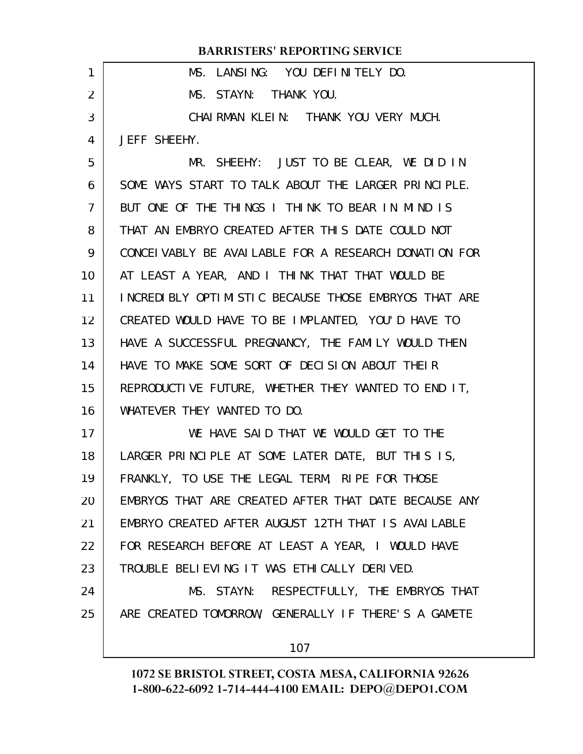| 1               | MS. LANSING: YOU DEFINITELY DO.                        |
|-----------------|--------------------------------------------------------|
| 2               | MS. STAYN: THANK YOU.                                  |
| 3               | CHAIRMAN KLEIN: THANK YOU VERY MUCH.                   |
| 4               | JEFF SHEEHY.                                           |
| 5               | MR. SHEEHY: JUST TO BE CLEAR, WE DID IN                |
| 6               | SOME WAYS START TO TALK ABOUT THE LARGER PRINCIPLE.    |
| $\overline{7}$  | BUT ONE OF THE THINGS I THINK TO BEAR IN MIND IS       |
| 8               | THAT AN EMBRYO CREATED AFTER THIS DATE COULD NOT       |
| 9               | CONCEI VABLY BE AVAI LABLE FOR A RESEARCH DONATION FOR |
| 10 <sup>°</sup> | AT LEAST A YEAR, AND I THINK THAT THAT WOULD BE        |
| 11              | INCREDIBLY OPTIMISTIC BECAUSE THOSE EMBRYOS THAT ARE   |
| 12 <sub>2</sub> | CREATED WOULD HAVE TO BE IMPLANTED, YOU'D HAVE TO      |
| 13              | HAVE A SUCCESSFUL PREGNANCY, THE FAMILY WOULD THEN     |
| 14              | HAVE TO MAKE SOME SORT OF DECISION ABOUT THEIR         |
| 15              | REPRODUCTIVE FUTURE, WHETHER THEY WANTED TO END IT,    |
| 16              | WHATEVER THEY WANTED TO DO.                            |
| 17              | WE HAVE SAID THAT WE WOULD GET TO THE                  |
| 18              | LARGER PRINCIPLE AT SOME LATER DATE, BUT THIS IS,      |
| 19              | FRANKLY, TO USE THE LEGAL TERM, RIPE FOR THOSE         |
| 20              | EMBRYOS THAT ARE CREATED AFTER THAT DATE BECAUSE ANY   |
| 21              | EMBRYO CREATED AFTER AUGUST 12TH THAT IS AVAILABLE     |
| 22              | FOR RESEARCH BEFORE AT LEAST A YEAR, I WOULD HAVE      |
| 23              | TROUBLE BELIEVING IT WAS ETHICALLY DERIVED.            |
| 24              | MS. STAYN: RESPECTFULLY, THE EMBRYOS THAT              |
|                 |                                                        |
| 25              | ARE CREATED TOMORROW, GENERALLY IF THERE'S A GAMETE    |
|                 | 107                                                    |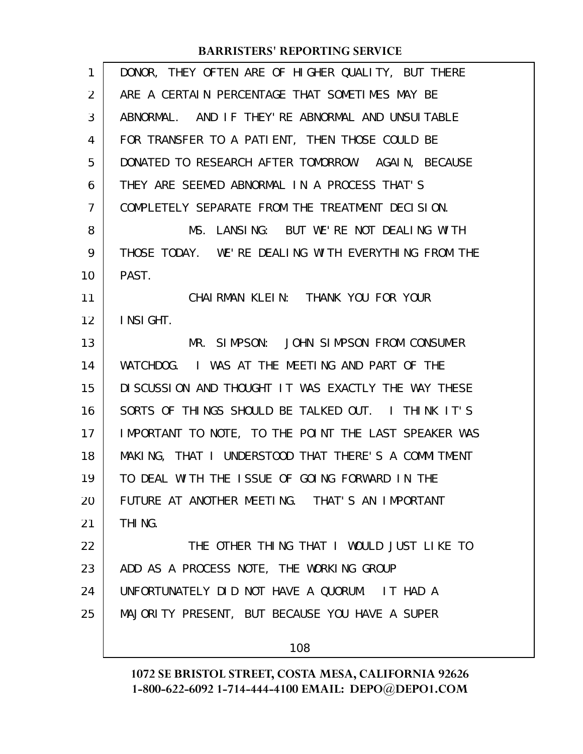| 1              | DONOR, THEY OFTEN ARE OF HIGHER QUALITY, BUT THERE   |
|----------------|------------------------------------------------------|
| 2              | ARE A CERTAIN PERCENTAGE THAT SOMETIMES MAY BE       |
| 3              | ABNORMAL. AND IF THEY' RE ABNORMAL AND UNSUITABLE    |
| 4              | FOR TRANSFER TO A PATIENT, THEN THOSE COULD BE       |
| 5              | DONATED TO RESEARCH AFTER TOMORROW. AGAIN, BECAUSE   |
| 6              | THEY ARE SEEMED ABNORMAL IN A PROCESS THAT'S         |
| $\overline{7}$ | COMPLETELY SEPARATE FROM THE TREATMENT DECISION.     |
| 8              | MS. LANSING: BUT WE'RE NOT DEALING WITH              |
| 9              | THOSE TODAY. WE'RE DEALING WITH EVERYTHING FROM THE  |
| 10             | PAST.                                                |
| 11             | CHAIRMAN KLEIN: THANK YOU FOR YOUR                   |
| 12             | INSIGHT.                                             |
| 13             | MR. SIMPSON: JOHN SIMPSON FROM CONSUMER              |
| 14             | WATCHDOG. I WAS AT THE MEETING AND PART OF THE       |
| 15             | DI SCUSSION AND THOUGHT IT WAS EXACTLY THE WAY THESE |
| 16             | SORTS OF THINGS SHOULD BE TALKED OUT. I THINK IT'S   |
| 17             | IMPORTANT TO NOTE, TO THE POINT THE LAST SPEAKER WAS |
| 18             | MAKING, THAT I UNDERSTOOD THAT THERE'S A COMMITMENT  |
| 19             | TO DEAL WITH THE ISSUE OF GOING FORWARD IN THE       |
| 20             | FUTURE AT ANOTHER MEETING. THAT'S AN IMPORTANT       |
| 21             | THI <sub>NG</sub> .                                  |
| 22             | THE OTHER THING THAT I WOULD JUST LIKE TO            |
| 23             | ADD AS A PROCESS NOTE, THE WORKING GROUP             |
| 24             | UNFORTUNATELY DID NOT HAVE A QUORUM. IT HAD A        |
| 25             | MAJORITY PRESENT, BUT BECAUSE YOU HAVE A SUPER       |
|                |                                                      |
|                | 108                                                  |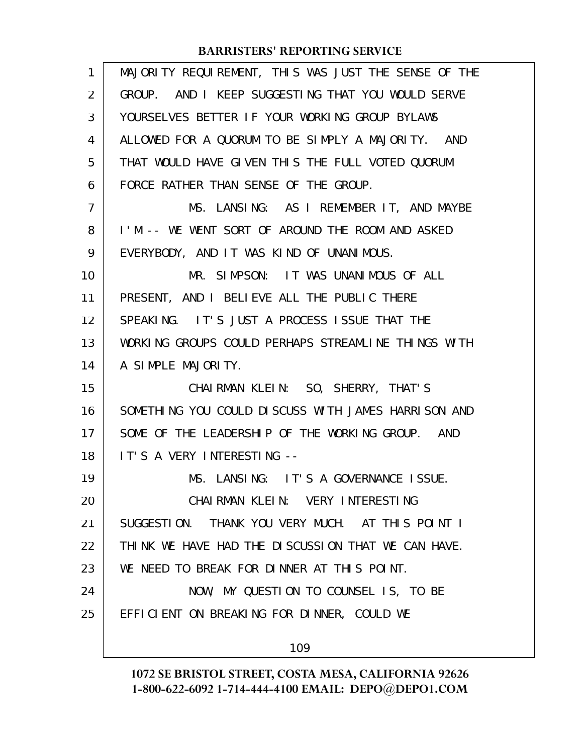| 1              | MAJORITY REQUIREMENT, THIS WAS JUST THE SENSE OF THE |
|----------------|------------------------------------------------------|
| 2              | GROUP. AND I KEEP SUGGESTING THAT YOU WOULD SERVE    |
| 3              | YOURSELVES BETTER IF YOUR WORKING GROUP BYLAWS       |
| 4              | ALLOWED FOR A QUORUM TO BE SIMPLY A MAJORITY. AND    |
| 5              | THAT WOULD HAVE GIVEN THIS THE FULL VOTED QUORUM     |
| 6              | FORCE RATHER THAN SENSE OF THE GROUP.                |
| $\overline{7}$ | MS. LANSING: AS I REMEMBER IT, AND MAYBE             |
| 8              | I'M -- WE WENT SORT OF AROUND THE ROOM AND ASKED     |
| 9              | EVERYBODY, AND IT WAS KIND OF UNANIMOUS.             |
| 10             | MR. SIMPSON: IT WAS UNANIMOUS OF ALL                 |
| 11             | PRESENT, AND I BELIEVE ALL THE PUBLIC THERE          |
| 12             | SPEAKING. IT'S JUST A PROCESS ISSUE THAT THE         |
| 13             | WORKING GROUPS COULD PERHAPS STREAMLINE THINGS WITH  |
| 14             | A SIMPLE MAJORITY.                                   |
| 15             | CHAIRMAN KLEIN: SO, SHERRY, THAT'S                   |
| 16             | SOMETHING YOU COULD DISCUSS WITH JAMES HARRISON AND  |
| 17             | SOME OF THE LEADERSHIP OF THE WORKING GROUP. AND     |
| 18             | IT'S A VERY INTERESTING --                           |
| 19             | MS. LANSING: IT'S A GOVERNANCE ISSUE.                |
| 20             | CHAIRMAN KLEIN: VERY INTERESTING                     |
| 21             | SUGGESTION. THANK YOU VERY MUCH. AT THIS POINT I     |
| 22             | THINK WE HAVE HAD THE DISCUSSION THAT WE CAN HAVE.   |
| 23             | WE NEED TO BREAK FOR DINNER AT THIS POINT.           |
| 24             | NOW, MY QUESTION TO COUNSEL IS, TO BE                |
| 25             | EFFICIENT ON BREAKING FOR DINNER, COULD WE           |
|                | 109                                                  |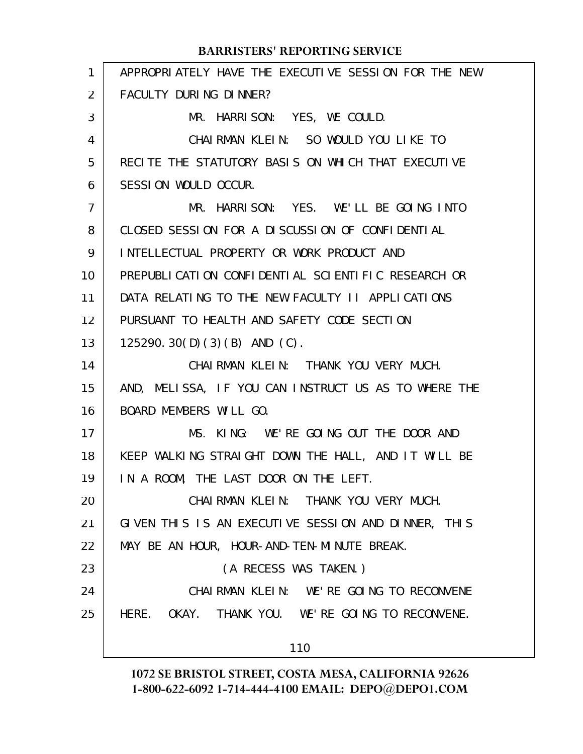#### APPROPRIATELY HAVE THE EXECUTIVE SESSION FOR THE NEW FACULTY DURING DINNER? MR. HARRISON: YES, WE COULD. CHAIRMAN KLEIN: SO WOULD YOU LIKE TO RECITE THE STATUTORY BASIS ON WHICH THAT EXECUTIVE SESSION WOULD OCCUR. MR. HARRISON: YES. WE'LL BE GOING INTO CLOSED SESSION FOR A DISCUSSION OF CONFIDENTIAL INTELLECTUAL PROPERTY OR WORK PRODUCT AND PREPUBLICATION CONFIDENTIAL SCIENTIFIC RESEARCH OR DATA RELATING TO THE NEW FACULTY II APPLICATIONS PURSUANT TO HEALTH AND SAFETY CODE SECTION 125290.30(D)(3)(B) AND (C). CHAIRMAN KLEIN: THANK YOU VERY MUCH. AND, MELISSA, IF YOU CAN INSTRUCT US AS TO WHERE THE BOARD MEMBERS WILL GO. MS. KING: WE'RE GOING OUT THE DOOR AND KEEP WALKING STRAIGHT DOWN THE HALL, AND IT WILL BE IN A ROOM, THE LAST DOOR ON THE LEFT. CHAIRMAN KLEIN: THANK YOU VERY MUCH. GIVEN THIS IS AN EXECUTIVE SESSION AND DINNER, THIS MAY BE AN HOUR, HOUR-AND-TEN-MINUTE BREAK. (A RECESS WAS TAKEN.) CHAIRMAN KLEIN: WE'RE GOING TO RECONVENE HERE. OKAY. THANK YOU. WE'RE GOING TO RECONVENE. 110 **BARRISTERS' REPORTING SERVICE** 1 2 3 4 5 6 7 8 9 10 11 12 13 14 15 16 17 18 19 20 21 22 23 24 25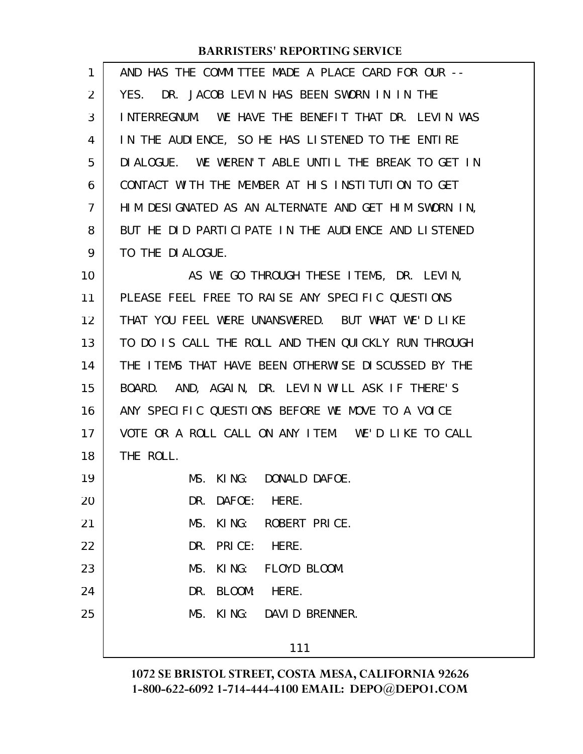| 1  | AND HAS THE COMMITTEE MADE A PLACE CARD FOR OUR --   |
|----|------------------------------------------------------|
| 2  | DR. JACOB LEVIN HAS BEEN SWORN IN IN THE<br>YES.     |
| 3  | INTERREGNUM. WE HAVE THE BENEFIT THAT DR. LEVIN WAS  |
| 4  | IN THE AUDIENCE, SO HE HAS LISTENED TO THE ENTIRE    |
| 5  | DIALOGUE. WE WEREN'T ABLE UNTIL THE BREAK TO GET IN  |
| 6  | CONTACT WITH THE MEMBER AT HIS INSTITUTION TO GET    |
| 7  | HIM DESIGNATED AS AN ALTERNATE AND GET HIM SWORN IN, |
| 8  | BUT HE DID PARTICIPATE IN THE AUDIENCE AND LISTENED  |
| 9  | TO THE DIALOGUE.                                     |
| 10 | AS WE GO THROUGH THESE ITEMS, DR. LEVIN,             |
| 11 | PLEASE FEEL FREE TO RAISE ANY SPECIFIC QUESTIONS     |
| 12 | THAT YOU FEEL WERE UNANSWERED. BUT WHAT WE'D LIKE    |
| 13 | TO DO IS CALL THE ROLL AND THEN QUICKLY RUN THROUGH  |
| 14 | THE ITEMS THAT HAVE BEEN OTHERWISE DISCUSSED BY THE  |
| 15 | AND, AGAIN, DR. LEVIN WILL ASK IF THERE'S<br>BOARD.  |
| 16 | ANY SPECIFIC QUESTIONS BEFORE WE MOVE TO A VOICE     |
| 17 | VOTE OR A ROLL CALL ON ANY ITEM. WE'D LIKE TO CALL   |
| 18 | THE ROLL.                                            |
| 19 | KING: DONALD DAFOE.<br>MS.                           |
| 20 | DR. DAFOE: HERE.                                     |
| 21 | MS. KING: ROBERT PRICE.                              |
| 22 | DR. PRICE: HERE.                                     |
| 23 | MS. KING: FLOYD BLOOM.                               |
| 24 | DR. BLOOM:<br>HERE.                                  |
| 25 | MS. KING: DAVID BRENNER.                             |
|    | 111                                                  |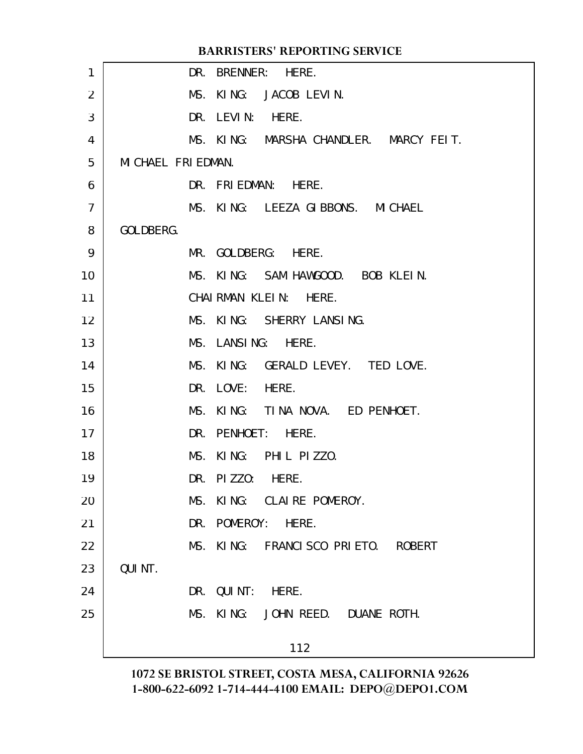|                |                     | <b>BARRISTERS' REPORTING SERVICE</b>   |  |
|----------------|---------------------|----------------------------------------|--|
| 1              |                     | DR. BRENNER: HERE.                     |  |
| 2              |                     | MS. KING: JACOB LEVIN.                 |  |
| 3              |                     | DR. LEVIN:<br>HERE.                    |  |
| 4              |                     | MS. KING: MARSHA CHANDLER. MARCY FEIT. |  |
| 5              | MI CHAEL FRI EDMAN. |                                        |  |
| 6              |                     | DR. FRIEDMAN: HERE.                    |  |
| $\overline{7}$ |                     | MS. KING: LEEZA GIBBONS. MICHAEL       |  |
| 8              | GOLDBERG.           |                                        |  |
| 9              |                     | MR. GOLDBERG: HERE.                    |  |
| 10             |                     | MS. KING: SAM HAWGOOD. BOB KLEIN.      |  |
| 11             |                     | CHAIRMAN KLEIN: HERE.                  |  |
| 12             |                     | MS. KING: SHERRY LANSING.              |  |
| 13             |                     | MS. LANSING: HERE.                     |  |
| 14             |                     | MS. KING: GERALD LEVEY. TED LOVE.      |  |
| 15             |                     | DR. LOVE: HERE.                        |  |
| 16             |                     | MS. KING: TINA NOVA. ED PENHOET.       |  |
| 17             |                     | DR. PENHOET: HERE.                     |  |
| 18             |                     | MS. KING: PHIL PIZZO.                  |  |
| 19             |                     | DR. PIZZO: HERE.                       |  |
| 20             |                     | MS. KING: CLAIRE POMEROY.              |  |
| 21             |                     | DR. POMEROY: HERE.                     |  |
| 22             |                     | MS. KING: FRANCISCO PRIETO. ROBERT     |  |
| 23             | QUI NT.             |                                        |  |
| 24             |                     | DR. QUINT: HERE.                       |  |
| 25             |                     | MS. KING: JOHN REED. DUANE ROTH.       |  |
|                |                     | 112                                    |  |
|                |                     |                                        |  |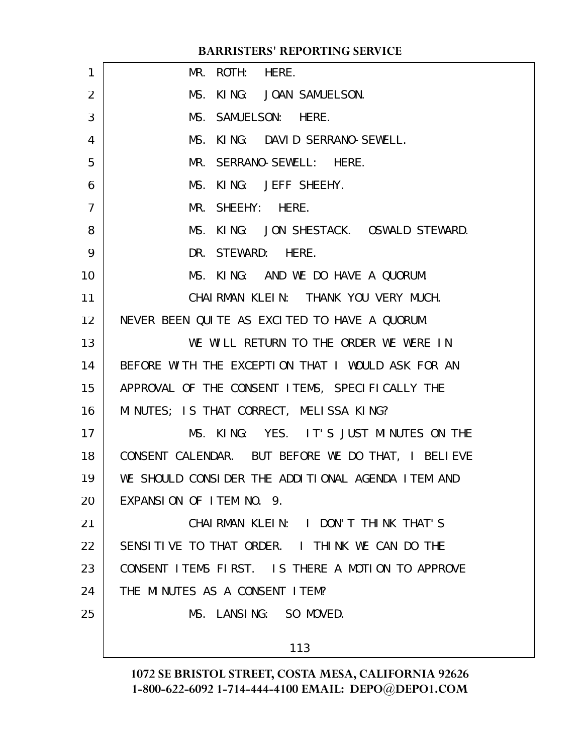| $\mathbf{1}$    | MR. ROTH: HERE.                                    |
|-----------------|----------------------------------------------------|
| 2               | MS. KING: JOAN SAMUELSON.                          |
| 3               | MS. SAMUELSON: HERE.                               |
| 4               | MS. KING: DAVID SERRANO-SEWELL.                    |
| 5               | MR. SERRANO-SEWELL: HERE.                          |
| 6               | MS. KING: JEFF SHEEHY.                             |
| $\overline{7}$  | MR. SHEEHY: HERE.                                  |
| 8               | MS. KING: JON SHESTACK. OSWALD STEWARD.            |
| 9               | DR. STEWARD: HERE.                                 |
| 10              | MS. KING: AND WE DO HAVE A QUORUM.                 |
| 11              | CHAIRMAN KLEIN: THANK YOU VERY MUCH.               |
| 12 <sup>2</sup> | NEVER BEEN QUITE AS EXCITED TO HAVE A QUORUM.      |
| 13              | WE WILL RETURN TO THE ORDER WE WERE IN             |
| 14              | BEFORE WITH THE EXCEPTION THAT I WOULD ASK FOR AN  |
| 15              | APPROVAL OF THE CONSENT ITEMS, SPECIFICALLY THE    |
| 16              | MINUTES; IS THAT CORRECT, MELISSA KING?            |
| 17              | MS. KING: YES. IT'S JUST MINUTES ON THE            |
| 18              | CONSENT CALENDAR. BUT BEFORE WE DO THAT, I BELIEVE |
| 19              | WE SHOULD CONSIDER THE ADDITIONAL AGENDA ITEM AND  |
| 20              | EXPANSION OF ITEM NO. 9.                           |
| 21              | CHAIRMAN KLEIN: I DON'T THINK THAT'S               |
| 22              | SENSITIVE TO THAT ORDER. I THINK WE CAN DO THE     |
| 23              | CONSENT ITEMS FIRST. IS THERE A MOTION TO APPROVE  |
| 24              | THE MINUTES AS A CONSENT LTEM?                     |
| 25              | MS. LANSING: SO MOVED.                             |
|                 | 113                                                |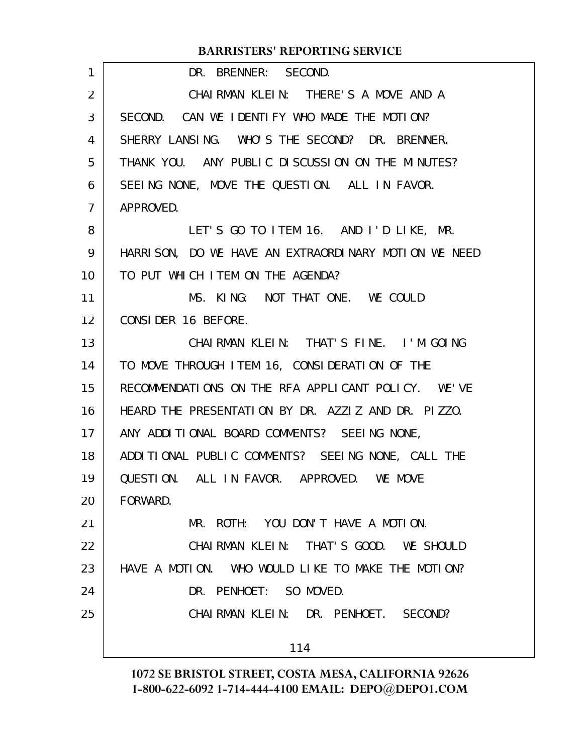| 1              | DR. BRENNER: SECOND.                                 |
|----------------|------------------------------------------------------|
| $\overline{2}$ | CHAIRMAN KLEIN: THERE'S A MOVE AND A                 |
| 3              | SECOND. CAN WE IDENTIFY WHO MADE THE MOTION?         |
| 4              | SHERRY LANSING. WHO'S THE SECOND? DR. BRENNER.       |
| 5              | THANK YOU. ANY PUBLIC DISCUSSION ON THE MINUTES?     |
| 6              | SEEING NONE, MOVE THE QUESTION. ALL IN FAVOR.        |
| $\overline{7}$ | APPROVED.                                            |
| 8              | LET'S GO TO ITEM 16. AND I'D LIKE, MR.               |
| 9              | HARRISON, DO WE HAVE AN EXTRAORDINARY MOTION WE NEED |
| 10             | TO PUT WHICH ITEM ON THE AGENDA?                     |
| 11             | MS. KING: NOT THAT ONE. WE COULD                     |
| 12             | CONSIDER 16 BEFORE.                                  |
| 13             | CHAIRMAN KLEIN: THAT'S FINE. I'M GOING               |
| 14             | TO MOVE THROUGH ITEM 16, CONSIDERATION OF THE        |
| 15             | RECOMMENDATIONS ON THE RFA APPLICANT POLICY. WE'VE   |
| 16             | HEARD THE PRESENTATION BY DR. AZZIZ AND DR. PIZZO.   |
| 17             | ANY ADDITIONAL BOARD COMMENTS? SEEING NONE,          |
| 18             | ADDITIONAL PUBLIC COMMENTS? SEEING NONE, CALL THE    |
| 19             | QUESTION. ALL IN FAVOR. APPROVED. WE MOVE            |
| 20             | FORWARD.                                             |
| 21             | MR. ROTH: YOU DON'T HAVE A MOTION.                   |
| 22             | CHAIRMAN KLEIN: THAT'S GOOD. WE SHOULD               |
| 23             | HAVE A MOTION. WHO WOULD LIKE TO MAKE THE MOTION?    |
| 24             | DR. PENHOET: SO MOVED.                               |
| 25             | CHAIRMAN KLEIN: DR. PENHOET. SECOND?                 |
|                | 114                                                  |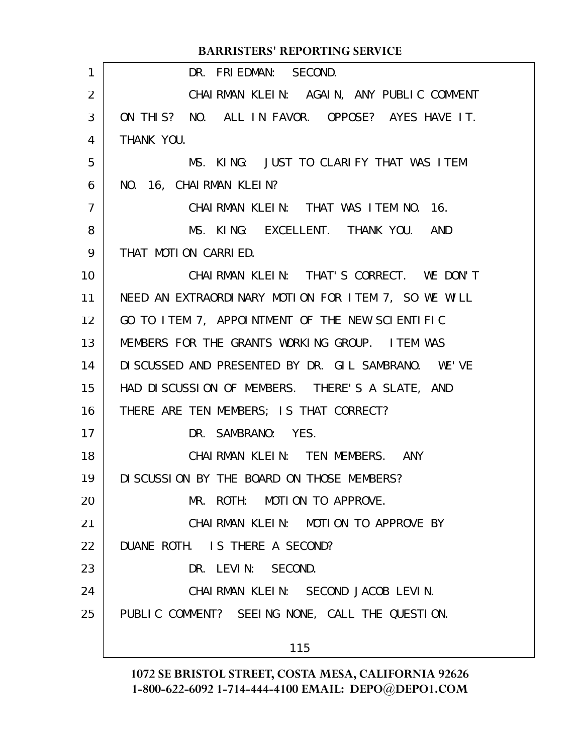|                | <b>BARRISTERS' REPORTING SERVICE</b>                |
|----------------|-----------------------------------------------------|
| 1              | DR. FRIEDMAN: SECOND.                               |
| 2              | CHAIRMAN KLEIN: AGAIN, ANY PUBLIC COMMENT           |
| 3              | ON THIS? NO. ALL IN FAVOR. OPPOSE? AYES HAVE IT.    |
| 4              | THANK YOU.                                          |
| 5              | MS. KING: JUST TO CLARIFY THAT WAS ITEM             |
| 6              | NO. 16, CHAIRMAN KLEIN?                             |
| $\overline{7}$ | CHAIRMAN KLEIN: THAT WAS ITEM NO. 16.               |
| 8              | MS. KING: EXCELLENT. THANK YOU. AND                 |
| 9              | THAT MOTION CARRIED.                                |
| 10             | CHAIRMAN KLEIN: THAT'S CORRECT. WE DON'T            |
| 11             | NEED AN EXTRAORDINARY MOTION FOR ITEM 7, SO WE WILL |
| 12             | GO TO ITEM 7, APPOINTMENT OF THE NEW SCIENTIFIC     |
| 13             | MEMBERS FOR THE GRANTS WORKING GROUP. ITEM WAS      |
| 14             | DISCUSSED AND PRESENTED BY DR. GIL SAMBRANO. WE'VE  |
| 15             | HAD DISCUSSION OF MEMBERS. THERE'S A SLATE, AND     |
| 16             | THERE ARE TEN MEMBERS; IS THAT CORRECT?             |
| 17             | DR. SAMBRANO: YES.                                  |
| 18             | CHAIRMAN KLEIN: TEN MEMBERS. ANY                    |
| 19             | DI SCUSSION BY THE BOARD ON THOSE MEMBERS?          |
| 20             | MR. ROTH: MOTION TO APPROVE.                        |
| 21             | CHAIRMAN KLEIN: MOTION TO APPROVE BY                |
| 22             | DUANE ROTH. IS THERE A SECOND?                      |
| 23             | DR. LEVIN: SECOND.                                  |
| 24             | CHAIRMAN KLEIN: SECOND JACOB LEVIN.                 |
| 25             | PUBLIC COMMENT? SEEING NONE, CALL THE QUESTION.     |
|                | 115                                                 |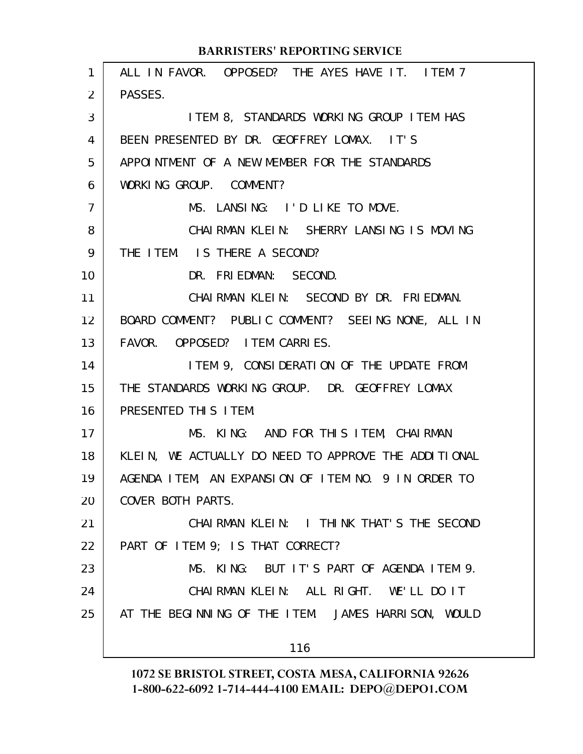| $\mathbf{1}$   | ALL IN FAVOR. OPPOSED? THE AYES HAVE IT. ITEM 7      |
|----------------|------------------------------------------------------|
| 2              | PASSES.                                              |
| 3              | ITEM 8, STANDARDS WORKING GROUP ITEM HAS             |
| 4              | BEEN PRESENTED BY DR. GEOFFREY LOMAX. IT'S           |
| 5              | APPOINTMENT OF A NEW MEMBER FOR THE STANDARDS        |
| 6              | WORKING GROUP. COMMENT?                              |
| $\overline{7}$ | MS. LANSING: I'D LIKE TO MOVE.                       |
| 8              | CHAIRMAN KLEIN: SHERRY LANSING IS MOVING             |
| 9              | THE ITEM. IS THERE A SECOND?                         |
| 10             | DR. FRIEDMAN: SECOND.                                |
| 11             | CHAIRMAN KLEIN: SECOND BY DR. FRIEDMAN.              |
| 12             | BOARD COMMENT? PUBLIC COMMENT? SEEING NONE, ALL IN   |
| 13             | FAVOR. OPPOSED? I TEM CARRIES.                       |
| 14             | I TEM 9, CONSIDERATION OF THE UPDATE FROM            |
| 15             | THE STANDARDS WORKING GROUP. DR. GEOFFREY LOMAX      |
| 16             | PRESENTED THIS ITEM.                                 |
| 17             | MS. KING: AND FOR THIS ITEM, CHAIRMAN                |
| 18             | KLEIN, WE ACTUALLY DO NEED TO APPROVE THE ADDITIONAL |
| 19             | AGENDA ITEM, AN EXPANSION OF ITEM NO. 9 IN ORDER TO  |
| 20             | COVER BOTH PARTS.                                    |
| 21             | CHAIRMAN KLEIN: I THINK THAT'S THE SECOND            |
| 22             | PART OF ITEM 9; IS THAT CORRECT?                     |
| 23             | MS. KING: BUT IT'S PART OF AGENDA ITEM 9.            |
| 24             | CHAIRMAN KLEIN: ALL RIGHT. WE'LL DO IT               |
| 25             | AT THE BEGINNING OF THE ITEM. JAMES HARRISON, WOULD  |
|                | 116                                                  |
|                |                                                      |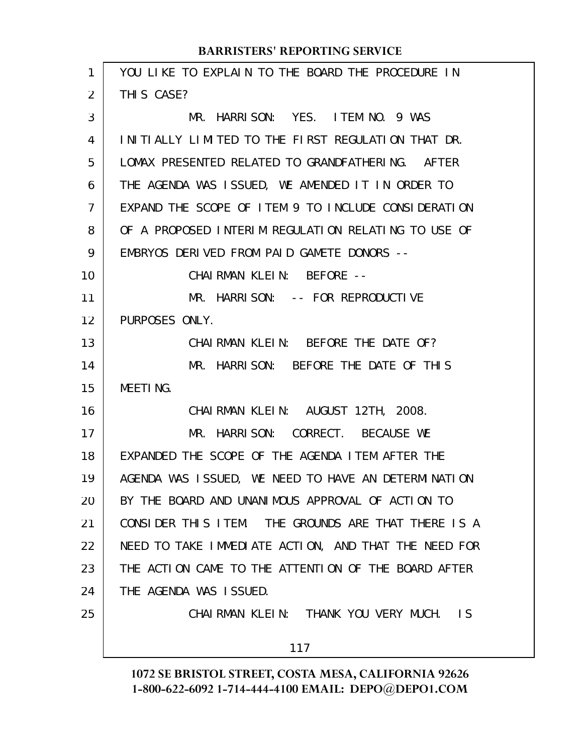| 1  | YOU LIKE TO EXPLAIN TO THE BOARD THE PROCEDURE IN    |
|----|------------------------------------------------------|
| 2  | THIS CASE?                                           |
| 3  | MR. HARRISON: YES. ITEM NO. 9 WAS                    |
| 4  | INITIALLY LIMITED TO THE FIRST REGULATION THAT DR.   |
| 5  | LOMAX PRESENTED RELATED TO GRANDFATHERING. AFTER     |
| 6  | THE AGENDA WAS ISSUED, WE AMENDED IT IN ORDER TO     |
| 7  | EXPAND THE SCOPE OF ITEM 9 TO INCLUDE CONSIDERATION  |
| 8  | OF A PROPOSED INTERIM REGULATION RELATING TO USE OF  |
| 9  | EMBRYOS DERIVED FROM PAID GAMETE DONORS --           |
| 10 | CHAIRMAN KLEIN: BEFORE --                            |
| 11 | MR. HARRISON: -- FOR REPRODUCTIVE                    |
| 12 | PURPOSES ONLY.                                       |
| 13 | CHAIRMAN KLEIN: BEFORE THE DATE OF?                  |
| 14 | MR. HARRISON: BEFORE THE DATE OF THIS                |
| 15 | <b>MEETING.</b>                                      |
| 16 | CHAIRMAN KLEIN: AUGUST 12TH, 2008.                   |
| 17 | MR. HARRISON: CORRECT. BECAUSE WE                    |
| 18 | EXPANDED THE SCOPE OF THE AGENDA ITEM AFTER THE      |
| 19 | AGENDA WAS ISSUED, WE NEED TO HAVE AN DETERMINATION  |
| 20 | BY THE BOARD AND UNANIMOUS APPROVAL OF ACTION TO     |
| 21 | CONSIDER THIS ITEM. THE GROUNDS ARE THAT THERE IS A  |
| 22 | NEED TO TAKE IMMEDIATE ACTION, AND THAT THE NEED FOR |
| 23 | THE ACTION CAME TO THE ATTENTION OF THE BOARD AFTER  |
| 24 | THE AGENDA WAS ISSUED.                               |
| 25 | CHAIRMAN KLEIN: THANK YOU VERY MUCH. IS              |
|    | 117                                                  |
|    |                                                      |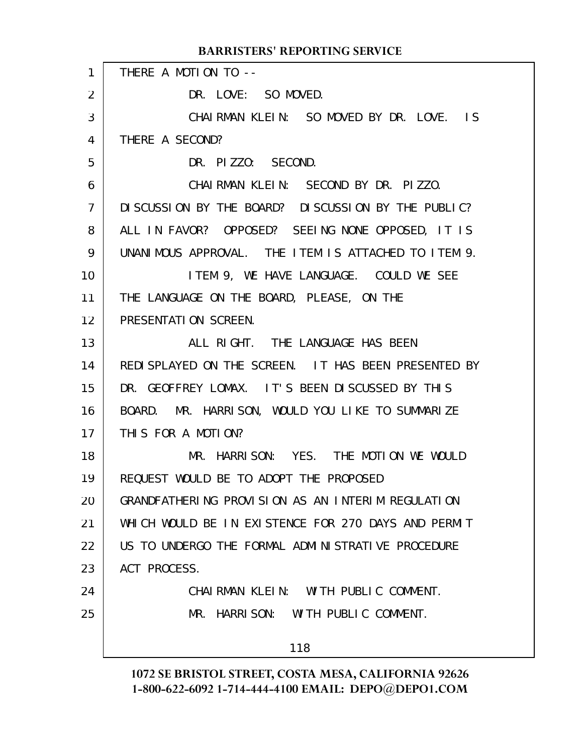THERE A MOTION TO --DR. LOVE: SO MOVED. CHAIRMAN KLEIN: SO MOVED BY DR. LOVE. IS THERE A SECOND? DR. PIZZO: SECOND. CHAIRMAN KLEIN: SECOND BY DR. PIZZO. DISCUSSION BY THE BOARD? DISCUSSION BY THE PUBLIC? ALL IN FAVOR? OPPOSED? SEEING NONE OPPOSED, IT IS UNANIMOUS APPROVAL. THE ITEM IS ATTACHED TO ITEM 9. ITEM 9, WE HAVE LANGUAGE. COULD WE SEE THE LANGUAGE ON THE BOARD, PLEASE, ON THE PRESENTATION SCREEN. ALL RIGHT. THE LANGUAGE HAS BEEN REDISPLAYED ON THE SCREEN. IT HAS BEEN PRESENTED BY DR. GEOFFREY LOMAX. IT'S BEEN DISCUSSED BY THIS BOARD. MR. HARRISON, WOULD YOU LIKE TO SUMMARIZE THIS FOR A MOTION? MR. HARRISON: YES. THE MOTION WE WOULD REQUEST WOULD BE TO ADOPT THE PROPOSED GRANDFATHERING PROVISION AS AN INTERIM REGULATION WHICH WOULD BE IN EXISTENCE FOR 270 DAYS AND PERMIT US TO UNDERGO THE FORMAL ADMINISTRATIVE PROCEDURE ACT PROCESS. CHAIRMAN KLEIN: WITH PUBLIC COMMENT. MR. HARRISON: WITH PUBLIC COMMENT. 118 **BARRISTERS' REPORTING SERVICE** 1 2 3 4 5 6 7 8 9 10 11 12 13 14 15 16 17 18 19 20 21 22 23 24 25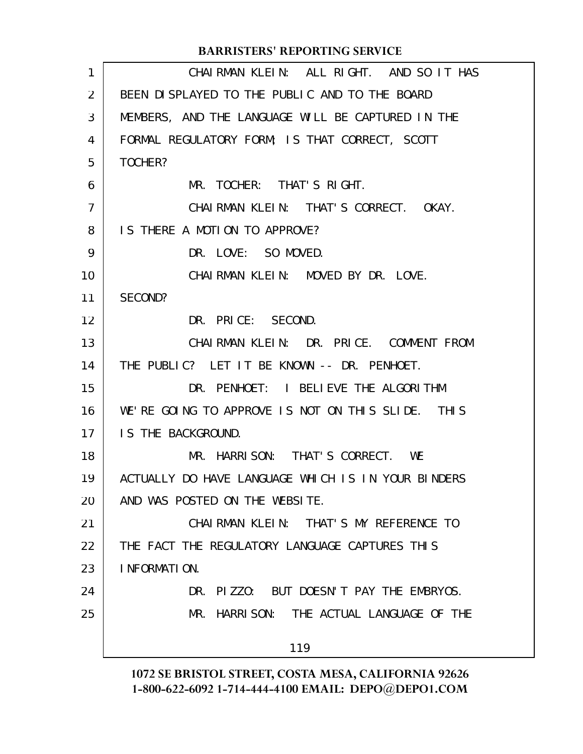#### CHAIRMAN KLEIN: ALL RIGHT. AND SO IT HAS BEEN DISPLAYED TO THE PUBLIC AND TO THE BOARD MEMBERS, AND THE LANGUAGE WILL BE CAPTURED IN THE FORMAL REGULATORY FORM; IS THAT CORRECT, SCOTT TOCHER? MR. TOCHER: THAT'S RIGHT. CHAIRMAN KLEIN: THAT'S CORRECT. OKAY. IS THERE A MOTION TO APPROVE? DR. LOVE: SO MOVED. CHAIRMAN KLEIN: MOVED BY DR. LOVE. SECOND? DR. PRICE: SECOND. CHAIRMAN KLEIN: DR. PRICE. COMMENT FROM THE PUBLIC? LET IT BE KNOWN -- DR. PENHOET. DR. PENHOET: I BELIEVE THE ALGORITHM WE'RE GOING TO APPROVE IS NOT ON THIS SLIDE. THIS IS THE BACKGROUND. MR. HARRISON: THAT'S CORRECT. WE ACTUALLY DO HAVE LANGUAGE WHICH IS IN YOUR BINDERS AND WAS POSTED ON THE WEBSITE. CHAIRMAN KLEIN: THAT'S MY REFERENCE TO THE FACT THE REGULATORY LANGUAGE CAPTURES THIS INFORMATION. DR. PIZZO: BUT DOESN'T PAY THE EMBRYOS. MR. HARRISON: THE ACTUAL LANGUAGE OF THE 119 **BARRISTERS' REPORTING SERVICE** 1 2 3 4 5 6 7 8 9 10 11 12 13 14 15 16 17 18 19 20 21 22 23 24 25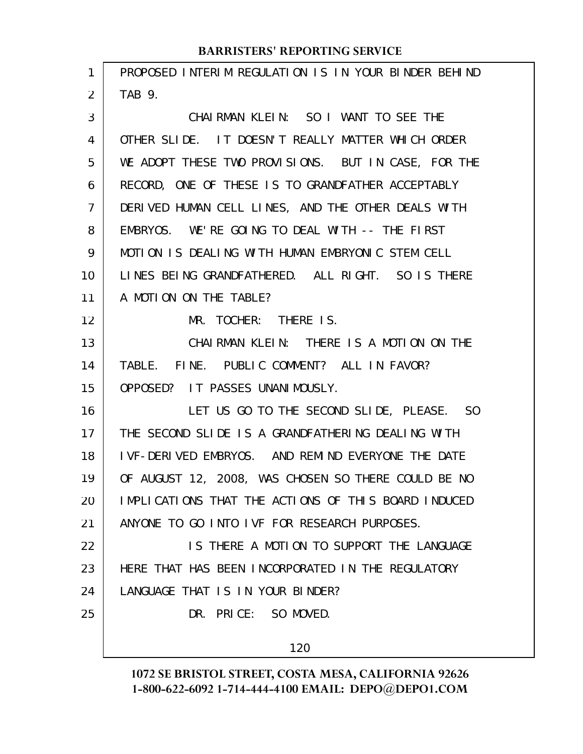| 1  | PROPOSED INTERIM REGULATION IS IN YOUR BINDER BEHIND |
|----|------------------------------------------------------|
| 2  | TAB 9.                                               |
| 3  | CHAIRMAN KLEIN: SO I WANT TO SEE THE                 |
| 4  | OTHER SLIDE. IT DOESN'T REALLY MATTER WHICH ORDER    |
| 5  | WE ADOPT THESE TWO PROVISIONS. BUT IN CASE, FOR THE  |
| 6  | RECORD, ONE OF THESE IS TO GRANDFATHER ACCEPTABLY    |
| 7  | DERIVED HUMAN CELL LINES, AND THE OTHER DEALS WITH   |
| 8  | EMBRYOS. WE'RE GOING TO DEAL WITH -- THE FIRST       |
| 9  | MOTION IS DEALING WITH HUMAN EMBRYONIC STEM CELL     |
| 10 | LINES BEING GRANDFATHERED. ALL RIGHT. SO IS THERE    |
| 11 | A MOTION ON THE TABLE?                               |
| 12 | MR. TOCHER: THERE IS.                                |
| 13 | CHAIRMAN KLEIN: THERE IS A MOTION ON THE             |
| 14 | TABLE. FINE. PUBLIC COMMENT? ALL IN FAVOR?           |
| 15 | OPPOSED? IT PASSES UNANIMOUSLY.                      |
| 16 | LET US GO TO THE SECOND SLIDE, PLEASE. SO            |
| 17 | THE SECOND SLIDE IS A GRANDFATHERING DEALING WITH    |
| 18 | I VF-DERIVED EMBRYOS. AND REMIND EVERYONE THE DATE   |
| 19 | OF AUGUST 12, 2008, WAS CHOSEN SO THERE COULD BE NO  |
| 20 | IMPLICATIONS THAT THE ACTIONS OF THIS BOARD INDUCED  |
| 21 | ANYONE TO GO INTO IVF FOR RESEARCH PURPOSES.         |
| 22 | IS THERE A MOTION TO SUPPORT THE LANGUAGE            |
| 23 | HERE THAT HAS BEEN INCORPORATED IN THE REGULATORY    |
| 24 | LANGUAGE THAT IS IN YOUR BINDER?                     |
| 25 | DR. PRICE: SO MOVED.                                 |
|    | 120                                                  |
|    |                                                      |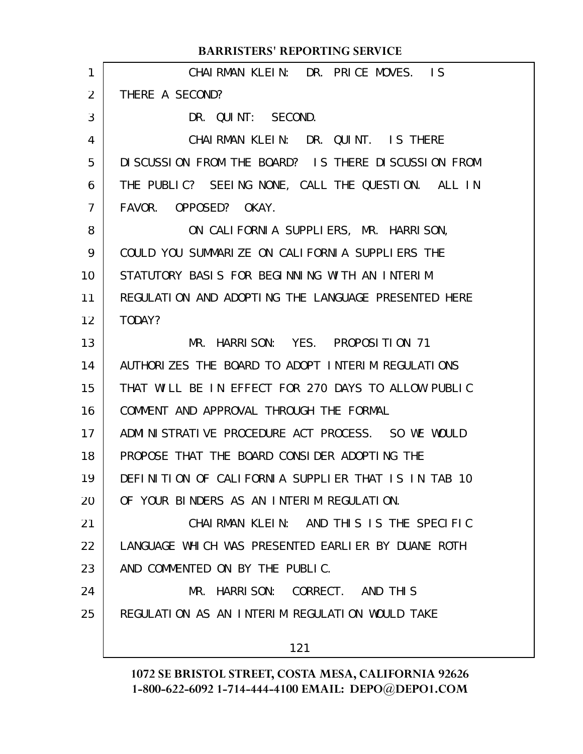|                | <b>BARRISTERS' REPORTING SERVICE</b>                |
|----------------|-----------------------------------------------------|
| 1              | CHAIRMAN KLEIN: DR. PRICE MOVES. IS                 |
| 2              | THERE A SECOND?                                     |
| 3              | DR. QUINT: SECOND.                                  |
| 4              | CHAIRMAN KLEIN: DR. QUINT. IS THERE                 |
| 5              | DISCUSSION FROM THE BOARD? IS THERE DISCUSSION FROM |
| 6              | THE PUBLIC? SEEING NONE, CALL THE QUESTION. ALL IN  |
| $\overline{7}$ | FAVOR. OPPOSED? OKAY.                               |
| 8              | ON CALIFORNIA SUPPLIERS, MR. HARRISON,              |
| 9              | COULD YOU SUMMARIZE ON CALIFORNIA SUPPLIERS THE     |
| 10             | STATUTORY BASIS FOR BEGINNING WITH AN INTERIM       |
| 11             | REGULATION AND ADOPTING THE LANGUAGE PRESENTED HERE |
| 12             | TODAY?                                              |
| 13             | MR. HARRISON: YES. PROPOSITION 71                   |
| 14             | AUTHORIZES THE BOARD TO ADOPT INTERIM REGULATIONS   |
| 15             | THAT WILL BE IN EFFECT FOR 270 DAYS TO ALLOW PUBLIC |
| 16             | COMMENT AND APPROVAL THROUGH THE FORMAL             |
| 17             | ADMINISTRATIVE PROCEDURE ACT PROCESS. SO WE WOULD   |
| 18             | PROPOSE THAT THE BOARD CONSIDER ADOPTING THE        |
| 19             | DEFINITION OF CALIFORNIA SUPPLIER THAT IS IN TAB 10 |
| 20             | OF YOUR BINDERS AS AN INTERIM REGULATION.           |
| 21             | CHAIRMAN KLEIN: AND THIS IS THE SPECIFIC            |
| 22             | LANGUAGE WHICH WAS PRESENTED EARLIER BY DUANE ROTH  |
| 23             | AND COMMENTED ON BY THE PUBLIC.                     |
| 24             | MR. HARRISON: CORRECT. AND THIS                     |
| 25             | REGULATION AS AN INTERIM REGULATION WOULD TAKE      |
|                |                                                     |
|                | 121                                                 |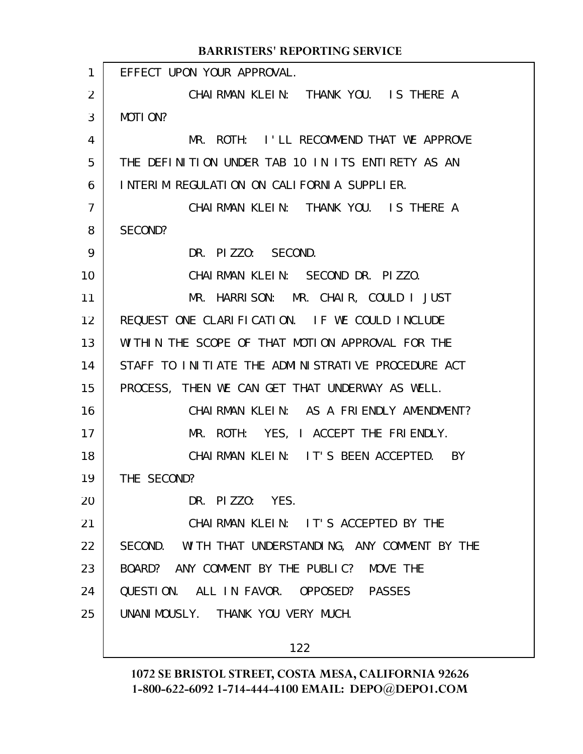| $\mathbf{1}$   | EFFECT UPON YOUR APPROVAL.                          |
|----------------|-----------------------------------------------------|
| 2              | CHAIRMAN KLEIN: THANK YOU. IS THERE A               |
| 3              | MOTION?                                             |
| 4              | MR. ROTH: I'LL RECOMMEND THAT WE APPROVE            |
| 5              | THE DEFINITION UNDER TAB 10 IN ITS ENTIRETY AS AN   |
| 6              | INTERIM REGULATION ON CALIFORNIA SUPPLIER.          |
| $\overline{7}$ | CHAIRMAN KLEIN: THANK YOU. IS THERE A               |
| 8              | SECOND?                                             |
| 9              | DR. PIZZO: SECOND.                                  |
| 10             | CHAIRMAN KLEIN: SECOND DR. PIZZO.                   |
| 11             | MR. HARRISON: MR. CHAIR, COULD I JUST               |
| 12             | REQUEST ONE CLARIFICATION. IF WE COULD INCLUDE      |
| 13             | WITHIN THE SCOPE OF THAT MOTION APPROVAL FOR THE    |
| 14             | STAFF TO INITIATE THE ADMINISTRATIVE PROCEDURE ACT  |
| 15             | PROCESS, THEN WE CAN GET THAT UNDERWAY AS WELL.     |
| 16             | CHAIRMAN KLEIN: AS A FRIENDLY AMENDMENT?            |
| 17             | MR. ROTH: YES, I ACCEPT THE FRIENDLY.               |
| 18             | CHAIRMAN KLEIN: IT'S BEEN ACCEPTED. BY              |
| 19             | THE SECOND?                                         |
| 20             | DR. PIZZO: YES.                                     |
| 21             | CHAIRMAN KLEIN: IT'S ACCEPTED BY THE                |
| 22             | SECOND. WITH THAT UNDERSTANDING, ANY COMMENT BY THE |
| 23             | BOARD? ANY COMMENT BY THE PUBLIC? MOVE THE          |
| 24             | QUESTION. ALL IN FAVOR. OPPOSED? PASSES             |
| 25             | UNANIMOUSLY. THANK YOU VERY MUCH.                   |
|                |                                                     |

122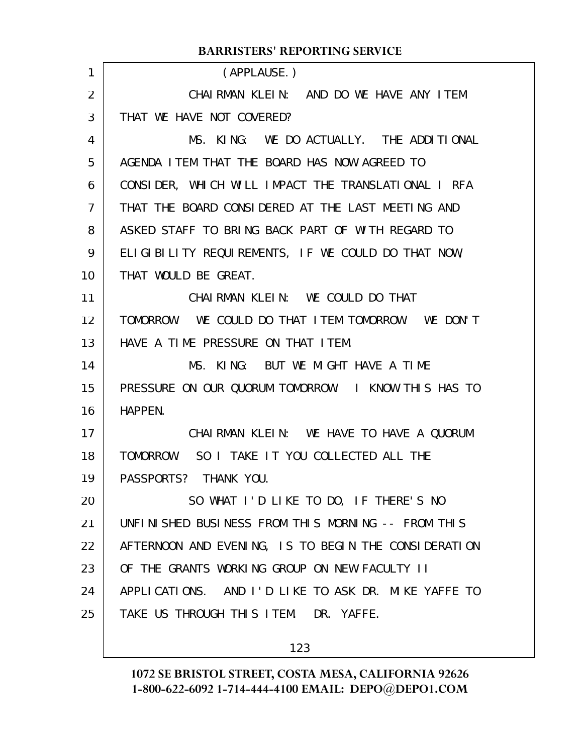|                | DARRISTERS TREI ORTHVO SERVICE                       |
|----------------|------------------------------------------------------|
| 1              | (APPLAUSE.)                                          |
| $\overline{2}$ | CHAIRMAN KLEIN: AND DO WE HAVE ANY ITEM              |
| 3              | THAT WE HAVE NOT COVERED?                            |
| 4              | MS. KING: WE DO ACTUALLY. THE ADDITIONAL             |
| 5              | AGENDA I TEM THAT THE BOARD HAS NOW AGREED TO        |
| 6              | CONSIDER, WHICH WILL IMPACT THE TRANSLATIONAL I RFA  |
| $\overline{7}$ | THAT THE BOARD CONSIDERED AT THE LAST MEETING AND    |
| 8              | ASKED STAFF TO BRING BACK PART OF WITH REGARD TO     |
| 9              | ELIGIBILITY REQUIREMENTS, IF WE COULD DO THAT NOW,   |
| 10             | THAT WOULD BE GREAT.                                 |
| 11             | CHAIRMAN KLEIN: WE COULD DO THAT                     |
| 12             | TOMORROW. WE COULD DO THAT ITEM TOMORROW. WE DON'T   |
| 13             | HAVE A TIME PRESSURE ON THAT ITEM.                   |
| 14             | MS. KING: BUT WE MIGHT HAVE A TIME                   |
| 15             | PRESSURE ON OUR QUORUM TOMORROW. I KNOW THIS HAS TO  |
| 16             | HAPPEN.                                              |
| 17             | CHAIRMAN KLEIN: WE HAVE TO HAVE A QUORUM             |
| 18             | TOMORROW. SO I TAKE IT YOU COLLECTED ALL THE         |
| 19             | PASSPORTS? THANK YOU.                                |
| 20             | SO WHAT I'D LIKE TO DO, IF THERE'S NO                |
| 21             | UNFINISHED BUSINESS FROM THIS MORNING -- FROM THIS   |
| 22             | AFTERNOON AND EVENING, IS TO BEGIN THE CONSIDERATION |
| 23             | OF THE GRANTS WORKING GROUP ON NEW FACULTY II        |
| 24             | APPLICATIONS. AND I'D LIKE TO ASK DR. MIKE YAFFE TO  |
| 25             | TAKE US THROUGH THIS ITEM. DR. YAFFE.                |
|                |                                                      |

123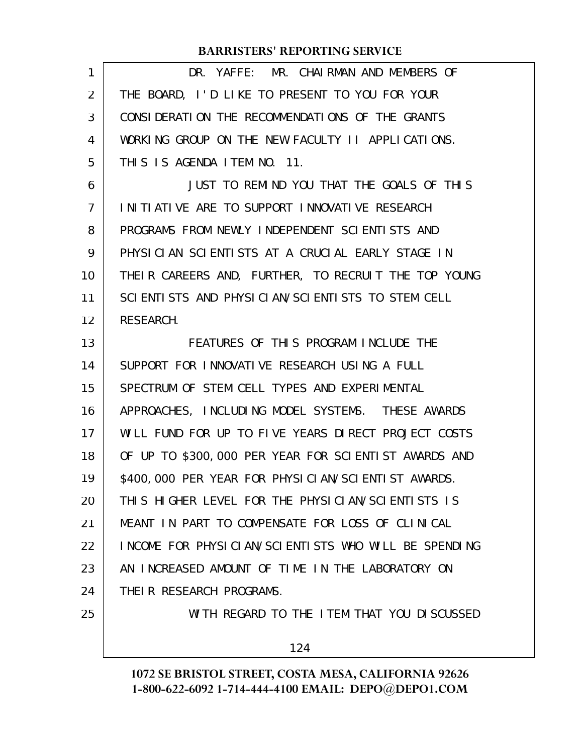| 1              | DR. YAFFE: MR. CHAIRMAN AND MEMBERS OF               |
|----------------|------------------------------------------------------|
| 2              | THE BOARD, I'D LIKE TO PRESENT TO YOU FOR YOUR       |
| 3              | CONSIDERATION THE RECOMMENDATIONS OF THE GRANTS      |
| 4              | WORKING GROUP ON THE NEW FACULTY II APPLICATIONS.    |
| 5              | THIS IS AGENDA ITEM NO. 11.                          |
| 6              | JUST TO REMIND YOU THAT THE GOALS OF THIS            |
| $\overline{7}$ | INITIATIVE ARE TO SUPPORT INNOVATIVE RESEARCH        |
| 8              | PROGRAMS FROM NEWLY INDEPENDENT SCIENTISTS AND       |
| 9              | PHYSICIAN SCIENTISTS AT A CRUCIAL EARLY STAGE IN     |
| 10             | THEIR CAREERS AND, FURTHER, TO RECRUIT THE TOP YOUNG |
| 11             | SCIENTISTS AND PHYSICIAN/SCIENTISTS TO STEM CELL     |
| 12             | RESEARCH.                                            |
| 13             | FEATURES OF THIS PROGRAM INCLUDE THE                 |
| 14             | SUPPORT FOR INNOVATIVE RESEARCH USING A FULL         |
| 15             | SPECTRUM OF STEM CELL TYPES AND EXPERIMENTAL         |
| 16             | APPROACHES, INCLUDING MODEL SYSTEMS. THESE AWARDS    |
| 17             | WILL FUND FOR UP TO FIVE YEARS DIRECT PROJECT COSTS  |
| 18             | OF UP TO \$300,000 PER YEAR FOR SCIENTIST AWARDS AND |
| 19             | \$400,000 PER YEAR FOR PHYSICIAN/SCIENTIST AWARDS.   |
| 20             | THIS HIGHER LEVEL FOR THE PHYSICIAN/SCIENTISTS IS    |
| 21             | MEANT IN PART TO COMPENSATE FOR LOSS OF CLINICAL     |
| 22             | INCOME FOR PHYSICIAN/SCIENTISTS WHO WILL BE SPENDING |
| 23             | AN INCREASED AMOUNT OF TIME IN THE LABORATORY ON     |
| 24             | THEIR RESEARCH PROGRAMS.                             |
| 25             | WITH REGARD TO THE ITEM THAT YOU DISCUSSED           |
|                | 124                                                  |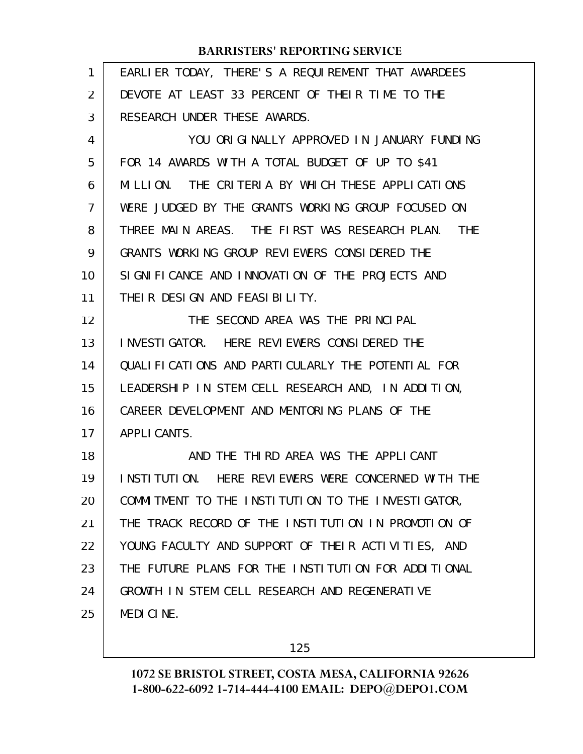| 1              | EARLIER TODAY, THERE'S A REQUIREMENT THAT AWARDEES           |
|----------------|--------------------------------------------------------------|
| $\overline{2}$ | DEVOTE AT LEAST 33 PERCENT OF THEIR TIME TO THE              |
| 3              | RESEARCH UNDER THESE AWARDS.                                 |
| 4              | YOU ORIGINALLY APPROVED IN JANUARY FUNDING                   |
| 5              | FOR 14 AWARDS WITH A TOTAL BUDGET OF UP TO \$41              |
| 6              | MILLION. THE CRITERIA BY WHICH THESE APPLICATIONS            |
| 7              | WERE JUDGED BY THE GRANTS WORKING GROUP FOCUSED ON           |
| 8              | THREE MAIN AREAS. THE FIRST WAS RESEARCH PLAN.<br><b>THE</b> |
| 9              | GRANTS WORKING GROUP REVIEWERS CONSIDERED THE                |
| 10             | SIGNIFICANCE AND INNOVATION OF THE PROJECTS AND              |
| 11             | THEIR DESIGN AND FEASIBILITY.                                |
| 12             | THE SECOND AREA WAS THE PRINCIPAL                            |
| 13             | INVESTIGATOR. HERE REVIEWERS CONSIDERED THE                  |
| 14             | QUALIFICATIONS AND PARTICULARLY THE POTENTIAL FOR            |
| 15             | LEADERSHIP IN STEM CELL RESEARCH AND, IN ADDITION,           |
| 16             | CAREER DEVELOPMENT AND MENTORING PLANS OF THE                |
| 17             | APPLI CANTS.                                                 |
| 18             | AND THE THIRD AREA WAS THE APPLICANT                         |
| 19             | INSTITUTION. HERE REVIEWERS WERE CONCERNED WITH THE          |
| 20             | COMMITMENT TO THE INSTITUTION TO THE INVESTIGATOR,           |
| 21             | THE TRACK RECORD OF THE INSTITUTION IN PROMOTION OF          |
| 22             | YOUNG FACULTY AND SUPPORT OF THEIR ACTIVITIES, AND           |
| 23             | THE FUTURE PLANS FOR THE INSTITUTION FOR ADDITIONAL          |
| 24             | GROWTH IN STEM CELL RESEARCH AND REGENERATIVE                |
| 25             | MEDICINE.                                                    |
|                |                                                              |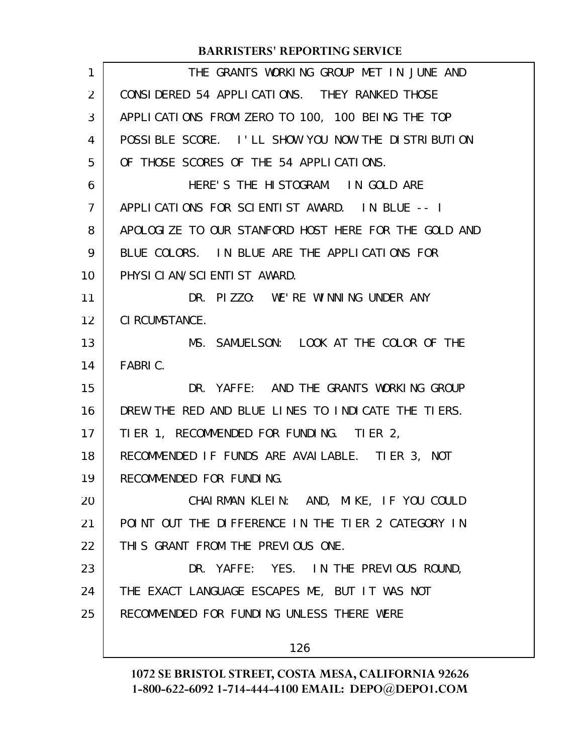| 1              | THE GRANTS WORKING GROUP MET IN JUNE AND             |
|----------------|------------------------------------------------------|
| 2              | CONSIDERED 54 APPLICATIONS. THEY RANKED THOSE        |
| 3              | APPLICATIONS FROM ZERO TO 100, 100 BEING THE TOP     |
| 4              | POSSIBLE SCORE. I'LL SHOW YOU NOW THE DISTRIBUTION   |
| 5              | OF THOSE SCORES OF THE 54 APPLICATIONS.              |
| 6              | HERE'S THE HISTOGRAM. IN GOLD ARE                    |
| $\overline{7}$ | APPLICATIONS FOR SCIENTIST AWARD. IN BLUE -- I       |
| 8              | APOLOGIZE TO OUR STANFORD HOST HERE FOR THE GOLD AND |
| 9              | BLUE COLORS. IN BLUE ARE THE APPLICATIONS FOR        |
| 10             | PHYSICIAN/SCIENTIST AWARD.                           |
| 11             | DR. PIZZO: WE'RE WINNING UNDER ANY                   |
| 12             | CI RCUMSTANCE.                                       |
| 13             | MS. SAMUELSON: LOOK AT THE COLOR OF THE              |
| 14             | FABRIC.                                              |
| 15             | DR. YAFFE: AND THE GRANTS WORKING GROUP              |
| 16             | DREW THE RED AND BLUE LINES TO INDICATE THE TIERS.   |
| 17             | TIER 1, RECOMMENDED FOR FUNDING. TIER 2,             |
| 18             | RECOMMENDED IF FUNDS ARE AVAILABLE. TIER 3, NOT      |
| 19             | RECOMMENDED FOR FUNDING.                             |
| 20             | CHAIRMAN KLEIN: AND, MIKE, IF YOU COULD              |
| 21             | POINT OUT THE DIFFERENCE IN THE TIER 2 CATEGORY IN   |
| 22             | THIS GRANT FROM THE PREVIOUS ONE.                    |
| 23             | DR. YAFFE: YES. IN THE PREVIOUS ROUND,               |
| 24             | THE EXACT LANGUAGE ESCAPES ME, BUT IT WAS NOT        |
| 25             | RECOMMENDED FOR FUNDING UNLESS THERE WERE            |
|                | 126                                                  |
|                |                                                      |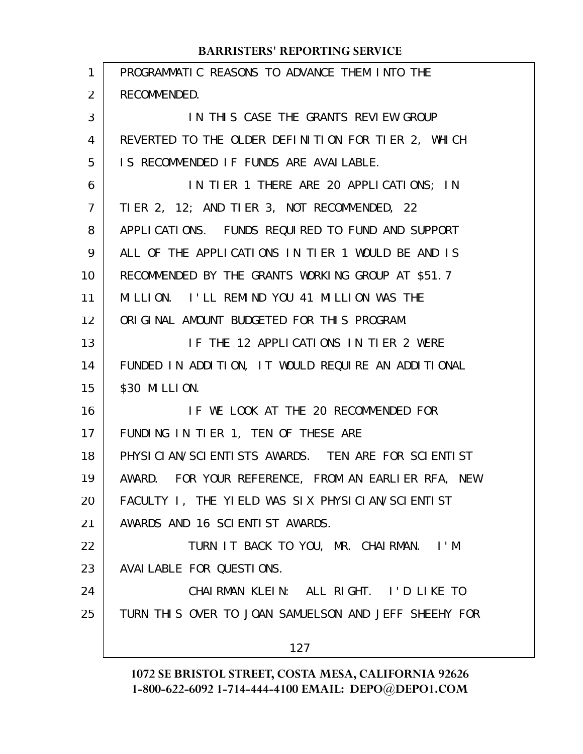| $\mathbf{1}$   | PROGRAMMATIC REASONS TO ADVANCE THEM INTO THE        |
|----------------|------------------------------------------------------|
| 2              | RECOMMENDED.                                         |
| 3              | IN THIS CASE THE GRANTS REVIEW GROUP                 |
| 4              | REVERTED TO THE OLDER DEFINITION FOR TIER 2, WHICH   |
| 5              | IS RECOMMENDED IF FUNDS ARE AVAILABLE.               |
| 6              | IN TIER 1 THERE ARE 20 APPLICATIONS; IN              |
| $\overline{7}$ | TIER 2, 12; AND TIER 3, NOT RECOMMENDED, 22          |
| 8              | APPLICATIONS. FUNDS REQUIRED TO FUND AND SUPPORT     |
| 9              | ALL OF THE APPLICATIONS IN TIER 1 WOULD BE AND IS    |
| 10             | RECOMMENDED BY THE GRANTS WORKING GROUP AT \$51.7    |
| 11             | MILLION. I'LL REMIND YOU 41 MILLION WAS THE          |
| 12             | ORIGINAL AMOUNT BUDGETED FOR THIS PROGRAM.           |
| 13             | IF THE 12 APPLICATIONS IN TIER 2 WERE                |
| 14             | FUNDED IN ADDITION, IT WOULD REQUIRE AN ADDITIONAL   |
| 15             | \$30 MI LLI ON.                                      |
| 16             | IF WE LOOK AT THE 20 RECOMMENDED FOR                 |
| 17             | FUNDING IN TIER 1, TEN OF THESE ARE                  |
| 18             | PHYSICIAN/SCIENTISTS AWARDS. TEN ARE FOR SCIENTIST   |
| 19             | AWARD. FOR YOUR REFERENCE, FROM AN EARLIER RFA, NEW  |
| 20             | FACULTY I, THE YIELD WAS SIX PHYSICIAN/SCIENTIST     |
| 21             | AWARDS AND 16 SCIENTIST AWARDS.                      |
| 22             | TURN IT BACK TO YOU, MR. CHAIRMAN. I'M               |
| 23             | AVAI LABLE FOR QUESTIONS.                            |
| 24             | CHAIRMAN KLEIN: ALL RIGHT. I'D LIKE TO               |
| 25             | TURN THIS OVER TO JOAN SAMUELSON AND JEFF SHEEHY FOR |
|                | 127                                                  |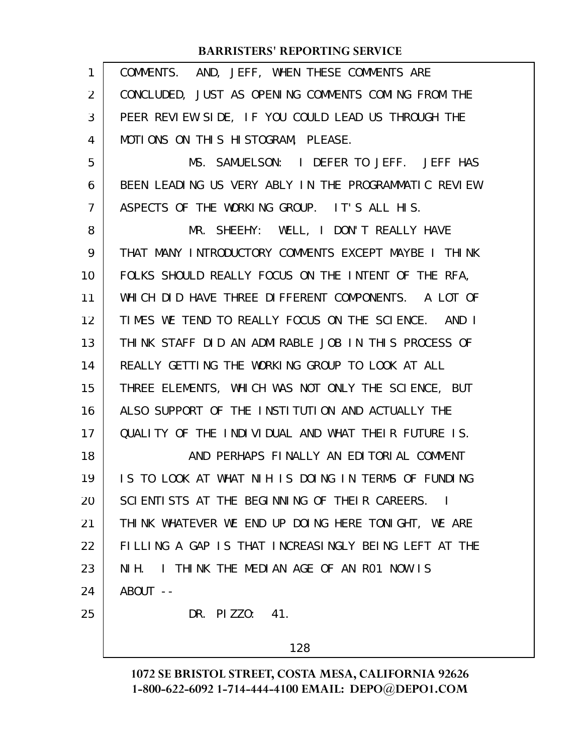| 1              | COMMENTS. AND, JEFF, WHEN THESE COMMENTS ARE         |
|----------------|------------------------------------------------------|
| 2              | CONCLUDED, JUST AS OPENING COMMENTS COMING FROM THE  |
| 3              | PEER REVIEW SIDE, IF YOU COULD LEAD US THROUGH THE   |
| 4              | MOTIONS ON THIS HISTOGRAM, PLEASE.                   |
| 5              | MS. SAMUELSON: I DEFER TO JEFF. JEFF HAS             |
| 6              | BEEN LEADING US VERY ABLY IN THE PROGRAMMATIC REVIEW |
| $\overline{7}$ | ASPECTS OF THE WORKING GROUP. IT'S ALL HIS.          |
| 8              | MR. SHEEHY: WELL, I DON'T REALLY HAVE                |
| 9              | THAT MANY INTRODUCTORY COMMENTS EXCEPT MAYBE I THINK |
| 10             | FOLKS SHOULD REALLY FOCUS ON THE INTENT OF THE RFA,  |
| 11             | WHICH DID HAVE THREE DIFFERENT COMPONENTS. A LOT OF  |
| 12             | TIMES WE TEND TO REALLY FOCUS ON THE SCIENCE. AND I  |
| 13             | THINK STAFF DID AN ADMIRABLE JOB IN THIS PROCESS OF  |
| 14             | REALLY GETTING THE WORKING GROUP TO LOOK AT ALL      |
| 15             | THREE ELEMENTS, WHICH WAS NOT ONLY THE SCIENCE, BUT  |
| 16             | ALSO SUPPORT OF THE INSTITUTION AND ACTUALLY THE     |
| 17             | QUALITY OF THE INDIVIDUAL AND WHAT THEIR FUTURE IS.  |
| 18             | AND PERHAPS FINALLY AN EDITORIAL COMMENT             |
| 19             | IS TO LOOK AT WHAT NIH IS DOING IN TERMS OF FUNDING  |
| 20             | SCIENTISTS AT THE BEGINNING OF THEIR CAREERS. I      |
| 21             | THINK WHATEVER WE END UP DOING HERE TONIGHT, WE ARE  |
| 22             | FILLING A GAP IS THAT INCREASINGLY BEING LEFT AT THE |
| 23             | NIH. I THINK THE MEDIAN AGE OF AN RO1 NOW IS         |
| 24             | ABOUT --                                             |
| 25             | DR. PIZZO: 41.                                       |
|                | 128                                                  |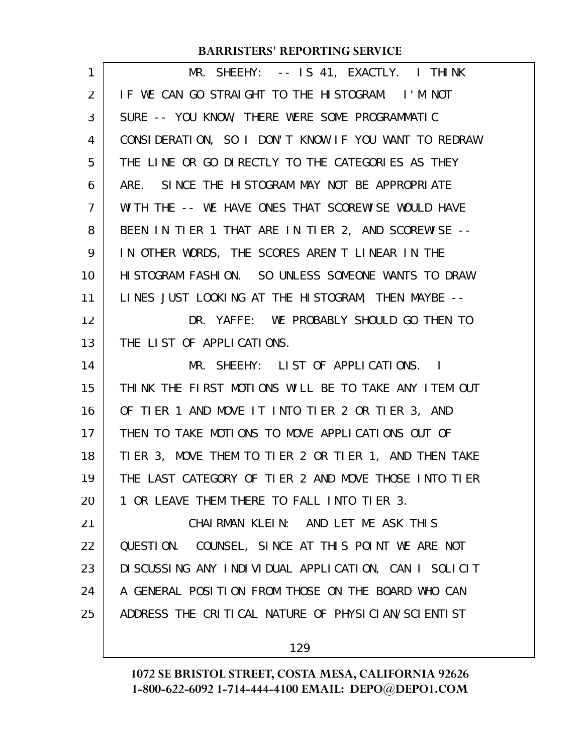| $\mathbf{1}$   | MR. SHEEHY: -- IS 41, EXACTLY. I THINK               |
|----------------|------------------------------------------------------|
| 2              | IF WE CAN GO STRAIGHT TO THE HISTOGRAM. I'M NOT      |
| 3              | SURE -- YOU KNOW, THERE WERE SOME PROGRAMMATIC       |
| 4              | CONSIDERATION, SO I DON'T KNOW IF YOU WANT TO REDRAW |
| 5              | THE LINE OR GO DIRECTLY TO THE CATEGORIES AS THEY    |
| 6              | ARE. SINCE THE HISTOGRAM MAY NOT BE APPROPRIATE      |
| $\overline{7}$ | WITH THE -- WE HAVE ONES THAT SCOREWISE WOULD HAVE   |
| 8              | BEEN IN TIER 1 THAT ARE IN TIER 2, AND SCOREWISE --  |
| 9              | IN OTHER WORDS, THE SCORES AREN'T LINEAR IN THE      |
| 10             | HISTOGRAM FASHION. SO UNLESS SOMEONE WANTS TO DRAW   |
| 11             | LINES JUST LOOKING AT THE HISTOGRAM, THEN MAYBE --   |
| 12             | DR. YAFFE: WE PROBABLY SHOULD GO THEN TO             |
| 13             | THE LIST OF APPLICATIONS.                            |
| 14             | MR. SHEEHY: LIST OF APPLICATIONS. I                  |
| 15             | THINK THE FIRST MOTIONS WILL BE TO TAKE ANY ITEM OUT |
| 16             | OF TIER 1 AND MOVE IT INTO TIER 2 OR TIER 3, AND     |
| 17             | THEN TO TAKE MOTIONS TO MOVE APPLICATIONS OUT OF     |
| 18             | TIER 3, MOVE THEM TO TIER 2 OR TIER 1, AND THEN TAKE |
| 19             | THE LAST CATEGORY OF TIER 2 AND MOVE THOSE INTO TIER |
| 20             | 1 OR LEAVE THEM THERE TO FALL INTO TIER 3.           |
| 21             | CHAIRMAN KLEIN: AND LET ME ASK THIS                  |
| 22             | QUESTION. COUNSEL, SINCE AT THIS POINT WE ARE NOT    |
| 23             | DISCUSSING ANY INDIVIDUAL APPLICATION, CAN I SOLICIT |
| 24             | A GENERAL POSITION FROM THOSE ON THE BOARD WHO CAN   |
| 25             | ADDRESS THE CRITICAL NATURE OF PHYSICIAN/SCIENTIST   |
|                | 129                                                  |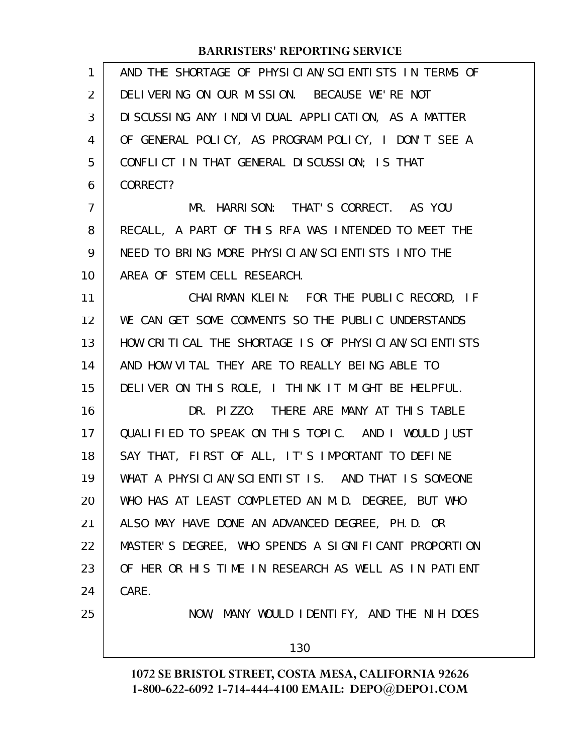| 1              | AND THE SHORTAGE OF PHYSICIAN/SCIENTISTS IN TERMS OF |
|----------------|------------------------------------------------------|
| 2              | DELIVERING ON OUR MISSION. BECAUSE WE'RE NOT         |
| 3              | DI SCUSSING ANY INDIVIDUAL APPLICATION, AS A MATTER  |
| 4              | OF GENERAL POLICY, AS PROGRAM POLICY, I DON'T SEE A  |
| 5              | CONFLICT IN THAT GENERAL DISCUSSION; IS THAT         |
| 6              | CORRECT?                                             |
| $\overline{7}$ | MR. HARRISON: THAT'S CORRECT. AS YOU                 |
| 8              | RECALL, A PART OF THIS RFA WAS INTENDED TO MEET THE  |
| 9              | NEED TO BRING MORE PHYSICIAN/SCIENTISTS INTO THE     |
| 10             | AREA OF STEM CELL RESEARCH.                          |
| 11             | CHAIRMAN KLEIN: FOR THE PUBLIC RECORD, IF            |
| 12             | WE CAN GET SOME COMMENTS SO THE PUBLIC UNDERSTANDS   |
| 13             | HOW CRITICAL THE SHORTAGE IS OF PHYSICIAN/SCIENTISTS |
| 14             | AND HOW VITAL THEY ARE TO REALLY BEING ABLE TO       |
| 15             | DELIVER ON THIS ROLE, I THINK IT MIGHT BE HELPFUL.   |
| 16             | DR. PIZZO: THERE ARE MANY AT THIS TABLE              |
| 17             | QUALIFIED TO SPEAK ON THIS TOPIC. AND I WOULD JUST   |
| 18             | SAY THAT, FIRST OF ALL, IT'S IMPORTANT TO DEFINE     |
| 19             | WHAT A PHYSICLAN/SCLENTIST IS. AND THAT IS SOMEONE   |
| 20             | WHO HAS AT LEAST COMPLETED AN M.D. DEGREE, BUT WHO   |
| 21             | ALSO MAY HAVE DONE AN ADVANCED DEGREE, PH.D. OR      |
| 22             | MASTER'S DEGREE, WHO SPENDS A SIGNIFICANT PROPORTION |
| 23             | OF HER OR HIS TIME IN RESEARCH AS WELL AS IN PATIENT |
| 24             | CARE.                                                |
| 25             | NOW, MANY WOULD IDENTIFY, AND THE NIH DOES           |
|                | 130                                                  |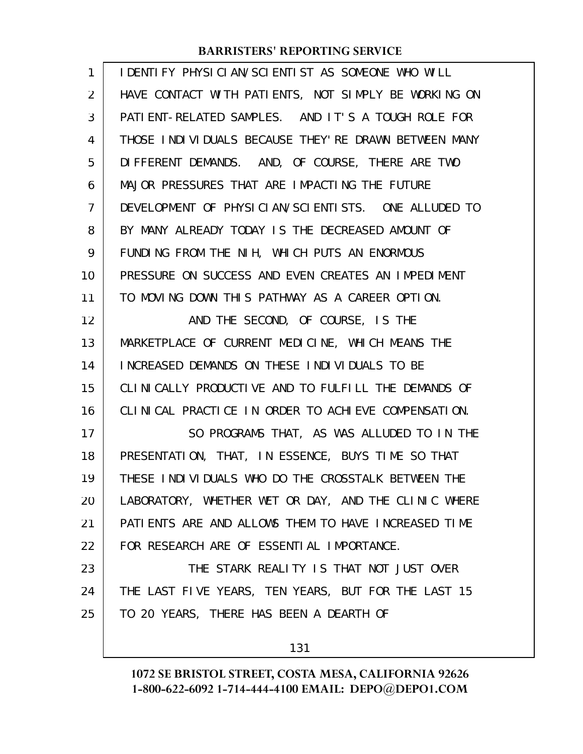| 1              | I DENTI FY PHYSICIAN/SCIENTI ST AS SOMEONE WHO WILL  |
|----------------|------------------------------------------------------|
| 2              | HAVE CONTACT WITH PATIENTS, NOT SIMPLY BE WORKING ON |
| 3              | PATIENT-RELATED SAMPLES. AND IT'S A TOUGH ROLE FOR   |
| 4              | THOSE INDIVIDUALS BECAUSE THEY'RE DRAWN BETWEEN MANY |
| 5              | DIFFERENT DEMANDS. AND, OF COURSE, THERE ARE TWO     |
| 6              | MAJOR PRESSURES THAT ARE IMPACTING THE FUTURE        |
| $\overline{7}$ | DEVELOPMENT OF PHYSICIAN/SCIENTISTS. ONE ALLUDED TO  |
| 8              | BY MANY ALREADY TODAY IS THE DECREASED AMOUNT OF     |
| 9              | FUNDING FROM THE NIH, WHICH PUTS AN ENORMOUS         |
| 10             | PRESSURE ON SUCCESS AND EVEN CREATES AN IMPEDIMENT   |
| 11             | TO MOVING DOWN THIS PATHWAY AS A CAREER OPTION.      |
| 12             | AND THE SECOND, OF COURSE, IS THE                    |
| 13             | MARKETPLACE OF CURRENT MEDICINE, WHICH MEANS THE     |
| 14             | INCREASED DEMANDS ON THESE INDIVIDUALS TO BE         |
| 15             | CLINICALLY PRODUCTIVE AND TO FULFILL THE DEMANDS OF  |
| 16             | CLINICAL PRACTICE IN ORDER TO ACHIEVE COMPENSATION.  |
| 17             | SO PROGRAMS THAT, AS WAS ALLUDED TO IN THE           |
| 18             | PRESENTATION, THAT, IN ESSENCE, BUYS TIME SO THAT    |
| 19             | THESE INDIVIDUALS WHO DO THE CROSSTALK BETWEEN THE   |
| 20             | LABORATORY, WHETHER WET OR DAY, AND THE CLINIC WHERE |
| 21             | PATIENTS ARE AND ALLOWS THEM TO HAVE INCREASED TIME  |
| 22             | FOR RESEARCH ARE OF ESSENTIAL IMPORTANCE.            |
| 23             | THE STARK REALITY IS THAT NOT JUST OVER              |
| 24             | THE LAST FIVE YEARS, TEN YEARS, BUT FOR THE LAST 15  |
| 25             | TO 20 YEARS, THERE HAS BEEN A DEARTH OF              |
|                | 131                                                  |
|                |                                                      |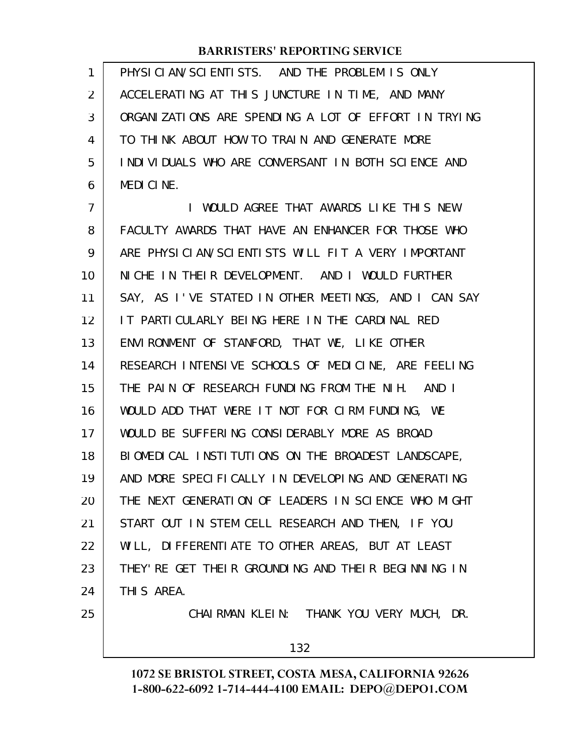PHYSICIAN/SCIENTISTS. AND THE PROBLEM IS ONLY ACCELERATING AT THIS JUNCTURE IN TIME, AND MANY ORGANIZATIONS ARE SPENDING A LOT OF EFFORT IN TRYING TO THINK ABOUT HOW TO TRAIN AND GENERATE MORE INDIVIDUALS WHO ARE CONVERSANT IN BOTH SCIENCE AND MEDICINE. 1 2 3 4 5 6

I WOULD AGREE THAT AWARDS LIKE THIS NEW FACULTY AWARDS THAT HAVE AN ENHANCER FOR THOSE WHO ARE PHYSICIAN/SCIENTISTS WILL FIT A VERY IMPORTANT NICHE IN THEIR DEVELOPMENT. AND I WOULD FURTHER SAY, AS I'VE STATED IN OTHER MEETINGS, AND I CAN SAY IT PARTICULARLY BEING HERE IN THE CARDINAL RED ENVIRONMENT OF STANFORD, THAT WE, LIKE OTHER RESEARCH INTENSIVE SCHOOLS OF MEDICINE, ARE FEELING THE PAIN OF RESEARCH FUNDING FROM THE NIH. AND I WOULD ADD THAT WERE IT NOT FOR CIRM FUNDING, WE WOULD BE SUFFERING CONSIDERABLY MORE AS BROAD BIOMEDICAL INSTITUTIONS ON THE BROADEST LANDSCAPE, AND MORE SPECIFICALLY IN DEVELOPING AND GENERATING THE NEXT GENERATION OF LEADERS IN SCIENCE WHO MIGHT START OUT IN STEM CELL RESEARCH AND THEN, IF YOU WILL, DIFFERENTIATE TO OTHER AREAS, BUT AT LEAST THEY'RE GET THEIR GROUNDING AND THEIR BEGINNING IN THIS AREA. CHAIRMAN KLEIN: THANK YOU VERY MUCH, DR. 7 8 9 10 11 12 13 14 15 16 17 18 19 20 21 22 23 24 25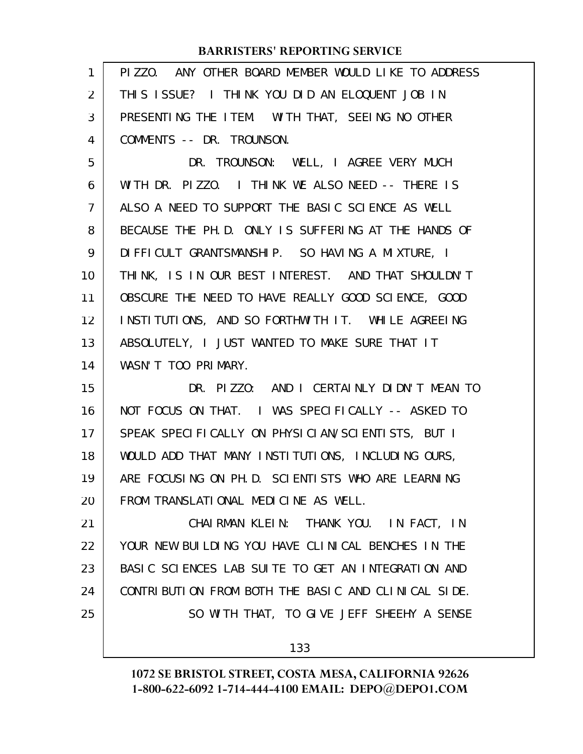| $\mathbf{1}$   | PIZZO. ANY OTHER BOARD MEMBER WOULD LIKE TO ADDRESS  |
|----------------|------------------------------------------------------|
| 2              | THIS ISSUE? I THINK YOU DID AN ELOQUENT JOB IN       |
| 3              | PRESENTING THE ITEM. WITH THAT, SEEING NO OTHER      |
| 4              | COMMENTS -- DR. TROUNSON.                            |
| 5              | DR. TROUNSON: WELL, I AGREE VERY MUCH                |
| 6              | WITH DR. PIZZO. I THINK WE ALSO NEED -- THERE IS     |
| $\overline{7}$ | ALSO A NEED TO SUPPORT THE BASIC SCIENCE AS WELL     |
| 8              | BECAUSE THE PH. D. ONLY IS SUFFERING AT THE HANDS OF |
| 9              | DI FFI CULT GRANTSMANSHIP. SO HAVING A MIXTURE, I    |
| 10             | THINK, IS IN OUR BEST INTEREST. AND THAT SHOULDN'T   |
| 11             | OBSCURE THE NEED TO HAVE REALLY GOOD SCIENCE, GOOD   |
| 12             | INSTITUTIONS, AND SO FORTHWITH IT. WHILE AGREEING    |
| 13             | ABSOLUTELY, I JUST WANTED TO MAKE SURE THAT IT       |
| 14             | WASN'T TOO PRIMARY.                                  |
| 15             | DR. PIZZO: AND I CERTAINLY DIDN'T MEAN TO            |
| 16             | NOT FOCUS ON THAT. I WAS SPECIFICALLY -- ASKED TO    |
| 17             | SPEAK SPECIFICALLY ON PHYSICIAN/SCIENTISTS, BUT I    |
| 18             | WOULD ADD THAT MANY INSTITUTIONS, INCLUDING OURS,    |
| 19             | ARE FOCUSING ON PH. D. SCIENTISTS WHO ARE LEARNING   |
| 20             | FROM TRANSLATIONAL MEDICINE AS WELL.                 |
| 21             | CHAIRMAN KLEIN: THANK YOU. IN FACT, IN               |
| 22             | YOUR NEW BUILDING YOU HAVE CLINICAL BENCHES IN THE   |
| 23             | BASIC SCIENCES LAB SUITE TO GET AN INTEGRATION AND   |
| 24             | CONTRIBUTION FROM BOTH THE BASIC AND CLINICAL SIDE.  |
| 25             | SO WITH THAT, TO GIVE JEFF SHEEHY A SENSE            |
|                | 133                                                  |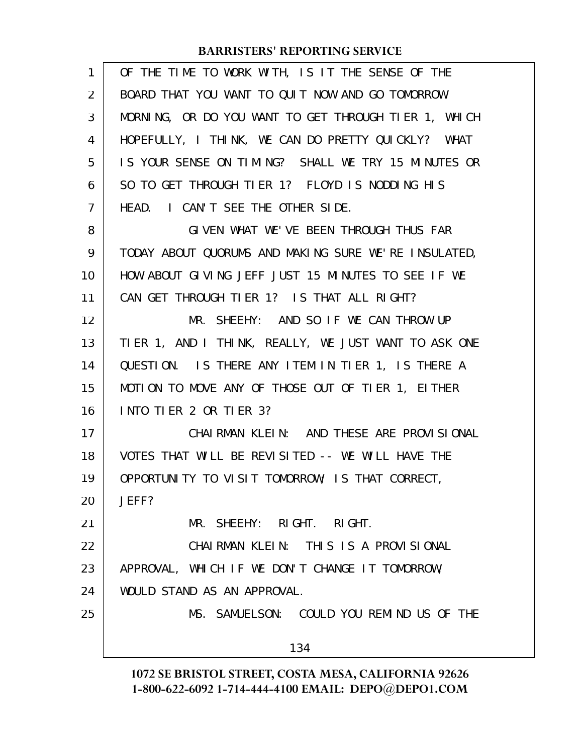| 1  | OF THE TIME TO WORK WITH, IS IT THE SENSE OF THE     |
|----|------------------------------------------------------|
| 2  | BOARD THAT YOU WANT TO QUIT NOW AND GO TOMORROW      |
| 3  | MORNING, OR DO YOU WANT TO GET THROUGH TIER 1, WHICH |
| 4  | HOPEFULLY, I THINK, WE CAN DO PRETTY QUICKLY? WHAT   |
| 5  | IS YOUR SENSE ON TIMING? SHALL WE TRY 15 MINUTES OR  |
| 6  | SO TO GET THROUGH TIER 1? FLOYD IS NODDING HIS       |
| 7  | HEAD. I CAN'T SEE THE OTHER SIDE.                    |
| 8  | GIVEN WHAT WE'VE BEEN THROUGH THUS FAR               |
| 9  | TODAY ABOUT QUORUMS AND MAKING SURE WE'RE INSULATED, |
| 10 | HOW ABOUT GIVING JEFF JUST 15 MINUTES TO SEE IF WE   |
| 11 | CAN GET THROUGH TIER 1? IS THAT ALL RIGHT?           |
| 12 | MR. SHEEHY: AND SO IF WE CAN THROW UP                |
| 13 | TIER 1, AND I THINK, REALLY, WE JUST WANT TO ASK ONE |
| 14 | QUESTION. IS THERE ANY ITEM IN TIER 1, IS THERE A    |
| 15 | MOTION TO MOVE ANY OF THOSE OUT OF TIER 1, EITHER    |
| 16 | INTO TIER 2 OR TIER 3?                               |
| 17 | CHAIRMAN KLEIN: AND THESE ARE PROVISIONAL            |
| 18 | VOTES THAT WILL BE REVISITED -- WE WILL HAVE THE     |
| 19 | OPPORTUNITY TO VISIT TOMORROW; IS THAT CORRECT,      |
| 20 | JEFF?                                                |
| 21 | MR. SHEEHY: RIGHT. RIGHT.                            |
| 22 | CHAIRMAN KLEIN: THIS IS A PROVISIONAL                |
| 23 | APPROVAL, WHICH IF WE DON'T CHANGE IT TOMORROW,      |
| 24 | WOULD STAND AS AN APPROVAL.                          |
| 25 | MS. SAMUELSON: COULD YOU REMIND US OF THE            |
|    | 134                                                  |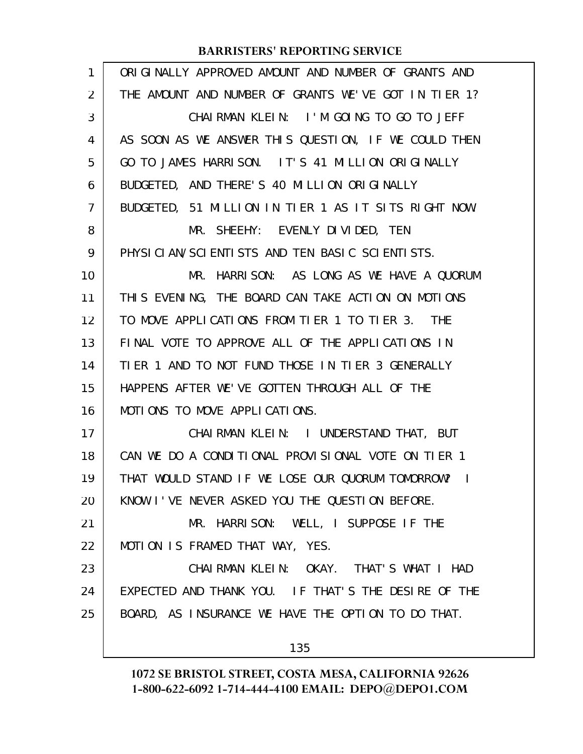| ORIGINALLY APPROVED AMOUNT AND NUMBER OF GRANTS AND  |
|------------------------------------------------------|
| THE AMOUNT AND NUMBER OF GRANTS WE'VE GOT IN TIER 1? |
| CHAIRMAN KLEIN: I'M GOING TO GO TO JEFF              |
| AS SOON AS WE ANSWER THIS QUESTION, IF WE COULD THEN |
| GO TO JAMES HARRISON. IT'S 41 MILLION ORIGINALLY     |
| BUDGETED, AND THERE'S 40 MILLION ORIGINALLY          |
| BUDGETED, 51 MILLION IN TIER 1 AS IT SITS RIGHT NOW. |
| MR. SHEEHY: EVENLY DIVIDED, TEN                      |
| PHYSICIAN/SCIENTISTS AND TEN BASIC SCIENTISTS.       |
| MR. HARRISON: AS LONG AS WE HAVE A QUORUM            |
| THIS EVENING, THE BOARD CAN TAKE ACTION ON MOTIONS   |
| TO MOVE APPLICATIONS FROM TIER 1 TO TIER 3. THE      |
| FINAL VOTE TO APPROVE ALL OF THE APPLICATIONS IN     |
| TIER 1 AND TO NOT FUND THOSE IN TIER 3 GENERALLY     |
| HAPPENS AFTER WE'VE GOTTEN THROUGH ALL OF THE        |
| MOTIONS TO MOVE APPLICATIONS.                        |
| CHAIRMAN KLEIN: I UNDERSTAND THAT, BUT               |
| CAN WE DO A CONDITIONAL PROVISIONAL VOTE ON TIER 1   |
| THAT WOULD STAND IF WE LOSE OUR QUORUM TOMORROW? I   |
| KNOW I'VE NEVER ASKED YOU THE QUESTION BEFORE.       |
| MR. HARRISON: WELL, I SUPPOSE IF THE                 |
| MOTION IS FRAMED THAT WAY, YES.                      |
| CHAIRMAN KLEIN: OKAY. THAT'S WHAT I HAD              |
| EXPECTED AND THANK YOU. IF THAT'S THE DESIRE OF THE  |
| BOARD, AS INSURANCE WE HAVE THE OPTION TO DO THAT.   |
|                                                      |
|                                                      |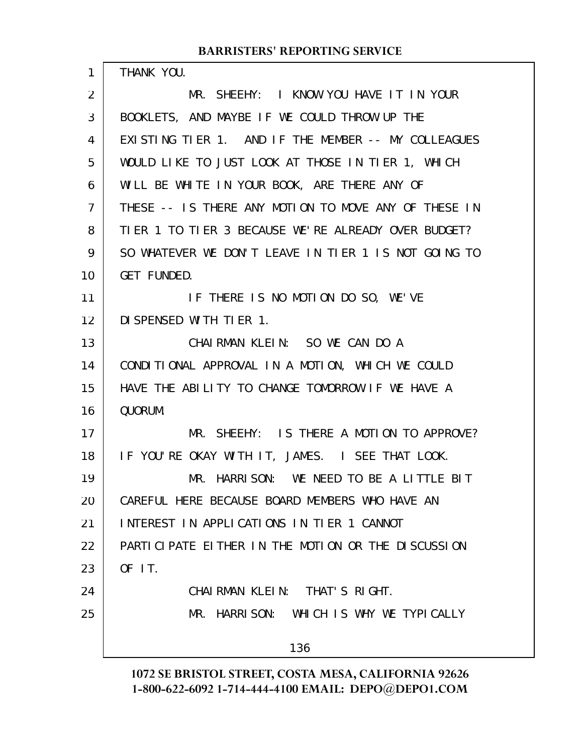THANK YOU. MR. SHEEHY: I KNOW YOU HAVE IT IN YOUR BOOKLETS, AND MAYBE IF WE COULD THROW UP THE EXISTING TIER 1. AND IF THE MEMBER -- MY COLLEAGUES WOULD LIKE TO JUST LOOK AT THOSE IN TIER 1, WHICH WILL BE WHITE IN YOUR BOOK, ARE THERE ANY OF THESE -- IS THERE ANY MOTION TO MOVE ANY OF THESE IN TIER 1 TO TIER 3 BECAUSE WE'RE ALREADY OVER BUDGET? SO WHATEVER WE DON'T LEAVE IN TIER 1 IS NOT GOING TO GET FUNDED. IF THERE IS NO MOTION DO SO, WE'VE DISPENSED WITH TIER 1. CHAIRMAN KLEIN: SO WE CAN DO A CONDITIONAL APPROVAL IN A MOTION, WHICH WE COULD HAVE THE ABILITY TO CHANGE TOMORROW IF WE HAVE A QUORUM. MR. SHEEHY: IS THERE A MOTION TO APPROVE? IF YOU'RE OKAY WITH IT, JAMES. I SEE THAT LOOK. MR. HARRISON: WE NEED TO BE A LITTLE BIT CAREFUL HERE BECAUSE BOARD MEMBERS WHO HAVE AN INTEREST IN APPLICATIONS IN TIER 1 CANNOT PARTICIPATE EITHER IN THE MOTION OR THE DISCUSSION OF IT. CHAIRMAN KLEIN: THAT'S RIGHT. MR. HARRISON: WHICH IS WHY WE TYPICALLY 136 1 2 3 4 5 6 7 8 9 10 11 12 13 14 15 16 17 18 19 20 21 22 23 24 25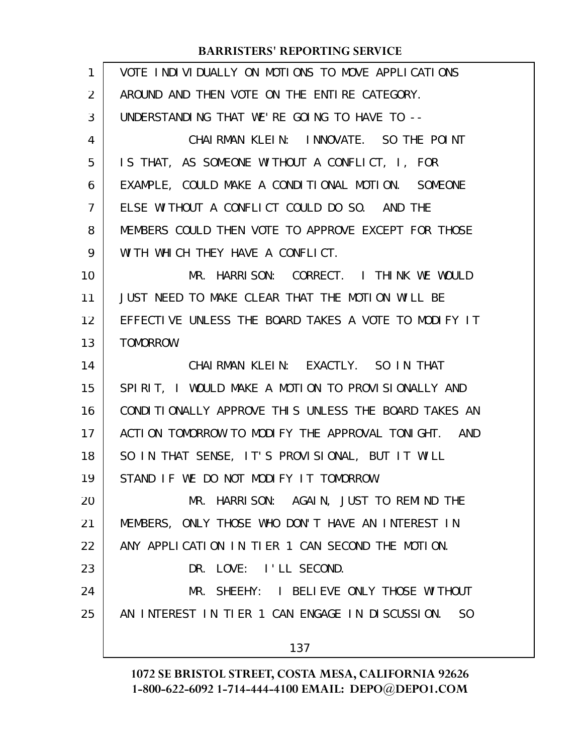| 1  | VOTE INDIVIDUALLY ON MOTIONS TO MOVE APPLICATIONS                 |
|----|-------------------------------------------------------------------|
| 2  | AROUND AND THEN VOTE ON THE ENTIRE CATEGORY.                      |
| 3  | UNDERSTANDING THAT WE'RE GOING TO HAVE TO --                      |
| 4  | CHAIRMAN KLEIN: INNOVATE. SO THE POINT                            |
| 5  | IS THAT, AS SOMEONE WITHOUT A CONFLICT, I, FOR                    |
| 6  | EXAMPLE, COULD MAKE A CONDITIONAL MOTION. SOMEONE                 |
| 7  | ELSE WITHOUT A CONFLICT COULD DO SO. AND THE                      |
| 8  | MEMBERS COULD THEN VOTE TO APPROVE EXCEPT FOR THOSE               |
| 9  | WITH WHICH THEY HAVE A CONFLICT.                                  |
| 10 | MR. HARRISON: CORRECT. I THINK WE WOULD                           |
| 11 | JUST NEED TO MAKE CLEAR THAT THE MOTION WILL BE                   |
| 12 | EFFECTIVE UNLESS THE BOARD TAKES A VOTE TO MODIFY IT              |
| 13 | TOMORROW.                                                         |
| 14 | CHAIRMAN KLEIN: EXACTLY. SO IN THAT                               |
| 15 | SPIRIT, I WOULD MAKE A MOTION TO PROVISIONALLY AND                |
| 16 | CONDITIONALLY APPROVE THIS UNLESS THE BOARD TAKES AN              |
| 17 | ACTION TOMORROW TO MODIFY THE APPROVAL TONIGHT. AND               |
| 18 | SO IN THAT SENSE, IT'S PROVISIONAL, BUT IT WILL                   |
| 19 | STAND IF WE DO NOT MODIFY IT TOMORROW.                            |
| 20 | MR. HARRISON: AGAIN, JUST TO REMIND THE                           |
| 21 | MEMBERS, ONLY THOSE WHO DON'T HAVE AN INTEREST IN                 |
| 22 | ANY APPLICATION IN TIER 1 CAN SECOND THE MOTION.                  |
| 23 | DR. LOVE: I'LL SECOND.                                            |
| 24 | MR. SHEEHY: I BELIEVE ONLY THOSE WITHOUT                          |
| 25 | AN INTEREST IN TIER 1 CAN ENGAGE IN DISCUSSION.<br>S <sub>0</sub> |
|    | 137                                                               |
|    |                                                                   |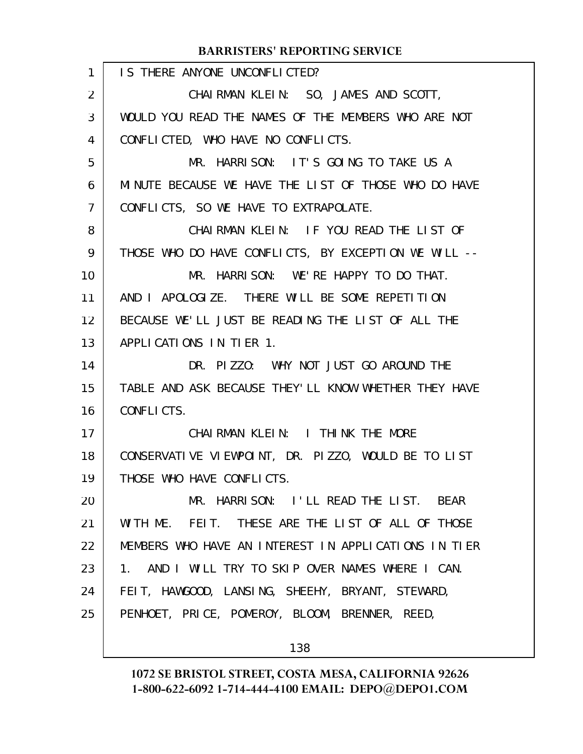| 1                 | IS THERE ANYONE UNCONFLICTED?                        |
|-------------------|------------------------------------------------------|
| $\overline{2}$    | CHAIRMAN KLEIN: SO, JAMES AND SCOTT,                 |
| 3                 | WOULD YOU READ THE NAMES OF THE MEMBERS WHO ARE NOT  |
| 4                 | CONFLICTED, WHO HAVE NO CONFLICTS.                   |
| 5                 | MR. HARRISON: IT'S GOING TO TAKE US A                |
| 6                 | MINUTE BECAUSE WE HAVE THE LIST OF THOSE WHO DO HAVE |
| $\overline{7}$    | CONFLICTS, SO WE HAVE TO EXTRAPOLATE.                |
| 8                 | CHAIRMAN KLEIN: IF YOU READ THE LIST OF              |
| 9                 | THOSE WHO DO HAVE CONFLICTS, BY EXCEPTION WE WILL -- |
| 10                | MR. HARRISON: WE'RE HAPPY TO DO THAT.                |
| 11                | AND I APOLOGIZE. THERE WILL BE SOME REPETITION       |
| $12 \overline{ }$ | BECAUSE WE'LL JUST BE READING THE LIST OF ALL THE    |
| 13                | APPLICATIONS IN TIER 1.                              |
| 14                | DR. PIZZO: WHY NOT JUST GO AROUND THE                |
| 15                | TABLE AND ASK BECAUSE THEY'LL KNOW WHETHER THEY HAVE |
| 16                | CONFLICTS.                                           |
| 17                | CHAIRMAN KLEIN: I THINK THE MORE                     |
| 18                | CONSERVATIVE VIEWPOINT, DR. PIZZO, WOULD BE TO LIST  |
| 19                | THOSE WHO HAVE CONFLICTS.                            |
| 20                | MR. HARRISON: I'LL READ THE LIST. BEAR               |
| 21                | WITH ME. FEIT. THESE ARE THE LIST OF ALL OF THOSE    |
| 22                | MEMBERS WHO HAVE AN INTEREST IN APPLICATIONS IN TIER |
| 23                | 1. AND I WILL TRY TO SKIP OVER NAMES WHERE I CAN.    |
| 24                | FEIT, HAWGOOD, LANSING, SHEEHY, BRYANT, STEWARD,     |
| 25                | PENHOET, PRICE, POMEROY, BLOOM, BRENNER, REED,       |
|                   |                                                      |

138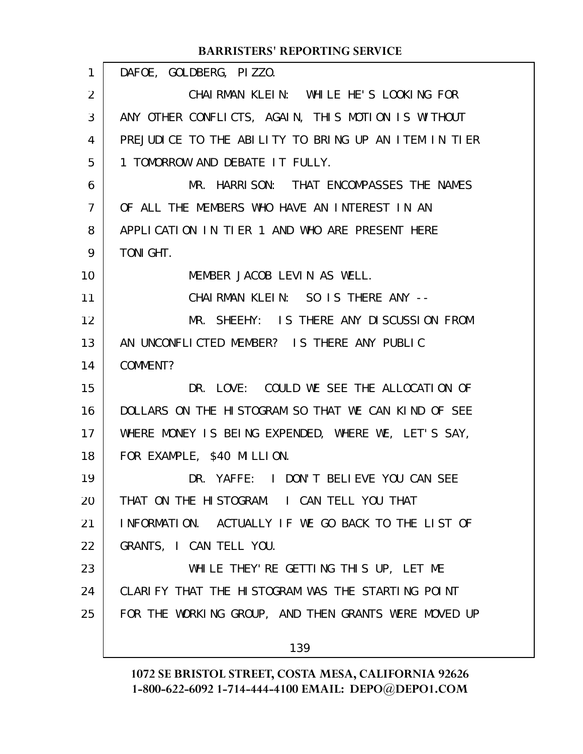#### DAFOE, GOLDBERG, PIZZO. CHAIRMAN KLEIN: WHILE HE'S LOOKING FOR ANY OTHER CONFLICTS, AGAIN, THIS MOTION IS WITHOUT PREJUDICE TO THE ABILITY TO BRING UP AN ITEM IN TIER 1 TOMORROW AND DEBATE IT FULLY. MR. HARRISON: THAT ENCOMPASSES THE NAMES OF ALL THE MEMBERS WHO HAVE AN INTEREST IN AN APPLICATION IN TIER 1 AND WHO ARE PRESENT HERE TONIGHT. MEMBER JACOB LEVIN AS WELL. CHAIRMAN KLEIN: SO IS THERE ANY -- MR. SHEEHY: IS THERE ANY DISCUSSION FROM AN UNCONFLICTED MEMBER? IS THERE ANY PUBLIC COMMENT? DR. LOVE: COULD WE SEE THE ALLOCATION OF DOLLARS ON THE HISTOGRAM SO THAT WE CAN KIND OF SEE WHERE MONEY IS BEING EXPENDED, WHERE WE, LET'S SAY, FOR EXAMPLE, \$40 MILLION. DR. YAFFE: I DON'T BELIEVE YOU CAN SEE THAT ON THE HISTOGRAM. I CAN TELL YOU THAT INFORMATION. ACTUALLY IF WE GO BACK TO THE LIST OF GRANTS, I CAN TELL YOU. WHILE THEY'RE GETTING THIS UP, LET ME CLARIFY THAT THE HISTOGRAM WAS THE STARTING POINT FOR THE WORKING GROUP, AND THEN GRANTS WERE MOVED UP 139 **BARRISTERS' REPORTING SERVICE** 1 2 3 4 5 6 7 8 9 10 11 12 13 14 15 16 17 18 19 20 21 22 23 24 25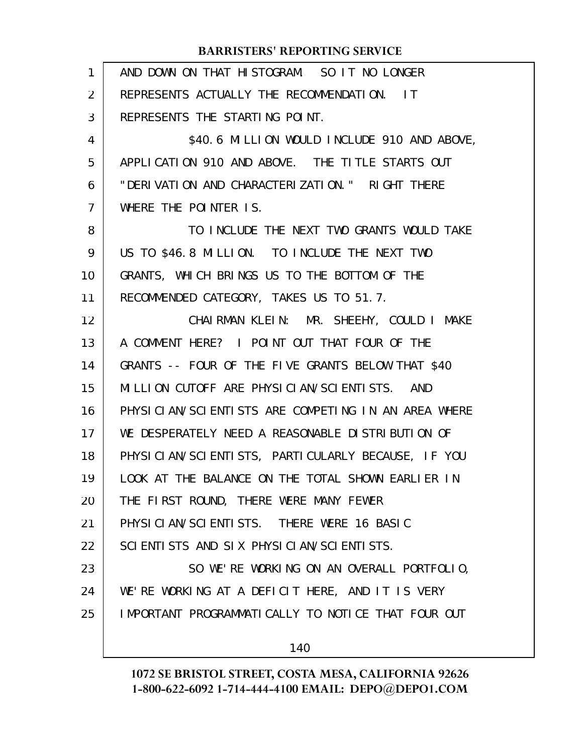| $\mathbf{1}$   | AND DOWN ON THAT HISTOGRAM. SO IT NO LONGER         |
|----------------|-----------------------------------------------------|
| $\overline{2}$ | REPRESENTS ACTUALLY THE RECOMMENDATION. IT          |
| 3              | REPRESENTS THE STARTING POINT.                      |
| 4              | \$40.6 MILLION WOULD INCLUDE 910 AND ABOVE,         |
| 5              | APPLICATION 910 AND ABOVE. THE TITLE STARTS OUT     |
| 6              | "DERIVATION AND CHARACTERIZATION." RIGHT THERE      |
| 7              | WHERE THE POINTER IS.                               |
| 8              | TO INCLUDE THE NEXT TWO GRANTS WOULD TAKE           |
| 9              | US TO \$46.8 MILLION. TO INCLUDE THE NEXT TWO       |
| 10             | GRANTS, WHICH BRINGS US TO THE BOTTOM OF THE        |
| 11             | RECOMMENDED CATEGORY, TAKES US TO 51.7.             |
| 12             | CHAIRMAN KLEIN: MR. SHEEHY, COULD I MAKE            |
| 13             | A COMMENT HERE? I POINT OUT THAT FOUR OF THE        |
| 14             | GRANTS -- FOUR OF THE FIVE GRANTS BELOW THAT \$40   |
| 15             | MILLION CUTOFF ARE PHYSICIAN/SCIENTISTS. AND        |
| 16             | PHYSICIAN/SCIENTISTS ARE COMPETING IN AN AREA WHERE |
| 17             | WE DESPERATELY NEED A REASONABLE DISTRIBUTION OF    |
| 18             | PHYSICIAN/SCIENTISTS, PARTICULARLY BECAUSE, IF YOU  |
| 19             | LOOK AT THE BALANCE ON THE TOTAL SHOWN EARLIER IN   |
| 20             | THE FIRST ROUND, THERE WERE MANY FEWER              |
| 21             | PHYSICIAN/SCIENTISTS. THERE WERE 16 BASIC           |
| 22             | SCIENTISTS AND SIX PHYSICIAN/SCIENTISTS.            |
| 23             | SO WE'RE WORKING ON AN OVERALL PORTFOLIO,           |
| 24             | WE'RE WORKING AT A DEFICIT HERE, AND IT IS VERY     |
| 25             | I MPORTANT PROGRAMMATICALLY TO NOTICE THAT FOUR OUT |
|                | 140                                                 |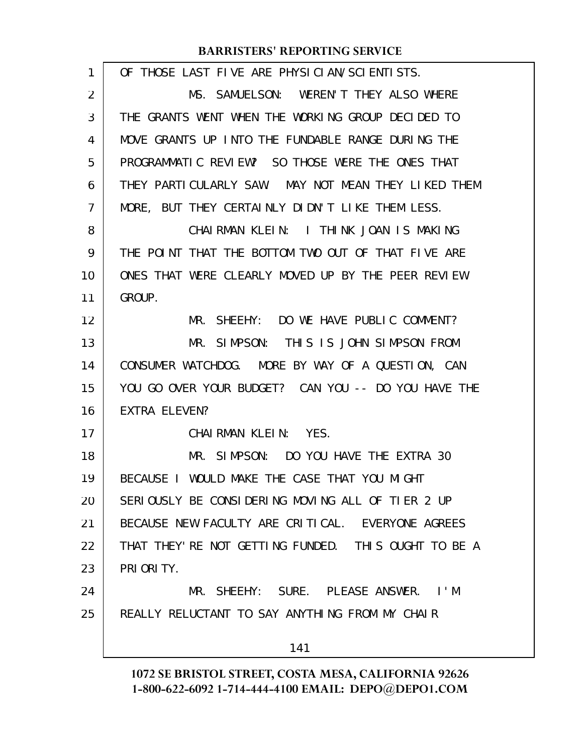| 1  | OF THOSE LAST FIVE ARE PHYSICIAN/SCIENTISTS.         |
|----|------------------------------------------------------|
| 2  | MS. SAMUELSON: WEREN'T THEY ALSO WHERE               |
| 3  | THE GRANTS WENT WHEN THE WORKING GROUP DECIDED TO    |
| 4  | MOVE GRANTS UP INTO THE FUNDABLE RANGE DURING THE    |
| 5  | PROGRAMMATIC REVIEW? SO THOSE WERE THE ONES THAT     |
| 6  | THEY PARTICULARLY SAW. MAY NOT MEAN THEY LIKED THEM  |
| 7  | MORE, BUT THEY CERTAINLY DIDN'T LIKE THEM LESS.      |
| 8  | CHAIRMAN KLEIN: I THINK JOAN IS MAKING               |
| 9  | THE POINT THAT THE BOTTOM TWO OUT OF THAT FIVE ARE   |
| 10 | ONES THAT WERE CLEARLY MOVED UP BY THE PEER REVIEW   |
| 11 | GROUP.                                               |
| 12 | MR. SHEEHY: DO WE HAVE PUBLIC COMMENT?               |
| 13 | MR. SIMPSON: THIS IS JOHN SIMPSON FROM               |
| 14 | CONSUMER WATCHDOG. MORE BY WAY OF A QUESTION, CAN    |
| 15 | YOU GO OVER YOUR BUDGET? CAN YOU -- DO YOU HAVE THE  |
| 16 | EXTRA ELEVEN?                                        |
| 17 | CHAIRMAN KLEIN: YES.                                 |
| 18 | MR. SIMPSON: DO YOU HAVE THE EXTRA 30                |
| 19 | BECAUSE I WOULD MAKE THE CASE THAT YOU MIGHT         |
| 20 | SERIOUSLY BE CONSIDERING MOVING ALL OF TIER 2 UP     |
| 21 | BECAUSE NEW FACULTY ARE CRITICAL. EVERYONE AGREES    |
| 22 | THAT THEY' RE NOT GETTING FUNDED. THIS OUGHT TO BE A |
| 23 | PRI ORI TY.                                          |
| 24 | MR. SHEEHY: SURE. PLEASE ANSWER. I'M                 |
| 25 | REALLY RELUCTANT TO SAY ANYTHING FROM MY CHAIR       |
|    | 141                                                  |
|    |                                                      |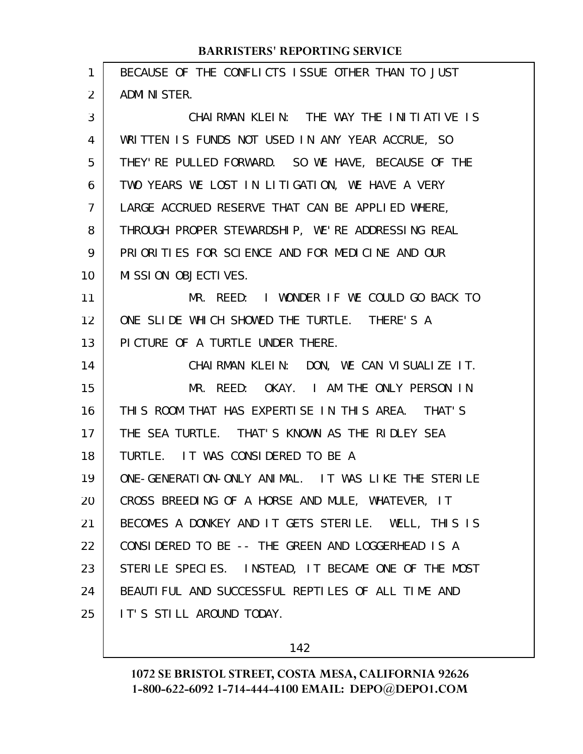| 1              | BECAUSE OF THE CONFLICTS ISSUE OTHER THAN TO JUST   |
|----------------|-----------------------------------------------------|
| 2              | ADMI NI STER.                                       |
| 3              | CHAIRMAN KLEIN: THE WAY THE INITIATIVE IS           |
| 4              | WRITTEN IS FUNDS NOT USED IN ANY YEAR ACCRUE, SO    |
| 5              | THEY' RE PULLED FORWARD. SO WE HAVE, BECAUSE OF THE |
| 6              | TWO YEARS WE LOST IN LITIGATION, WE HAVE A VERY     |
| $\overline{7}$ | LARGE ACCRUED RESERVE THAT CAN BE APPLIED WHERE,    |
| 8              | THROUGH PROPER STEWARDSHIP, WE'RE ADDRESSING REAL   |
| 9              | PRIORITIES FOR SCIENCE AND FOR MEDICINE AND OUR     |
| 10             | MISSION OBJECTIVES.                                 |
| 11             | MR. REED: I WONDER IF WE COULD GO BACK TO           |
| 12             | ONE SLIDE WHICH SHOWED THE TURTLE. THERE'S A        |
| 13             | PICTURE OF A TURTLE UNDER THERE.                    |
| 14             | CHAIRMAN KLEIN: DON, WE CAN VISUALIZE IT.           |
| 15             | MR. REED: OKAY. I AM THE ONLY PERSON IN             |
| 16             | THIS ROOM THAT HAS EXPERTISE IN THIS AREA. THAT'S   |
| 17             | THE SEA TURTLE. THAT'S KNOWN AS THE RIDLEY SEA      |
| 18             | TURTLE. IT WAS CONSIDERED TO BE A                   |
| 19             | ONE-GENERATION-ONLY ANIMAL. IT WAS LIKE THE STERILE |
| 20             | CROSS BREEDING OF A HORSE AND MULE, WHATEVER, IT    |
| 21             | BECOMES A DONKEY AND IT GETS STERILE. WELL, THIS IS |
| 22             | CONSIDERED TO BE -- THE GREEN AND LOGGERHEAD IS A   |
| 23             | STERILE SPECIES. INSTEAD, IT BECAME ONE OF THE MOST |
| 24             | BEAUTIFUL AND SUCCESSFUL REPTILES OF ALL TIME AND   |
| 25             | IT'S STILL AROUND TODAY.                            |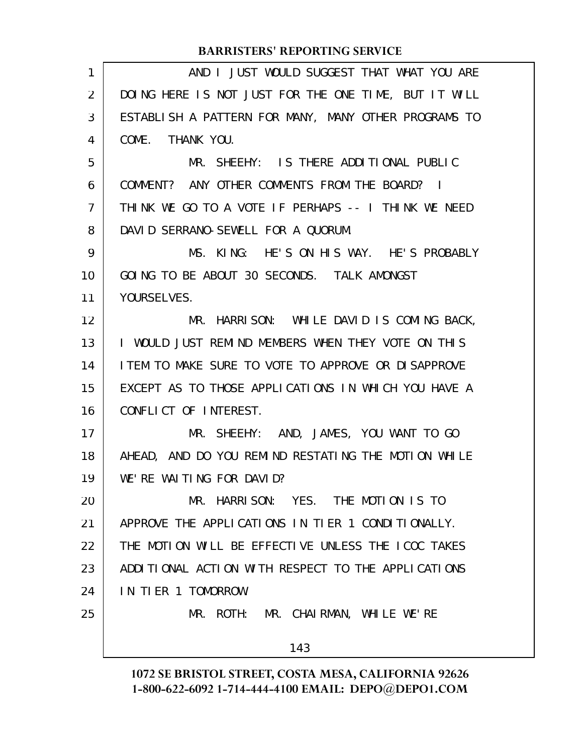| 1              | AND I JUST WOULD SUGGEST THAT WHAT YOU ARE           |
|----------------|------------------------------------------------------|
| 2              | DOING HERE IS NOT JUST FOR THE ONE TIME, BUT IT WILL |
| 3              | ESTABLISH A PATTERN FOR MANY, MANY OTHER PROGRAMS TO |
| 4              | COME. THANK YOU.                                     |
| 5              | MR. SHEEHY: IS THERE ADDITIONAL PUBLIC               |
| 6              | COMMENT? ANY OTHER COMMENTS FROM THE BOARD? I        |
| $\overline{7}$ | THINK WE GO TO A VOTE IF PERHAPS -- I THINK WE NEED  |
| 8              | DAVID SERRANO-SEWELL FOR A QUORUM.                   |
| 9              | MS. KING: HE'S ON HIS WAY. HE'S PROBABLY             |
| 10             | GOING TO BE ABOUT 30 SECONDS. TALK AMONGST           |
| 11             | YOURSELVES.                                          |
| 12             | MR. HARRISON: WHILE DAVID IS COMING BACK,            |
| 13             | I WOULD JUST REMIND MEMBERS WHEN THEY VOTE ON THIS   |
| 14             | LIEM TO MAKE SURE TO VOTE TO APPROVE OR DISAPPROVE   |
| 15             | EXCEPT AS TO THOSE APPLICATIONS IN WHICH YOU HAVE A  |
| 16             | CONFLICT OF INTEREST.                                |
| 17             | MR. SHEEHY: AND, JAMES, YOU WANT TO GO               |
| 18             | AHEAD, AND DO YOU REMIND RESTATING THE MOTION WHILE  |
| 19             | WE'RE WALTING FOR DAVID?                             |
| 20             | MR. HARRISON: YES. THE MOTION IS TO                  |
| 21             | APPROVE THE APPLICATIONS IN TIER 1 CONDITIONALLY.    |
| 22             | THE MOTION WILL BE EFFECTIVE UNLESS THE ICOC TAKES   |
| 23             | ADDITIONAL ACTION WITH RESPECT TO THE APPLICATIONS   |
| 24             | IN TIER 1 TOMORROW.                                  |
| 25             | MR. ROTH: MR. CHAIRMAN, WHILE WE'RE                  |
|                | 143                                                  |
|                |                                                      |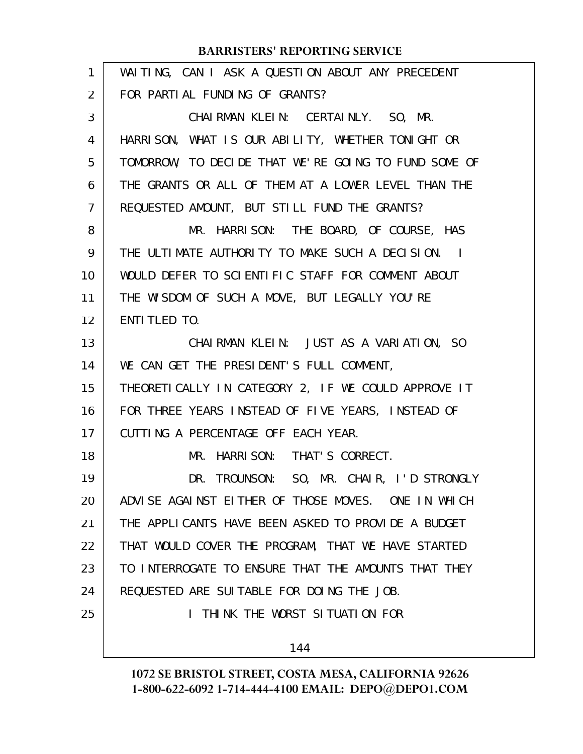| 1              | WAITING, CAN I ASK A QUESTION ABOUT ANY PRECEDENT    |
|----------------|------------------------------------------------------|
| 2              | FOR PARTIAL FUNDING OF GRANTS?                       |
| 3              | CHAIRMAN KLEIN: CERTAINLY. SO, MR.                   |
| 4              | HARRISON, WHAT IS OUR ABILITY, WHETHER TONIGHT OR    |
| 5              | TOMORROW, TO DECIDE THAT WE'RE GOING TO FUND SOME OF |
| 6              | THE GRANTS OR ALL OF THEM AT A LOWER LEVEL THAN THE  |
| $\overline{7}$ | REQUESTED AMOUNT, BUT STILL FUND THE GRANTS?         |
| 8              | MR. HARRISON: THE BOARD, OF COURSE, HAS              |
| 9              | THE ULTIMATE AUTHORITY TO MAKE SUCH A DECISION. I    |
| 10             | WOULD DEFER TO SCIENTIFIC STAFF FOR COMMENT ABOUT    |
| 11             | THE WISDOM OF SUCH A MOVE, BUT LEGALLY YOU'RE        |
| 12             | ENTI TLED TO.                                        |
| 13             | CHAIRMAN KLEIN: JUST AS A VARIATION, SO              |
| 14             | WE CAN GET THE PRESIDENT'S FULL COMMENT,             |
| 15             | THEORETICALLY IN CATEGORY 2, IF WE COULD APPROVE IT  |
| 16             | FOR THREE YEARS INSTEAD OF FIVE YEARS, INSTEAD OF    |
| 17             | CUTTING A PERCENTAGE OFF EACH YEAR.                  |
| 18             | MR. HARRISON: THAT'S CORRECT.                        |
| 19             | DR. TROUNSON: SO, MR. CHAIR, I'D STRONGLY            |
| 20             | ADVISE AGAINST EITHER OF THOSE MOVES. ONE IN WHICH   |
| 21             | THE APPLICANTS HAVE BEEN ASKED TO PROVIDE A BUDGET   |
| 22             | THAT WOULD COVER THE PROGRAM, THAT WE HAVE STARTED   |
| 23             | TO INTERROGATE TO ENSURE THAT THE AMOUNTS THAT THEY  |
| 24             | REQUESTED ARE SUITABLE FOR DOING THE JOB.            |
| 25             | I THINK THE WORST SITUATION FOR                      |
|                | 144                                                  |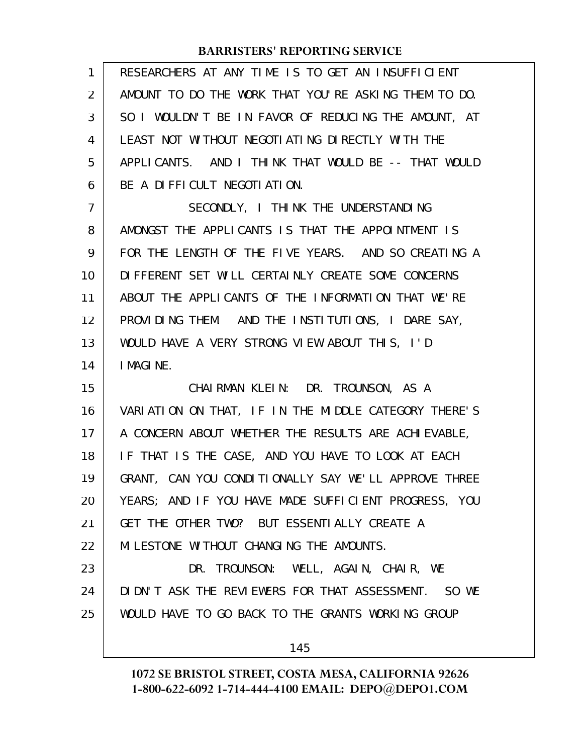## **BARRISTERS' REPORTING SERVICE**

| 1  | RESEARCHERS AT ANY TIME IS TO GET AN INSUFFICIENT    |
|----|------------------------------------------------------|
| 2  | AMOUNT TO DO THE WORK THAT YOU'RE ASKING THEM TO DO. |
| 3  | SO I WOULDN'T BE IN FAVOR OF REDUCING THE AMOUNT, AT |
| 4  | LEAST NOT WITHOUT NEGOTI ATING DIRECTLY WITH THE     |
| 5  | APPLICANTS. AND I THINK THAT WOULD BE -- THAT WOULD  |
| 6  | BE A DIFFICULT NEGOTIATION.                          |
| 7  | SECONDLY, I THINK THE UNDERSTANDING                  |
| 8  | AMONGST THE APPLICANTS IS THAT THE APPOINTMENT IS    |
| 9  | FOR THE LENGTH OF THE FIVE YEARS. AND SO CREATING A  |
| 10 | DIFFERENT SET WILL CERTAINLY CREATE SOME CONCERNS    |
| 11 | ABOUT THE APPLICANTS OF THE INFORMATION THAT WE'RE   |
| 12 | PROVIDING THEM. AND THE INSTITUTIONS, I DARE SAY,    |
| 13 | WOULD HAVE A VERY STRONG VIEW ABOUT THIS, I'D        |
| 14 | I MAGINE.                                            |
| 15 | CHAIRMAN KLEIN: DR. TROUNSON, AS A                   |
| 16 | VARIATION ON THAT, IF IN THE MIDDLE CATEGORY THERE'S |
| 17 | A CONCERN ABOUT WHETHER THE RESULTS ARE ACHIEVABLE,  |
| 18 | IF THAT IS THE CASE, AND YOU HAVE TO LOOK AT EACH    |
| 19 | GRANT, CAN YOU CONDITIONALLY SAY WE'LL APPROVE THREE |
| 20 | YEARS; AND IF YOU HAVE MADE SUFFICIENT PROGRESS, YOU |
| 21 | GET THE OTHER TWO? BUT ESSENTIALLY CREATE A          |
| 22 | MILESTONE WITHOUT CHANGING THE AMOUNTS.              |
| 23 | DR. TROUNSON: WELL, AGAIN, CHAIR, WE                 |
| 24 | DIDN'T ASK THE REVIEWERS FOR THAT ASSESSMENT. SO WE  |
| 25 | WOULD HAVE TO GO BACK TO THE GRANTS WORKING GROUP    |
|    | 145                                                  |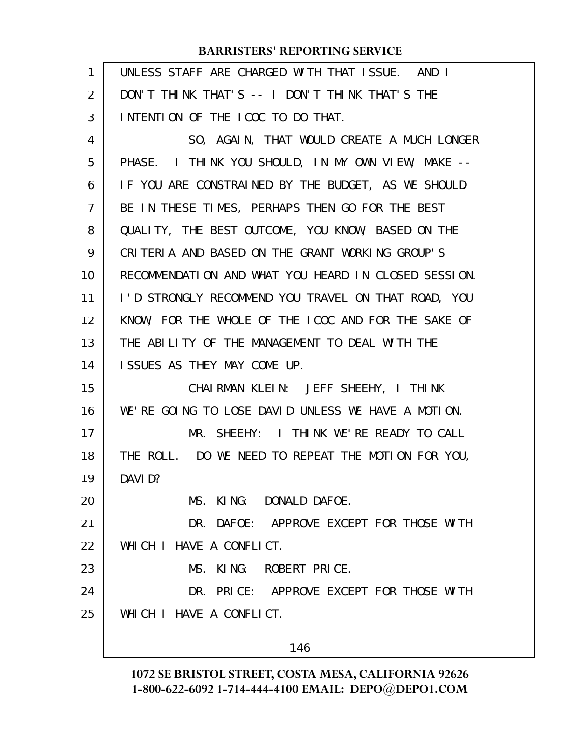## **BARRISTERS' REPORTING SERVICE**

| 1              | UNLESS STAFF ARE CHARGED WITH THAT ISSUE. AND I      |
|----------------|------------------------------------------------------|
| 2              | DON'T THINK THAT'S -- I DON'T THINK THAT'S THE       |
| 3              | INTENTION OF THE ICOC TO DO THAT.                    |
| 4              | SO, AGAIN, THAT WOULD CREATE A MUCH LONGER           |
| 5              | PHASE. I THINK YOU SHOULD, IN MY OWN VIEW, MAKE --   |
| 6              | IF YOU ARE CONSTRAINED BY THE BUDGET, AS WE SHOULD   |
| $\overline{7}$ | BE IN THESE TIMES, PERHAPS THEN GO FOR THE BEST      |
| 8              | QUALITY, THE BEST OUTCOME, YOU KNOW, BASED ON THE    |
| 9              | CRITERIA AND BASED ON THE GRANT WORKING GROUP'S      |
| 10             | RECOMMENDATION AND WHAT YOU HEARD IN CLOSED SESSION. |
| 11             | I'D STRONGLY RECOMMEND YOU TRAVEL ON THAT ROAD, YOU  |
| 12             | KNOW, FOR THE WHOLE OF THE ICOC AND FOR THE SAKE OF  |
| 13             | THE ABILITY OF THE MANAGEMENT TO DEAL WITH THE       |
| 14             | ISSUES AS THEY MAY COME UP.                          |
| 15             | CHAIRMAN KLEIN: JEFF SHEEHY, I THINK                 |
| 16             | WE'RE GOING TO LOSE DAVID UNLESS WE HAVE A MOTION.   |
| 17             | MR. SHEEHY: I THINK WE'RE READY TO CALL              |
| 18             | THE ROLL. DO WE NEED TO REPEAT THE MOTION FOR YOU,   |
| 19             | DAVI D?                                              |
| 20             | MS. KING: DONALD DAFOE.                              |
| 21             | DR. DAFOE: APPROVE EXCEPT FOR THOSE WITH             |
| 22             | WHICH I HAVE A CONFLICT.                             |
| 23             | MS. KING: ROBERT PRICE.                              |
| 24             | DR. PRICE: APPROVE EXCEPT FOR THOSE WITH             |
| 25             | WHICH I HAVE A CONFLICT.                             |
|                | 146                                                  |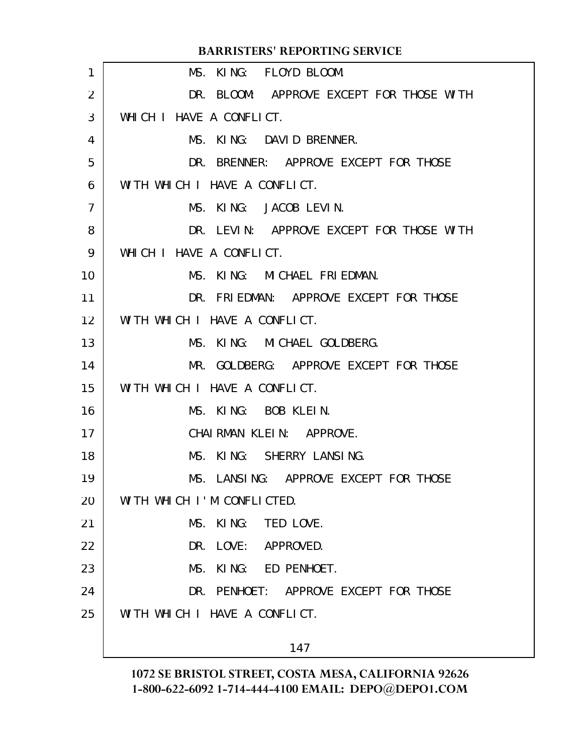| <b>BARRISTERS' REPORTING SERVICE</b>     |
|------------------------------------------|
| MS. KING: FLOYD BLOOM.                   |
| DR. BLOOM: APPROVE EXCEPT FOR THOSE WITH |
| WHICH I HAVE A CONFLICT.                 |
| MS. KING: DAVID BRENNER.                 |
| DR. BRENNER: APPROVE EXCEPT FOR THOSE    |
| WITH WHICH I HAVE A CONFLICT.            |
| MS. KING: JACOB LEVIN.                   |
| DR. LEVIN: APPROVE EXCEPT FOR THOSE WITH |
| WHICH I HAVE A CONFLICT.                 |
| MS. KING: MICHAEL FRIEDMAN.              |
| DR. FRIEDMAN: APPROVE EXCEPT FOR THOSE   |
| WITH WHICH I HAVE A CONFLICT.            |
| MS. KING: MICHAEL GOLDBERG.              |
| MR. GOLDBERG: APPROVE EXCEPT FOR THOSE   |
| WITH WHICH I HAVE A CONFLICT.            |
| MS. KING: BOB KLEIN.                     |
| CHAIRMAN KLEIN: APPROVE.                 |
| MS. KING: SHERRY LANSING.                |
| MS. LANSING: APPROVE EXCEPT FOR THOSE    |
| WITH WHICH I'M CONFLICTED.               |
| MS. KING: TED LOVE.                      |
| DR. LOVE:<br>APPROVED.                   |
| MS.<br>KING: ED PENHOET.                 |
| DR. PENHOET: APPROVE EXCEPT FOR THOSE    |
| WITH WHICH I HAVE A CONFLICT.            |
| 147                                      |
|                                          |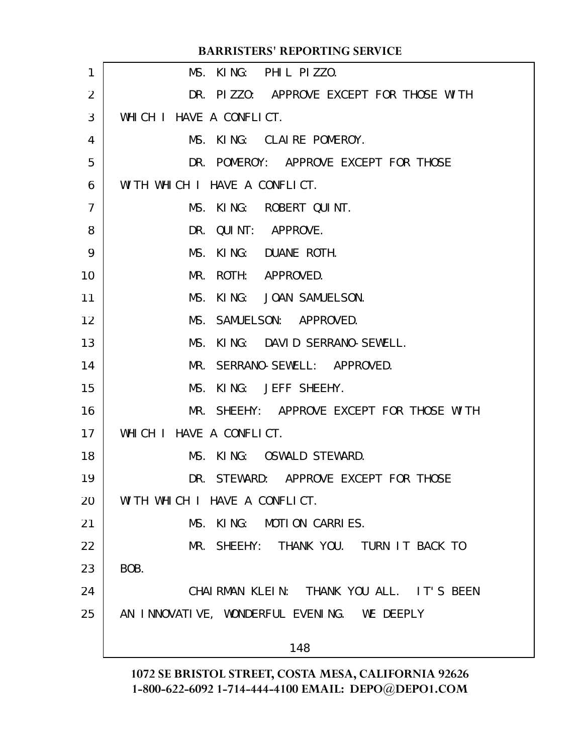|                | <b>BARRISTERS' REPORTING SERVICE</b>        |
|----------------|---------------------------------------------|
| 1              | MS. KING: PHIL PIZZO.                       |
| 2              | DR. PIZZO: APPROVE EXCEPT FOR THOSE WITH    |
| 3              | WHICH I HAVE A CONFLICT.                    |
| 4              | MS. KING: CLAIRE POMEROY.                   |
| 5              | DR. POMEROY: APPROVE EXCEPT FOR THOSE       |
| 6              | WITH WHICH I HAVE A CONFLICT.               |
| $\overline{7}$ | MS. KING:<br>ROBERT QUINT.                  |
| 8              | QUINT: APPROVE.<br>DR.                      |
| 9              | KING: DUANE ROTH.<br>MS.                    |
| 10             | MR.<br>ROTH: APPROVED.                      |
| 11             | MS.<br>KING: JOAN SAMUELSON.                |
| 12             | MS. SAMUELSON: APPROVED.                    |
| 13             | KING: DAVID SERRANO-SEWELL.<br>MS.          |
| 14             | MR. SERRANO-SEWELL: APPROVED.               |
| 15             | MS. KING: JEFF SHEEHY.                      |
| 16             | MR. SHEEHY: APPROVE EXCEPT FOR THOSE WITH   |
| 17             | WHICH I HAVE A CONFLICT.                    |
| 18             | MS. KING: OSWALD STEWARD.                   |
| 19             | DR. STEWARD: APPROVE EXCEPT FOR THOSE       |
| 20             | WITH WHICH I HAVE A CONFLICT.               |
| 21             | MS. KING: MOTION CARRIES.                   |
| 22             | MR. SHEEHY: THANK YOU. TURN IT BACK TO      |
| 23             | BOB.                                        |
| 24             | CHAIRMAN KLEIN: THANK YOU ALL. IT'S BEEN    |
| 25             | AN INNOVATIVE, WONDERFUL EVENING. WE DEEPLY |
|                |                                             |
|                | 148                                         |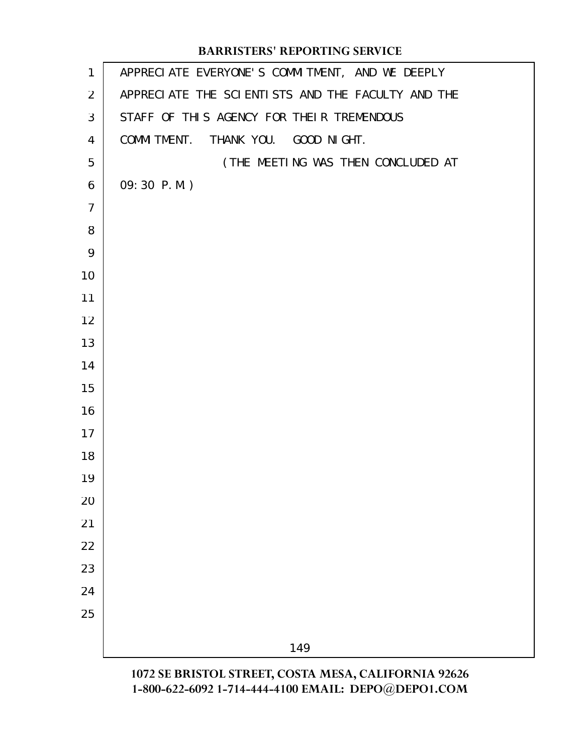## APPRECIATE EVERYONE'S COMMITMENT, AND WE DEEPLY APPRECIATE THE SCIENTISTS AND THE FACULTY AND THE STAFF OF THIS AGENCY FOR THEIR TREMENDOUS COMMITMENT. THANK YOU. GOOD NIGHT. (THE MEETING WAS THEN CONCLUDED AT 09:30 P.M.) **BARRISTERS' REPORTING SERVICE**

**1072 SE BRISTOL STREET, COSTA MESA, CALIFORNIA 92626 1-800-622-6092 1-714-444-4100 EMAIL: DEPO@DEPO1.COM**